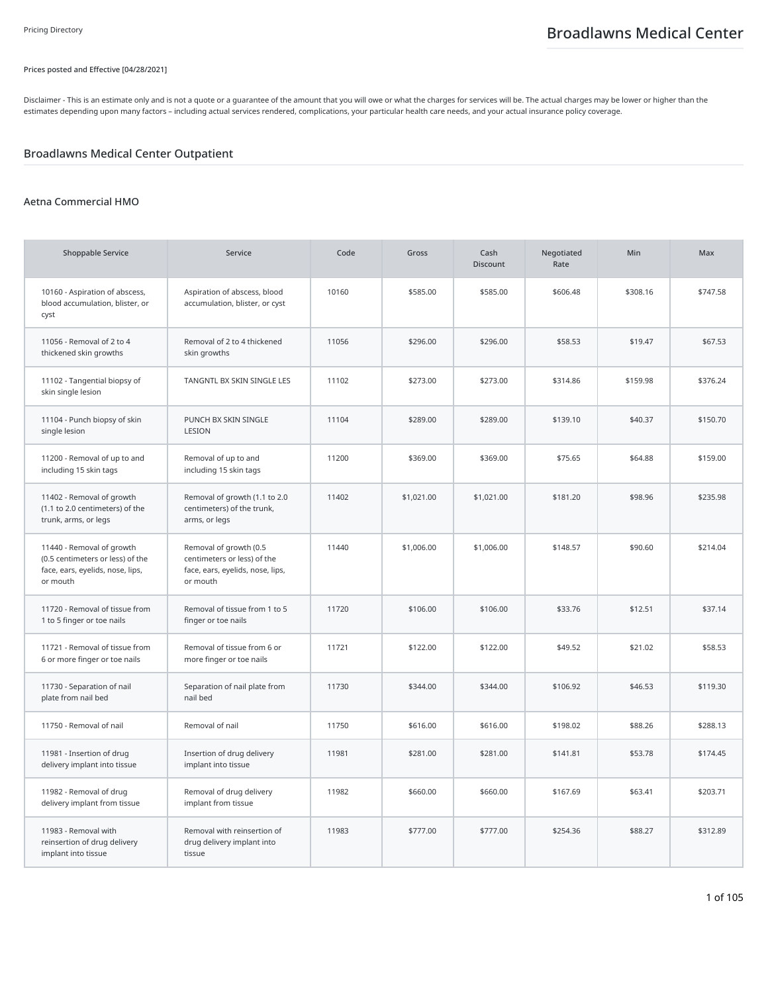### Prices posted and Effective [04/28/2021]

Disclaimer - This is an estimate only and is not a quote or a guarantee of the amount that you will owe or what the charges for services will be. The actual charges may be lower or higher than the estimates depending upon many factors – including actual services rendered, complications, your particular health care needs, and your actual insurance policy coverage.

## Broadlawns Medical Center Outpatient

### Aetna Commercial HMO

| <b>Shoppable Service</b>                                                                                      | Service                                                                                               | Code  | Gross      | Cash<br><b>Discount</b> | Negotiated<br>Rate | Min      | Max      |
|---------------------------------------------------------------------------------------------------------------|-------------------------------------------------------------------------------------------------------|-------|------------|-------------------------|--------------------|----------|----------|
| 10160 - Aspiration of abscess,<br>blood accumulation, blister, or<br>cyst                                     | Aspiration of abscess, blood<br>accumulation, blister, or cyst                                        | 10160 | \$585.00   | \$585.00                | \$606.48           | \$308.16 | \$747.58 |
| 11056 - Removal of 2 to 4<br>thickened skin growths                                                           | Removal of 2 to 4 thickened<br>skin growths                                                           | 11056 | \$296.00   | \$296.00                | \$58.53            | \$19.47  | \$67.53  |
| 11102 - Tangential biopsy of<br>skin single lesion                                                            | TANGNTL BX SKIN SINGLE LES                                                                            | 11102 | \$273.00   | \$273.00                | \$314.86           | \$159.98 | \$376.24 |
| 11104 - Punch biopsy of skin<br>single lesion                                                                 | PUNCH BX SKIN SINGLE<br>LESION                                                                        | 11104 | \$289.00   | \$289.00                | \$139.10           | \$40.37  | \$150.70 |
| 11200 - Removal of up to and<br>including 15 skin tags                                                        | Removal of up to and<br>including 15 skin tags                                                        | 11200 | \$369.00   | \$369.00                | \$75.65            | \$64.88  | \$159.00 |
| 11402 - Removal of growth<br>(1.1 to 2.0 centimeters) of the<br>trunk, arms, or legs                          | Removal of growth (1.1 to 2.0<br>centimeters) of the trunk,<br>arms, or legs                          | 11402 | \$1,021.00 | \$1,021.00              | \$181.20           | \$98.96  | \$235.98 |
| 11440 - Removal of growth<br>(0.5 centimeters or less) of the<br>face, ears, eyelids, nose, lips,<br>or mouth | Removal of growth (0.5<br>centimeters or less) of the<br>face, ears, eyelids, nose, lips,<br>or mouth | 11440 | \$1,006.00 | \$1,006.00              | \$148.57           | \$90.60  | \$214.04 |
| 11720 - Removal of tissue from<br>1 to 5 finger or toe nails                                                  | Removal of tissue from 1 to 5<br>finger or toe nails                                                  | 11720 | \$106.00   | \$106.00                | \$33.76            | \$12.51  | \$37.14  |
| 11721 - Removal of tissue from<br>6 or more finger or toe nails                                               | Removal of tissue from 6 or<br>more finger or toe nails                                               | 11721 | \$122.00   | \$122.00                | \$49.52            | \$21.02  | \$58.53  |
| 11730 - Separation of nail<br>plate from nail bed                                                             | Separation of nail plate from<br>nail bed                                                             | 11730 | \$344.00   | \$344.00                | \$106.92           | \$46.53  | \$119.30 |
| 11750 - Removal of nail                                                                                       | Removal of nail                                                                                       | 11750 | \$616.00   | \$616.00                | \$198.02           | \$88.26  | \$288.13 |
| 11981 - Insertion of drug<br>delivery implant into tissue                                                     | Insertion of drug delivery<br>implant into tissue                                                     | 11981 | \$281.00   | \$281.00                | \$141.81           | \$53.78  | \$174.45 |
| 11982 - Removal of drug<br>delivery implant from tissue                                                       | Removal of drug delivery<br>implant from tissue                                                       | 11982 | \$660.00   | \$660.00                | \$167.69           | \$63.41  | \$203.71 |
| 11983 - Removal with<br>reinsertion of drug delivery<br>implant into tissue                                   | Removal with reinsertion of<br>drug delivery implant into<br>tissue                                   | 11983 | \$777.00   | \$777.00                | \$254.36           | \$88.27  | \$312.89 |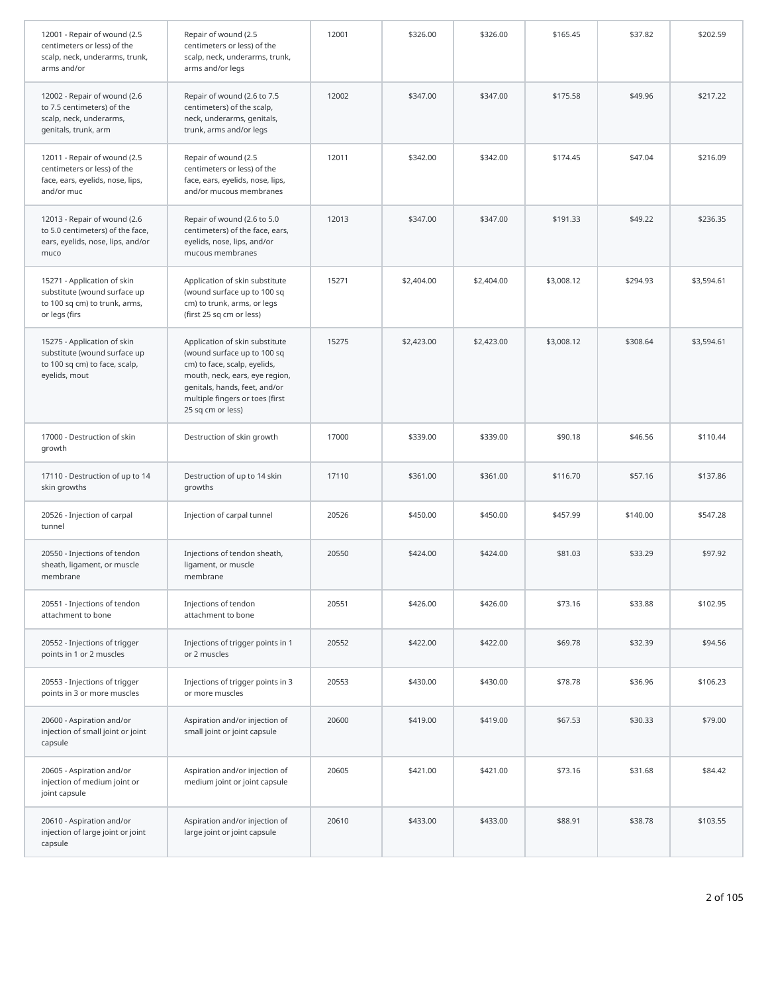| 12001 - Repair of wound (2.5<br>centimeters or less) of the<br>scalp, neck, underarms, trunk,<br>arms and/or  | Repair of wound (2.5<br>centimeters or less) of the<br>scalp, neck, underarms, trunk,<br>arms and/or legs                                                                                                                | 12001 | \$326.00   | \$326.00   | \$165.45   | \$37.82  | \$202.59   |
|---------------------------------------------------------------------------------------------------------------|--------------------------------------------------------------------------------------------------------------------------------------------------------------------------------------------------------------------------|-------|------------|------------|------------|----------|------------|
| 12002 - Repair of wound (2.6<br>to 7.5 centimeters) of the<br>scalp, neck, underarms,<br>genitals, trunk, arm | Repair of wound (2.6 to 7.5<br>centimeters) of the scalp,<br>neck, underarms, genitals,<br>trunk, arms and/or legs                                                                                                       | 12002 | \$347.00   | \$347.00   | \$175.58   | \$49.96  | \$217.22   |
| 12011 - Repair of wound (2.5<br>centimeters or less) of the<br>face, ears, eyelids, nose, lips,<br>and/or muc | Repair of wound (2.5<br>centimeters or less) of the<br>face, ears, eyelids, nose, lips,<br>and/or mucous membranes                                                                                                       | 12011 | \$342.00   | \$342.00   | \$174.45   | \$47.04  | \$216.09   |
| 12013 - Repair of wound (2.6<br>to 5.0 centimeters) of the face,<br>ears, eyelids, nose, lips, and/or<br>muco | Repair of wound (2.6 to 5.0<br>centimeters) of the face, ears,<br>eyelids, nose, lips, and/or<br>mucous membranes                                                                                                        | 12013 | \$347.00   | \$347.00   | \$191.33   | \$49.22  | \$236.35   |
| 15271 - Application of skin<br>substitute (wound surface up<br>to 100 sq cm) to trunk, arms,<br>or legs (firs | Application of skin substitute<br>(wound surface up to 100 sq<br>cm) to trunk, arms, or legs<br>(first 25 sq cm or less)                                                                                                 | 15271 | \$2,404.00 | \$2,404.00 | \$3,008.12 | \$294.93 | \$3,594.61 |
| 15275 - Application of skin<br>substitute (wound surface up<br>to 100 sq cm) to face, scalp,<br>eyelids, mout | Application of skin substitute<br>(wound surface up to 100 sq<br>cm) to face, scalp, eyelids,<br>mouth, neck, ears, eye region,<br>genitals, hands, feet, and/or<br>multiple fingers or toes (first<br>25 sq cm or less) | 15275 | \$2,423.00 | \$2,423.00 | \$3,008.12 | \$308.64 | \$3,594.61 |
| 17000 - Destruction of skin<br>growth                                                                         | Destruction of skin growth                                                                                                                                                                                               | 17000 | \$339.00   | \$339.00   | \$90.18    | \$46.56  | \$110.44   |
| 17110 - Destruction of up to 14<br>skin growths                                                               | Destruction of up to 14 skin<br>growths                                                                                                                                                                                  | 17110 | \$361.00   | \$361.00   | \$116.70   | \$57.16  | \$137.86   |
| 20526 - Injection of carpal<br>tunnel                                                                         | Injection of carpal tunnel                                                                                                                                                                                               | 20526 | \$450.00   | \$450.00   | \$457.99   | \$140.00 | \$547.28   |
| 20550 - Injections of tendon<br>sheath, ligament, or muscle<br>membrane                                       | Injections of tendon sheath,<br>ligament, or muscle<br>membrane                                                                                                                                                          | 20550 | \$424.00   | \$424.00   | \$81.03    | \$33.29  | \$97.92    |
| 20551 - Injections of tendon<br>attachment to bone                                                            | Injections of tendon<br>attachment to bone                                                                                                                                                                               | 20551 | \$426.00   | \$426.00   | \$73.16    | \$33.88  | \$102.95   |
| 20552 - Injections of trigger<br>points in 1 or 2 muscles                                                     | Injections of trigger points in 1<br>or 2 muscles                                                                                                                                                                        | 20552 | \$422.00   | \$422.00   | \$69.78    | \$32.39  | \$94.56    |
| 20553 - Injections of trigger<br>points in 3 or more muscles                                                  | Injections of trigger points in 3<br>or more muscles                                                                                                                                                                     | 20553 | \$430.00   | \$430.00   | \$78.78    | \$36.96  | \$106.23   |
| 20600 - Aspiration and/or<br>injection of small joint or joint<br>capsule                                     | Aspiration and/or injection of<br>small joint or joint capsule                                                                                                                                                           | 20600 | \$419.00   | \$419.00   | \$67.53    | \$30.33  | \$79.00    |
| 20605 - Aspiration and/or<br>injection of medium joint or<br>joint capsule                                    | Aspiration and/or injection of<br>medium joint or joint capsule                                                                                                                                                          | 20605 | \$421.00   | \$421.00   | \$73.16    | \$31.68  | \$84.42    |
| 20610 - Aspiration and/or<br>injection of large joint or joint<br>capsule                                     | Aspiration and/or injection of<br>large joint or joint capsule                                                                                                                                                           | 20610 | \$433.00   | \$433.00   | \$88.91    | \$38.78  | \$103.55   |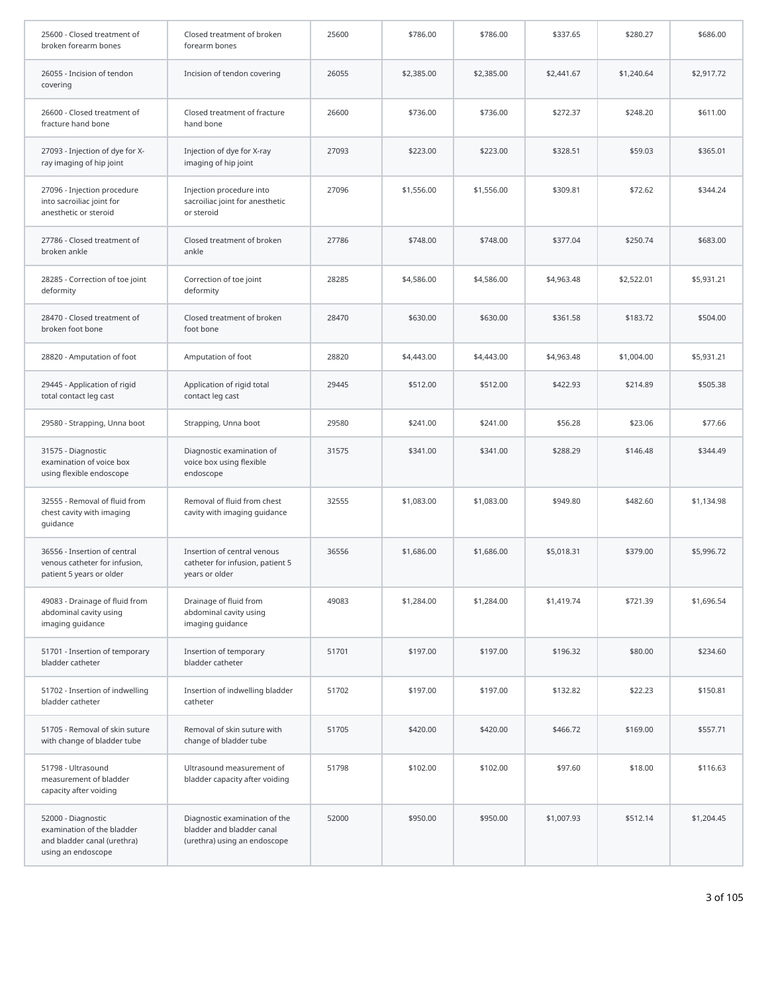| 25600 - Closed treatment of<br>broken forearm bones                                                   | Closed treatment of broken<br>forearm bones                                                | 25600 | \$786.00   | \$786.00   | \$337.65   | \$280.27   | \$686.00   |
|-------------------------------------------------------------------------------------------------------|--------------------------------------------------------------------------------------------|-------|------------|------------|------------|------------|------------|
| 26055 - Incision of tendon<br>covering                                                                | Incision of tendon covering                                                                | 26055 | \$2,385.00 | \$2,385.00 | \$2,441.67 | \$1,240.64 | \$2,917.72 |
| 26600 - Closed treatment of<br>fracture hand bone                                                     | Closed treatment of fracture<br>hand bone                                                  | 26600 | \$736.00   | \$736.00   | \$272.37   | \$248.20   | \$611.00   |
| 27093 - Injection of dye for X-<br>ray imaging of hip joint                                           | Injection of dye for X-ray<br>imaging of hip joint                                         | 27093 | \$223.00   | \$223.00   | \$328.51   | \$59.03    | \$365.01   |
| 27096 - Injection procedure<br>into sacroiliac joint for<br>anesthetic or steroid                     | Injection procedure into<br>sacroiliac joint for anesthetic<br>or steroid                  | 27096 | \$1,556.00 | \$1,556.00 | \$309.81   | \$72.62    | \$344.24   |
| 27786 - Closed treatment of<br>broken ankle                                                           | Closed treatment of broken<br>ankle                                                        | 27786 | \$748.00   | \$748.00   | \$377.04   | \$250.74   | \$683.00   |
| 28285 - Correction of toe joint<br>deformity                                                          | Correction of toe joint<br>deformity                                                       | 28285 | \$4,586.00 | \$4,586.00 | \$4,963.48 | \$2,522.01 | \$5,931.21 |
| 28470 - Closed treatment of<br>broken foot bone                                                       | Closed treatment of broken<br>foot bone                                                    | 28470 | \$630.00   | \$630.00   | \$361.58   | \$183.72   | \$504.00   |
| 28820 - Amputation of foot                                                                            | Amputation of foot                                                                         | 28820 | \$4,443.00 | \$4,443.00 | \$4,963.48 | \$1,004.00 | \$5,931.21 |
| 29445 - Application of rigid<br>total contact leg cast                                                | Application of rigid total<br>contact leg cast                                             | 29445 | \$512.00   | \$512.00   | \$422.93   | \$214.89   | \$505.38   |
| 29580 - Strapping, Unna boot                                                                          | Strapping, Unna boot                                                                       | 29580 | \$241.00   | \$241.00   | \$56.28    | \$23.06    | \$77.66    |
| 31575 - Diagnostic<br>examination of voice box<br>using flexible endoscope                            | Diagnostic examination of<br>voice box using flexible<br>endoscope                         | 31575 | \$341.00   | \$341.00   | \$288.29   | \$146.48   | \$344.49   |
| 32555 - Removal of fluid from<br>chest cavity with imaging<br>quidance                                | Removal of fluid from chest<br>cavity with imaging guidance                                | 32555 | \$1,083.00 | \$1,083.00 | \$949.80   | \$482.60   | \$1,134.98 |
| 36556 - Insertion of central<br>venous catheter for infusion,<br>patient 5 years or older             | Insertion of central venous<br>catheter for infusion, patient 5<br>years or older          | 36556 | \$1,686.00 | \$1,686.00 | \$5,018.31 | \$379.00   | \$5,996.72 |
| 49083 - Drainage of fluid from<br>abdominal cavity using<br>imaging guidance                          | Drainage of fluid from<br>abdominal cavity using<br>imaging guidance                       | 49083 | \$1,284.00 | \$1,284.00 | \$1,419.74 | \$721.39   | \$1,696.54 |
| 51701 - Insertion of temporary<br>bladder catheter                                                    | Insertion of temporary<br>bladder catheter                                                 | 51701 | \$197.00   | \$197.00   | \$196.32   | \$80.00    | \$234.60   |
| 51702 - Insertion of indwelling<br>bladder catheter                                                   | Insertion of indwelling bladder<br>catheter                                                | 51702 | \$197.00   | \$197.00   | \$132.82   | \$22.23    | \$150.81   |
| 51705 - Removal of skin suture<br>with change of bladder tube                                         | Removal of skin suture with<br>change of bladder tube                                      | 51705 | \$420.00   | \$420.00   | \$466.72   | \$169.00   | \$557.71   |
| 51798 - Ultrasound<br>measurement of bladder<br>capacity after voiding                                | Ultrasound measurement of<br>bladder capacity after voiding                                | 51798 | \$102.00   | \$102.00   | \$97.60    | \$18.00    | \$116.63   |
| 52000 - Diagnostic<br>examination of the bladder<br>and bladder canal (urethra)<br>using an endoscope | Diagnostic examination of the<br>bladder and bladder canal<br>(urethra) using an endoscope | 52000 | \$950.00   | \$950.00   | \$1,007.93 | \$512.14   | \$1,204.45 |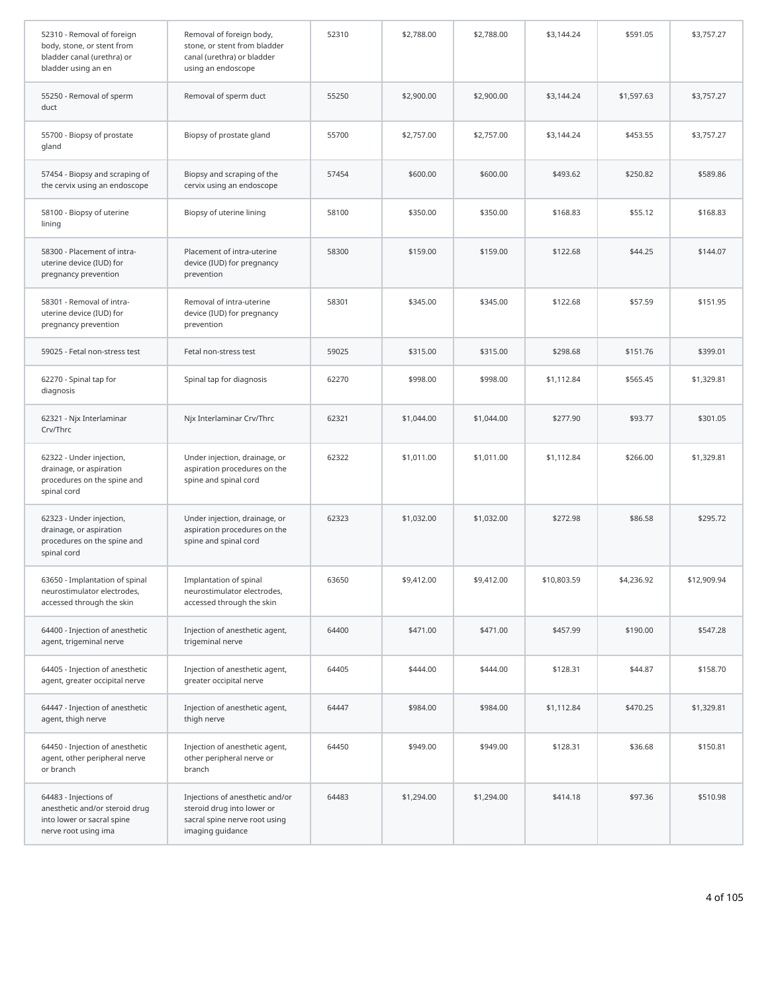| 52310 - Removal of foreign<br>body, stone, or stent from<br>bladder canal (urethra) or<br>bladder using an en | Removal of foreign body,<br>stone, or stent from bladder<br>canal (urethra) or bladder<br>using an endoscope       | 52310 | \$2,788.00 | \$2,788.00 | \$3,144.24  | \$591.05   | \$3,757.27  |
|---------------------------------------------------------------------------------------------------------------|--------------------------------------------------------------------------------------------------------------------|-------|------------|------------|-------------|------------|-------------|
| 55250 - Removal of sperm<br>duct                                                                              | Removal of sperm duct                                                                                              | 55250 | \$2,900.00 | \$2,900.00 | \$3,144.24  | \$1,597.63 | \$3,757.27  |
| 55700 - Biopsy of prostate<br>gland                                                                           | Biopsy of prostate gland                                                                                           | 55700 | \$2,757.00 | \$2,757.00 | \$3,144.24  | \$453.55   | \$3,757.27  |
| 57454 - Biopsy and scraping of<br>the cervix using an endoscope                                               | Biopsy and scraping of the<br>cervix using an endoscope                                                            | 57454 | \$600.00   | \$600.00   | \$493.62    | \$250.82   | \$589.86    |
| 58100 - Biopsy of uterine<br>lining                                                                           | Biopsy of uterine lining                                                                                           | 58100 | \$350.00   | \$350.00   | \$168.83    | \$55.12    | \$168.83    |
| 58300 - Placement of intra-<br>uterine device (IUD) for<br>pregnancy prevention                               | Placement of intra-uterine<br>device (IUD) for pregnancy<br>prevention                                             | 58300 | \$159.00   | \$159.00   | \$122.68    | \$44.25    | \$144.07    |
| 58301 - Removal of intra-<br>uterine device (IUD) for<br>pregnancy prevention                                 | Removal of intra-uterine<br>device (IUD) for pregnancy<br>prevention                                               | 58301 | \$345.00   | \$345.00   | \$122.68    | \$57.59    | \$151.95    |
| 59025 - Fetal non-stress test                                                                                 | Fetal non-stress test                                                                                              | 59025 | \$315.00   | \$315.00   | \$298.68    | \$151.76   | \$399.01    |
| 62270 - Spinal tap for<br>diagnosis                                                                           | Spinal tap for diagnosis                                                                                           | 62270 | \$998.00   | \$998.00   | \$1,112.84  | \$565.45   | \$1,329.81  |
| 62321 - Njx Interlaminar<br>Crv/Thrc                                                                          | Njx Interlaminar Crv/Thrc                                                                                          | 62321 | \$1,044.00 | \$1,044.00 | \$277.90    | \$93.77    | \$301.05    |
| 62322 - Under injection,<br>drainage, or aspiration<br>procedures on the spine and<br>spinal cord             | Under injection, drainage, or<br>aspiration procedures on the<br>spine and spinal cord                             | 62322 | \$1,011.00 | \$1,011.00 | \$1,112.84  | \$266.00   | \$1,329.81  |
| 62323 - Under injection,<br>drainage, or aspiration<br>procedures on the spine and<br>spinal cord             | Under injection, drainage, or<br>aspiration procedures on the<br>spine and spinal cord                             | 62323 | \$1,032.00 | \$1,032.00 | \$272.98    | \$86.58    | \$295.72    |
| 63650 - Implantation of spinal<br>neurostimulator electrodes,<br>accessed through the skin                    | Implantation of spinal<br>neurostimulator electrodes,<br>accessed through the skin                                 | 63650 | \$9,412.00 | \$9,412.00 | \$10,803.59 | \$4,236.92 | \$12,909.94 |
| 64400 - Injection of anesthetic<br>agent, trigeminal nerve                                                    | Injection of anesthetic agent,<br>trigeminal nerve                                                                 | 64400 | \$471.00   | \$471.00   | \$457.99    | \$190.00   | \$547.28    |
| 64405 - Injection of anesthetic<br>agent, greater occipital nerve                                             | Injection of anesthetic agent,<br>greater occipital nerve                                                          | 64405 | \$444.00   | \$444.00   | \$128.31    | \$44.87    | \$158.70    |
| 64447 - Injection of anesthetic<br>agent, thigh nerve                                                         | Injection of anesthetic agent,<br>thigh nerve                                                                      | 64447 | \$984.00   | \$984.00   | \$1,112.84  | \$470.25   | \$1,329.81  |
| 64450 - Injection of anesthetic<br>agent, other peripheral nerve<br>or branch                                 | Injection of anesthetic agent,<br>other peripheral nerve or<br>branch                                              | 64450 | \$949.00   | \$949.00   | \$128.31    | \$36.68    | \$150.81    |
| 64483 - Injections of<br>anesthetic and/or steroid drug<br>into lower or sacral spine<br>nerve root using ima | Injections of anesthetic and/or<br>steroid drug into lower or<br>sacral spine nerve root using<br>imaging guidance | 64483 | \$1,294.00 | \$1,294.00 | \$414.18    | \$97.36    | \$510.98    |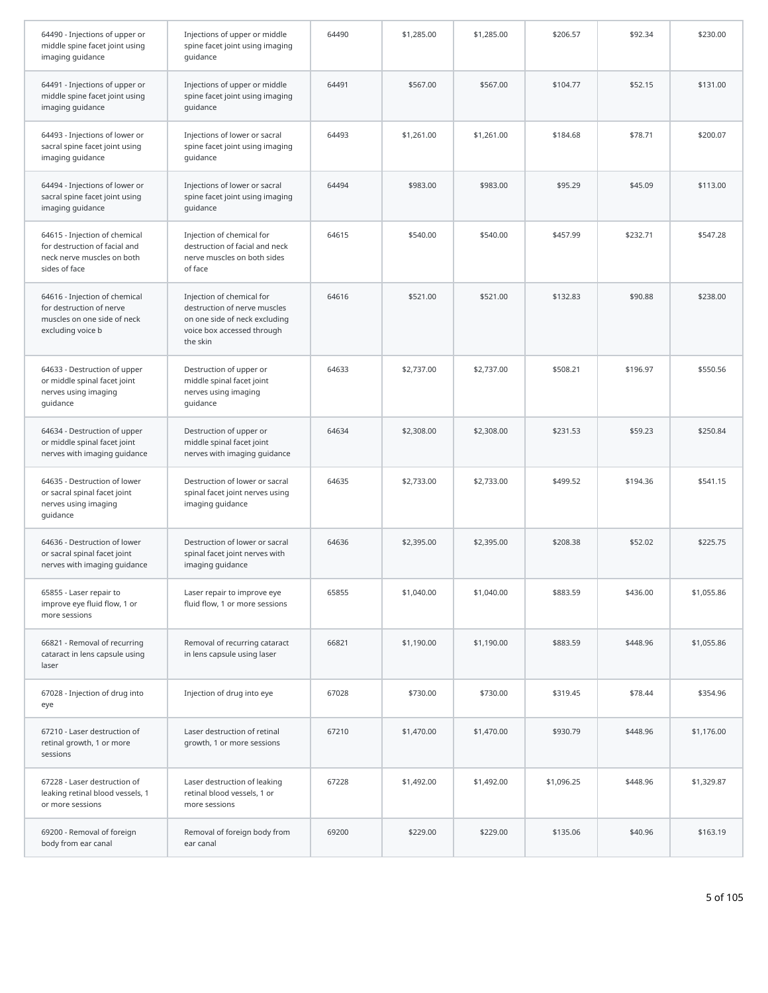| 64490 - Injections of upper or<br>middle spine facet joint using<br>imaging guidance                          | Injections of upper or middle<br>spine facet joint using imaging<br>quidance                                                         | 64490 | \$1,285.00 | \$1,285.00 | \$206.57   | \$92.34  | \$230.00   |
|---------------------------------------------------------------------------------------------------------------|--------------------------------------------------------------------------------------------------------------------------------------|-------|------------|------------|------------|----------|------------|
| 64491 - Injections of upper or<br>middle spine facet joint using<br>imaging guidance                          | Injections of upper or middle<br>spine facet joint using imaging<br>quidance                                                         | 64491 | \$567.00   | \$567.00   | \$104.77   | \$52.15  | \$131.00   |
| 64493 - Injections of lower or<br>sacral spine facet joint using<br>imaging guidance                          | Injections of lower or sacral<br>spine facet joint using imaging<br>quidance                                                         | 64493 | \$1,261.00 | \$1,261.00 | \$184.68   | \$78.71  | \$200.07   |
| 64494 - Injections of lower or<br>sacral spine facet joint using<br>imaging guidance                          | Injections of lower or sacral<br>spine facet joint using imaging<br>quidance                                                         | 64494 | \$983.00   | \$983.00   | \$95.29    | \$45.09  | \$113.00   |
| 64615 - Injection of chemical<br>for destruction of facial and<br>neck nerve muscles on both<br>sides of face | Injection of chemical for<br>destruction of facial and neck<br>nerve muscles on both sides<br>of face                                | 64615 | \$540.00   | \$540.00   | \$457.99   | \$232.71 | \$547.28   |
| 64616 - Injection of chemical<br>for destruction of nerve<br>muscles on one side of neck<br>excluding voice b | Injection of chemical for<br>destruction of nerve muscles<br>on one side of neck excluding<br>voice box accessed through<br>the skin | 64616 | \$521.00   | \$521.00   | \$132.83   | \$90.88  | \$238.00   |
| 64633 - Destruction of upper<br>or middle spinal facet joint<br>nerves using imaging<br>quidance              | Destruction of upper or<br>middle spinal facet joint<br>nerves using imaging<br>quidance                                             | 64633 | \$2,737.00 | \$2,737.00 | \$508.21   | \$196.97 | \$550.56   |
| 64634 - Destruction of upper<br>or middle spinal facet joint<br>nerves with imaging guidance                  | Destruction of upper or<br>middle spinal facet joint<br>nerves with imaging guidance                                                 | 64634 | \$2,308.00 | \$2,308.00 | \$231.53   | \$59.23  | \$250.84   |
| 64635 - Destruction of lower<br>or sacral spinal facet joint<br>nerves using imaging<br>guidance              | Destruction of lower or sacral<br>spinal facet joint nerves using<br>imaging guidance                                                | 64635 | \$2,733.00 | \$2,733.00 | \$499.52   | \$194.36 | \$541.15   |
| 64636 - Destruction of lower<br>or sacral spinal facet joint<br>nerves with imaging guidance                  | Destruction of lower or sacral<br>spinal facet joint nerves with<br>imaging guidance                                                 | 64636 | \$2,395.00 | \$2,395.00 | \$208.38   | \$52.02  | \$225.75   |
| 65855 - Laser repair to<br>improve eye fluid flow, 1 or<br>more sessions                                      | Laser repair to improve eye<br>fluid flow, 1 or more sessions                                                                        | 65855 | \$1,040.00 | \$1,040.00 | \$883.59   | \$436.00 | \$1,055.86 |
| 66821 - Removal of recurring<br>cataract in lens capsule using<br>laser                                       | Removal of recurring cataract<br>in lens capsule using laser                                                                         | 66821 | \$1,190.00 | \$1,190.00 | \$883.59   | \$448.96 | \$1,055.86 |
| 67028 - Injection of drug into<br>eye                                                                         | Injection of drug into eye                                                                                                           | 67028 | \$730.00   | \$730.00   | \$319.45   | \$78.44  | \$354.96   |
| 67210 - Laser destruction of<br>retinal growth, 1 or more<br>sessions                                         | Laser destruction of retinal<br>growth, 1 or more sessions                                                                           | 67210 | \$1,470.00 | \$1,470.00 | \$930.79   | \$448.96 | \$1,176.00 |
| 67228 - Laser destruction of<br>leaking retinal blood vessels, 1<br>or more sessions                          | Laser destruction of leaking<br>retinal blood vessels, 1 or<br>more sessions                                                         | 67228 | \$1,492.00 | \$1,492.00 | \$1,096.25 | \$448.96 | \$1,329.87 |
| 69200 - Removal of foreign<br>body from ear canal                                                             | Removal of foreign body from<br>ear canal                                                                                            | 69200 | \$229.00   | \$229.00   | \$135.06   | \$40.96  | \$163.19   |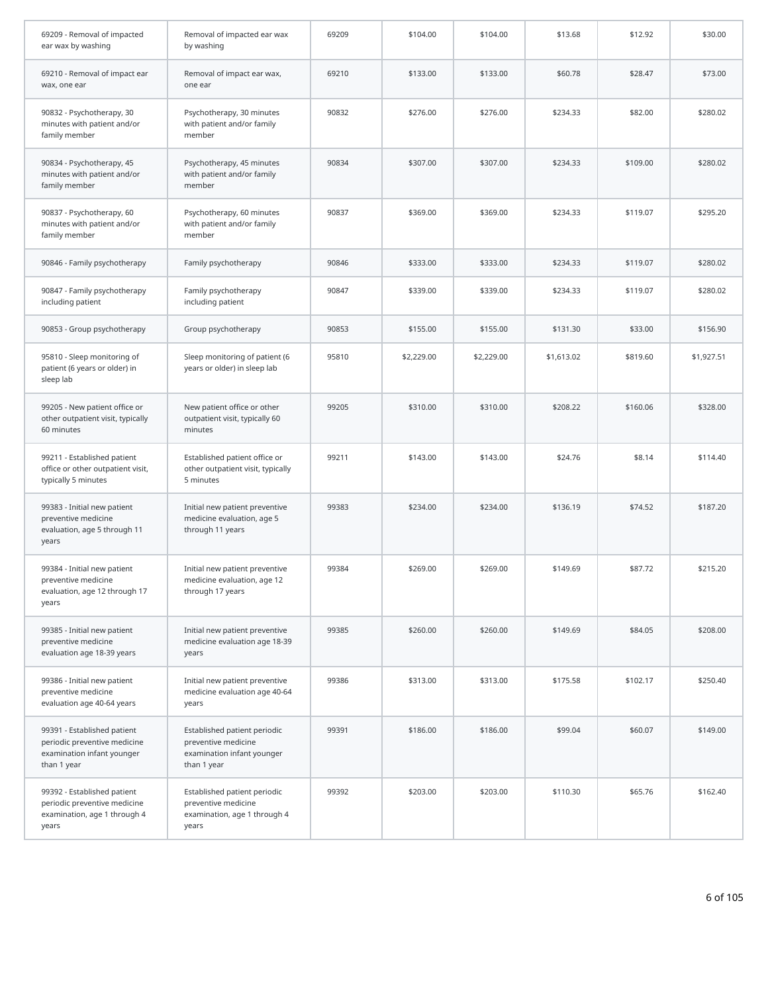| 69209 - Removal of impacted<br>ear wax by washing                                                        | Removal of impacted ear wax<br>by washing                                                        | 69209 | \$104.00   | \$104.00   | \$13.68    | \$12.92  | \$30.00    |
|----------------------------------------------------------------------------------------------------------|--------------------------------------------------------------------------------------------------|-------|------------|------------|------------|----------|------------|
| 69210 - Removal of impact ear<br>wax, one ear                                                            | Removal of impact ear wax,<br>one ear                                                            | 69210 | \$133.00   | \$133.00   | \$60.78    | \$28.47  | \$73.00    |
| 90832 - Psychotherapy, 30<br>minutes with patient and/or<br>family member                                | Psychotherapy, 30 minutes<br>with patient and/or family<br>member                                | 90832 | \$276.00   | \$276.00   | \$234.33   | \$82.00  | \$280.02   |
| 90834 - Psychotherapy, 45<br>minutes with patient and/or<br>family member                                | Psychotherapy, 45 minutes<br>with patient and/or family<br>member                                | 90834 | \$307.00   | \$307.00   | \$234.33   | \$109.00 | \$280.02   |
| 90837 - Psychotherapy, 60<br>minutes with patient and/or<br>family member                                | Psychotherapy, 60 minutes<br>with patient and/or family<br>member                                | 90837 | \$369.00   | \$369.00   | \$234.33   | \$119.07 | \$295.20   |
| 90846 - Family psychotherapy                                                                             | Family psychotherapy                                                                             | 90846 | \$333.00   | \$333.00   | \$234.33   | \$119.07 | \$280.02   |
| 90847 - Family psychotherapy<br>including patient                                                        | Family psychotherapy<br>including patient                                                        | 90847 | \$339.00   | \$339.00   | \$234.33   | \$119.07 | \$280.02   |
| 90853 - Group psychotherapy                                                                              | Group psychotherapy                                                                              | 90853 | \$155.00   | \$155.00   | \$131.30   | \$33.00  | \$156.90   |
| 95810 - Sleep monitoring of<br>patient (6 years or older) in<br>sleep lab                                | Sleep monitoring of patient (6<br>years or older) in sleep lab                                   | 95810 | \$2,229.00 | \$2,229.00 | \$1,613.02 | \$819.60 | \$1,927.51 |
| 99205 - New patient office or<br>other outpatient visit, typically<br>60 minutes                         | New patient office or other<br>outpatient visit, typically 60<br>minutes                         | 99205 | \$310.00   | \$310.00   | \$208.22   | \$160.06 | \$328.00   |
| 99211 - Established patient<br>office or other outpatient visit,<br>typically 5 minutes                  | Established patient office or<br>other outpatient visit, typically<br>5 minutes                  | 99211 | \$143.00   | \$143.00   | \$24.76    | \$8.14   | \$114.40   |
| 99383 - Initial new patient<br>preventive medicine<br>evaluation, age 5 through 11<br>years              | Initial new patient preventive<br>medicine evaluation, age 5<br>through 11 years                 | 99383 | \$234.00   | \$234.00   | \$136.19   | \$74.52  | \$187.20   |
| 99384 - Initial new patient<br>preventive medicine<br>evaluation, age 12 through 17<br>years             | Initial new patient preventive<br>medicine evaluation, age 12<br>through 17 years                | 99384 | \$269.00   | \$269.00   | \$149.69   | \$87.72  | \$215.20   |
| 99385 - Initial new patient<br>preventive medicine<br>evaluation age 18-39 years                         | Initial new patient preventive<br>medicine evaluation age 18-39<br>years                         | 99385 | \$260.00   | \$260.00   | \$149.69   | \$84.05  | \$208.00   |
| 99386 - Initial new patient<br>preventive medicine<br>evaluation age 40-64 years                         | Initial new patient preventive<br>medicine evaluation age 40-64<br>years                         | 99386 | \$313.00   | \$313.00   | \$175.58   | \$102.17 | \$250.40   |
| 99391 - Established patient<br>periodic preventive medicine<br>examination infant younger<br>than 1 year | Established patient periodic<br>preventive medicine<br>examination infant younger<br>than 1 year | 99391 | \$186.00   | \$186.00   | \$99.04    | \$60.07  | \$149.00   |
| 99392 - Established patient<br>periodic preventive medicine<br>examination, age 1 through 4<br>years     | Established patient periodic<br>preventive medicine<br>examination, age 1 through 4<br>years     | 99392 | \$203.00   | \$203.00   | \$110.30   | \$65.76  | \$162.40   |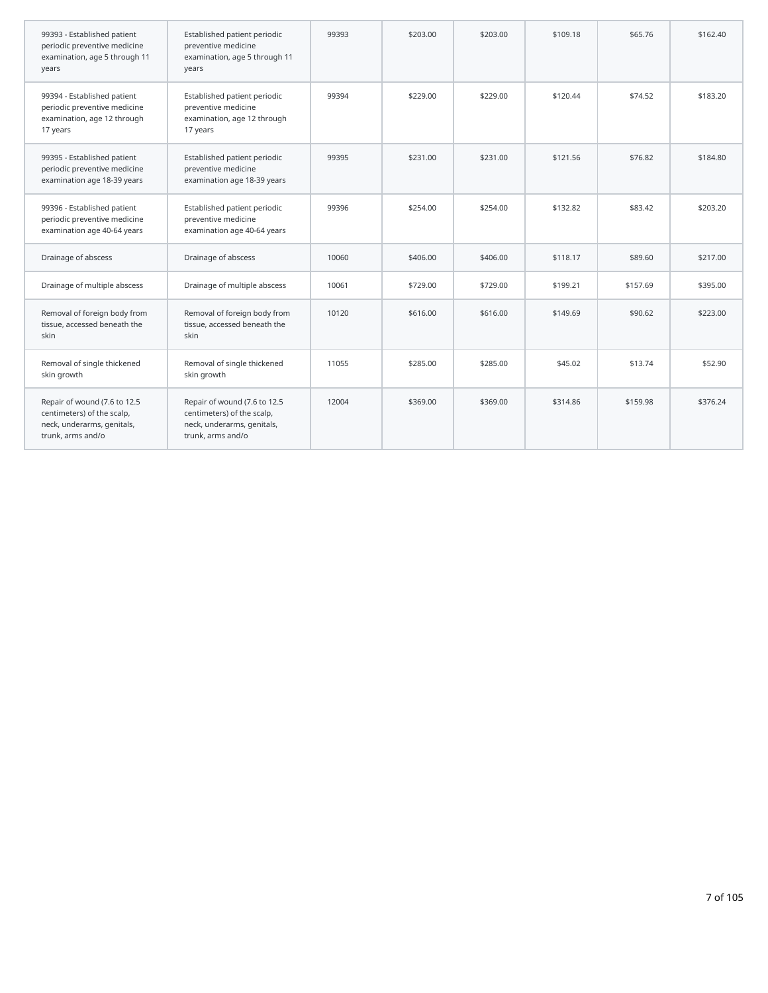| 99393 - Established patient<br>periodic preventive medicine<br>examination, age 5 through 11<br>years         | Established patient periodic<br>preventive medicine<br>examination, age 5 through 11<br>years                 | 99393 | \$203.00 | \$203.00 | \$109.18 | \$65.76  | \$162.40 |
|---------------------------------------------------------------------------------------------------------------|---------------------------------------------------------------------------------------------------------------|-------|----------|----------|----------|----------|----------|
| 99394 - Established patient<br>periodic preventive medicine<br>examination, age 12 through<br>17 years        | Established patient periodic<br>preventive medicine<br>examination, age 12 through<br>17 years                | 99394 | \$229.00 | \$229.00 | \$120.44 | \$74.52  | \$183.20 |
| 99395 - Established patient<br>periodic preventive medicine<br>examination age 18-39 years                    | Established patient periodic<br>preventive medicine<br>examination age 18-39 years                            | 99395 | \$231.00 | \$231.00 | \$121.56 | \$76.82  | \$184.80 |
| 99396 - Established patient<br>periodic preventive medicine<br>examination age 40-64 years                    | Established patient periodic<br>preventive medicine<br>examination age 40-64 years                            | 99396 | \$254.00 | \$254.00 | \$132.82 | \$83.42  | \$203.20 |
| Drainage of abscess                                                                                           | Drainage of abscess                                                                                           | 10060 | \$406.00 | \$406.00 | \$118.17 | \$89.60  | \$217.00 |
| Drainage of multiple abscess                                                                                  | Drainage of multiple abscess                                                                                  | 10061 | \$729.00 | \$729.00 | \$199.21 | \$157.69 | \$395.00 |
| Removal of foreign body from<br>tissue, accessed beneath the<br>skin                                          | Removal of foreign body from<br>tissue, accessed beneath the<br>skin                                          | 10120 | \$616.00 | \$616.00 | \$149.69 | \$90.62  | \$223.00 |
| Removal of single thickened<br>skin growth                                                                    | Removal of single thickened<br>skin growth                                                                    | 11055 | \$285.00 | \$285.00 | \$45.02  | \$13.74  | \$52.90  |
| Repair of wound (7.6 to 12.5<br>centimeters) of the scalp,<br>neck, underarms, genitals,<br>trunk, arms and/o | Repair of wound (7.6 to 12.5<br>centimeters) of the scalp,<br>neck, underarms, genitals,<br>trunk, arms and/o | 12004 | \$369.00 | \$369.00 | \$314.86 | \$159.98 | \$376.24 |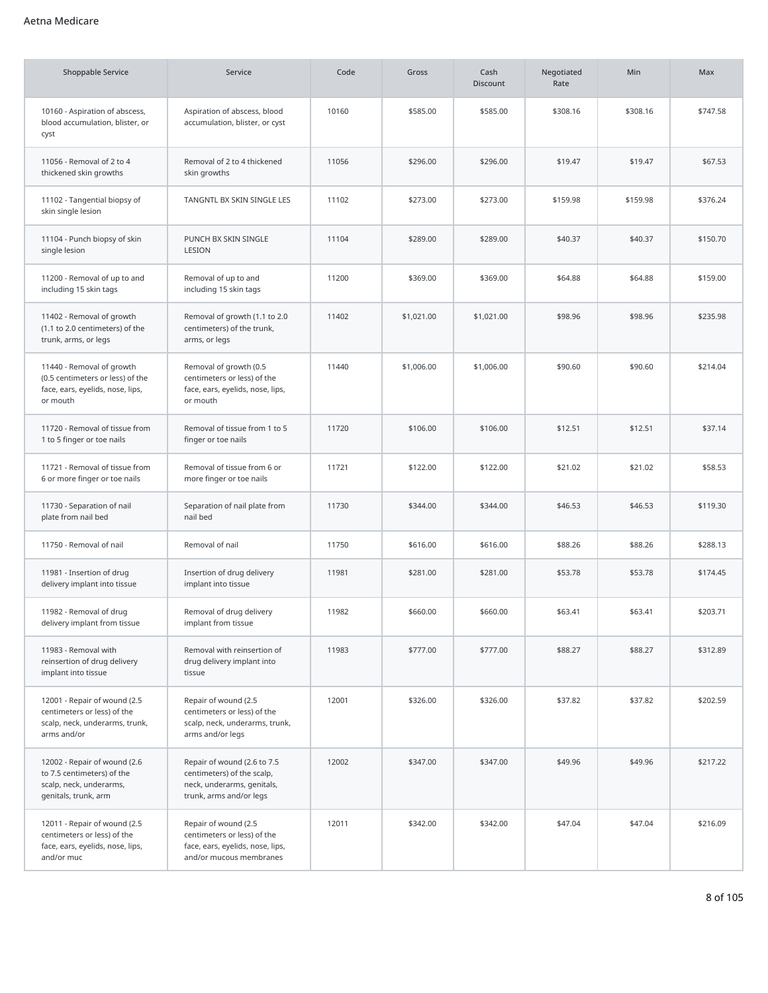### Aetna Medicare

| Shoppable Service                                                                                             | Service                                                                                                            | Code  | Gross      | Cash<br><b>Discount</b> | Negotiated<br>Rate | <b>Min</b> | Max      |
|---------------------------------------------------------------------------------------------------------------|--------------------------------------------------------------------------------------------------------------------|-------|------------|-------------------------|--------------------|------------|----------|
| 10160 - Aspiration of abscess,<br>blood accumulation, blister, or<br>cyst                                     | Aspiration of abscess, blood<br>accumulation, blister, or cyst                                                     | 10160 | \$585.00   | \$585.00                | \$308.16           | \$308.16   | \$747.58 |
| 11056 - Removal of 2 to 4<br>thickened skin growths                                                           | Removal of 2 to 4 thickened<br>skin growths                                                                        | 11056 | \$296.00   | \$296.00                | \$19.47            | \$19.47    | \$67.53  |
| 11102 - Tangential biopsy of<br>skin single lesion                                                            | TANGNTL BX SKIN SINGLE LES                                                                                         | 11102 | \$273.00   | \$273.00                | \$159.98           | \$159.98   | \$376.24 |
| 11104 - Punch biopsy of skin<br>single lesion                                                                 | PUNCH BX SKIN SINGLE<br>LESION                                                                                     | 11104 | \$289.00   | \$289.00                | \$40.37            | \$40.37    | \$150.70 |
| 11200 - Removal of up to and<br>including 15 skin tags                                                        | Removal of up to and<br>including 15 skin tags                                                                     | 11200 | \$369.00   | \$369.00                | \$64.88            | \$64.88    | \$159.00 |
| 11402 - Removal of growth<br>(1.1 to 2.0 centimeters) of the<br>trunk, arms, or legs                          | Removal of growth (1.1 to 2.0<br>centimeters) of the trunk,<br>arms, or legs                                       | 11402 | \$1,021.00 | \$1,021.00              | \$98.96            | \$98.96    | \$235.98 |
| 11440 - Removal of growth<br>(0.5 centimeters or less) of the<br>face, ears, eyelids, nose, lips,<br>or mouth | Removal of growth (0.5<br>centimeters or less) of the<br>face, ears, eyelids, nose, lips,<br>or mouth              | 11440 | \$1,006.00 | \$1,006.00              | \$90.60            | \$90.60    | \$214.04 |
| 11720 - Removal of tissue from<br>1 to 5 finger or toe nails                                                  | Removal of tissue from 1 to 5<br>finger or toe nails                                                               | 11720 | \$106.00   | \$106.00                | \$12.51            | \$12.51    | \$37.14  |
| 11721 - Removal of tissue from<br>6 or more finger or toe nails                                               | Removal of tissue from 6 or<br>more finger or toe nails                                                            | 11721 | \$122.00   | \$122.00                | \$21.02            | \$21.02    | \$58.53  |
| 11730 - Separation of nail<br>plate from nail bed                                                             | Separation of nail plate from<br>nail bed                                                                          | 11730 | \$344.00   | \$344.00                | \$46.53            | \$46.53    | \$119.30 |
| 11750 - Removal of nail                                                                                       | Removal of nail                                                                                                    | 11750 | \$616.00   | \$616.00                | \$88.26            | \$88.26    | \$288.13 |
| 11981 - Insertion of drug<br>delivery implant into tissue                                                     | Insertion of drug delivery<br>implant into tissue                                                                  | 11981 | \$281.00   | \$281.00                | \$53.78            | \$53.78    | \$174.45 |
| 11982 - Removal of drug<br>delivery implant from tissue                                                       | Removal of drug delivery<br>implant from tissue                                                                    | 11982 | \$660.00   | \$660.00                | \$63.41            | \$63.41    | \$203.71 |
| 11983 - Removal with<br>reinsertion of drug delivery<br>implant into tissue                                   | Removal with reinsertion of<br>drug delivery implant into<br>tissue                                                | 11983 | \$777.00   | \$777.00                | \$88.27            | \$88.27    | \$312.89 |
| 12001 - Repair of wound (2.5<br>centimeters or less) of the<br>scalp, neck, underarms, trunk,<br>arms and/or  | Repair of wound (2.5<br>centimeters or less) of the<br>scalp, neck, underarms, trunk,<br>arms and/or legs          | 12001 | \$326.00   | \$326.00                | \$37.82            | \$37.82    | \$202.59 |
| 12002 - Repair of wound (2.6<br>to 7.5 centimeters) of the<br>scalp, neck, underarms,<br>genitals, trunk, arm | Repair of wound (2.6 to 7.5<br>centimeters) of the scalp,<br>neck, underarms, genitals,<br>trunk, arms and/or legs | 12002 | \$347.00   | \$347.00                | \$49.96            | \$49.96    | \$217.22 |
| 12011 - Repair of wound (2.5<br>centimeters or less) of the<br>face, ears, eyelids, nose, lips,<br>and/or muc | Repair of wound (2.5<br>centimeters or less) of the<br>face, ears, eyelids, nose, lips,<br>and/or mucous membranes | 12011 | \$342.00   | \$342.00                | \$47.04            | \$47.04    | \$216.09 |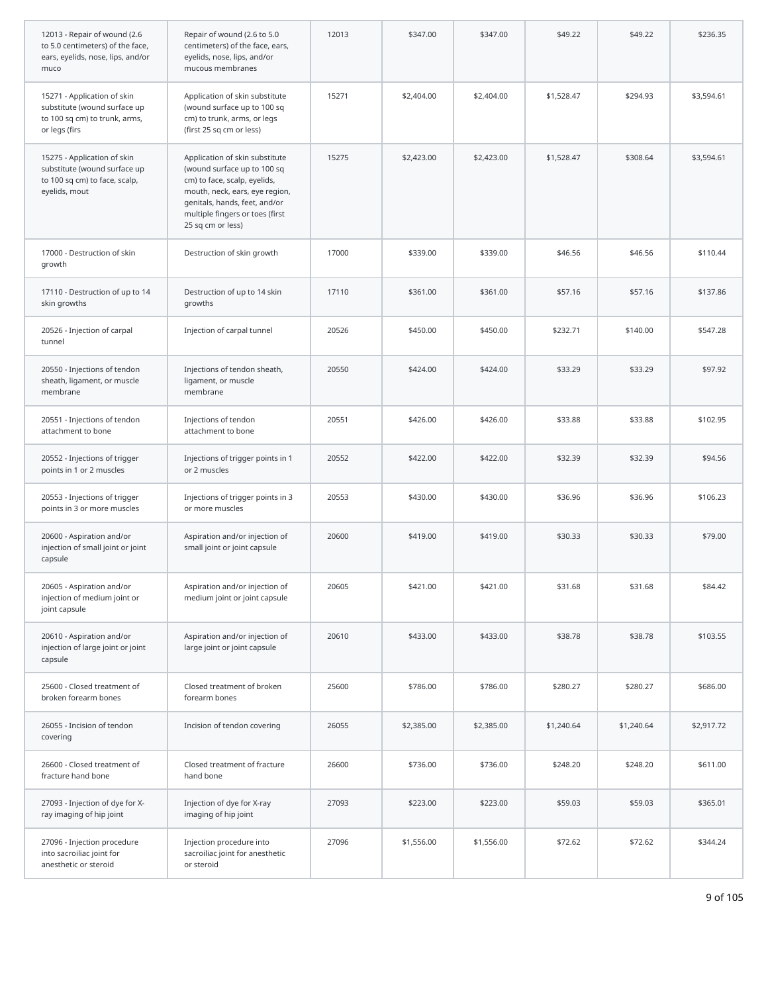| 12013 - Repair of wound (2.6<br>to 5.0 centimeters) of the face,<br>ears, eyelids, nose, lips, and/or<br>muco | Repair of wound (2.6 to 5.0<br>centimeters) of the face, ears,<br>eyelids, nose, lips, and/or<br>mucous membranes                                                                                                        | 12013 | \$347.00   | \$347.00   | \$49.22    | \$49.22    | \$236.35   |
|---------------------------------------------------------------------------------------------------------------|--------------------------------------------------------------------------------------------------------------------------------------------------------------------------------------------------------------------------|-------|------------|------------|------------|------------|------------|
| 15271 - Application of skin<br>substitute (wound surface up<br>to 100 sq cm) to trunk, arms,<br>or legs (firs | Application of skin substitute<br>(wound surface up to 100 sq<br>cm) to trunk, arms, or legs<br>(first 25 sq cm or less)                                                                                                 | 15271 | \$2,404.00 | \$2,404.00 | \$1,528.47 | \$294.93   | \$3,594.61 |
| 15275 - Application of skin<br>substitute (wound surface up<br>to 100 sq cm) to face, scalp,<br>eyelids, mout | Application of skin substitute<br>(wound surface up to 100 sq<br>cm) to face, scalp, eyelids,<br>mouth, neck, ears, eye region,<br>genitals, hands, feet, and/or<br>multiple fingers or toes (first<br>25 sq cm or less) | 15275 | \$2,423.00 | \$2,423.00 | \$1,528.47 | \$308.64   | \$3,594.61 |
| 17000 - Destruction of skin<br>growth                                                                         | Destruction of skin growth                                                                                                                                                                                               | 17000 | \$339.00   | \$339.00   | \$46.56    | \$46.56    | \$110.44   |
| 17110 - Destruction of up to 14<br>skin growths                                                               | Destruction of up to 14 skin<br>growths                                                                                                                                                                                  | 17110 | \$361.00   | \$361.00   | \$57.16    | \$57.16    | \$137.86   |
| 20526 - Injection of carpal<br>tunnel                                                                         | Injection of carpal tunnel                                                                                                                                                                                               | 20526 | \$450.00   | \$450.00   | \$232.71   | \$140.00   | \$547.28   |
| 20550 - Injections of tendon<br>sheath, ligament, or muscle<br>membrane                                       | Injections of tendon sheath,<br>ligament, or muscle<br>membrane                                                                                                                                                          | 20550 | \$424.00   | \$424.00   | \$33.29    | \$33.29    | \$97.92    |
| 20551 - Injections of tendon<br>attachment to bone                                                            | Injections of tendon<br>attachment to bone                                                                                                                                                                               | 20551 | \$426.00   | \$426.00   | \$33.88    | \$33.88    | \$102.95   |
| 20552 - Injections of trigger<br>points in 1 or 2 muscles                                                     | Injections of trigger points in 1<br>or 2 muscles                                                                                                                                                                        | 20552 | \$422.00   | \$422.00   | \$32.39    | \$32.39    | \$94.56    |
| 20553 - Injections of trigger<br>points in 3 or more muscles                                                  | Injections of trigger points in 3<br>or more muscles                                                                                                                                                                     | 20553 | \$430.00   | \$430.00   | \$36.96    | \$36.96    | \$106.23   |
| 20600 - Aspiration and/or<br>injection of small joint or joint<br>capsule                                     | Aspiration and/or injection of<br>small joint or joint capsule                                                                                                                                                           | 20600 | \$419.00   | \$419.00   | \$30.33    | \$30.33    | \$79.00    |
| 20605 - Aspiration and/or<br>injection of medium joint or<br>joint capsule                                    | Aspiration and/or injection of<br>medium joint or joint capsule                                                                                                                                                          | 20605 | \$421.00   | \$421.00   | \$31.68    | \$31.68    | \$84.42    |
| 20610 - Aspiration and/or<br>injection of large joint or joint<br>capsule                                     | Aspiration and/or injection of<br>large joint or joint capsule                                                                                                                                                           | 20610 | \$433.00   | \$433.00   | \$38.78    | \$38.78    | \$103.55   |
| 25600 - Closed treatment of<br>broken forearm bones                                                           | Closed treatment of broken<br>forearm bones                                                                                                                                                                              | 25600 | \$786.00   | \$786.00   | \$280.27   | \$280.27   | \$686.00   |
| 26055 - Incision of tendon<br>covering                                                                        | Incision of tendon covering                                                                                                                                                                                              | 26055 | \$2,385.00 | \$2,385.00 | \$1,240.64 | \$1,240.64 | \$2,917.72 |
| 26600 - Closed treatment of<br>fracture hand bone                                                             | Closed treatment of fracture<br>hand bone                                                                                                                                                                                | 26600 | \$736.00   | \$736.00   | \$248.20   | \$248.20   | \$611.00   |
| 27093 - Injection of dye for X-<br>ray imaging of hip joint                                                   | Injection of dye for X-ray<br>imaging of hip joint                                                                                                                                                                       | 27093 | \$223.00   | \$223.00   | \$59.03    | \$59.03    | \$365.01   |
| 27096 - Injection procedure<br>into sacroiliac joint for<br>anesthetic or steroid                             | Injection procedure into<br>sacroiliac joint for anesthetic<br>or steroid                                                                                                                                                | 27096 | \$1,556.00 | \$1,556.00 | \$72.62    | \$72.62    | \$344.24   |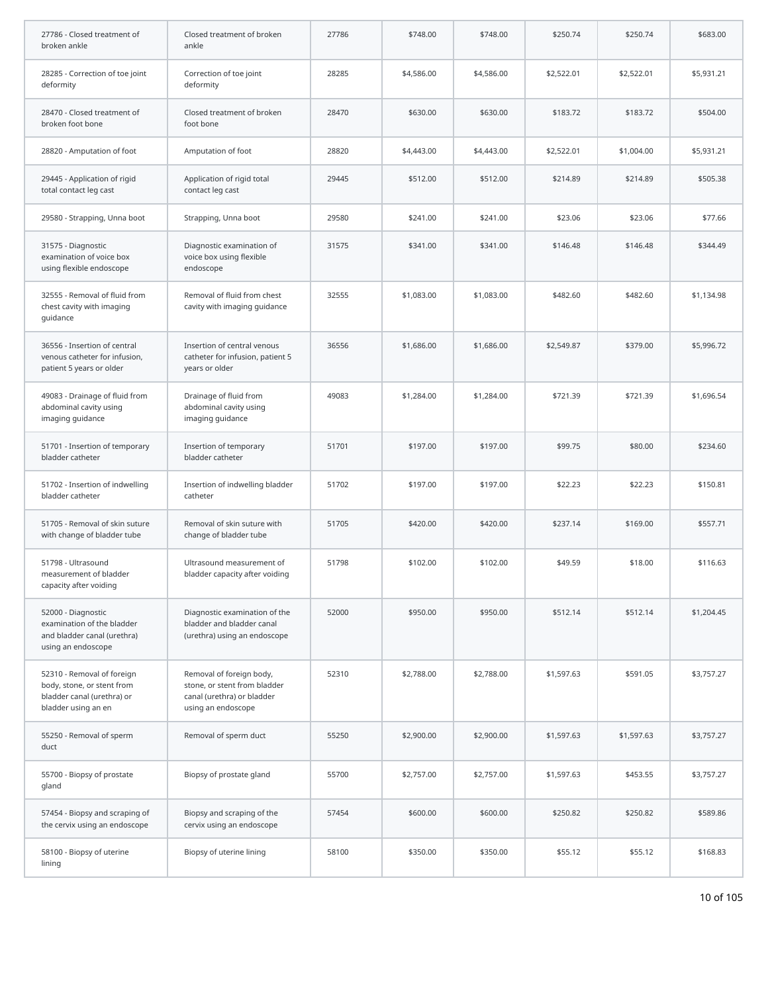| 27786 - Closed treatment of<br>broken ankle                                                                   | Closed treatment of broken<br>ankle                                                                          | 27786 | \$748.00   | \$748.00   | \$250.74   | \$250.74   | \$683.00   |
|---------------------------------------------------------------------------------------------------------------|--------------------------------------------------------------------------------------------------------------|-------|------------|------------|------------|------------|------------|
| 28285 - Correction of toe joint<br>deformity                                                                  | Correction of toe joint<br>deformity                                                                         | 28285 | \$4,586.00 | \$4,586.00 | \$2,522.01 | \$2,522.01 | \$5,931.21 |
| 28470 - Closed treatment of<br>broken foot bone                                                               | Closed treatment of broken<br>foot bone                                                                      | 28470 | \$630.00   | \$630.00   | \$183.72   | \$183.72   | \$504.00   |
| 28820 - Amputation of foot                                                                                    | Amputation of foot                                                                                           | 28820 | \$4,443.00 | \$4,443.00 | \$2,522.01 | \$1,004.00 | \$5,931.21 |
| 29445 - Application of rigid<br>total contact leg cast                                                        | Application of rigid total<br>contact leg cast                                                               | 29445 | \$512.00   | \$512.00   | \$214.89   | \$214.89   | \$505.38   |
| 29580 - Strapping, Unna boot                                                                                  | Strapping, Unna boot                                                                                         | 29580 | \$241.00   | \$241.00   | \$23.06    | \$23.06    | \$77.66    |
| 31575 - Diagnostic<br>examination of voice box<br>using flexible endoscope                                    | Diagnostic examination of<br>voice box using flexible<br>endoscope                                           | 31575 | \$341.00   | \$341.00   | \$146.48   | \$146.48   | \$344.49   |
| 32555 - Removal of fluid from<br>chest cavity with imaging<br>guidance                                        | Removal of fluid from chest<br>cavity with imaging guidance                                                  | 32555 | \$1,083.00 | \$1,083.00 | \$482.60   | \$482.60   | \$1,134.98 |
| 36556 - Insertion of central<br>venous catheter for infusion,<br>patient 5 years or older                     | Insertion of central venous<br>catheter for infusion, patient 5<br>years or older                            | 36556 | \$1,686.00 | \$1,686.00 | \$2,549.87 | \$379.00   | \$5,996.72 |
| 49083 - Drainage of fluid from<br>abdominal cavity using<br>imaging guidance                                  | Drainage of fluid from<br>abdominal cavity using<br>imaging guidance                                         | 49083 | \$1,284.00 | \$1,284.00 | \$721.39   | \$721.39   | \$1,696.54 |
| 51701 - Insertion of temporary<br>bladder catheter                                                            | Insertion of temporary<br>bladder catheter                                                                   | 51701 | \$197.00   | \$197.00   | \$99.75    | \$80.00    | \$234.60   |
| 51702 - Insertion of indwelling<br>bladder catheter                                                           | Insertion of indwelling bladder<br>catheter                                                                  | 51702 | \$197.00   | \$197.00   | \$22.23    | \$22.23    | \$150.81   |
| 51705 - Removal of skin suture<br>with change of bladder tube                                                 | Removal of skin suture with<br>change of bladder tube                                                        | 51705 | \$420.00   | \$420.00   | \$237.14   | \$169.00   | \$557.71   |
| 51798 - Ultrasound<br>measurement of bladder<br>capacity after voiding                                        | Ultrasound measurement of<br>bladder capacity after voiding                                                  | 51798 | \$102.00   | \$102.00   | \$49.59    | \$18.00    | \$116.63   |
| 52000 - Diagnostic<br>examination of the bladder<br>and bladder canal (urethra)<br>using an endoscope         | Diagnostic examination of the<br>bladder and bladder canal<br>(urethra) using an endoscope                   | 52000 | \$950.00   | \$950.00   | \$512.14   | \$512.14   | \$1,204.45 |
| 52310 - Removal of foreign<br>body, stone, or stent from<br>bladder canal (urethra) or<br>bladder using an en | Removal of foreign body,<br>stone, or stent from bladder<br>canal (urethra) or bladder<br>using an endoscope | 52310 | \$2,788.00 | \$2,788.00 | \$1,597.63 | \$591.05   | \$3,757.27 |
| 55250 - Removal of sperm<br>duct                                                                              | Removal of sperm duct                                                                                        | 55250 | \$2,900.00 | \$2,900.00 | \$1,597.63 | \$1,597.63 | \$3,757.27 |
| 55700 - Biopsy of prostate<br>gland                                                                           | Biopsy of prostate gland                                                                                     | 55700 | \$2,757.00 | \$2,757.00 | \$1,597.63 | \$453.55   | \$3,757.27 |
| 57454 - Biopsy and scraping of<br>the cervix using an endoscope                                               | Biopsy and scraping of the<br>cervix using an endoscope                                                      | 57454 | \$600.00   | \$600.00   | \$250.82   | \$250.82   | \$589.86   |
| 58100 - Biopsy of uterine<br>lining                                                                           | Biopsy of uterine lining                                                                                     | 58100 | \$350.00   | \$350.00   | \$55.12    | \$55.12    | \$168.83   |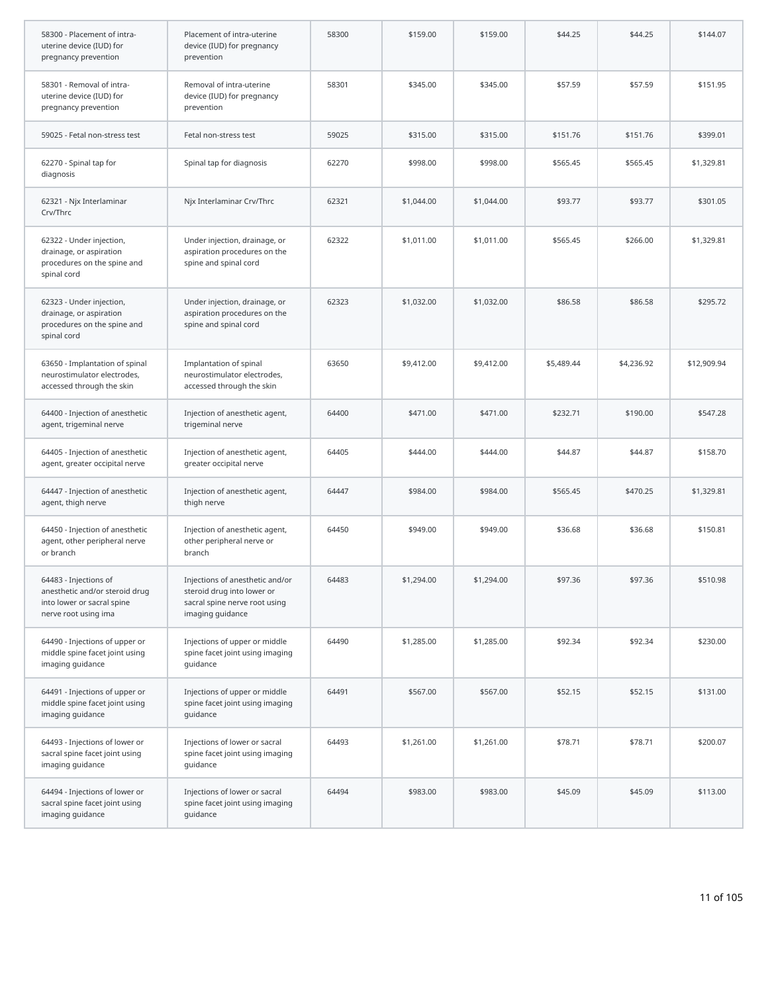| 58300 - Placement of intra-<br>uterine device (IUD) for<br>pregnancy prevention                               | Placement of intra-uterine<br>device (IUD) for pregnancy<br>prevention                                             | 58300 | \$159.00   | \$159.00   | \$44.25    | \$44.25    | \$144.07    |
|---------------------------------------------------------------------------------------------------------------|--------------------------------------------------------------------------------------------------------------------|-------|------------|------------|------------|------------|-------------|
| 58301 - Removal of intra-<br>uterine device (IUD) for<br>pregnancy prevention                                 | Removal of intra-uterine<br>device (IUD) for pregnancy<br>prevention                                               | 58301 | \$345.00   | \$345.00   | \$57.59    | \$57.59    | \$151.95    |
| 59025 - Fetal non-stress test                                                                                 | Fetal non-stress test                                                                                              | 59025 | \$315.00   | \$315.00   | \$151.76   | \$151.76   | \$399.01    |
| 62270 - Spinal tap for<br>diagnosis                                                                           | Spinal tap for diagnosis                                                                                           | 62270 | \$998.00   | \$998.00   | \$565.45   | \$565.45   | \$1,329.81  |
| 62321 - Njx Interlaminar<br>Crv/Thrc                                                                          | Njx Interlaminar Crv/Thrc                                                                                          | 62321 | \$1,044.00 | \$1,044.00 | \$93.77    | \$93.77    | \$301.05    |
| 62322 - Under injection,<br>drainage, or aspiration<br>procedures on the spine and<br>spinal cord             | Under injection, drainage, or<br>aspiration procedures on the<br>spine and spinal cord                             | 62322 | \$1,011.00 | \$1,011.00 | \$565.45   | \$266.00   | \$1,329.81  |
| 62323 - Under injection,<br>drainage, or aspiration<br>procedures on the spine and<br>spinal cord             | Under injection, drainage, or<br>aspiration procedures on the<br>spine and spinal cord                             | 62323 | \$1,032.00 | \$1,032.00 | \$86.58    | \$86.58    | \$295.72    |
| 63650 - Implantation of spinal<br>neurostimulator electrodes,<br>accessed through the skin                    | Implantation of spinal<br>neurostimulator electrodes,<br>accessed through the skin                                 | 63650 | \$9,412.00 | \$9,412.00 | \$5,489.44 | \$4,236.92 | \$12,909.94 |
| 64400 - Injection of anesthetic<br>agent, trigeminal nerve                                                    | Injection of anesthetic agent,<br>trigeminal nerve                                                                 | 64400 | \$471.00   | \$471.00   | \$232.71   | \$190.00   | \$547.28    |
| 64405 - Injection of anesthetic<br>agent, greater occipital nerve                                             | Injection of anesthetic agent,<br>greater occipital nerve                                                          | 64405 | \$444.00   | \$444.00   | \$44.87    | \$44.87    | \$158.70    |
| 64447 - Injection of anesthetic<br>agent, thigh nerve                                                         | Injection of anesthetic agent,<br>thigh nerve                                                                      | 64447 | \$984.00   | \$984.00   | \$565.45   | \$470.25   | \$1,329.81  |
| 64450 - Injection of anesthetic<br>agent, other peripheral nerve<br>or branch                                 | Injection of anesthetic agent,<br>other peripheral nerve or<br>branch                                              | 64450 | \$949.00   | \$949.00   | \$36.68    | \$36.68    | \$150.81    |
| 64483 - Injections of<br>anesthetic and/or steroid drug<br>into lower or sacral spine<br>nerve root using ima | Injections of anesthetic and/or<br>steroid drug into lower or<br>sacral spine nerve root using<br>imaging guidance | 64483 | \$1,294.00 | \$1,294.00 | \$97.36    | \$97.36    | \$510.98    |
| 64490 - Injections of upper or<br>middle spine facet joint using<br>imaging guidance                          | Injections of upper or middle<br>spine facet joint using imaging<br>guidance                                       | 64490 | \$1,285.00 | \$1,285.00 | \$92.34    | \$92.34    | \$230.00    |
| 64491 - Injections of upper or<br>middle spine facet joint using<br>imaging guidance                          | Injections of upper or middle<br>spine facet joint using imaging<br>quidance                                       | 64491 | \$567.00   | \$567.00   | \$52.15    | \$52.15    | \$131.00    |
| 64493 - Injections of lower or<br>sacral spine facet joint using<br>imaging guidance                          | Injections of lower or sacral<br>spine facet joint using imaging<br>guidance                                       | 64493 | \$1,261.00 | \$1,261.00 | \$78.71    | \$78.71    | \$200.07    |
| 64494 - Injections of lower or<br>sacral spine facet joint using<br>imaging guidance                          | Injections of lower or sacral<br>spine facet joint using imaging<br>guidance                                       | 64494 | \$983.00   | \$983.00   | \$45.09    | \$45.09    | \$113.00    |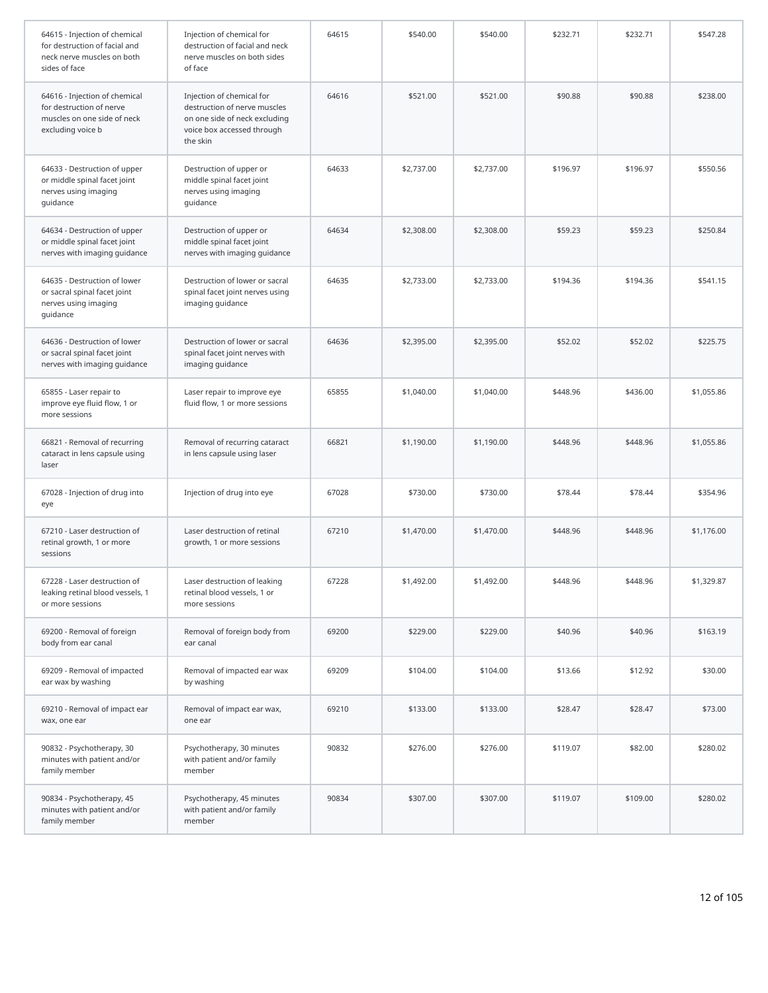| 64615 - Injection of chemical<br>for destruction of facial and<br>neck nerve muscles on both<br>sides of face | Injection of chemical for<br>destruction of facial and neck<br>nerve muscles on both sides<br>of face                                | 64615 | \$540.00   | \$540.00   | \$232.71 | \$232.71 | \$547.28   |
|---------------------------------------------------------------------------------------------------------------|--------------------------------------------------------------------------------------------------------------------------------------|-------|------------|------------|----------|----------|------------|
| 64616 - Injection of chemical<br>for destruction of nerve<br>muscles on one side of neck<br>excluding voice b | Injection of chemical for<br>destruction of nerve muscles<br>on one side of neck excluding<br>voice box accessed through<br>the skin | 64616 | \$521.00   | \$521.00   | \$90.88  | \$90.88  | \$238.00   |
| 64633 - Destruction of upper<br>or middle spinal facet joint<br>nerves using imaging<br>guidance              | Destruction of upper or<br>middle spinal facet joint<br>nerves using imaging<br>guidance                                             | 64633 | \$2,737.00 | \$2,737.00 | \$196.97 | \$196.97 | \$550.56   |
| 64634 - Destruction of upper<br>or middle spinal facet joint<br>nerves with imaging guidance                  | Destruction of upper or<br>middle spinal facet joint<br>nerves with imaging guidance                                                 | 64634 | \$2,308.00 | \$2,308.00 | \$59.23  | \$59.23  | \$250.84   |
| 64635 - Destruction of lower<br>or sacral spinal facet joint<br>nerves using imaging<br>guidance              | Destruction of lower or sacral<br>spinal facet joint nerves using<br>imaging guidance                                                | 64635 | \$2,733.00 | \$2,733.00 | \$194.36 | \$194.36 | \$541.15   |
| 64636 - Destruction of lower<br>or sacral spinal facet joint<br>nerves with imaging guidance                  | Destruction of lower or sacral<br>spinal facet joint nerves with<br>imaging guidance                                                 | 64636 | \$2,395.00 | \$2,395.00 | \$52.02  | \$52.02  | \$225.75   |
| 65855 - Laser repair to<br>improve eye fluid flow, 1 or<br>more sessions                                      | Laser repair to improve eye<br>fluid flow, 1 or more sessions                                                                        | 65855 | \$1,040.00 | \$1,040.00 | \$448.96 | \$436.00 | \$1,055.86 |
| 66821 - Removal of recurring<br>cataract in lens capsule using<br>laser                                       | Removal of recurring cataract<br>in lens capsule using laser                                                                         | 66821 | \$1,190.00 | \$1,190.00 | \$448.96 | \$448.96 | \$1,055.86 |
| 67028 - Injection of drug into<br>eye                                                                         | Injection of drug into eye                                                                                                           | 67028 | \$730.00   | \$730.00   | \$78.44  | \$78.44  | \$354.96   |
| 67210 - Laser destruction of<br>retinal growth, 1 or more<br>sessions                                         | Laser destruction of retinal<br>growth, 1 or more sessions                                                                           | 67210 | \$1,470.00 | \$1,470.00 | \$448.96 | \$448.96 | \$1,176.00 |
| 67228 - Laser destruction of<br>leaking retinal blood vessels, 1<br>or more sessions                          | Laser destruction of leaking<br>retinal blood vessels, 1 or<br>more sessions                                                         | 67228 | \$1,492.00 | \$1,492.00 | \$448.96 | \$448.96 | \$1,329.87 |
| 69200 - Removal of foreign<br>body from ear canal                                                             | Removal of foreign body from<br>ear canal                                                                                            | 69200 | \$229.00   | \$229.00   | \$40.96  | \$40.96  | \$163.19   |
| 69209 - Removal of impacted<br>ear wax by washing                                                             | Removal of impacted ear wax<br>by washing                                                                                            | 69209 | \$104.00   | \$104.00   | \$13.66  | \$12.92  | \$30.00    |
| 69210 - Removal of impact ear<br>wax, one ear                                                                 | Removal of impact ear wax,<br>one ear                                                                                                | 69210 | \$133.00   | \$133.00   | \$28.47  | \$28.47  | \$73.00    |
| 90832 - Psychotherapy, 30<br>minutes with patient and/or<br>family member                                     | Psychotherapy, 30 minutes<br>with patient and/or family<br>member                                                                    | 90832 | \$276.00   | \$276.00   | \$119.07 | \$82.00  | \$280.02   |
| 90834 - Psychotherapy, 45<br>minutes with patient and/or<br>family member                                     | Psychotherapy, 45 minutes<br>with patient and/or family<br>member                                                                    | 90834 | \$307.00   | \$307.00   | \$119.07 | \$109.00 | \$280.02   |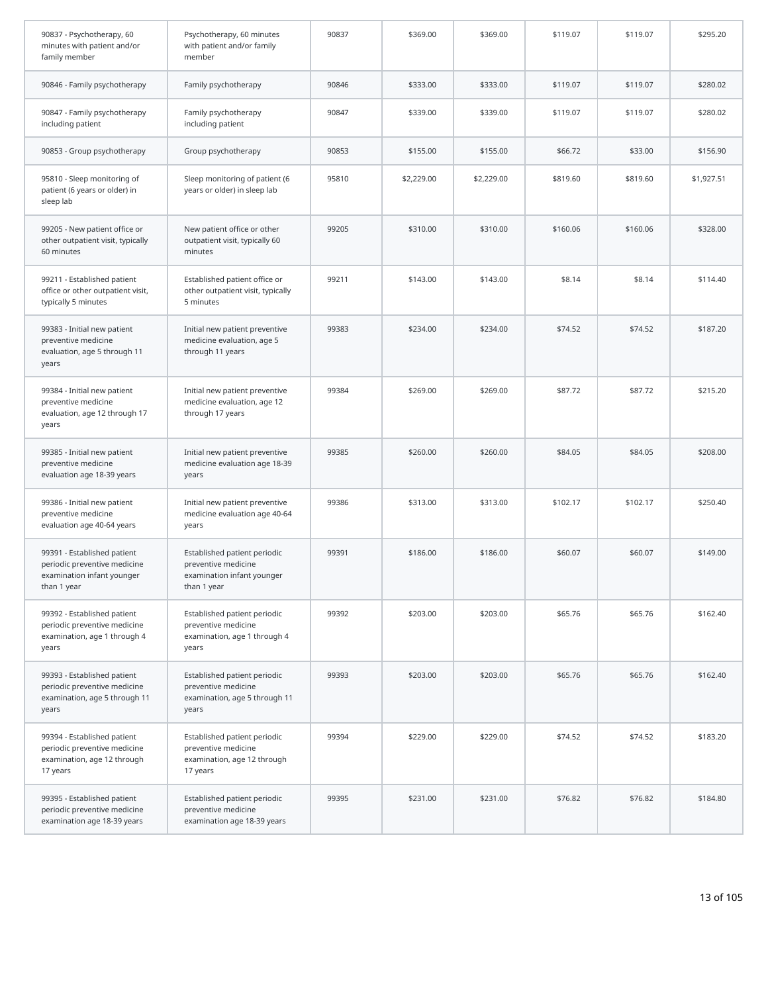| 90837 - Psychotherapy, 60<br>minutes with patient and/or<br>family member                                | Psychotherapy, 60 minutes<br>with patient and/or family<br>member                                | 90837 | \$369.00   | \$369.00   | \$119.07 | \$119.07 | \$295.20   |
|----------------------------------------------------------------------------------------------------------|--------------------------------------------------------------------------------------------------|-------|------------|------------|----------|----------|------------|
| 90846 - Family psychotherapy                                                                             | Family psychotherapy                                                                             | 90846 | \$333.00   | \$333.00   | \$119.07 | \$119.07 | \$280.02   |
| 90847 - Family psychotherapy<br>including patient                                                        | Family psychotherapy<br>including patient                                                        | 90847 | \$339.00   | \$339.00   | \$119.07 | \$119.07 | \$280.02   |
| 90853 - Group psychotherapy                                                                              | Group psychotherapy                                                                              | 90853 | \$155.00   | \$155.00   | \$66.72  | \$33.00  | \$156.90   |
| 95810 - Sleep monitoring of<br>patient (6 years or older) in<br>sleep lab                                | Sleep monitoring of patient (6<br>years or older) in sleep lab                                   | 95810 | \$2,229.00 | \$2,229.00 | \$819.60 | \$819.60 | \$1,927.51 |
| 99205 - New patient office or<br>other outpatient visit, typically<br>60 minutes                         | New patient office or other<br>outpatient visit, typically 60<br>minutes                         | 99205 | \$310.00   | \$310.00   | \$160.06 | \$160.06 | \$328.00   |
| 99211 - Established patient<br>office or other outpatient visit,<br>typically 5 minutes                  | Established patient office or<br>other outpatient visit, typically<br>5 minutes                  | 99211 | \$143.00   | \$143.00   | \$8.14   | \$8.14   | \$114.40   |
| 99383 - Initial new patient<br>preventive medicine<br>evaluation, age 5 through 11<br>years              | Initial new patient preventive<br>medicine evaluation, age 5<br>through 11 years                 | 99383 | \$234.00   | \$234.00   | \$74.52  | \$74.52  | \$187.20   |
| 99384 - Initial new patient<br>preventive medicine<br>evaluation, age 12 through 17<br>years             | Initial new patient preventive<br>medicine evaluation, age 12<br>through 17 years                | 99384 | \$269.00   | \$269.00   | \$87.72  | \$87.72  | \$215.20   |
| 99385 - Initial new patient<br>preventive medicine<br>evaluation age 18-39 years                         | Initial new patient preventive<br>medicine evaluation age 18-39<br>years                         | 99385 | \$260.00   | \$260.00   | \$84.05  | \$84.05  | \$208.00   |
| 99386 - Initial new patient<br>preventive medicine<br>evaluation age 40-64 years                         | Initial new patient preventive<br>medicine evaluation age 40-64<br>years                         | 99386 | \$313.00   | \$313.00   | \$102.17 | \$102.17 | \$250.40   |
| 99391 - Established patient<br>periodic preventive medicine<br>examination infant younger<br>than 1 year | Established patient periodic<br>preventive medicine<br>examination infant younger<br>than 1 year | 99391 | \$186.00   | \$186.00   | \$60.07  | \$60.07  | \$149.00   |
| 99392 - Established patient<br>periodic preventive medicine<br>examination, age 1 through 4<br>years     | Established patient periodic<br>preventive medicine<br>examination, age 1 through 4<br>years     | 99392 | \$203.00   | \$203.00   | \$65.76  | \$65.76  | \$162.40   |
| 99393 - Established patient<br>periodic preventive medicine<br>examination, age 5 through 11<br>years    | Established patient periodic<br>preventive medicine<br>examination, age 5 through 11<br>years    | 99393 | \$203.00   | \$203.00   | \$65.76  | \$65.76  | \$162.40   |
| 99394 - Established patient<br>periodic preventive medicine<br>examination, age 12 through<br>17 years   | Established patient periodic<br>preventive medicine<br>examination, age 12 through<br>17 years   | 99394 | \$229.00   | \$229.00   | \$74.52  | \$74.52  | \$183.20   |
| 99395 - Established patient<br>periodic preventive medicine<br>examination age 18-39 years               | Established patient periodic<br>preventive medicine<br>examination age 18-39 years               | 99395 | \$231.00   | \$231.00   | \$76.82  | \$76.82  | \$184.80   |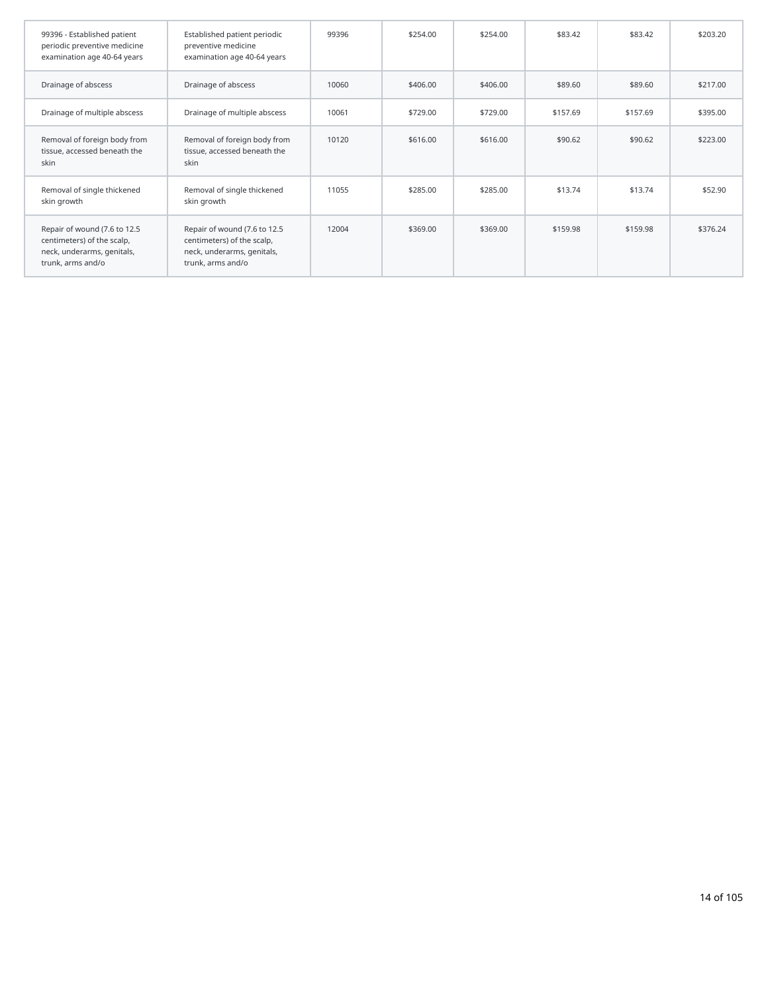| 99396 - Established patient<br>periodic preventive medicine<br>examination age 40-64 years                    | Established patient periodic<br>preventive medicine<br>examination age 40-64 years                            | 99396 | \$254.00 | \$254.00 | \$83.42  | \$83.42  | \$203.20 |
|---------------------------------------------------------------------------------------------------------------|---------------------------------------------------------------------------------------------------------------|-------|----------|----------|----------|----------|----------|
| Drainage of abscess                                                                                           | Drainage of abscess                                                                                           | 10060 | \$406.00 | \$406.00 | \$89.60  | \$89.60  | \$217.00 |
| Drainage of multiple abscess                                                                                  | Drainage of multiple abscess                                                                                  | 10061 | \$729.00 | \$729.00 | \$157.69 | \$157.69 | \$395.00 |
| Removal of foreign body from<br>tissue, accessed beneath the<br>skin                                          | Removal of foreign body from<br>tissue, accessed beneath the<br>skin                                          | 10120 | \$616.00 | \$616.00 | \$90.62  | \$90.62  | \$223.00 |
| Removal of single thickened<br>skin growth                                                                    | Removal of single thickened<br>skin growth                                                                    | 11055 | \$285.00 | \$285.00 | \$13.74  | \$13.74  | \$52.90  |
| Repair of wound (7.6 to 12.5<br>centimeters) of the scalp,<br>neck, underarms, genitals,<br>trunk, arms and/o | Repair of wound (7.6 to 12.5<br>centimeters) of the scalp,<br>neck, underarms, genitals,<br>trunk, arms and/o | 12004 | \$369.00 | \$369.00 | \$159.98 | \$159.98 | \$376.24 |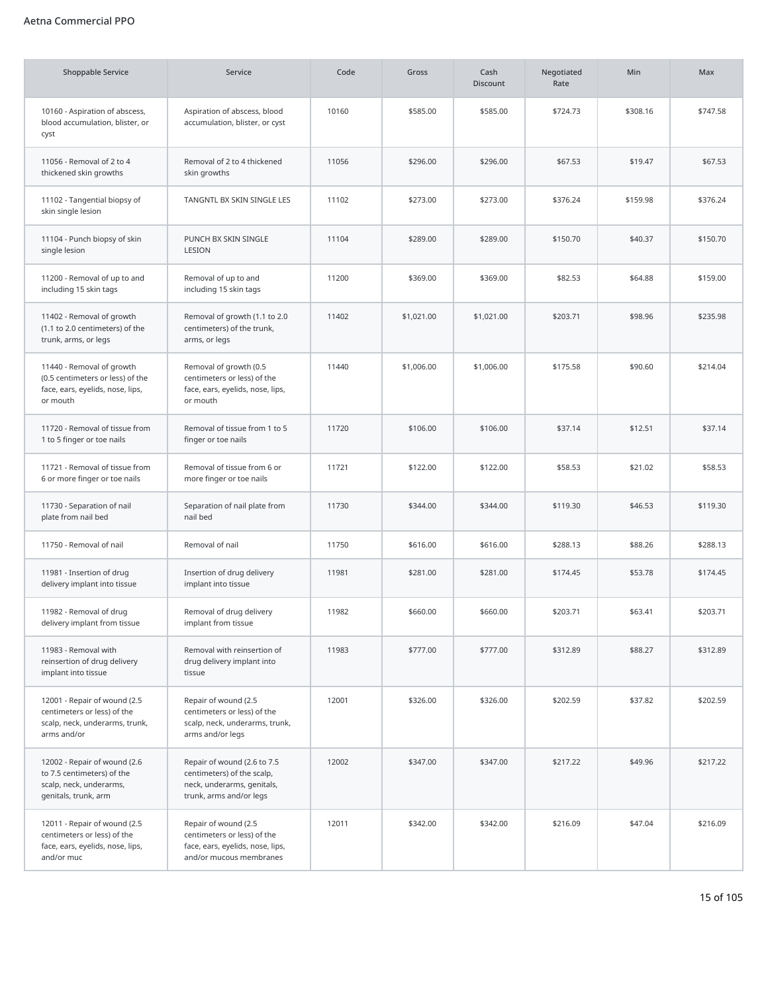## Aetna Commercial PPO

| <b>Shoppable Service</b>                                                                                      | Service                                                                                                            | Code  | Gross      | Cash<br><b>Discount</b> | Negotiated<br>Rate | Min      | Max      |
|---------------------------------------------------------------------------------------------------------------|--------------------------------------------------------------------------------------------------------------------|-------|------------|-------------------------|--------------------|----------|----------|
| 10160 - Aspiration of abscess,<br>blood accumulation, blister, or<br>cyst                                     | Aspiration of abscess, blood<br>accumulation, blister, or cyst                                                     | 10160 | \$585.00   | \$585.00                | \$724.73           | \$308.16 | \$747.58 |
| 11056 - Removal of 2 to 4<br>thickened skin growths                                                           | Removal of 2 to 4 thickened<br>skin growths                                                                        | 11056 | \$296.00   | \$296.00                | \$67.53            | \$19.47  | \$67.53  |
| 11102 - Tangential biopsy of<br>skin single lesion                                                            | TANGNTL BX SKIN SINGLE LES                                                                                         | 11102 | \$273.00   | \$273.00                | \$376.24           | \$159.98 | \$376.24 |
| 11104 - Punch biopsy of skin<br>single lesion                                                                 | PUNCH BX SKIN SINGLE<br>LESION                                                                                     | 11104 | \$289.00   | \$289.00                | \$150.70           | \$40.37  | \$150.70 |
| 11200 - Removal of up to and<br>including 15 skin tags                                                        | Removal of up to and<br>including 15 skin tags                                                                     | 11200 | \$369.00   | \$369.00                | \$82.53            | \$64.88  | \$159.00 |
| 11402 - Removal of growth<br>(1.1 to 2.0 centimeters) of the<br>trunk, arms, or legs                          | Removal of growth (1.1 to 2.0<br>centimeters) of the trunk,<br>arms, or legs                                       | 11402 | \$1,021.00 | \$1,021.00              | \$203.71           | \$98.96  | \$235.98 |
| 11440 - Removal of growth<br>(0.5 centimeters or less) of the<br>face, ears, eyelids, nose, lips,<br>or mouth | Removal of growth (0.5<br>centimeters or less) of the<br>face, ears, eyelids, nose, lips,<br>or mouth              | 11440 | \$1,006.00 | \$1,006.00              | \$175.58           | \$90.60  | \$214.04 |
| 11720 - Removal of tissue from<br>1 to 5 finger or toe nails                                                  | Removal of tissue from 1 to 5<br>finger or toe nails                                                               | 11720 | \$106.00   | \$106.00                | \$37.14            | \$12.51  | \$37.14  |
| 11721 - Removal of tissue from<br>6 or more finger or toe nails                                               | Removal of tissue from 6 or<br>more finger or toe nails                                                            | 11721 | \$122.00   | \$122.00                | \$58.53            | \$21.02  | \$58.53  |
| 11730 - Separation of nail<br>plate from nail bed                                                             | Separation of nail plate from<br>nail bed                                                                          | 11730 | \$344.00   | \$344.00                | \$119.30           | \$46.53  | \$119.30 |
| 11750 - Removal of nail                                                                                       | Removal of nail                                                                                                    | 11750 | \$616.00   | \$616.00                | \$288.13           | \$88.26  | \$288.13 |
| 11981 - Insertion of drug<br>delivery implant into tissue                                                     | Insertion of drug delivery<br>implant into tissue                                                                  | 11981 | \$281.00   | \$281.00                | \$174.45           | \$53.78  | \$174.45 |
| 11982 - Removal of drug<br>delivery implant from tissue                                                       | Removal of drug delivery<br>implant from tissue                                                                    | 11982 | \$660.00   | \$660.00                | \$203.71           | \$63.41  | \$203.71 |
| 11983 - Removal with<br>reinsertion of drug delivery<br>implant into tissue                                   | Removal with reinsertion of<br>drug delivery implant into<br>tissue                                                | 11983 | \$777.00   | \$777.00                | \$312.89           | \$88.27  | \$312.89 |
| 12001 - Repair of wound (2.5<br>centimeters or less) of the<br>scalp, neck, underarms, trunk,<br>arms and/or  | Repair of wound (2.5<br>centimeters or less) of the<br>scalp, neck, underarms, trunk,<br>arms and/or legs          | 12001 | \$326.00   | \$326.00                | \$202.59           | \$37.82  | \$202.59 |
| 12002 - Repair of wound (2.6<br>to 7.5 centimeters) of the<br>scalp, neck, underarms,<br>genitals, trunk, arm | Repair of wound (2.6 to 7.5<br>centimeters) of the scalp,<br>neck, underarms, genitals,<br>trunk, arms and/or legs | 12002 | \$347.00   | \$347.00                | \$217.22           | \$49.96  | \$217.22 |
| 12011 - Repair of wound (2.5<br>centimeters or less) of the<br>face, ears, eyelids, nose, lips,<br>and/or muc | Repair of wound (2.5<br>centimeters or less) of the<br>face, ears, eyelids, nose, lips,<br>and/or mucous membranes | 12011 | \$342.00   | \$342.00                | \$216.09           | \$47.04  | \$216.09 |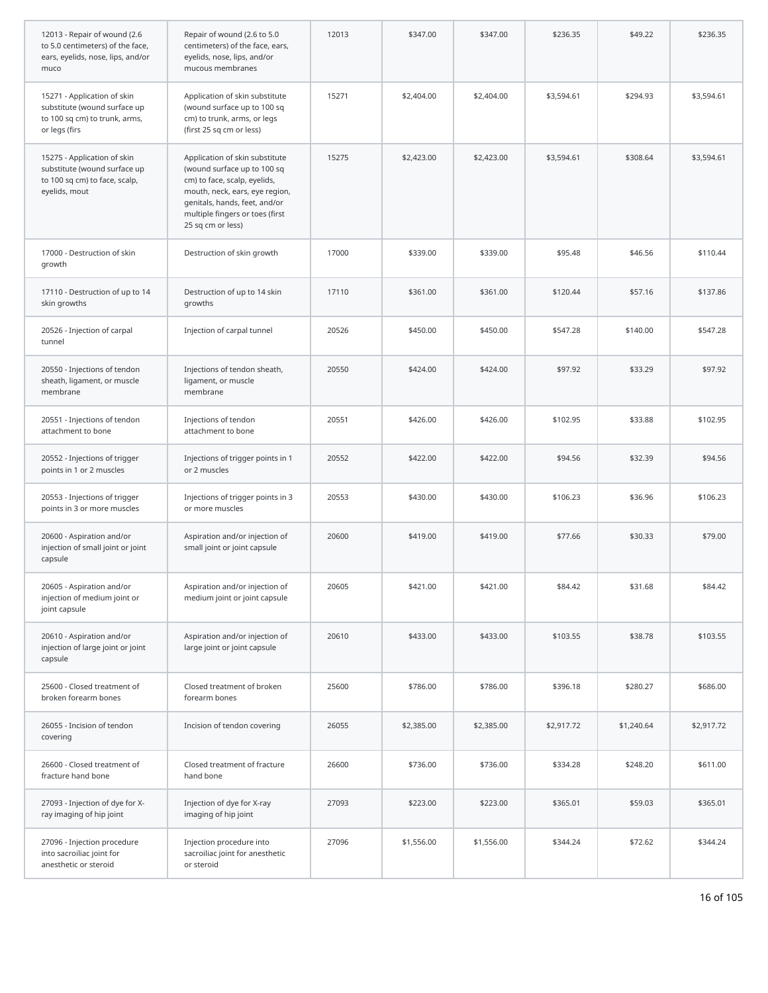| 12013 - Repair of wound (2.6<br>to 5.0 centimeters) of the face,<br>ears, eyelids, nose, lips, and/or<br>muco | Repair of wound (2.6 to 5.0<br>centimeters) of the face, ears,<br>eyelids, nose, lips, and/or<br>mucous membranes                                                                                                        | 12013 | \$347.00   | \$347.00   | \$236.35   | \$49.22    | \$236.35   |
|---------------------------------------------------------------------------------------------------------------|--------------------------------------------------------------------------------------------------------------------------------------------------------------------------------------------------------------------------|-------|------------|------------|------------|------------|------------|
| 15271 - Application of skin<br>substitute (wound surface up<br>to 100 sq cm) to trunk, arms,<br>or legs (firs | Application of skin substitute<br>(wound surface up to 100 sq<br>cm) to trunk, arms, or legs<br>(first 25 sq cm or less)                                                                                                 | 15271 | \$2,404.00 | \$2,404.00 | \$3,594.61 | \$294.93   | \$3,594.61 |
| 15275 - Application of skin<br>substitute (wound surface up<br>to 100 sq cm) to face, scalp,<br>eyelids, mout | Application of skin substitute<br>(wound surface up to 100 sq<br>cm) to face, scalp, eyelids,<br>mouth, neck, ears, eye region,<br>genitals, hands, feet, and/or<br>multiple fingers or toes (first<br>25 sq cm or less) | 15275 | \$2,423.00 | \$2,423.00 | \$3,594.61 | \$308.64   | \$3,594.61 |
| 17000 - Destruction of skin<br>growth                                                                         | Destruction of skin growth                                                                                                                                                                                               | 17000 | \$339.00   | \$339.00   | \$95.48    | \$46.56    | \$110.44   |
| 17110 - Destruction of up to 14<br>skin growths                                                               | Destruction of up to 14 skin<br>growths                                                                                                                                                                                  | 17110 | \$361.00   | \$361.00   | \$120.44   | \$57.16    | \$137.86   |
| 20526 - Injection of carpal<br>tunnel                                                                         | Injection of carpal tunnel                                                                                                                                                                                               | 20526 | \$450.00   | \$450.00   | \$547.28   | \$140.00   | \$547.28   |
| 20550 - Injections of tendon<br>sheath, ligament, or muscle<br>membrane                                       | Injections of tendon sheath,<br>ligament, or muscle<br>membrane                                                                                                                                                          | 20550 | \$424.00   | \$424.00   | \$97.92    | \$33.29    | \$97.92    |
| 20551 - Injections of tendon<br>attachment to bone                                                            | Injections of tendon<br>attachment to bone                                                                                                                                                                               | 20551 | \$426.00   | \$426.00   | \$102.95   | \$33.88    | \$102.95   |
| 20552 - Injections of trigger<br>points in 1 or 2 muscles                                                     | Injections of trigger points in 1<br>or 2 muscles                                                                                                                                                                        | 20552 | \$422.00   | \$422.00   | \$94.56    | \$32.39    | \$94.56    |
| 20553 - Injections of trigger<br>points in 3 or more muscles                                                  | Injections of trigger points in 3<br>or more muscles                                                                                                                                                                     | 20553 | \$430.00   | \$430.00   | \$106.23   | \$36.96    | \$106.23   |
| 20600 - Aspiration and/or<br>injection of small joint or joint<br>capsule                                     | Aspiration and/or injection of<br>small joint or joint capsule                                                                                                                                                           | 20600 | \$419.00   | \$419.00   | \$77.66    | \$30.33    | \$79.00    |
| 20605 - Aspiration and/or<br>injection of medium joint or<br>joint capsule                                    | Aspiration and/or injection of<br>medium joint or joint capsule                                                                                                                                                          | 20605 | \$421.00   | \$421.00   | \$84.42    | \$31.68    | \$84.42    |
| 20610 - Aspiration and/or<br>injection of large joint or joint<br>capsule                                     | Aspiration and/or injection of<br>large joint or joint capsule                                                                                                                                                           | 20610 | \$433.00   | \$433.00   | \$103.55   | \$38.78    | \$103.55   |
| 25600 - Closed treatment of<br>broken forearm bones                                                           | Closed treatment of broken<br>forearm bones                                                                                                                                                                              | 25600 | \$786.00   | \$786.00   | \$396.18   | \$280.27   | \$686.00   |
| 26055 - Incision of tendon<br>covering                                                                        | Incision of tendon covering                                                                                                                                                                                              | 26055 | \$2,385.00 | \$2,385.00 | \$2,917.72 | \$1,240.64 | \$2,917.72 |
| 26600 - Closed treatment of<br>fracture hand bone                                                             | Closed treatment of fracture<br>hand bone                                                                                                                                                                                | 26600 | \$736.00   | \$736.00   | \$334.28   | \$248.20   | \$611.00   |
| 27093 - Injection of dye for X-<br>ray imaging of hip joint                                                   | Injection of dye for X-ray<br>imaging of hip joint                                                                                                                                                                       | 27093 | \$223.00   | \$223.00   | \$365.01   | \$59.03    | \$365.01   |
| 27096 - Injection procedure<br>into sacroiliac joint for<br>anesthetic or steroid                             | Injection procedure into<br>sacroiliac joint for anesthetic<br>or steroid                                                                                                                                                | 27096 | \$1,556.00 | \$1,556.00 | \$344.24   | \$72.62    | \$344.24   |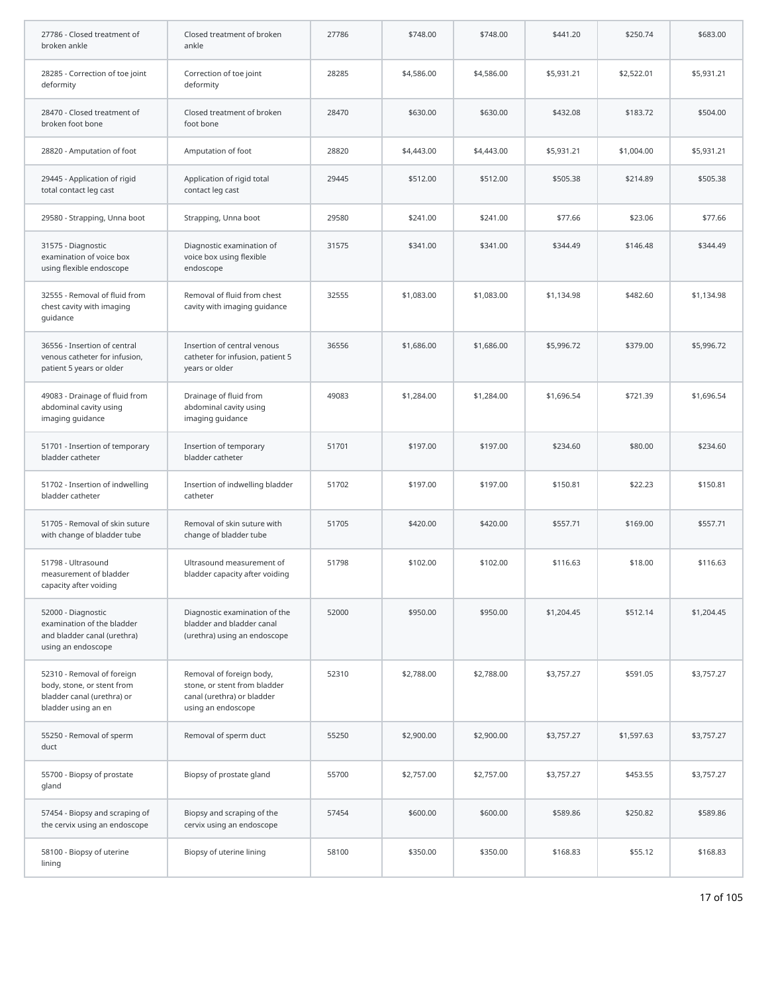| 27786 - Closed treatment of<br>broken ankle                                                                   | Closed treatment of broken<br>ankle                                                                          | 27786 | \$748.00   | \$748.00   | \$441.20   | \$250.74   | \$683.00   |
|---------------------------------------------------------------------------------------------------------------|--------------------------------------------------------------------------------------------------------------|-------|------------|------------|------------|------------|------------|
| 28285 - Correction of toe joint<br>deformity                                                                  | Correction of toe joint<br>deformity                                                                         | 28285 | \$4,586.00 | \$4,586.00 | \$5,931.21 | \$2,522.01 | \$5,931.21 |
| 28470 - Closed treatment of<br>broken foot bone                                                               | Closed treatment of broken<br>foot bone                                                                      | 28470 | \$630.00   | \$630.00   | \$432.08   | \$183.72   | \$504.00   |
| 28820 - Amputation of foot                                                                                    | Amputation of foot                                                                                           | 28820 | \$4,443.00 | \$4,443.00 | \$5,931.21 | \$1,004.00 | \$5,931.21 |
| 29445 - Application of rigid<br>total contact leg cast                                                        | Application of rigid total<br>contact leg cast                                                               | 29445 | \$512.00   | \$512.00   | \$505.38   | \$214.89   | \$505.38   |
| 29580 - Strapping, Unna boot                                                                                  | Strapping, Unna boot                                                                                         | 29580 | \$241.00   | \$241.00   | \$77.66    | \$23.06    | \$77.66    |
| 31575 - Diagnostic<br>examination of voice box<br>using flexible endoscope                                    | Diagnostic examination of<br>voice box using flexible<br>endoscope                                           | 31575 | \$341.00   | \$341.00   | \$344.49   | \$146.48   | \$344.49   |
| 32555 - Removal of fluid from<br>chest cavity with imaging<br>quidance                                        | Removal of fluid from chest<br>cavity with imaging guidance                                                  | 32555 | \$1,083.00 | \$1,083.00 | \$1,134.98 | \$482.60   | \$1,134.98 |
| 36556 - Insertion of central<br>venous catheter for infusion,<br>patient 5 years or older                     | Insertion of central venous<br>catheter for infusion, patient 5<br>years or older                            | 36556 | \$1,686.00 | \$1,686.00 | \$5,996.72 | \$379.00   | \$5,996.72 |
| 49083 - Drainage of fluid from<br>abdominal cavity using<br>imaging guidance                                  | Drainage of fluid from<br>abdominal cavity using<br>imaging guidance                                         | 49083 | \$1,284.00 | \$1,284.00 | \$1,696.54 | \$721.39   | \$1,696.54 |
| 51701 - Insertion of temporary<br>bladder catheter                                                            | Insertion of temporary<br>bladder catheter                                                                   | 51701 | \$197.00   | \$197.00   | \$234.60   | \$80.00    | \$234.60   |
| 51702 - Insertion of indwelling<br>bladder catheter                                                           | Insertion of indwelling bladder<br>catheter                                                                  | 51702 | \$197.00   | \$197.00   | \$150.81   | \$22.23    | \$150.81   |
| 51705 - Removal of skin suture<br>with change of bladder tube                                                 | Removal of skin suture with<br>change of bladder tube                                                        | 51705 | \$420.00   | \$420.00   | \$557.71   | \$169.00   | \$557.71   |
| 51798 - Ultrasound<br>measurement of bladder<br>capacity after voiding                                        | Ultrasound measurement of<br>bladder capacity after voiding                                                  | 51798 | \$102.00   | \$102.00   | \$116.63   | \$18.00    | \$116.63   |
| 52000 - Diagnostic<br>examination of the bladder<br>and bladder canal (urethra)<br>using an endoscope         | Diagnostic examination of the<br>bladder and bladder canal<br>(urethra) using an endoscope                   | 52000 | \$950.00   | \$950.00   | \$1,204.45 | \$512.14   | \$1,204.45 |
| 52310 - Removal of foreign<br>body, stone, or stent from<br>bladder canal (urethra) or<br>bladder using an en | Removal of foreign body,<br>stone, or stent from bladder<br>canal (urethra) or bladder<br>using an endoscope | 52310 | \$2,788.00 | \$2,788.00 | \$3,757.27 | \$591.05   | \$3,757.27 |
| 55250 - Removal of sperm<br>duct                                                                              | Removal of sperm duct                                                                                        | 55250 | \$2,900.00 | \$2,900.00 | \$3,757.27 | \$1,597.63 | \$3,757.27 |
| 55700 - Biopsy of prostate<br>gland                                                                           | Biopsy of prostate gland                                                                                     | 55700 | \$2,757.00 | \$2,757.00 | \$3,757.27 | \$453.55   | \$3,757.27 |
| 57454 - Biopsy and scraping of<br>the cervix using an endoscope                                               | Biopsy and scraping of the<br>cervix using an endoscope                                                      | 57454 | \$600.00   | \$600.00   | \$589.86   | \$250.82   | \$589.86   |
| 58100 - Biopsy of uterine<br>lining                                                                           | Biopsy of uterine lining                                                                                     | 58100 | \$350.00   | \$350.00   | \$168.83   | \$55.12    | \$168.83   |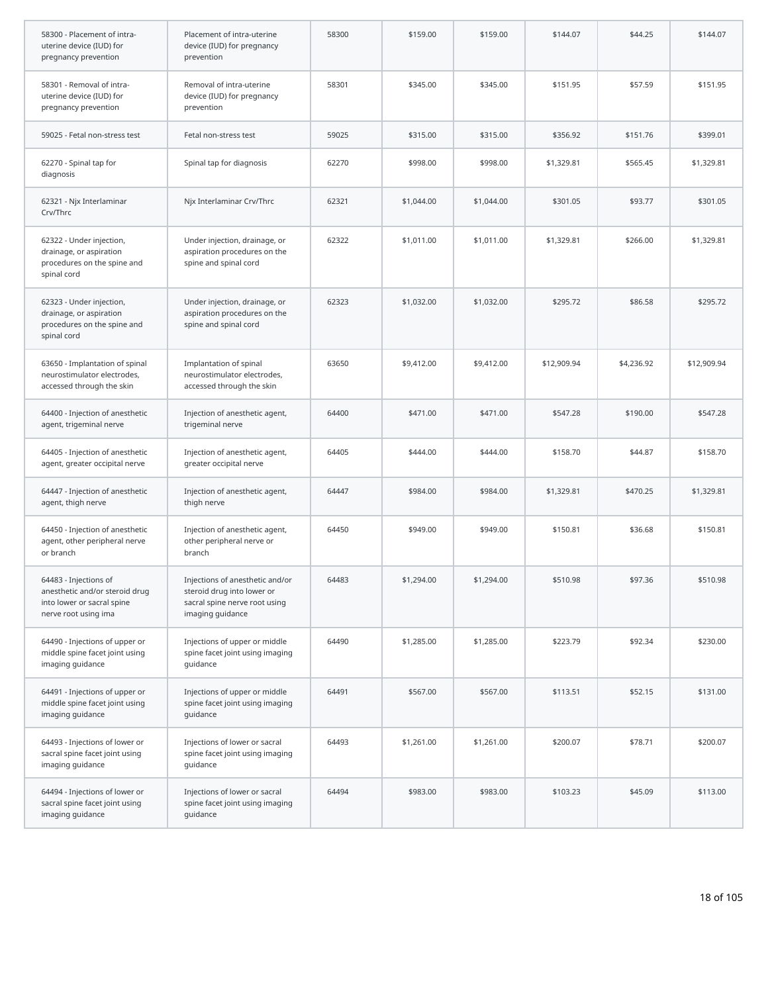| 58300 - Placement of intra-<br>uterine device (IUD) for<br>pregnancy prevention                               | Placement of intra-uterine<br>device (IUD) for pregnancy<br>prevention                                             | 58300 | \$159.00   | \$159.00   | \$144.07    | \$44.25    | \$144.07    |
|---------------------------------------------------------------------------------------------------------------|--------------------------------------------------------------------------------------------------------------------|-------|------------|------------|-------------|------------|-------------|
| 58301 - Removal of intra-<br>uterine device (IUD) for<br>pregnancy prevention                                 | Removal of intra-uterine<br>device (IUD) for pregnancy<br>prevention                                               | 58301 | \$345.00   | \$345.00   | \$151.95    | \$57.59    | \$151.95    |
| 59025 - Fetal non-stress test                                                                                 | Fetal non-stress test                                                                                              | 59025 | \$315.00   | \$315.00   | \$356.92    | \$151.76   | \$399.01    |
| 62270 - Spinal tap for<br>diagnosis                                                                           | Spinal tap for diagnosis                                                                                           | 62270 | \$998.00   | \$998.00   | \$1,329.81  | \$565.45   | \$1,329.81  |
| 62321 - Njx Interlaminar<br>Crv/Thrc                                                                          | Njx Interlaminar Crv/Thrc                                                                                          | 62321 | \$1,044.00 | \$1,044.00 | \$301.05    | \$93.77    | \$301.05    |
| 62322 - Under injection,<br>drainage, or aspiration<br>procedures on the spine and<br>spinal cord             | Under injection, drainage, or<br>aspiration procedures on the<br>spine and spinal cord                             | 62322 | \$1,011.00 | \$1,011.00 | \$1,329.81  | \$266.00   | \$1,329.81  |
| 62323 - Under injection,<br>drainage, or aspiration<br>procedures on the spine and<br>spinal cord             | Under injection, drainage, or<br>aspiration procedures on the<br>spine and spinal cord                             | 62323 | \$1,032.00 | \$1,032.00 | \$295.72    | \$86.58    | \$295.72    |
| 63650 - Implantation of spinal<br>neurostimulator electrodes,<br>accessed through the skin                    | Implantation of spinal<br>neurostimulator electrodes,<br>accessed through the skin                                 | 63650 | \$9,412.00 | \$9,412.00 | \$12,909.94 | \$4,236.92 | \$12,909.94 |
| 64400 - Injection of anesthetic<br>agent, trigeminal nerve                                                    | Injection of anesthetic agent,<br>trigeminal nerve                                                                 | 64400 | \$471.00   | \$471.00   | \$547.28    | \$190.00   | \$547.28    |
| 64405 - Injection of anesthetic<br>agent, greater occipital nerve                                             | Injection of anesthetic agent,<br>greater occipital nerve                                                          | 64405 | \$444.00   | \$444.00   | \$158.70    | \$44.87    | \$158.70    |
| 64447 - Injection of anesthetic<br>agent, thigh nerve                                                         | Injection of anesthetic agent,<br>thigh nerve                                                                      | 64447 | \$984.00   | \$984.00   | \$1,329.81  | \$470.25   | \$1,329.81  |
| 64450 - Injection of anesthetic<br>agent, other peripheral nerve<br>or branch                                 | Injection of anesthetic agent,<br>other peripheral nerve or<br>branch                                              | 64450 | \$949.00   | \$949.00   | \$150.81    | \$36.68    | \$150.81    |
| 64483 - Injections of<br>anesthetic and/or steroid drug<br>into lower or sacral spine<br>nerve root using ima | Injections of anesthetic and/or<br>steroid drug into lower or<br>sacral spine nerve root using<br>imaging guidance | 64483 | \$1,294.00 | \$1,294.00 | \$510.98    | \$97.36    | \$510.98    |
| 64490 - Injections of upper or<br>middle spine facet joint using<br>imaging guidance                          | Injections of upper or middle<br>spine facet joint using imaging<br>guidance                                       | 64490 | \$1,285.00 | \$1,285.00 | \$223.79    | \$92.34    | \$230.00    |
| 64491 - Injections of upper or<br>middle spine facet joint using<br>imaging guidance                          | Injections of upper or middle<br>spine facet joint using imaging<br>quidance                                       | 64491 | \$567.00   | \$567.00   | \$113.51    | \$52.15    | \$131.00    |
| 64493 - Injections of lower or<br>sacral spine facet joint using<br>imaging guidance                          | Injections of lower or sacral<br>spine facet joint using imaging<br>guidance                                       | 64493 | \$1,261.00 | \$1,261.00 | \$200.07    | \$78.71    | \$200.07    |
| 64494 - Injections of lower or<br>sacral spine facet joint using<br>imaging guidance                          | Injections of lower or sacral<br>spine facet joint using imaging<br>guidance                                       | 64494 | \$983.00   | \$983.00   | \$103.23    | \$45.09    | \$113.00    |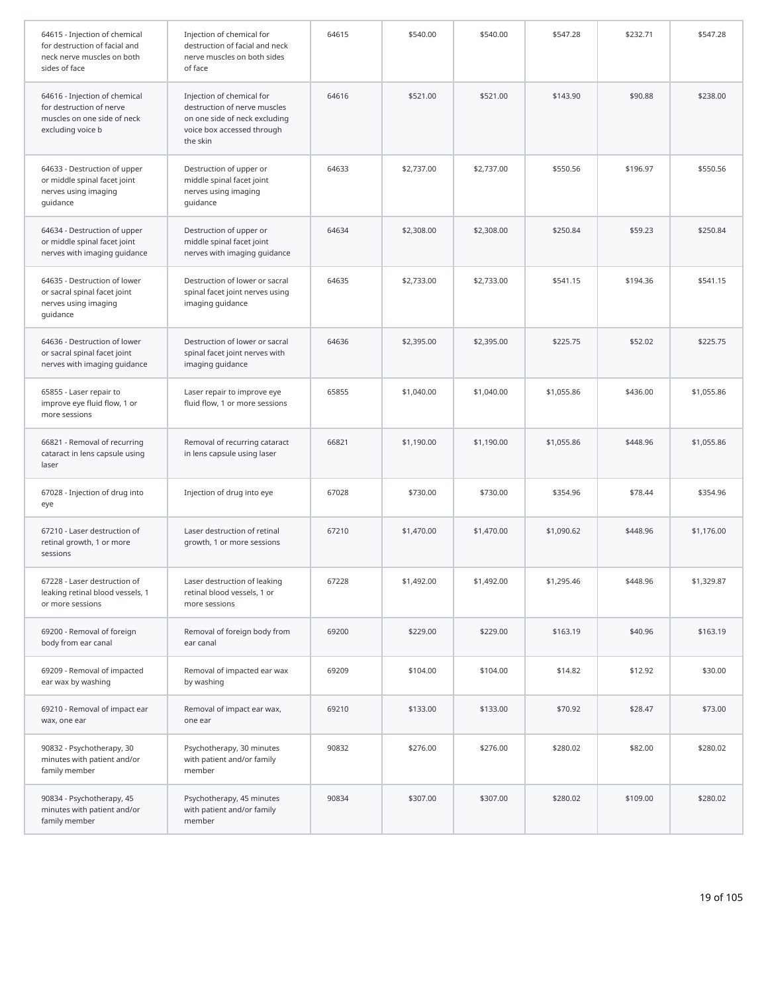| 64615 - Injection of chemical<br>for destruction of facial and<br>neck nerve muscles on both<br>sides of face | Injection of chemical for<br>destruction of facial and neck<br>nerve muscles on both sides<br>of face                                | 64615 | \$540.00   | \$540.00   | \$547.28   | \$232.71 | \$547.28   |
|---------------------------------------------------------------------------------------------------------------|--------------------------------------------------------------------------------------------------------------------------------------|-------|------------|------------|------------|----------|------------|
| 64616 - Injection of chemical<br>for destruction of nerve<br>muscles on one side of neck<br>excluding voice b | Injection of chemical for<br>destruction of nerve muscles<br>on one side of neck excluding<br>voice box accessed through<br>the skin | 64616 | \$521.00   | \$521.00   | \$143.90   | \$90.88  | \$238.00   |
| 64633 - Destruction of upper<br>or middle spinal facet joint<br>nerves using imaging<br>guidance              | Destruction of upper or<br>middle spinal facet joint<br>nerves using imaging<br>guidance                                             | 64633 | \$2,737.00 | \$2,737.00 | \$550.56   | \$196.97 | \$550.56   |
| 64634 - Destruction of upper<br>or middle spinal facet joint<br>nerves with imaging guidance                  | Destruction of upper or<br>middle spinal facet joint<br>nerves with imaging guidance                                                 | 64634 | \$2,308.00 | \$2,308.00 | \$250.84   | \$59.23  | \$250.84   |
| 64635 - Destruction of lower<br>or sacral spinal facet joint<br>nerves using imaging<br>guidance              | Destruction of lower or sacral<br>spinal facet joint nerves using<br>imaging guidance                                                | 64635 | \$2,733.00 | \$2,733.00 | \$541.15   | \$194.36 | \$541.15   |
| 64636 - Destruction of lower<br>or sacral spinal facet joint<br>nerves with imaging guidance                  | Destruction of lower or sacral<br>spinal facet joint nerves with<br>imaging guidance                                                 | 64636 | \$2,395.00 | \$2,395.00 | \$225.75   | \$52.02  | \$225.75   |
| 65855 - Laser repair to<br>improve eye fluid flow, 1 or<br>more sessions                                      | Laser repair to improve eye<br>fluid flow, 1 or more sessions                                                                        | 65855 | \$1,040.00 | \$1,040.00 | \$1,055.86 | \$436.00 | \$1,055.86 |
| 66821 - Removal of recurring<br>cataract in lens capsule using<br>laser                                       | Removal of recurring cataract<br>in lens capsule using laser                                                                         | 66821 | \$1,190.00 | \$1,190.00 | \$1,055.86 | \$448.96 | \$1,055.86 |
| 67028 - Injection of drug into<br>eye                                                                         | Injection of drug into eye                                                                                                           | 67028 | \$730.00   | \$730.00   | \$354.96   | \$78.44  | \$354.96   |
| 67210 - Laser destruction of<br>retinal growth, 1 or more<br>sessions                                         | Laser destruction of retinal<br>growth, 1 or more sessions                                                                           | 67210 | \$1,470.00 | \$1,470.00 | \$1,090.62 | \$448.96 | \$1,176.00 |
| 67228 - Laser destruction of<br>leaking retinal blood vessels, 1<br>or more sessions                          | Laser destruction of leaking<br>retinal blood vessels, 1 or<br>more sessions                                                         | 67228 | \$1,492.00 | \$1,492.00 | \$1,295.46 | \$448.96 | \$1,329.87 |
| 69200 - Removal of foreign<br>body from ear canal                                                             | Removal of foreign body from<br>ear canal                                                                                            | 69200 | \$229.00   | \$229.00   | \$163.19   | \$40.96  | \$163.19   |
| 69209 - Removal of impacted<br>ear wax by washing                                                             | Removal of impacted ear wax<br>by washing                                                                                            | 69209 | \$104.00   | \$104.00   | \$14.82    | \$12.92  | \$30.00    |
| 69210 - Removal of impact ear<br>wax, one ear                                                                 | Removal of impact ear wax,<br>one ear                                                                                                | 69210 | \$133.00   | \$133.00   | \$70.92    | \$28.47  | \$73.00    |
| 90832 - Psychotherapy, 30<br>minutes with patient and/or<br>family member                                     | Psychotherapy, 30 minutes<br>with patient and/or family<br>member                                                                    | 90832 | \$276.00   | \$276.00   | \$280.02   | \$82.00  | \$280.02   |
| 90834 - Psychotherapy, 45<br>minutes with patient and/or<br>family member                                     | Psychotherapy, 45 minutes<br>with patient and/or family<br>member                                                                    | 90834 | \$307.00   | \$307.00   | \$280.02   | \$109.00 | \$280.02   |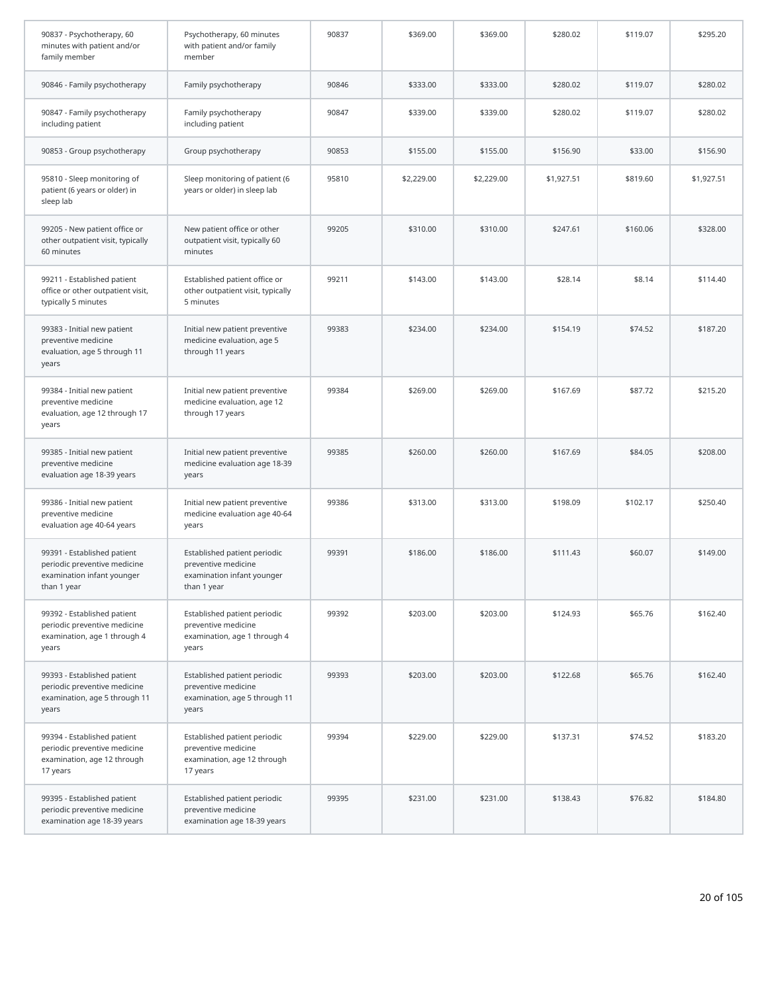| 90837 - Psychotherapy, 60<br>minutes with patient and/or<br>family member                                | Psychotherapy, 60 minutes<br>with patient and/or family<br>member                                | 90837 | \$369.00   | \$369.00   | \$280.02   | \$119.07 | \$295.20   |
|----------------------------------------------------------------------------------------------------------|--------------------------------------------------------------------------------------------------|-------|------------|------------|------------|----------|------------|
| 90846 - Family psychotherapy                                                                             | Family psychotherapy                                                                             | 90846 | \$333.00   | \$333.00   | \$280.02   | \$119.07 | \$280.02   |
| 90847 - Family psychotherapy<br>including patient                                                        | Family psychotherapy<br>including patient                                                        | 90847 | \$339.00   | \$339.00   | \$280.02   | \$119.07 | \$280.02   |
| 90853 - Group psychotherapy                                                                              | Group psychotherapy                                                                              | 90853 | \$155.00   | \$155.00   | \$156.90   | \$33.00  | \$156.90   |
| 95810 - Sleep monitoring of<br>patient (6 years or older) in<br>sleep lab                                | Sleep monitoring of patient (6<br>years or older) in sleep lab                                   | 95810 | \$2,229.00 | \$2,229.00 | \$1,927.51 | \$819.60 | \$1,927.51 |
| 99205 - New patient office or<br>other outpatient visit, typically<br>60 minutes                         | New patient office or other<br>outpatient visit, typically 60<br>minutes                         | 99205 | \$310.00   | \$310.00   | \$247.61   | \$160.06 | \$328.00   |
| 99211 - Established patient<br>office or other outpatient visit,<br>typically 5 minutes                  | Established patient office or<br>other outpatient visit, typically<br>5 minutes                  | 99211 | \$143.00   | \$143.00   | \$28.14    | \$8.14   | \$114.40   |
| 99383 - Initial new patient<br>preventive medicine<br>evaluation, age 5 through 11<br>years              | Initial new patient preventive<br>medicine evaluation, age 5<br>through 11 years                 | 99383 | \$234.00   | \$234.00   | \$154.19   | \$74.52  | \$187.20   |
| 99384 - Initial new patient<br>preventive medicine<br>evaluation, age 12 through 17<br>years             | Initial new patient preventive<br>medicine evaluation, age 12<br>through 17 years                | 99384 | \$269.00   | \$269.00   | \$167.69   | \$87.72  | \$215.20   |
| 99385 - Initial new patient<br>preventive medicine<br>evaluation age 18-39 years                         | Initial new patient preventive<br>medicine evaluation age 18-39<br>years                         | 99385 | \$260.00   | \$260.00   | \$167.69   | \$84.05  | \$208.00   |
| 99386 - Initial new patient<br>preventive medicine<br>evaluation age 40-64 years                         | Initial new patient preventive<br>medicine evaluation age 40-64<br>years                         | 99386 | \$313.00   | \$313.00   | \$198.09   | \$102.17 | \$250.40   |
| 99391 - Established patient<br>periodic preventive medicine<br>examination infant younger<br>than 1 year | Established patient periodic<br>preventive medicine<br>examination infant younger<br>than 1 year | 99391 | \$186.00   | \$186.00   | \$111.43   | \$60.07  | \$149.00   |
| 99392 - Established patient<br>periodic preventive medicine<br>examination, age 1 through 4<br>years     | Established patient periodic<br>preventive medicine<br>examination, age 1 through 4<br>years     | 99392 | \$203.00   | \$203.00   | \$124.93   | \$65.76  | \$162.40   |
| 99393 - Established patient<br>periodic preventive medicine<br>examination, age 5 through 11<br>years    | Established patient periodic<br>preventive medicine<br>examination, age 5 through 11<br>years    | 99393 | \$203.00   | \$203.00   | \$122.68   | \$65.76  | \$162.40   |
| 99394 - Established patient<br>periodic preventive medicine<br>examination, age 12 through<br>17 years   | Established patient periodic<br>preventive medicine<br>examination, age 12 through<br>17 years   | 99394 | \$229.00   | \$229.00   | \$137.31   | \$74.52  | \$183.20   |
| 99395 - Established patient<br>periodic preventive medicine<br>examination age 18-39 years               | Established patient periodic<br>preventive medicine<br>examination age 18-39 years               | 99395 | \$231.00   | \$231.00   | \$138.43   | \$76.82  | \$184.80   |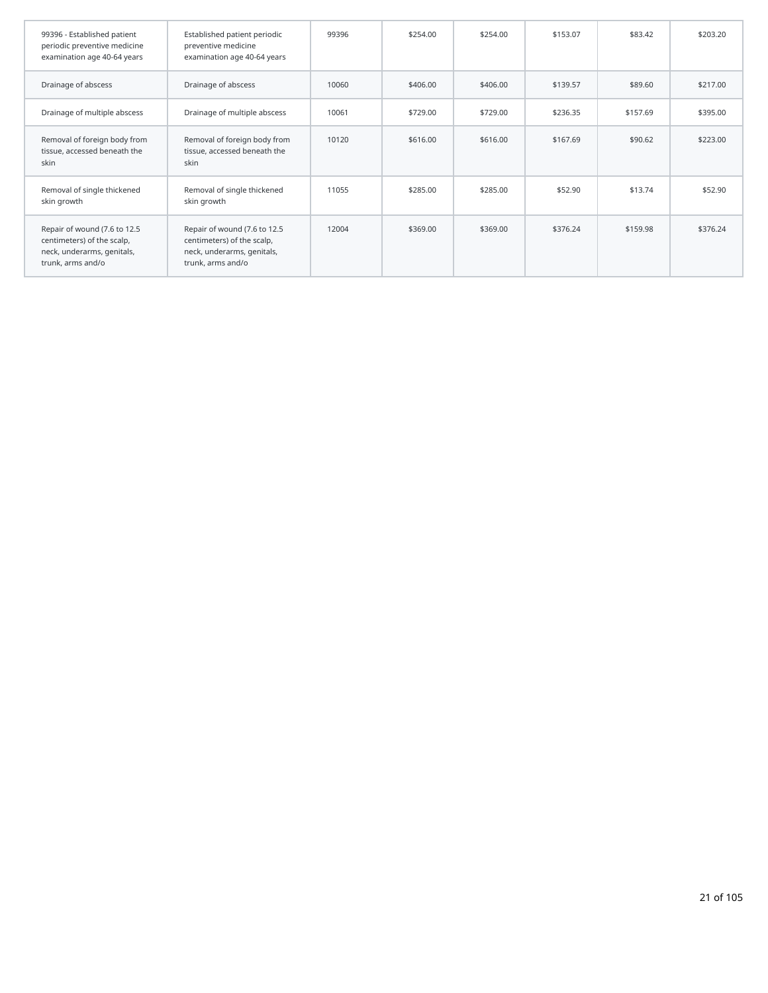| 99396 - Established patient<br>periodic preventive medicine<br>examination age 40-64 years                    | Established patient periodic<br>preventive medicine<br>examination age 40-64 years                            | 99396 | \$254.00 | \$254.00 | \$153.07 | \$83.42  | \$203.20 |
|---------------------------------------------------------------------------------------------------------------|---------------------------------------------------------------------------------------------------------------|-------|----------|----------|----------|----------|----------|
| Drainage of abscess                                                                                           | Drainage of abscess                                                                                           | 10060 | \$406.00 | \$406.00 | \$139.57 | \$89.60  | \$217.00 |
| Drainage of multiple abscess                                                                                  | Drainage of multiple abscess                                                                                  | 10061 | \$729.00 | \$729.00 | \$236.35 | \$157.69 | \$395.00 |
| Removal of foreign body from<br>tissue, accessed beneath the<br>skin                                          | Removal of foreign body from<br>tissue, accessed beneath the<br>skin                                          | 10120 | \$616.00 | \$616.00 | \$167.69 | \$90.62  | \$223.00 |
| Removal of single thickened<br>skin growth                                                                    | Removal of single thickened<br>skin growth                                                                    | 11055 | \$285.00 | \$285.00 | \$52.90  | \$13.74  | \$52.90  |
| Repair of wound (7.6 to 12.5<br>centimeters) of the scalp,<br>neck, underarms, genitals,<br>trunk, arms and/o | Repair of wound (7.6 to 12.5<br>centimeters) of the scalp,<br>neck, underarms, genitals,<br>trunk, arms and/o | 12004 | \$369.00 | \$369.00 | \$376.24 | \$159.98 | \$376.24 |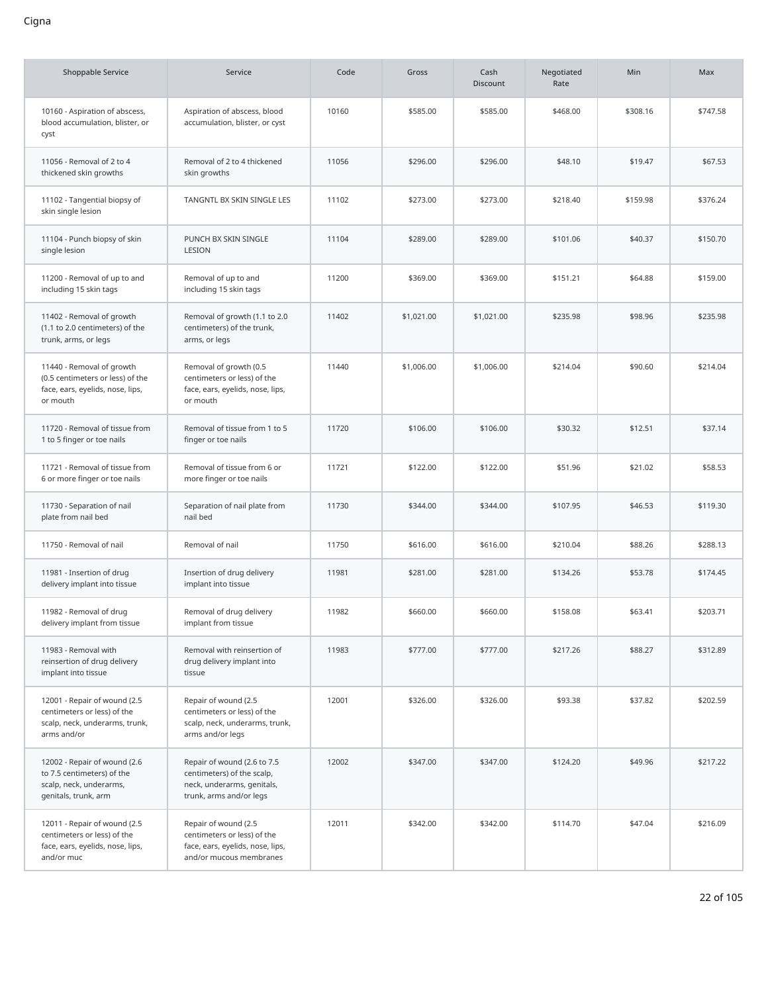| <b>Shoppable Service</b>                                                                                      | Service                                                                                                            | Code  | Gross      | Cash<br><b>Discount</b> | Negotiated<br>Rate | <b>Min</b> | Max      |
|---------------------------------------------------------------------------------------------------------------|--------------------------------------------------------------------------------------------------------------------|-------|------------|-------------------------|--------------------|------------|----------|
| 10160 - Aspiration of abscess,<br>blood accumulation, blister, or<br>cyst                                     | Aspiration of abscess, blood<br>accumulation, blister, or cyst                                                     | 10160 | \$585.00   | \$585.00                | \$468.00           | \$308.16   | \$747.58 |
| 11056 - Removal of 2 to 4<br>thickened skin growths                                                           | Removal of 2 to 4 thickened<br>skin growths                                                                        | 11056 | \$296.00   | \$296.00                | \$48.10            | \$19.47    | \$67.53  |
| 11102 - Tangential biopsy of<br>skin single lesion                                                            | TANGNTL BX SKIN SINGLE LES                                                                                         | 11102 | \$273.00   | \$273.00                | \$218.40           | \$159.98   | \$376.24 |
| 11104 - Punch biopsy of skin<br>single lesion                                                                 | PUNCH BX SKIN SINGLE<br>LESION                                                                                     | 11104 | \$289.00   | \$289.00                | \$101.06           | \$40.37    | \$150.70 |
| 11200 - Removal of up to and<br>including 15 skin tags                                                        | Removal of up to and<br>including 15 skin tags                                                                     | 11200 | \$369.00   | \$369.00                | \$151.21           | \$64.88    | \$159.00 |
| 11402 - Removal of growth<br>(1.1 to 2.0 centimeters) of the<br>trunk, arms, or legs                          | Removal of growth (1.1 to 2.0<br>centimeters) of the trunk,<br>arms, or legs                                       | 11402 | \$1,021.00 | \$1,021.00              | \$235.98           | \$98.96    | \$235.98 |
| 11440 - Removal of growth<br>(0.5 centimeters or less) of the<br>face, ears, eyelids, nose, lips,<br>or mouth | Removal of growth (0.5<br>centimeters or less) of the<br>face, ears, eyelids, nose, lips,<br>or mouth              | 11440 | \$1,006.00 | \$1,006.00              | \$214.04           | \$90.60    | \$214.04 |
| 11720 - Removal of tissue from<br>1 to 5 finger or toe nails                                                  | Removal of tissue from 1 to 5<br>finger or toe nails                                                               | 11720 | \$106.00   | \$106.00                | \$30.32            | \$12.51    | \$37.14  |
| 11721 - Removal of tissue from<br>6 or more finger or toe nails                                               | Removal of tissue from 6 or<br>more finger or toe nails                                                            | 11721 | \$122.00   | \$122.00                | \$51.96            | \$21.02    | \$58.53  |
| 11730 - Separation of nail<br>plate from nail bed                                                             | Separation of nail plate from<br>nail bed                                                                          | 11730 | \$344.00   | \$344.00                | \$107.95           | \$46.53    | \$119.30 |
| 11750 - Removal of nail                                                                                       | Removal of nail                                                                                                    | 11750 | \$616.00   | \$616.00                | \$210.04           | \$88.26    | \$288.13 |
| 11981 - Insertion of drug<br>delivery implant into tissue                                                     | Insertion of drug delivery<br>implant into tissue                                                                  | 11981 | \$281.00   | \$281.00                | \$134.26           | \$53.78    | \$174.45 |
| 11982 - Removal of drug<br>delivery implant from tissue                                                       | Removal of drug delivery<br>implant from tissue                                                                    | 11982 | \$660.00   | \$660.00                | \$158.08           | \$63.41    | \$203.71 |
| 11983 - Removal with<br>reinsertion of drug delivery<br>implant into tissue                                   | Removal with reinsertion of<br>drug delivery implant into<br>tissue                                                | 11983 | \$777.00   | \$777.00                | \$217.26           | \$88.27    | \$312.89 |
| 12001 - Repair of wound (2.5<br>centimeters or less) of the<br>scalp, neck, underarms, trunk,<br>arms and/or  | Repair of wound (2.5<br>centimeters or less) of the<br>scalp, neck, underarms, trunk,<br>arms and/or legs          | 12001 | \$326.00   | \$326.00                | \$93.38            | \$37.82    | \$202.59 |
| 12002 - Repair of wound (2.6<br>to 7.5 centimeters) of the<br>scalp, neck, underarms,<br>genitals, trunk, arm | Repair of wound (2.6 to 7.5<br>centimeters) of the scalp,<br>neck, underarms, genitals,<br>trunk, arms and/or legs | 12002 | \$347.00   | \$347.00                | \$124.20           | \$49.96    | \$217.22 |
| 12011 - Repair of wound (2.5<br>centimeters or less) of the<br>face, ears, eyelids, nose, lips,<br>and/or muc | Repair of wound (2.5<br>centimeters or less) of the<br>face, ears, eyelids, nose, lips,<br>and/or mucous membranes | 12011 | \$342.00   | \$342.00                | \$114.70           | \$47.04    | \$216.09 |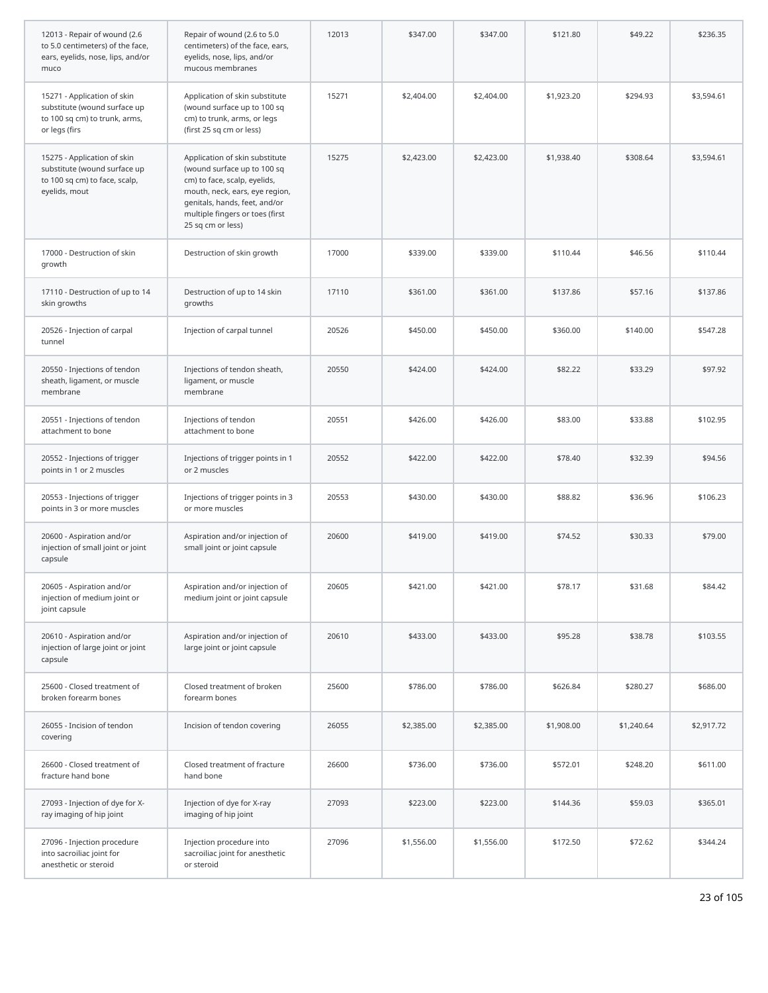| 12013 - Repair of wound (2.6<br>to 5.0 centimeters) of the face,<br>ears, eyelids, nose, lips, and/or<br>muco | Repair of wound (2.6 to 5.0<br>centimeters) of the face, ears,<br>eyelids, nose, lips, and/or<br>mucous membranes                                                                                                        | 12013 | \$347.00   | \$347.00   | \$121.80   | \$49.22    | \$236.35   |
|---------------------------------------------------------------------------------------------------------------|--------------------------------------------------------------------------------------------------------------------------------------------------------------------------------------------------------------------------|-------|------------|------------|------------|------------|------------|
| 15271 - Application of skin<br>substitute (wound surface up<br>to 100 sq cm) to trunk, arms,<br>or legs (firs | Application of skin substitute<br>(wound surface up to 100 sq<br>cm) to trunk, arms, or legs<br>(first 25 sq cm or less)                                                                                                 | 15271 | \$2,404.00 | \$2,404.00 | \$1,923.20 | \$294.93   | \$3,594.61 |
| 15275 - Application of skin<br>substitute (wound surface up<br>to 100 sq cm) to face, scalp,<br>eyelids, mout | Application of skin substitute<br>(wound surface up to 100 sq<br>cm) to face, scalp, eyelids,<br>mouth, neck, ears, eye region,<br>genitals, hands, feet, and/or<br>multiple fingers or toes (first<br>25 sq cm or less) | 15275 | \$2,423.00 | \$2,423.00 | \$1,938.40 | \$308.64   | \$3,594.61 |
| 17000 - Destruction of skin<br>growth                                                                         | Destruction of skin growth                                                                                                                                                                                               | 17000 | \$339.00   | \$339.00   | \$110.44   | \$46.56    | \$110.44   |
| 17110 - Destruction of up to 14<br>skin growths                                                               | Destruction of up to 14 skin<br>growths                                                                                                                                                                                  | 17110 | \$361.00   | \$361.00   | \$137.86   | \$57.16    | \$137.86   |
| 20526 - Injection of carpal<br>tunnel                                                                         | Injection of carpal tunnel                                                                                                                                                                                               | 20526 | \$450.00   | \$450.00   | \$360.00   | \$140.00   | \$547.28   |
| 20550 - Injections of tendon<br>sheath, ligament, or muscle<br>membrane                                       | Injections of tendon sheath,<br>ligament, or muscle<br>membrane                                                                                                                                                          | 20550 | \$424.00   | \$424.00   | \$82.22    | \$33.29    | \$97.92    |
| 20551 - Injections of tendon<br>attachment to bone                                                            | Injections of tendon<br>attachment to bone                                                                                                                                                                               | 20551 | \$426.00   | \$426.00   | \$83.00    | \$33.88    | \$102.95   |
| 20552 - Injections of trigger<br>points in 1 or 2 muscles                                                     | Injections of trigger points in 1<br>or 2 muscles                                                                                                                                                                        | 20552 | \$422.00   | \$422.00   | \$78.40    | \$32.39    | \$94.56    |
| 20553 - Injections of trigger<br>points in 3 or more muscles                                                  | Injections of trigger points in 3<br>or more muscles                                                                                                                                                                     | 20553 | \$430.00   | \$430.00   | \$88.82    | \$36.96    | \$106.23   |
| 20600 - Aspiration and/or<br>injection of small joint or joint<br>capsule                                     | Aspiration and/or injection of<br>small joint or joint capsule                                                                                                                                                           | 20600 | \$419.00   | \$419.00   | \$74.52    | \$30.33    | \$79.00    |
| 20605 - Aspiration and/or<br>injection of medium joint or<br>joint capsule                                    | Aspiration and/or injection of<br>medium joint or joint capsule                                                                                                                                                          | 20605 | \$421.00   | \$421.00   | \$78.17    | \$31.68    | \$84.42    |
| 20610 - Aspiration and/or<br>injection of large joint or joint<br>capsule                                     | Aspiration and/or injection of<br>large joint or joint capsule                                                                                                                                                           | 20610 | \$433.00   | \$433.00   | \$95.28    | \$38.78    | \$103.55   |
| 25600 - Closed treatment of<br>broken forearm bones                                                           | Closed treatment of broken<br>forearm bones                                                                                                                                                                              | 25600 | \$786.00   | \$786.00   | \$626.84   | \$280.27   | \$686.00   |
| 26055 - Incision of tendon<br>covering                                                                        | Incision of tendon covering                                                                                                                                                                                              | 26055 | \$2,385.00 | \$2,385.00 | \$1,908.00 | \$1,240.64 | \$2,917.72 |
| 26600 - Closed treatment of<br>fracture hand bone                                                             | Closed treatment of fracture<br>hand bone                                                                                                                                                                                | 26600 | \$736.00   | \$736.00   | \$572.01   | \$248.20   | \$611.00   |
| 27093 - Injection of dye for X-<br>ray imaging of hip joint                                                   | Injection of dye for X-ray<br>imaging of hip joint                                                                                                                                                                       | 27093 | \$223.00   | \$223.00   | \$144.36   | \$59.03    | \$365.01   |
| 27096 - Injection procedure<br>into sacroiliac joint for<br>anesthetic or steroid                             | Injection procedure into<br>sacroiliac joint for anesthetic<br>or steroid                                                                                                                                                | 27096 | \$1,556.00 | \$1,556.00 | \$172.50   | \$72.62    | \$344.24   |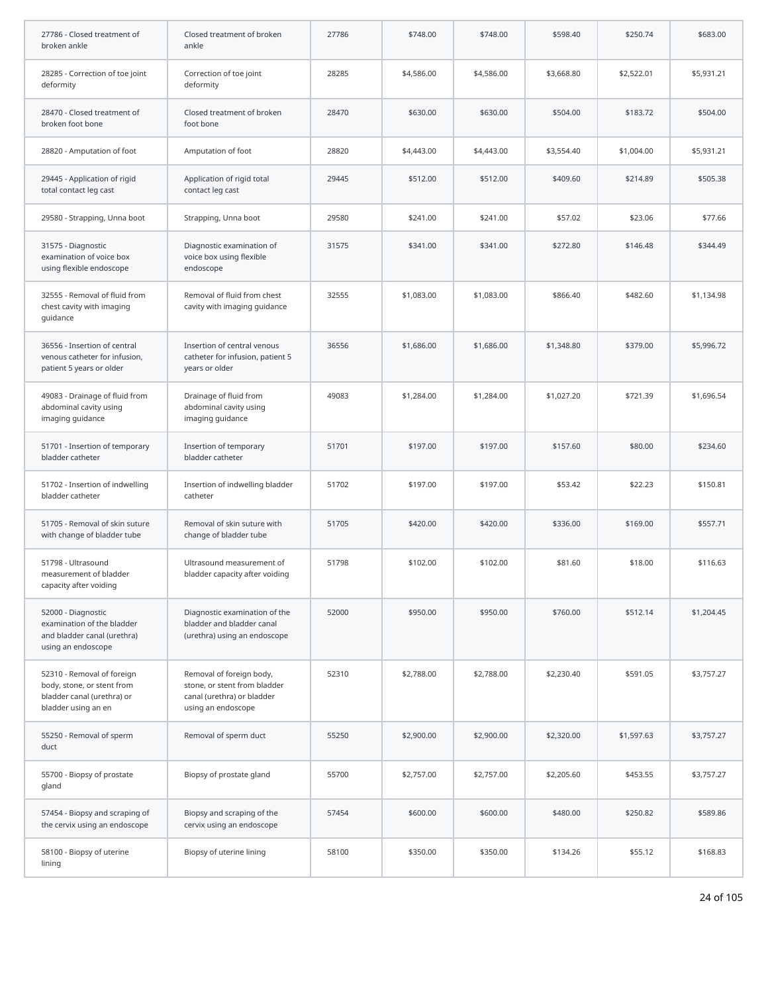| 27786 - Closed treatment of<br>broken ankle                                                                   | Closed treatment of broken<br>ankle                                                                          | 27786 | \$748.00   | \$748.00   | \$598.40   | \$250.74   | \$683.00   |
|---------------------------------------------------------------------------------------------------------------|--------------------------------------------------------------------------------------------------------------|-------|------------|------------|------------|------------|------------|
| 28285 - Correction of toe joint<br>deformity                                                                  | Correction of toe joint<br>deformity                                                                         | 28285 | \$4,586.00 | \$4,586.00 | \$3,668.80 | \$2,522.01 | \$5,931.21 |
| 28470 - Closed treatment of<br>broken foot bone                                                               | Closed treatment of broken<br>foot bone                                                                      | 28470 | \$630.00   | \$630.00   | \$504.00   | \$183.72   | \$504.00   |
| 28820 - Amputation of foot                                                                                    | Amputation of foot                                                                                           | 28820 | \$4,443.00 | \$4,443.00 | \$3,554.40 | \$1,004.00 | \$5,931.21 |
| 29445 - Application of rigid<br>total contact leg cast                                                        | Application of rigid total<br>contact leg cast                                                               | 29445 | \$512.00   | \$512.00   | \$409.60   | \$214.89   | \$505.38   |
| 29580 - Strapping, Unna boot                                                                                  | Strapping, Unna boot                                                                                         | 29580 | \$241.00   | \$241.00   | \$57.02    | \$23.06    | \$77.66    |
| 31575 - Diagnostic<br>examination of voice box<br>using flexible endoscope                                    | Diagnostic examination of<br>voice box using flexible<br>endoscope                                           | 31575 | \$341.00   | \$341.00   | \$272.80   | \$146.48   | \$344.49   |
| 32555 - Removal of fluid from<br>chest cavity with imaging<br>quidance                                        | Removal of fluid from chest<br>cavity with imaging guidance                                                  | 32555 | \$1,083.00 | \$1,083.00 | \$866.40   | \$482.60   | \$1,134.98 |
| 36556 - Insertion of central<br>venous catheter for infusion,<br>patient 5 years or older                     | Insertion of central venous<br>catheter for infusion, patient 5<br>years or older                            | 36556 | \$1,686.00 | \$1,686.00 | \$1,348.80 | \$379.00   | \$5,996.72 |
| 49083 - Drainage of fluid from<br>abdominal cavity using<br>imaging guidance                                  | Drainage of fluid from<br>abdominal cavity using<br>imaging guidance                                         | 49083 | \$1,284.00 | \$1,284.00 | \$1,027.20 | \$721.39   | \$1,696.54 |
| 51701 - Insertion of temporary<br>bladder catheter                                                            | Insertion of temporary<br>bladder catheter                                                                   | 51701 | \$197.00   | \$197.00   | \$157.60   | \$80.00    | \$234.60   |
| 51702 - Insertion of indwelling<br>bladder catheter                                                           | Insertion of indwelling bladder<br>catheter                                                                  | 51702 | \$197.00   | \$197.00   | \$53.42    | \$22.23    | \$150.81   |
| 51705 - Removal of skin suture<br>with change of bladder tube                                                 | Removal of skin suture with<br>change of bladder tube                                                        | 51705 | \$420.00   | \$420.00   | \$336.00   | \$169.00   | \$557.71   |
| 51798 - Ultrasound<br>measurement of bladder<br>capacity after voiding                                        | Ultrasound measurement of<br>bladder capacity after voiding                                                  | 51798 | \$102.00   | \$102.00   | \$81.60    | \$18.00    | \$116.63   |
| 52000 - Diagnostic<br>examination of the bladder<br>and bladder canal (urethra)<br>using an endoscope         | Diagnostic examination of the<br>bladder and bladder canal<br>(urethra) using an endoscope                   | 52000 | \$950.00   | \$950.00   | \$760.00   | \$512.14   | \$1,204.45 |
| 52310 - Removal of foreign<br>body, stone, or stent from<br>bladder canal (urethra) or<br>bladder using an en | Removal of foreign body,<br>stone, or stent from bladder<br>canal (urethra) or bladder<br>using an endoscope | 52310 | \$2,788.00 | \$2,788.00 | \$2,230.40 | \$591.05   | \$3,757.27 |
| 55250 - Removal of sperm<br>duct                                                                              | Removal of sperm duct                                                                                        | 55250 | \$2,900.00 | \$2,900.00 | \$2,320.00 | \$1,597.63 | \$3,757.27 |
| 55700 - Biopsy of prostate<br>gland                                                                           | Biopsy of prostate gland                                                                                     | 55700 | \$2,757.00 | \$2,757.00 | \$2,205.60 | \$453.55   | \$3,757.27 |
| 57454 - Biopsy and scraping of<br>the cervix using an endoscope                                               | Biopsy and scraping of the<br>cervix using an endoscope                                                      | 57454 | \$600.00   | \$600.00   | \$480.00   | \$250.82   | \$589.86   |
| 58100 - Biopsy of uterine<br>lining                                                                           | Biopsy of uterine lining                                                                                     | 58100 | \$350.00   | \$350.00   | \$134.26   | \$55.12    | \$168.83   |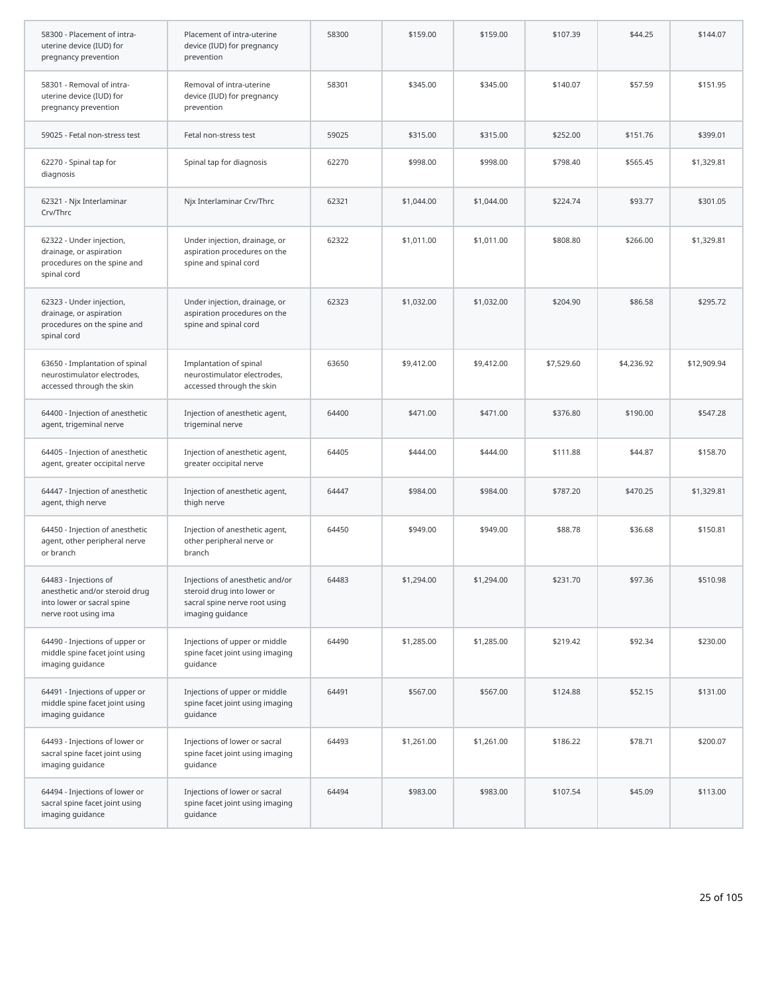| 58300 - Placement of intra-<br>uterine device (IUD) for<br>pregnancy prevention                               | Placement of intra-uterine<br>device (IUD) for pregnancy<br>prevention                                             | 58300 | \$159.00   | \$159.00   | \$107.39   | \$44.25    | \$144.07    |
|---------------------------------------------------------------------------------------------------------------|--------------------------------------------------------------------------------------------------------------------|-------|------------|------------|------------|------------|-------------|
| 58301 - Removal of intra-<br>uterine device (IUD) for<br>pregnancy prevention                                 | Removal of intra-uterine<br>device (IUD) for pregnancy<br>prevention                                               | 58301 | \$345.00   | \$345.00   | \$140.07   | \$57.59    | \$151.95    |
| 59025 - Fetal non-stress test                                                                                 | Fetal non-stress test                                                                                              | 59025 | \$315.00   | \$315.00   | \$252.00   | \$151.76   | \$399.01    |
| 62270 - Spinal tap for<br>diagnosis                                                                           | Spinal tap for diagnosis                                                                                           | 62270 | \$998.00   | \$998.00   | \$798.40   | \$565.45   | \$1,329.81  |
| 62321 - Njx Interlaminar<br>Crv/Thrc                                                                          | Njx Interlaminar Crv/Thrc                                                                                          | 62321 | \$1,044.00 | \$1,044.00 | \$224.74   | \$93.77    | \$301.05    |
| 62322 - Under injection,<br>drainage, or aspiration<br>procedures on the spine and<br>spinal cord             | Under injection, drainage, or<br>aspiration procedures on the<br>spine and spinal cord                             | 62322 | \$1,011.00 | \$1,011.00 | \$808.80   | \$266.00   | \$1,329.81  |
| 62323 - Under injection,<br>drainage, or aspiration<br>procedures on the spine and<br>spinal cord             | Under injection, drainage, or<br>aspiration procedures on the<br>spine and spinal cord                             | 62323 | \$1,032.00 | \$1,032.00 | \$204.90   | \$86.58    | \$295.72    |
| 63650 - Implantation of spinal<br>neurostimulator electrodes,<br>accessed through the skin                    | Implantation of spinal<br>neurostimulator electrodes,<br>accessed through the skin                                 | 63650 | \$9,412.00 | \$9,412.00 | \$7,529.60 | \$4,236.92 | \$12,909.94 |
| 64400 - Injection of anesthetic<br>agent, trigeminal nerve                                                    | Injection of anesthetic agent,<br>trigeminal nerve                                                                 | 64400 | \$471.00   | \$471.00   | \$376.80   | \$190.00   | \$547.28    |
| 64405 - Injection of anesthetic<br>agent, greater occipital nerve                                             | Injection of anesthetic agent,<br>greater occipital nerve                                                          | 64405 | \$444.00   | \$444.00   | \$111.88   | \$44.87    | \$158.70    |
| 64447 - Injection of anesthetic<br>agent, thigh nerve                                                         | Injection of anesthetic agent,<br>thigh nerve                                                                      | 64447 | \$984.00   | \$984.00   | \$787.20   | \$470.25   | \$1,329.81  |
| 64450 - Injection of anesthetic<br>agent, other peripheral nerve<br>or branch                                 | Injection of anesthetic agent,<br>other peripheral nerve or<br>branch                                              | 64450 | \$949.00   | \$949.00   | \$88.78    | \$36.68    | \$150.81    |
| 64483 - Injections of<br>anesthetic and/or steroid drug<br>into lower or sacral spine<br>nerve root using ima | Injections of anesthetic and/or<br>steroid drug into lower or<br>sacral spine nerve root using<br>imaging guidance | 64483 | \$1,294.00 | \$1,294.00 | \$231.70   | \$97.36    | \$510.98    |
| 64490 - Injections of upper or<br>middle spine facet joint using<br>imaging guidance                          | Injections of upper or middle<br>spine facet joint using imaging<br>guidance                                       | 64490 | \$1,285.00 | \$1,285.00 | \$219.42   | \$92.34    | \$230.00    |
| 64491 - Injections of upper or<br>middle spine facet joint using<br>imaging guidance                          | Injections of upper or middle<br>spine facet joint using imaging<br>quidance                                       | 64491 | \$567.00   | \$567.00   | \$124.88   | \$52.15    | \$131.00    |
| 64493 - Injections of lower or<br>sacral spine facet joint using<br>imaging guidance                          | Injections of lower or sacral<br>spine facet joint using imaging<br>guidance                                       | 64493 | \$1,261.00 | \$1,261.00 | \$186.22   | \$78.71    | \$200.07    |
| 64494 - Injections of lower or<br>sacral spine facet joint using<br>imaging guidance                          | Injections of lower or sacral<br>spine facet joint using imaging<br>guidance                                       | 64494 | \$983.00   | \$983.00   | \$107.54   | \$45.09    | \$113.00    |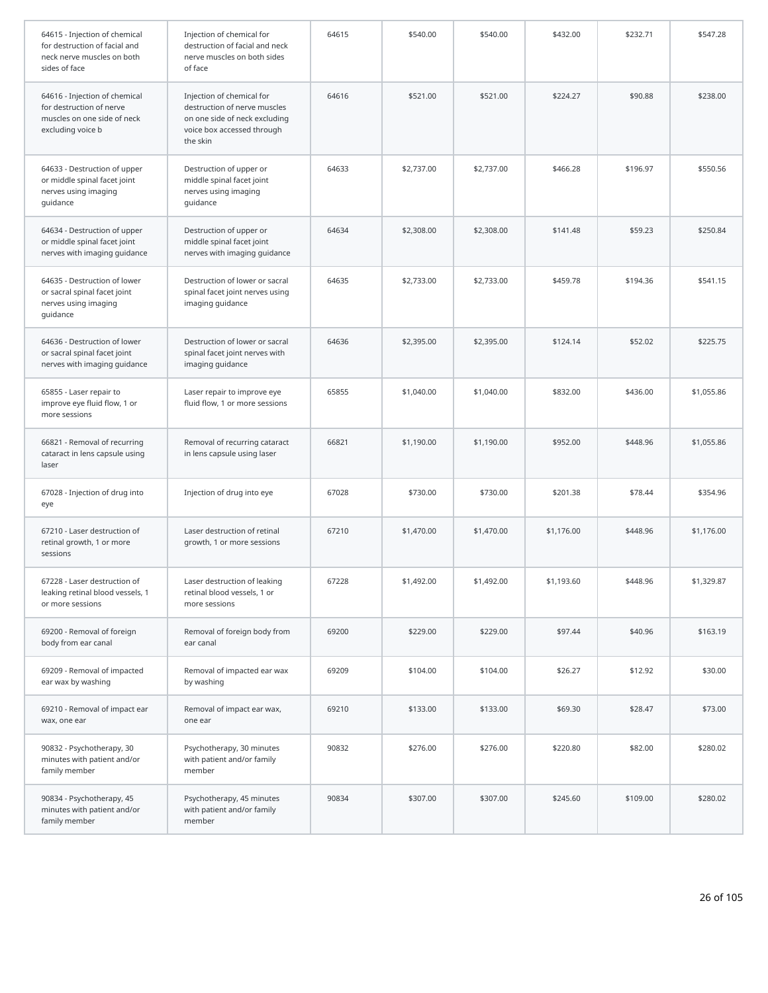| 64615 - Injection of chemical<br>for destruction of facial and<br>neck nerve muscles on both<br>sides of face | Injection of chemical for<br>destruction of facial and neck<br>nerve muscles on both sides<br>of face                                | 64615 | \$540.00   | \$540.00   | \$432.00   | \$232.71 | \$547.28   |
|---------------------------------------------------------------------------------------------------------------|--------------------------------------------------------------------------------------------------------------------------------------|-------|------------|------------|------------|----------|------------|
| 64616 - Injection of chemical<br>for destruction of nerve<br>muscles on one side of neck<br>excluding voice b | Injection of chemical for<br>destruction of nerve muscles<br>on one side of neck excluding<br>voice box accessed through<br>the skin | 64616 | \$521.00   | \$521.00   | \$224.27   | \$90.88  | \$238.00   |
| 64633 - Destruction of upper<br>or middle spinal facet joint<br>nerves using imaging<br>guidance              | Destruction of upper or<br>middle spinal facet joint<br>nerves using imaging<br>guidance                                             | 64633 | \$2,737.00 | \$2,737.00 | \$466.28   | \$196.97 | \$550.56   |
| 64634 - Destruction of upper<br>or middle spinal facet joint<br>nerves with imaging guidance                  | Destruction of upper or<br>middle spinal facet joint<br>nerves with imaging guidance                                                 | 64634 | \$2,308.00 | \$2,308.00 | \$141.48   | \$59.23  | \$250.84   |
| 64635 - Destruction of lower<br>or sacral spinal facet joint<br>nerves using imaging<br>guidance              | Destruction of lower or sacral<br>spinal facet joint nerves using<br>imaging guidance                                                | 64635 | \$2,733.00 | \$2,733.00 | \$459.78   | \$194.36 | \$541.15   |
| 64636 - Destruction of lower<br>or sacral spinal facet joint<br>nerves with imaging guidance                  | Destruction of lower or sacral<br>spinal facet joint nerves with<br>imaging guidance                                                 | 64636 | \$2,395.00 | \$2,395.00 | \$124.14   | \$52.02  | \$225.75   |
| 65855 - Laser repair to<br>improve eye fluid flow, 1 or<br>more sessions                                      | Laser repair to improve eye<br>fluid flow, 1 or more sessions                                                                        | 65855 | \$1,040.00 | \$1,040.00 | \$832.00   | \$436.00 | \$1,055.86 |
| 66821 - Removal of recurring<br>cataract in lens capsule using<br>laser                                       | Removal of recurring cataract<br>in lens capsule using laser                                                                         | 66821 | \$1,190.00 | \$1,190.00 | \$952.00   | \$448.96 | \$1,055.86 |
| 67028 - Injection of drug into<br>eye                                                                         | Injection of drug into eye                                                                                                           | 67028 | \$730.00   | \$730.00   | \$201.38   | \$78.44  | \$354.96   |
| 67210 - Laser destruction of<br>retinal growth, 1 or more<br>sessions                                         | Laser destruction of retinal<br>growth, 1 or more sessions                                                                           | 67210 | \$1,470.00 | \$1,470.00 | \$1,176.00 | \$448.96 | \$1,176.00 |
| 67228 - Laser destruction of<br>leaking retinal blood vessels, 1<br>or more sessions                          | Laser destruction of leaking<br>retinal blood vessels, 1 or<br>more sessions                                                         | 67228 | \$1,492.00 | \$1,492.00 | \$1,193.60 | \$448.96 | \$1,329.87 |
| 69200 - Removal of foreign<br>body from ear canal                                                             | Removal of foreign body from<br>ear canal                                                                                            | 69200 | \$229.00   | \$229.00   | \$97.44    | \$40.96  | \$163.19   |
| 69209 - Removal of impacted<br>ear wax by washing                                                             | Removal of impacted ear wax<br>by washing                                                                                            | 69209 | \$104.00   | \$104.00   | \$26.27    | \$12.92  | \$30.00    |
| 69210 - Removal of impact ear<br>wax, one ear                                                                 | Removal of impact ear wax,<br>one ear                                                                                                | 69210 | \$133.00   | \$133.00   | \$69.30    | \$28.47  | \$73.00    |
| 90832 - Psychotherapy, 30<br>minutes with patient and/or<br>family member                                     | Psychotherapy, 30 minutes<br>with patient and/or family<br>member                                                                    | 90832 | \$276.00   | \$276.00   | \$220.80   | \$82.00  | \$280.02   |
| 90834 - Psychotherapy, 45<br>minutes with patient and/or<br>family member                                     | Psychotherapy, 45 minutes<br>with patient and/or family<br>member                                                                    | 90834 | \$307.00   | \$307.00   | \$245.60   | \$109.00 | \$280.02   |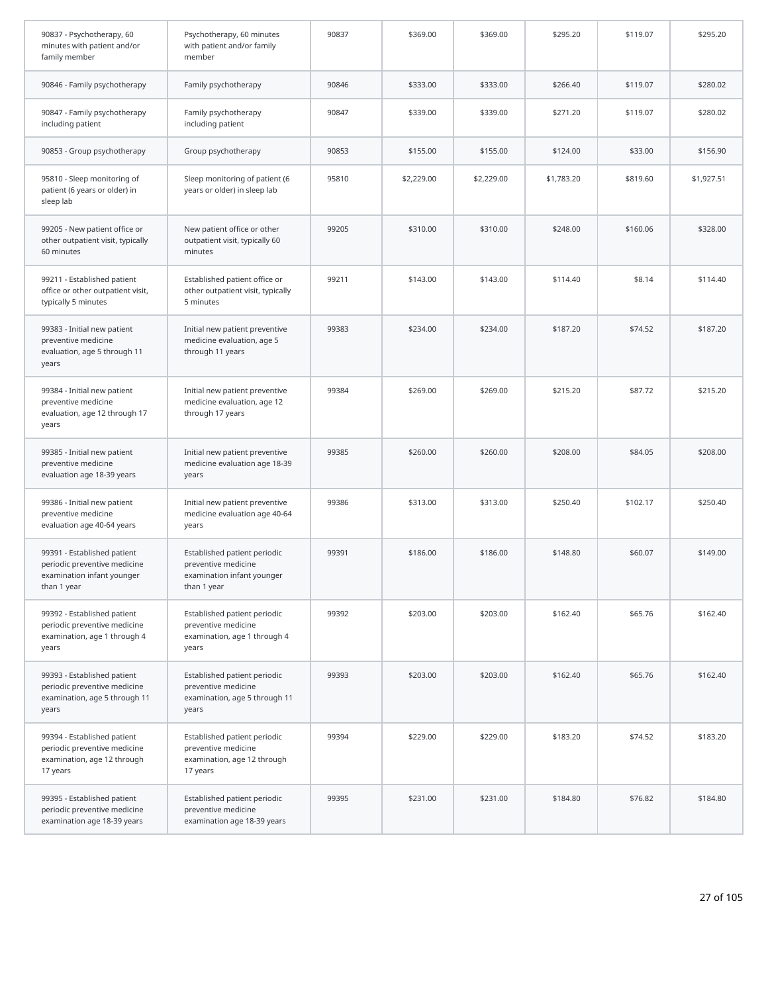| 90837 - Psychotherapy, 60<br>minutes with patient and/or<br>family member                                | Psychotherapy, 60 minutes<br>with patient and/or family<br>member                                | 90837 | \$369.00   | \$369.00   | \$295.20   | \$119.07 | \$295.20   |
|----------------------------------------------------------------------------------------------------------|--------------------------------------------------------------------------------------------------|-------|------------|------------|------------|----------|------------|
| 90846 - Family psychotherapy                                                                             | Family psychotherapy                                                                             | 90846 | \$333.00   | \$333.00   | \$266.40   | \$119.07 | \$280.02   |
| 90847 - Family psychotherapy<br>including patient                                                        | Family psychotherapy<br>including patient                                                        | 90847 | \$339.00   | \$339.00   | \$271.20   | \$119.07 | \$280.02   |
| 90853 - Group psychotherapy                                                                              | Group psychotherapy                                                                              | 90853 | \$155.00   | \$155.00   | \$124.00   | \$33.00  | \$156.90   |
| 95810 - Sleep monitoring of<br>patient (6 years or older) in<br>sleep lab                                | Sleep monitoring of patient (6<br>years or older) in sleep lab                                   | 95810 | \$2,229.00 | \$2,229.00 | \$1,783.20 | \$819.60 | \$1,927.51 |
| 99205 - New patient office or<br>other outpatient visit, typically<br>60 minutes                         | New patient office or other<br>outpatient visit, typically 60<br>minutes                         | 99205 | \$310.00   | \$310.00   | \$248.00   | \$160.06 | \$328.00   |
| 99211 - Established patient<br>office or other outpatient visit,<br>typically 5 minutes                  | Established patient office or<br>other outpatient visit, typically<br>5 minutes                  | 99211 | \$143.00   | \$143.00   | \$114.40   | \$8.14   | \$114.40   |
| 99383 - Initial new patient<br>preventive medicine<br>evaluation, age 5 through 11<br>years              | Initial new patient preventive<br>medicine evaluation, age 5<br>through 11 years                 | 99383 | \$234.00   | \$234.00   | \$187.20   | \$74.52  | \$187.20   |
| 99384 - Initial new patient<br>preventive medicine<br>evaluation, age 12 through 17<br>years             | Initial new patient preventive<br>medicine evaluation, age 12<br>through 17 years                | 99384 | \$269.00   | \$269.00   | \$215.20   | \$87.72  | \$215.20   |
| 99385 - Initial new patient<br>preventive medicine<br>evaluation age 18-39 years                         | Initial new patient preventive<br>medicine evaluation age 18-39<br>years                         | 99385 | \$260.00   | \$260.00   | \$208.00   | \$84.05  | \$208.00   |
| 99386 - Initial new patient<br>preventive medicine<br>evaluation age 40-64 years                         | Initial new patient preventive<br>medicine evaluation age 40-64<br>years                         | 99386 | \$313.00   | \$313.00   | \$250.40   | \$102.17 | \$250.40   |
| 99391 - Established patient<br>periodic preventive medicine<br>examination infant younger<br>than 1 year | Established patient periodic<br>preventive medicine<br>examination infant younger<br>than 1 year | 99391 | \$186.00   | \$186.00   | \$148.80   | \$60.07  | \$149.00   |
| 99392 - Established patient<br>periodic preventive medicine<br>examination, age 1 through 4<br>years     | Established patient periodic<br>preventive medicine<br>examination, age 1 through 4<br>years     | 99392 | \$203.00   | \$203.00   | \$162.40   | \$65.76  | \$162.40   |
| 99393 - Established patient<br>periodic preventive medicine<br>examination, age 5 through 11<br>years    | Established patient periodic<br>preventive medicine<br>examination, age 5 through 11<br>years    | 99393 | \$203.00   | \$203.00   | \$162.40   | \$65.76  | \$162.40   |
| 99394 - Established patient<br>periodic preventive medicine<br>examination, age 12 through<br>17 years   | Established patient periodic<br>preventive medicine<br>examination, age 12 through<br>17 years   | 99394 | \$229.00   | \$229.00   | \$183.20   | \$74.52  | \$183.20   |
| 99395 - Established patient<br>periodic preventive medicine<br>examination age 18-39 years               | Established patient periodic<br>preventive medicine<br>examination age 18-39 years               | 99395 | \$231.00   | \$231.00   | \$184.80   | \$76.82  | \$184.80   |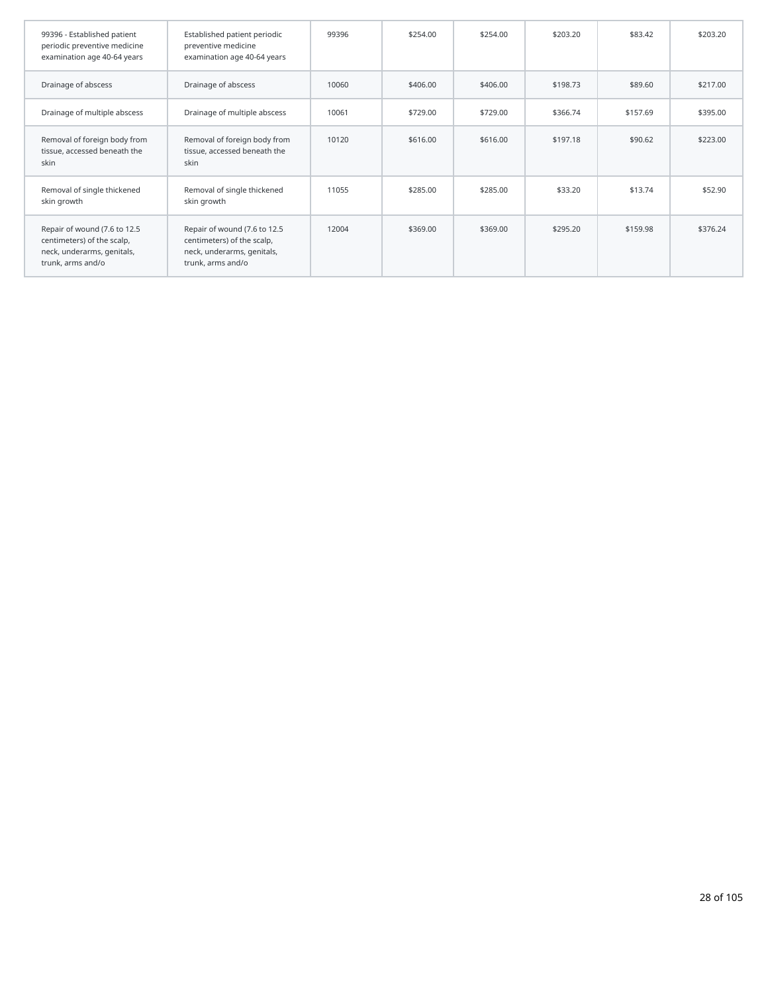| 99396 - Established patient<br>periodic preventive medicine<br>examination age 40-64 years                    | Established patient periodic<br>preventive medicine<br>examination age 40-64 years                            | 99396 | \$254.00 | \$254.00 | \$203.20 | \$83.42  | \$203.20 |
|---------------------------------------------------------------------------------------------------------------|---------------------------------------------------------------------------------------------------------------|-------|----------|----------|----------|----------|----------|
| Drainage of abscess                                                                                           | Drainage of abscess                                                                                           | 10060 | \$406.00 | \$406.00 | \$198.73 | \$89.60  | \$217.00 |
| Drainage of multiple abscess                                                                                  | Drainage of multiple abscess                                                                                  | 10061 | \$729.00 | \$729.00 | \$366.74 | \$157.69 | \$395.00 |
| Removal of foreign body from<br>tissue, accessed beneath the<br>skin                                          | Removal of foreign body from<br>tissue, accessed beneath the<br>skin                                          | 10120 | \$616.00 | \$616.00 | \$197.18 | \$90.62  | \$223.00 |
| Removal of single thickened<br>skin growth                                                                    | Removal of single thickened<br>skin growth                                                                    | 11055 | \$285.00 | \$285.00 | \$33.20  | \$13.74  | \$52.90  |
| Repair of wound (7.6 to 12.5<br>centimeters) of the scalp,<br>neck, underarms, genitals,<br>trunk, arms and/o | Repair of wound (7.6 to 12.5<br>centimeters) of the scalp,<br>neck, underarms, genitals,<br>trunk, arms and/o | 12004 | \$369.00 | \$369.00 | \$295.20 | \$159.98 | \$376.24 |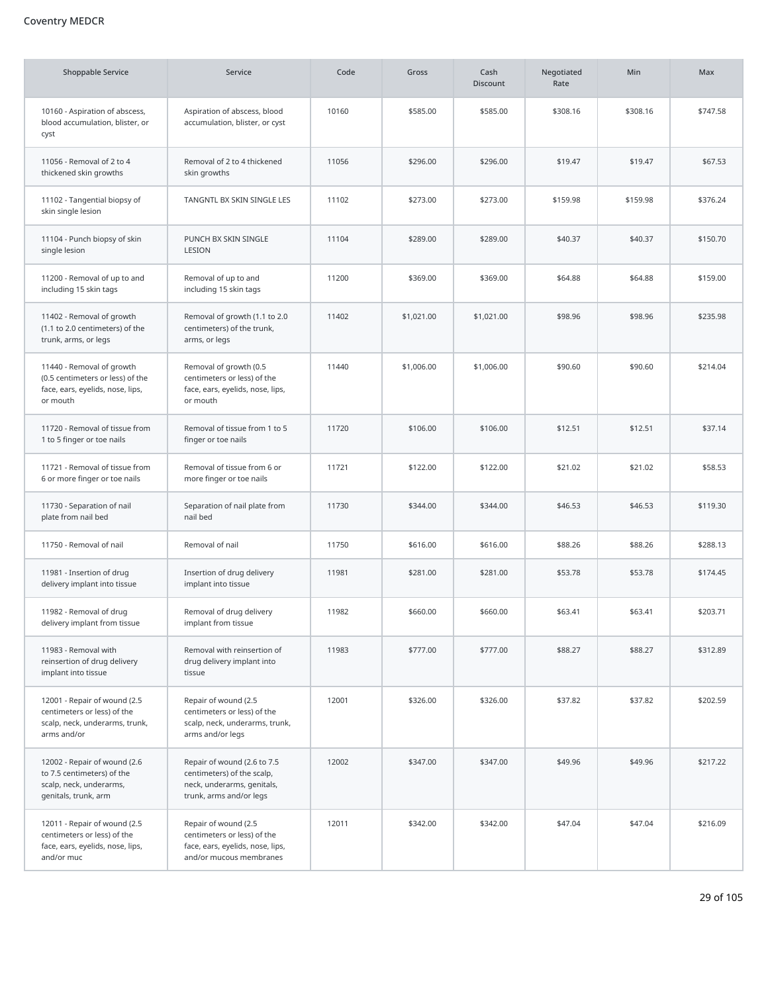# Coventry MEDCR

| <b>Shoppable Service</b>                                                                                      | Service                                                                                                            | Code  | Gross      | Cash<br><b>Discount</b> | Negotiated<br>Rate | Min      | Max      |
|---------------------------------------------------------------------------------------------------------------|--------------------------------------------------------------------------------------------------------------------|-------|------------|-------------------------|--------------------|----------|----------|
| 10160 - Aspiration of abscess,<br>blood accumulation, blister, or<br>cyst                                     | Aspiration of abscess, blood<br>accumulation, blister, or cyst                                                     | 10160 | \$585.00   | \$585.00                | \$308.16           | \$308.16 | \$747.58 |
| 11056 - Removal of 2 to 4<br>thickened skin growths                                                           | Removal of 2 to 4 thickened<br>skin growths                                                                        | 11056 | \$296.00   | \$296.00                | \$19.47            | \$19.47  | \$67.53  |
| 11102 - Tangential biopsy of<br>skin single lesion                                                            | TANGNTL BX SKIN SINGLE LES                                                                                         | 11102 | \$273.00   | \$273.00                | \$159.98           | \$159.98 | \$376.24 |
| 11104 - Punch biopsy of skin<br>single lesion                                                                 | PUNCH BX SKIN SINGLE<br>LESION                                                                                     | 11104 | \$289.00   | \$289.00                | \$40.37            | \$40.37  | \$150.70 |
| 11200 - Removal of up to and<br>including 15 skin tags                                                        | Removal of up to and<br>including 15 skin tags                                                                     | 11200 | \$369.00   | \$369.00                | \$64.88            | \$64.88  | \$159.00 |
| 11402 - Removal of growth<br>(1.1 to 2.0 centimeters) of the<br>trunk, arms, or legs                          | Removal of growth (1.1 to 2.0<br>centimeters) of the trunk,<br>arms, or legs                                       | 11402 | \$1,021.00 | \$1,021.00              | \$98.96            | \$98.96  | \$235.98 |
| 11440 - Removal of growth<br>(0.5 centimeters or less) of the<br>face, ears, eyelids, nose, lips,<br>or mouth | Removal of growth (0.5<br>centimeters or less) of the<br>face, ears, eyelids, nose, lips,<br>or mouth              | 11440 | \$1,006.00 | \$1,006.00              | \$90.60            | \$90.60  | \$214.04 |
| 11720 - Removal of tissue from<br>1 to 5 finger or toe nails                                                  | Removal of tissue from 1 to 5<br>finger or toe nails                                                               | 11720 | \$106.00   | \$106.00                | \$12.51            | \$12.51  | \$37.14  |
| 11721 - Removal of tissue from<br>6 or more finger or toe nails                                               | Removal of tissue from 6 or<br>more finger or toe nails                                                            | 11721 | \$122.00   | \$122.00                | \$21.02            | \$21.02  | \$58.53  |
| 11730 - Separation of nail<br>plate from nail bed                                                             | Separation of nail plate from<br>nail bed                                                                          | 11730 | \$344.00   | \$344.00                | \$46.53            | \$46.53  | \$119.30 |
| 11750 - Removal of nail                                                                                       | Removal of nail                                                                                                    | 11750 | \$616.00   | \$616.00                | \$88.26            | \$88.26  | \$288.13 |
| 11981 - Insertion of drug<br>delivery implant into tissue                                                     | Insertion of drug delivery<br>implant into tissue                                                                  | 11981 | \$281.00   | \$281.00                | \$53.78            | \$53.78  | \$174.45 |
| 11982 - Removal of drug<br>delivery implant from tissue                                                       | Removal of drug delivery<br>implant from tissue                                                                    | 11982 | \$660.00   | \$660.00                | \$63.41            | \$63.41  | \$203.71 |
| 11983 - Removal with<br>reinsertion of drug delivery<br>implant into tissue                                   | Removal with reinsertion of<br>drug delivery implant into<br>tissue                                                | 11983 | \$777.00   | \$777.00                | \$88.27            | \$88.27  | \$312.89 |
| 12001 - Repair of wound (2.5<br>centimeters or less) of the<br>scalp, neck, underarms, trunk,<br>arms and/or  | Repair of wound (2.5<br>centimeters or less) of the<br>scalp, neck, underarms, trunk,<br>arms and/or legs          | 12001 | \$326.00   | \$326.00                | \$37.82            | \$37.82  | \$202.59 |
| 12002 - Repair of wound (2.6<br>to 7.5 centimeters) of the<br>scalp, neck, underarms,<br>genitals, trunk, arm | Repair of wound (2.6 to 7.5<br>centimeters) of the scalp,<br>neck, underarms, genitals,<br>trunk, arms and/or legs | 12002 | \$347.00   | \$347.00                | \$49.96            | \$49.96  | \$217.22 |
| 12011 - Repair of wound (2.5<br>centimeters or less) of the<br>face, ears, eyelids, nose, lips,<br>and/or muc | Repair of wound (2.5<br>centimeters or less) of the<br>face, ears, eyelids, nose, lips,<br>and/or mucous membranes | 12011 | \$342.00   | \$342.00                | \$47.04            | \$47.04  | \$216.09 |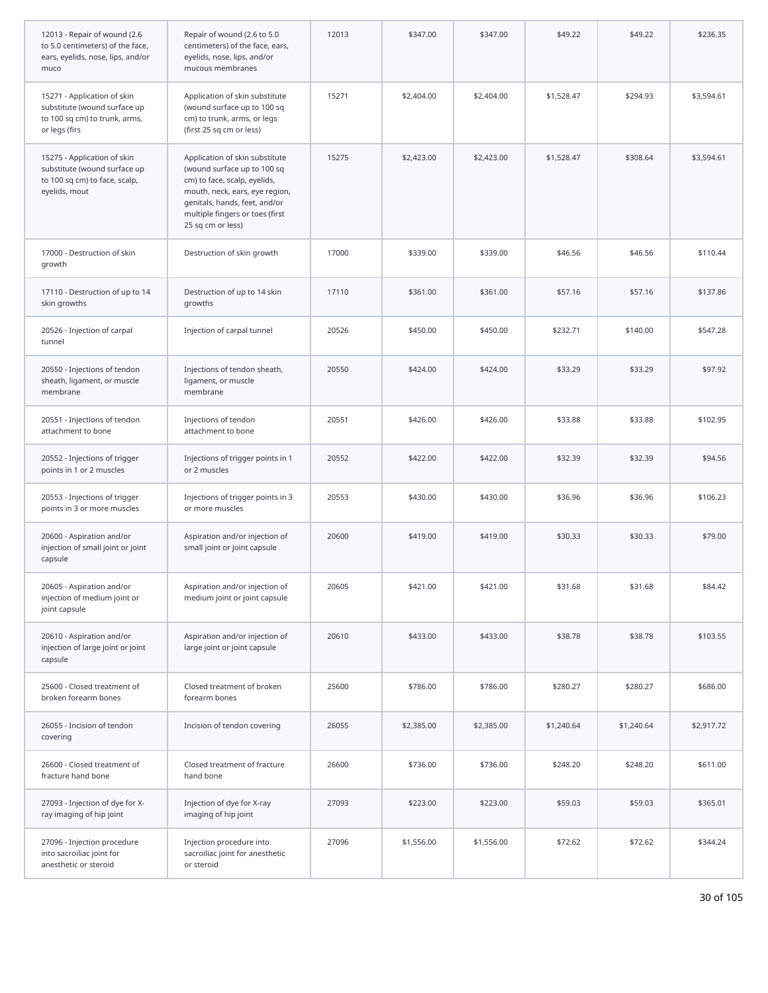| 12013 - Repair of wound (2.6<br>to 5.0 centimeters) of the face,<br>ears, eyelids, nose, lips, and/or<br>muco | Repair of wound (2.6 to 5.0<br>centimeters) of the face, ears,<br>eyelids, nose, lips, and/or<br>mucous membranes                                                                                                        | 12013 | \$347.00   | \$347.00   | \$49.22    | \$49.22    | \$236.35   |
|---------------------------------------------------------------------------------------------------------------|--------------------------------------------------------------------------------------------------------------------------------------------------------------------------------------------------------------------------|-------|------------|------------|------------|------------|------------|
| 15271 - Application of skin<br>substitute (wound surface up<br>to 100 sq cm) to trunk, arms,<br>or legs (firs | Application of skin substitute<br>(wound surface up to 100 sq<br>cm) to trunk, arms, or legs<br>(first 25 sq cm or less)                                                                                                 | 15271 | \$2,404.00 | \$2,404.00 | \$1,528.47 | \$294.93   | \$3,594.61 |
| 15275 - Application of skin<br>substitute (wound surface up<br>to 100 sq cm) to face, scalp,<br>eyelids, mout | Application of skin substitute<br>(wound surface up to 100 sq<br>cm) to face, scalp, eyelids,<br>mouth, neck, ears, eye region,<br>genitals, hands, feet, and/or<br>multiple fingers or toes (first<br>25 sq cm or less) | 15275 | \$2,423.00 | \$2,423.00 | \$1,528.47 | \$308.64   | \$3,594.61 |
| 17000 - Destruction of skin<br>growth                                                                         | Destruction of skin growth                                                                                                                                                                                               | 17000 | \$339.00   | \$339.00   | \$46.56    | \$46.56    | \$110.44   |
| 17110 - Destruction of up to 14<br>skin growths                                                               | Destruction of up to 14 skin<br>growths                                                                                                                                                                                  | 17110 | \$361.00   | \$361.00   | \$57.16    | \$57.16    | \$137.86   |
| 20526 - Injection of carpal<br>tunnel                                                                         | Injection of carpal tunnel                                                                                                                                                                                               | 20526 | \$450.00   | \$450.00   | \$232.71   | \$140.00   | \$547.28   |
| 20550 - Injections of tendon<br>sheath, ligament, or muscle<br>membrane                                       | Injections of tendon sheath,<br>ligament, or muscle<br>membrane                                                                                                                                                          | 20550 | \$424.00   | \$424.00   | \$33.29    | \$33.29    | \$97.92    |
| 20551 - Injections of tendon<br>attachment to bone                                                            | Injections of tendon<br>attachment to bone                                                                                                                                                                               | 20551 | \$426.00   | \$426.00   | \$33.88    | \$33.88    | \$102.95   |
| 20552 - Injections of trigger<br>points in 1 or 2 muscles                                                     | Injections of trigger points in 1<br>or 2 muscles                                                                                                                                                                        | 20552 | \$422.00   | \$422.00   | \$32.39    | \$32.39    | \$94.56    |
| 20553 - Injections of trigger<br>points in 3 or more muscles                                                  | Injections of trigger points in 3<br>or more muscles                                                                                                                                                                     | 20553 | \$430.00   | \$430.00   | \$36.96    | \$36.96    | \$106.23   |
| 20600 - Aspiration and/or<br>injection of small joint or joint<br>capsule                                     | Aspiration and/or injection of<br>small joint or joint capsule                                                                                                                                                           | 20600 | \$419.00   | \$419.00   | \$30.33    | \$30.33    | \$79.00    |
| 20605 - Aspiration and/or<br>injection of medium joint or<br>joint capsule                                    | Aspiration and/or injection of<br>medium joint or joint capsule                                                                                                                                                          | 20605 | \$421.00   | \$421.00   | \$31.68    | \$31.68    | \$84.42    |
| 20610 - Aspiration and/or<br>injection of large joint or joint<br>capsule                                     | Aspiration and/or injection of<br>large joint or joint capsule                                                                                                                                                           | 20610 | \$433.00   | \$433.00   | \$38.78    | \$38.78    | \$103.55   |
| 25600 - Closed treatment of<br>broken forearm bones                                                           | Closed treatment of broken<br>forearm bones                                                                                                                                                                              | 25600 | \$786.00   | \$786.00   | \$280.27   | \$280.27   | \$686.00   |
| 26055 - Incision of tendon<br>covering                                                                        | Incision of tendon covering                                                                                                                                                                                              | 26055 | \$2,385.00 | \$2,385.00 | \$1,240.64 | \$1,240.64 | \$2,917.72 |
| 26600 - Closed treatment of<br>fracture hand bone                                                             | Closed treatment of fracture<br>hand bone                                                                                                                                                                                | 26600 | \$736.00   | \$736.00   | \$248.20   | \$248.20   | \$611.00   |
| 27093 - Injection of dye for X-<br>ray imaging of hip joint                                                   | Injection of dye for X-ray<br>imaging of hip joint                                                                                                                                                                       | 27093 | \$223.00   | \$223.00   | \$59.03    | \$59.03    | \$365.01   |
| 27096 - Injection procedure<br>into sacroiliac joint for<br>anesthetic or steroid                             | Injection procedure into<br>sacroiliac joint for anesthetic<br>or steroid                                                                                                                                                | 27096 | \$1,556.00 | \$1,556.00 | \$72.62    | \$72.62    | \$344.24   |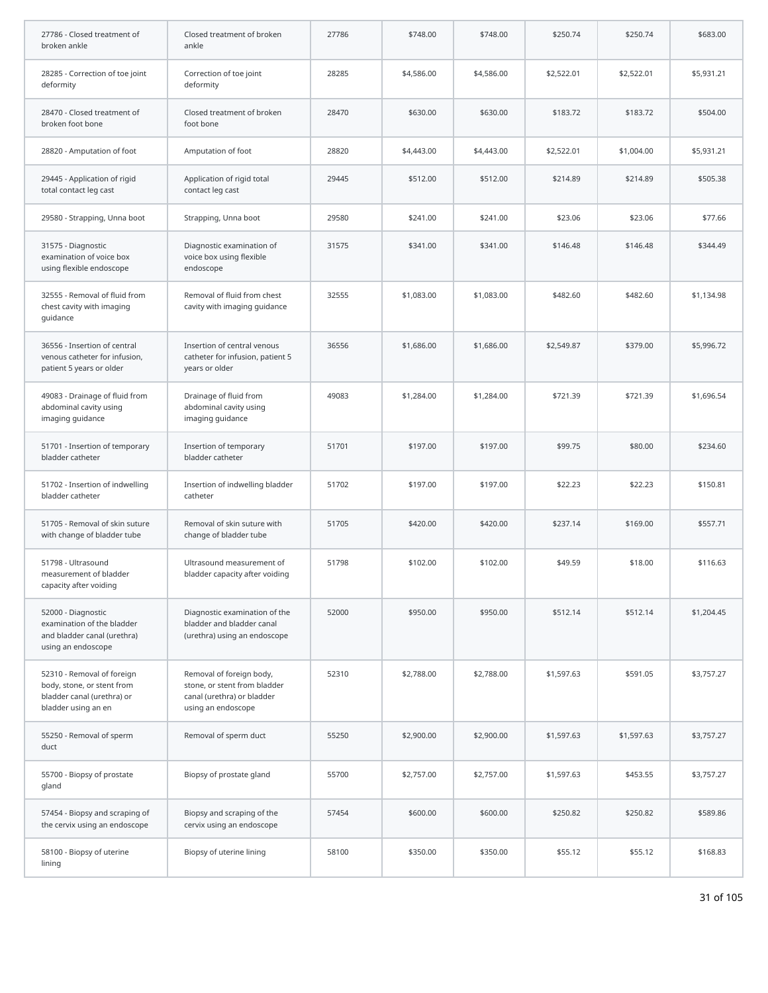| 27786 - Closed treatment of<br>broken ankle                                                                   | Closed treatment of broken<br>ankle                                                                          | 27786 | \$748.00   | \$748.00   | \$250.74   | \$250.74   | \$683.00   |
|---------------------------------------------------------------------------------------------------------------|--------------------------------------------------------------------------------------------------------------|-------|------------|------------|------------|------------|------------|
| 28285 - Correction of toe joint<br>deformity                                                                  | Correction of toe joint<br>deformity                                                                         | 28285 | \$4,586.00 | \$4,586.00 | \$2,522.01 | \$2,522.01 | \$5,931.21 |
| 28470 - Closed treatment of<br>broken foot bone                                                               | Closed treatment of broken<br>foot bone                                                                      | 28470 | \$630.00   | \$630.00   | \$183.72   | \$183.72   | \$504.00   |
| 28820 - Amputation of foot                                                                                    | Amputation of foot                                                                                           | 28820 | \$4,443.00 | \$4,443.00 | \$2,522.01 | \$1,004.00 | \$5,931.21 |
| 29445 - Application of rigid<br>total contact leg cast                                                        | Application of rigid total<br>contact leg cast                                                               | 29445 | \$512.00   | \$512.00   | \$214.89   | \$214.89   | \$505.38   |
| 29580 - Strapping, Unna boot                                                                                  | Strapping, Unna boot                                                                                         | 29580 | \$241.00   | \$241.00   | \$23.06    | \$23.06    | \$77.66    |
| 31575 - Diagnostic<br>examination of voice box<br>using flexible endoscope                                    | Diagnostic examination of<br>voice box using flexible<br>endoscope                                           | 31575 | \$341.00   | \$341.00   | \$146.48   | \$146.48   | \$344.49   |
| 32555 - Removal of fluid from<br>chest cavity with imaging<br>guidance                                        | Removal of fluid from chest<br>cavity with imaging guidance                                                  | 32555 | \$1,083.00 | \$1,083.00 | \$482.60   | \$482.60   | \$1,134.98 |
| 36556 - Insertion of central<br>venous catheter for infusion,<br>patient 5 years or older                     | Insertion of central venous<br>catheter for infusion, patient 5<br>years or older                            | 36556 | \$1,686.00 | \$1,686.00 | \$2,549.87 | \$379.00   | \$5,996.72 |
| 49083 - Drainage of fluid from<br>abdominal cavity using<br>imaging guidance                                  | Drainage of fluid from<br>abdominal cavity using<br>imaging guidance                                         | 49083 | \$1,284.00 | \$1,284.00 | \$721.39   | \$721.39   | \$1,696.54 |
| 51701 - Insertion of temporary<br>bladder catheter                                                            | Insertion of temporary<br>bladder catheter                                                                   | 51701 | \$197.00   | \$197.00   | \$99.75    | \$80.00    | \$234.60   |
| 51702 - Insertion of indwelling<br>bladder catheter                                                           | Insertion of indwelling bladder<br>catheter                                                                  | 51702 | \$197.00   | \$197.00   | \$22.23    | \$22.23    | \$150.81   |
| 51705 - Removal of skin suture<br>with change of bladder tube                                                 | Removal of skin suture with<br>change of bladder tube                                                        | 51705 | \$420.00   | \$420.00   | \$237.14   | \$169.00   | \$557.71   |
| 51798 - Ultrasound<br>measurement of bladder<br>capacity after voiding                                        | Ultrasound measurement of<br>bladder capacity after voiding                                                  | 51798 | \$102.00   | \$102.00   | \$49.59    | \$18.00    | \$116.63   |
| 52000 - Diagnostic<br>examination of the bladder<br>and bladder canal (urethra)<br>using an endoscope         | Diagnostic examination of the<br>bladder and bladder canal<br>(urethra) using an endoscope                   | 52000 | \$950.00   | \$950.00   | \$512.14   | \$512.14   | \$1,204.45 |
| 52310 - Removal of foreign<br>body, stone, or stent from<br>bladder canal (urethra) or<br>bladder using an en | Removal of foreign body,<br>stone, or stent from bladder<br>canal (urethra) or bladder<br>using an endoscope | 52310 | \$2,788.00 | \$2,788.00 | \$1,597.63 | \$591.05   | \$3,757.27 |
| 55250 - Removal of sperm<br>duct                                                                              | Removal of sperm duct                                                                                        | 55250 | \$2,900.00 | \$2,900.00 | \$1,597.63 | \$1,597.63 | \$3,757.27 |
| 55700 - Biopsy of prostate<br>gland                                                                           | Biopsy of prostate gland                                                                                     | 55700 | \$2,757.00 | \$2,757.00 | \$1,597.63 | \$453.55   | \$3,757.27 |
| 57454 - Biopsy and scraping of<br>the cervix using an endoscope                                               | Biopsy and scraping of the<br>cervix using an endoscope                                                      | 57454 | \$600.00   | \$600.00   | \$250.82   | \$250.82   | \$589.86   |
| 58100 - Biopsy of uterine<br>lining                                                                           | Biopsy of uterine lining                                                                                     | 58100 | \$350.00   | \$350.00   | \$55.12    | \$55.12    | \$168.83   |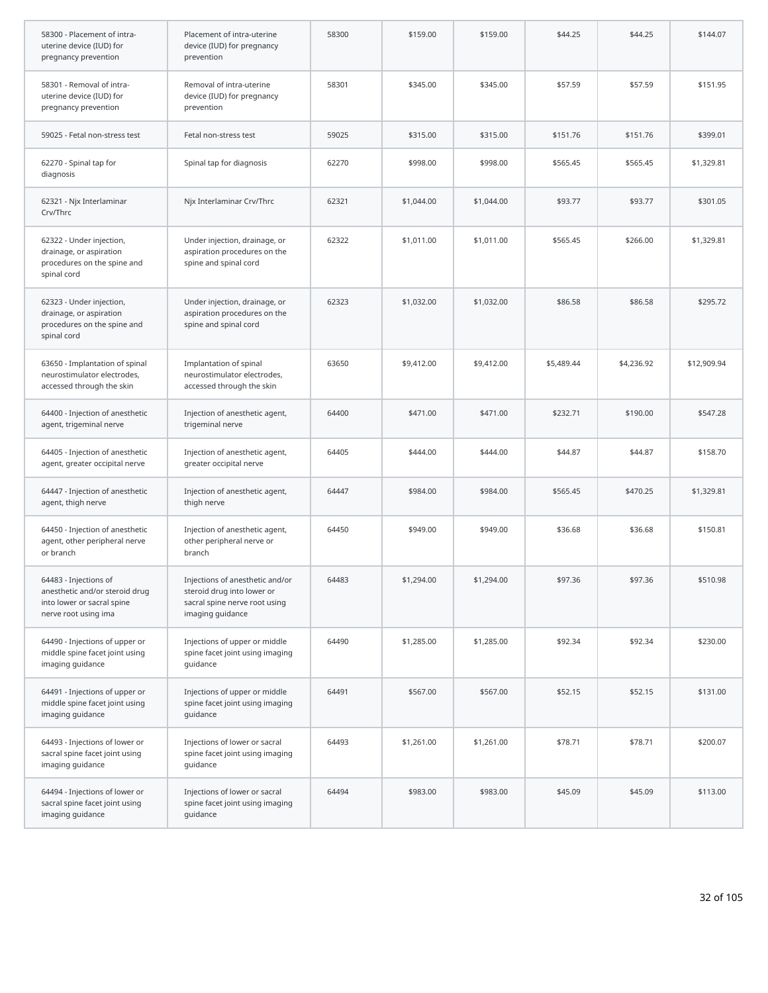| 58300 - Placement of intra-<br>uterine device (IUD) for<br>pregnancy prevention                               | Placement of intra-uterine<br>device (IUD) for pregnancy<br>prevention                                             | 58300 | \$159.00   | \$159.00   | \$44.25    | \$44.25    | \$144.07    |
|---------------------------------------------------------------------------------------------------------------|--------------------------------------------------------------------------------------------------------------------|-------|------------|------------|------------|------------|-------------|
| 58301 - Removal of intra-<br>uterine device (IUD) for<br>pregnancy prevention                                 | Removal of intra-uterine<br>device (IUD) for pregnancy<br>prevention                                               | 58301 | \$345.00   | \$345.00   | \$57.59    | \$57.59    | \$151.95    |
| 59025 - Fetal non-stress test                                                                                 | Fetal non-stress test                                                                                              | 59025 | \$315.00   | \$315.00   | \$151.76   | \$151.76   | \$399.01    |
| 62270 - Spinal tap for<br>diagnosis                                                                           | Spinal tap for diagnosis                                                                                           | 62270 | \$998.00   | \$998.00   | \$565.45   | \$565.45   | \$1,329.81  |
| 62321 - Njx Interlaminar<br>Crv/Thrc                                                                          | Njx Interlaminar Crv/Thrc                                                                                          | 62321 | \$1,044.00 | \$1,044.00 | \$93.77    | \$93.77    | \$301.05    |
| 62322 - Under injection,<br>drainage, or aspiration<br>procedures on the spine and<br>spinal cord             | Under injection, drainage, or<br>aspiration procedures on the<br>spine and spinal cord                             | 62322 | \$1,011.00 | \$1,011.00 | \$565.45   | \$266.00   | \$1,329.81  |
| 62323 - Under injection,<br>drainage, or aspiration<br>procedures on the spine and<br>spinal cord             | Under injection, drainage, or<br>aspiration procedures on the<br>spine and spinal cord                             | 62323 | \$1,032.00 | \$1,032.00 | \$86.58    | \$86.58    | \$295.72    |
| 63650 - Implantation of spinal<br>neurostimulator electrodes,<br>accessed through the skin                    | Implantation of spinal<br>neurostimulator electrodes,<br>accessed through the skin                                 | 63650 | \$9,412.00 | \$9,412.00 | \$5,489.44 | \$4,236.92 | \$12,909.94 |
| 64400 - Injection of anesthetic<br>agent, trigeminal nerve                                                    | Injection of anesthetic agent,<br>trigeminal nerve                                                                 | 64400 | \$471.00   | \$471.00   | \$232.71   | \$190.00   | \$547.28    |
| 64405 - Injection of anesthetic<br>agent, greater occipital nerve                                             | Injection of anesthetic agent,<br>greater occipital nerve                                                          | 64405 | \$444.00   | \$444.00   | \$44.87    | \$44.87    | \$158.70    |
| 64447 - Injection of anesthetic<br>agent, thigh nerve                                                         | Injection of anesthetic agent,<br>thigh nerve                                                                      | 64447 | \$984.00   | \$984.00   | \$565.45   | \$470.25   | \$1,329.81  |
| 64450 - Injection of anesthetic<br>agent, other peripheral nerve<br>or branch                                 | Injection of anesthetic agent,<br>other peripheral nerve or<br>branch                                              | 64450 | \$949.00   | \$949.00   | \$36.68    | \$36.68    | \$150.81    |
| 64483 - Injections of<br>anesthetic and/or steroid drug<br>into lower or sacral spine<br>nerve root using ima | Injections of anesthetic and/or<br>steroid drug into lower or<br>sacral spine nerve root using<br>imaging guidance | 64483 | \$1,294.00 | \$1,294.00 | \$97.36    | \$97.36    | \$510.98    |
| 64490 - Injections of upper or<br>middle spine facet joint using<br>imaging guidance                          | Injections of upper or middle<br>spine facet joint using imaging<br>guidance                                       | 64490 | \$1,285.00 | \$1,285.00 | \$92.34    | \$92.34    | \$230.00    |
| 64491 - Injections of upper or<br>middle spine facet joint using<br>imaging guidance                          | Injections of upper or middle<br>spine facet joint using imaging<br>quidance                                       | 64491 | \$567.00   | \$567.00   | \$52.15    | \$52.15    | \$131.00    |
| 64493 - Injections of lower or<br>sacral spine facet joint using<br>imaging guidance                          | Injections of lower or sacral<br>spine facet joint using imaging<br>guidance                                       | 64493 | \$1,261.00 | \$1,261.00 | \$78.71    | \$78.71    | \$200.07    |
| 64494 - Injections of lower or<br>sacral spine facet joint using<br>imaging guidance                          | Injections of lower or sacral<br>spine facet joint using imaging<br>guidance                                       | 64494 | \$983.00   | \$983.00   | \$45.09    | \$45.09    | \$113.00    |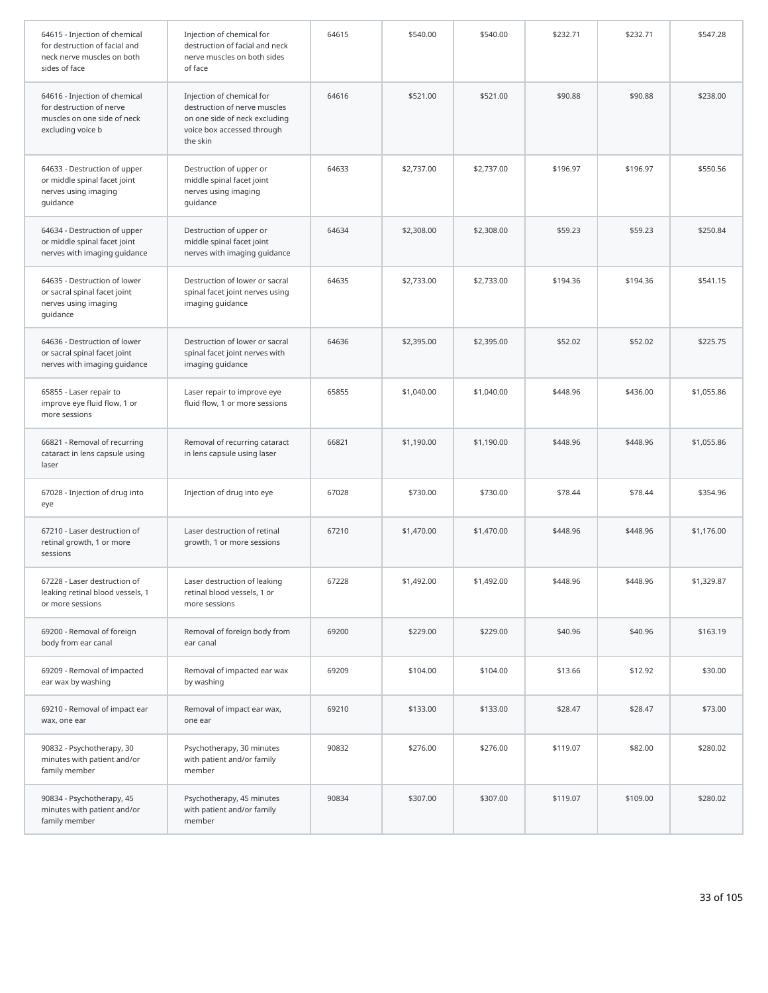| 64615 - Injection of chemical<br>for destruction of facial and<br>neck nerve muscles on both<br>sides of face | Injection of chemical for<br>destruction of facial and neck<br>nerve muscles on both sides<br>of face                                | 64615 | \$540.00   | \$540.00   | \$232.71 | \$232.71 | \$547.28   |
|---------------------------------------------------------------------------------------------------------------|--------------------------------------------------------------------------------------------------------------------------------------|-------|------------|------------|----------|----------|------------|
| 64616 - Injection of chemical<br>for destruction of nerve<br>muscles on one side of neck<br>excluding voice b | Injection of chemical for<br>destruction of nerve muscles<br>on one side of neck excluding<br>voice box accessed through<br>the skin | 64616 | \$521.00   | \$521.00   | \$90.88  | \$90.88  | \$238.00   |
| 64633 - Destruction of upper<br>or middle spinal facet joint<br>nerves using imaging<br>guidance              | Destruction of upper or<br>middle spinal facet joint<br>nerves using imaging<br>guidance                                             | 64633 | \$2,737.00 | \$2,737.00 | \$196.97 | \$196.97 | \$550.56   |
| 64634 - Destruction of upper<br>or middle spinal facet joint<br>nerves with imaging guidance                  | Destruction of upper or<br>middle spinal facet joint<br>nerves with imaging guidance                                                 | 64634 | \$2,308.00 | \$2,308.00 | \$59.23  | \$59.23  | \$250.84   |
| 64635 - Destruction of lower<br>or sacral spinal facet joint<br>nerves using imaging<br>guidance              | Destruction of lower or sacral<br>spinal facet joint nerves using<br>imaging guidance                                                | 64635 | \$2,733.00 | \$2,733.00 | \$194.36 | \$194.36 | \$541.15   |
| 64636 - Destruction of lower<br>or sacral spinal facet joint<br>nerves with imaging guidance                  | Destruction of lower or sacral<br>spinal facet joint nerves with<br>imaging guidance                                                 | 64636 | \$2,395.00 | \$2,395.00 | \$52.02  | \$52.02  | \$225.75   |
| 65855 - Laser repair to<br>improve eye fluid flow, 1 or<br>more sessions                                      | Laser repair to improve eye<br>fluid flow, 1 or more sessions                                                                        | 65855 | \$1,040.00 | \$1,040.00 | \$448.96 | \$436.00 | \$1,055.86 |
| 66821 - Removal of recurring<br>cataract in lens capsule using<br>laser                                       | Removal of recurring cataract<br>in lens capsule using laser                                                                         | 66821 | \$1,190.00 | \$1,190.00 | \$448.96 | \$448.96 | \$1,055.86 |
| 67028 - Injection of drug into<br>eye                                                                         | Injection of drug into eye                                                                                                           | 67028 | \$730.00   | \$730.00   | \$78.44  | \$78.44  | \$354.96   |
| 67210 - Laser destruction of<br>retinal growth, 1 or more<br>sessions                                         | Laser destruction of retinal<br>growth, 1 or more sessions                                                                           | 67210 | \$1,470.00 | \$1,470.00 | \$448.96 | \$448.96 | \$1,176.00 |
| 67228 - Laser destruction of<br>leaking retinal blood vessels, 1<br>or more sessions                          | Laser destruction of leaking<br>retinal blood vessels, 1 or<br>more sessions                                                         | 67228 | \$1,492.00 | \$1,492.00 | \$448.96 | \$448.96 | \$1,329.87 |
| 69200 - Removal of foreign<br>body from ear canal                                                             | Removal of foreign body from<br>ear canal                                                                                            | 69200 | \$229.00   | \$229.00   | \$40.96  | \$40.96  | \$163.19   |
| 69209 - Removal of impacted<br>ear wax by washing                                                             | Removal of impacted ear wax<br>by washing                                                                                            | 69209 | \$104.00   | \$104.00   | \$13.66  | \$12.92  | \$30.00    |
| 69210 - Removal of impact ear<br>wax, one ear                                                                 | Removal of impact ear wax,<br>one ear                                                                                                | 69210 | \$133.00   | \$133.00   | \$28.47  | \$28.47  | \$73.00    |
| 90832 - Psychotherapy, 30<br>minutes with patient and/or<br>family member                                     | Psychotherapy, 30 minutes<br>with patient and/or family<br>member                                                                    | 90832 | \$276.00   | \$276.00   | \$119.07 | \$82.00  | \$280.02   |
| 90834 - Psychotherapy, 45<br>minutes with patient and/or<br>family member                                     | Psychotherapy, 45 minutes<br>with patient and/or family<br>member                                                                    | 90834 | \$307.00   | \$307.00   | \$119.07 | \$109.00 | \$280.02   |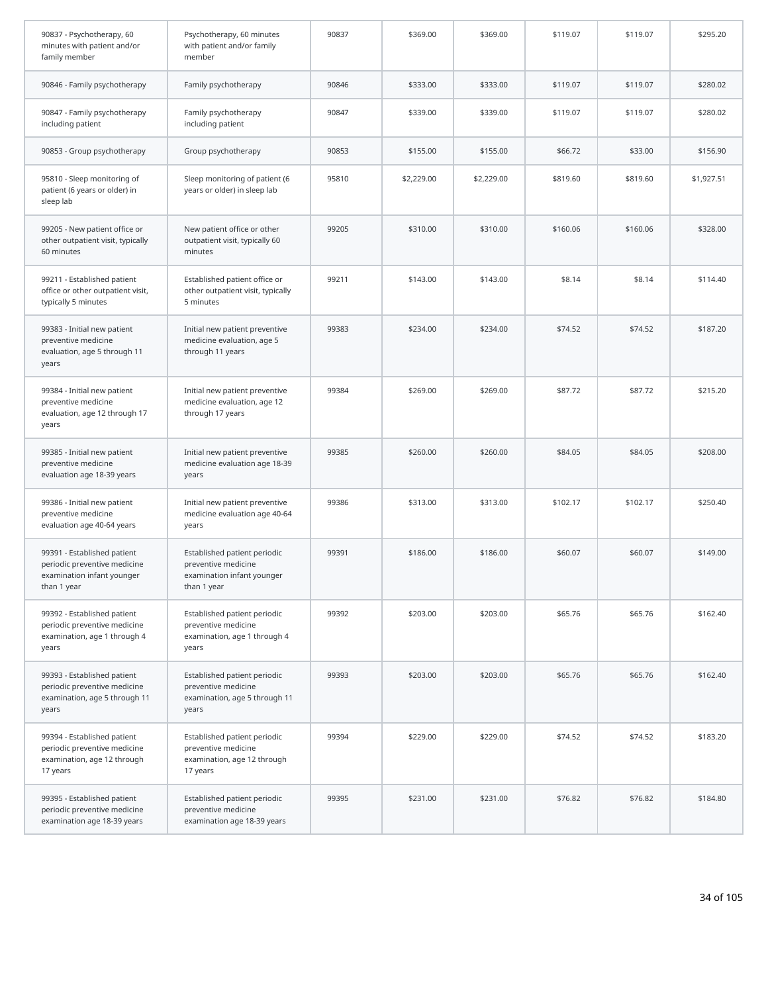| 90837 - Psychotherapy, 60<br>minutes with patient and/or<br>family member                                | Psychotherapy, 60 minutes<br>with patient and/or family<br>member                                | 90837 | \$369.00   | \$369.00   | \$119.07 | \$119.07 | \$295.20   |
|----------------------------------------------------------------------------------------------------------|--------------------------------------------------------------------------------------------------|-------|------------|------------|----------|----------|------------|
| 90846 - Family psychotherapy                                                                             | Family psychotherapy                                                                             | 90846 | \$333.00   | \$333.00   | \$119.07 | \$119.07 | \$280.02   |
| 90847 - Family psychotherapy<br>including patient                                                        | Family psychotherapy<br>including patient                                                        | 90847 | \$339.00   | \$339.00   | \$119.07 | \$119.07 | \$280.02   |
| 90853 - Group psychotherapy                                                                              | Group psychotherapy                                                                              | 90853 | \$155.00   | \$155.00   | \$66.72  | \$33.00  | \$156.90   |
| 95810 - Sleep monitoring of<br>patient (6 years or older) in<br>sleep lab                                | Sleep monitoring of patient (6<br>years or older) in sleep lab                                   | 95810 | \$2,229.00 | \$2,229.00 | \$819.60 | \$819.60 | \$1,927.51 |
| 99205 - New patient office or<br>other outpatient visit, typically<br>60 minutes                         | New patient office or other<br>outpatient visit, typically 60<br>minutes                         | 99205 | \$310.00   | \$310.00   | \$160.06 | \$160.06 | \$328.00   |
| 99211 - Established patient<br>office or other outpatient visit,<br>typically 5 minutes                  | Established patient office or<br>other outpatient visit, typically<br>5 minutes                  | 99211 | \$143.00   | \$143.00   | \$8.14   | \$8.14   | \$114.40   |
| 99383 - Initial new patient<br>preventive medicine<br>evaluation, age 5 through 11<br>years              | Initial new patient preventive<br>medicine evaluation, age 5<br>through 11 years                 | 99383 | \$234.00   | \$234.00   | \$74.52  | \$74.52  | \$187.20   |
| 99384 - Initial new patient<br>preventive medicine<br>evaluation, age 12 through 17<br>years             | Initial new patient preventive<br>medicine evaluation, age 12<br>through 17 years                | 99384 | \$269.00   | \$269.00   | \$87.72  | \$87.72  | \$215.20   |
| 99385 - Initial new patient<br>preventive medicine<br>evaluation age 18-39 years                         | Initial new patient preventive<br>medicine evaluation age 18-39<br>years                         | 99385 | \$260.00   | \$260.00   | \$84.05  | \$84.05  | \$208.00   |
| 99386 - Initial new patient<br>preventive medicine<br>evaluation age 40-64 years                         | Initial new patient preventive<br>medicine evaluation age 40-64<br>years                         | 99386 | \$313.00   | \$313.00   | \$102.17 | \$102.17 | \$250.40   |
| 99391 - Established patient<br>periodic preventive medicine<br>examination infant younger<br>than 1 year | Established patient periodic<br>preventive medicine<br>examination infant younger<br>than 1 year | 99391 | \$186.00   | \$186.00   | \$60.07  | \$60.07  | \$149.00   |
| 99392 - Established patient<br>periodic preventive medicine<br>examination, age 1 through 4<br>years     | Established patient periodic<br>preventive medicine<br>examination, age 1 through 4<br>years     | 99392 | \$203.00   | \$203.00   | \$65.76  | \$65.76  | \$162.40   |
| 99393 - Established patient<br>periodic preventive medicine<br>examination, age 5 through 11<br>years    | Established patient periodic<br>preventive medicine<br>examination, age 5 through 11<br>years    | 99393 | \$203.00   | \$203.00   | \$65.76  | \$65.76  | \$162.40   |
| 99394 - Established patient<br>periodic preventive medicine<br>examination, age 12 through<br>17 years   | Established patient periodic<br>preventive medicine<br>examination, age 12 through<br>17 years   | 99394 | \$229.00   | \$229.00   | \$74.52  | \$74.52  | \$183.20   |
| 99395 - Established patient<br>periodic preventive medicine<br>examination age 18-39 years               | Established patient periodic<br>preventive medicine<br>examination age 18-39 years               | 99395 | \$231.00   | \$231.00   | \$76.82  | \$76.82  | \$184.80   |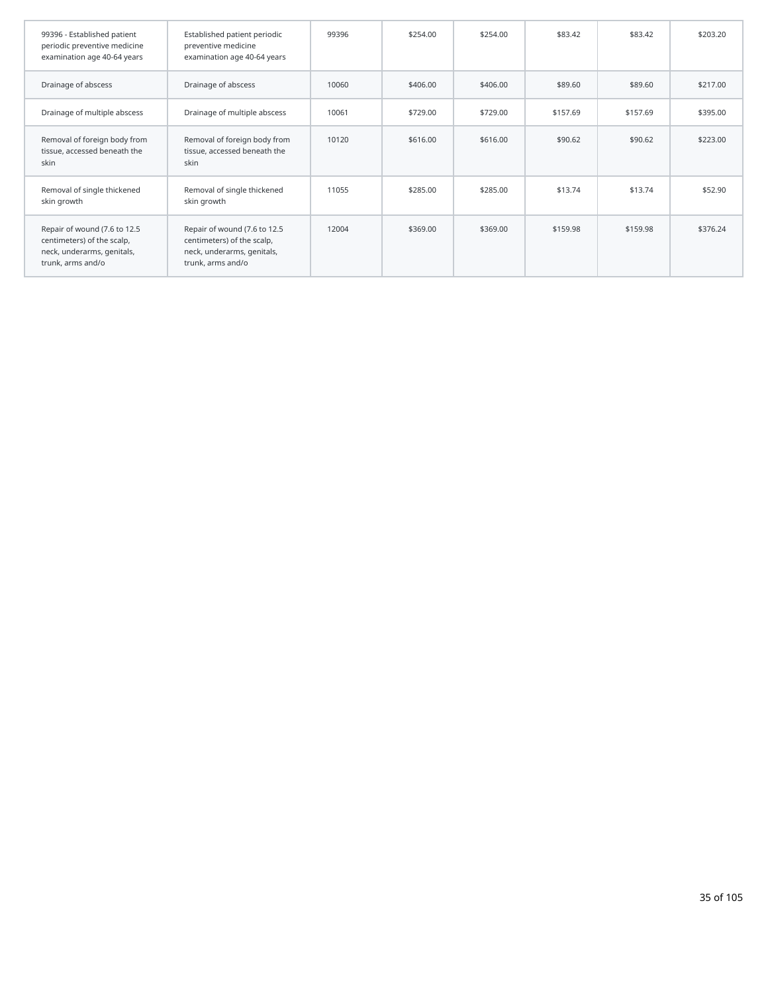| 99396 - Established patient<br>periodic preventive medicine<br>examination age 40-64 years                    | Established patient periodic<br>preventive medicine<br>examination age 40-64 years                            | 99396 | \$254.00 | \$254.00 | \$83.42  | \$83.42  | \$203.20 |
|---------------------------------------------------------------------------------------------------------------|---------------------------------------------------------------------------------------------------------------|-------|----------|----------|----------|----------|----------|
| Drainage of abscess                                                                                           | Drainage of abscess                                                                                           | 10060 | \$406.00 | \$406.00 | \$89.60  | \$89.60  | \$217.00 |
| Drainage of multiple abscess                                                                                  | Drainage of multiple abscess                                                                                  | 10061 | \$729.00 | \$729.00 | \$157.69 | \$157.69 | \$395.00 |
| Removal of foreign body from<br>tissue, accessed beneath the<br>skin                                          | Removal of foreign body from<br>tissue, accessed beneath the<br>skin                                          | 10120 | \$616.00 | \$616.00 | \$90.62  | \$90.62  | \$223.00 |
| Removal of single thickened<br>skin growth                                                                    | Removal of single thickened<br>skin growth                                                                    | 11055 | \$285.00 | \$285.00 | \$13.74  | \$13.74  | \$52.90  |
| Repair of wound (7.6 to 12.5<br>centimeters) of the scalp,<br>neck, underarms, genitals,<br>trunk, arms and/o | Repair of wound (7.6 to 12.5<br>centimeters) of the scalp,<br>neck, underarms, genitals,<br>trunk, arms and/o | 12004 | \$369.00 | \$369.00 | \$159.98 | \$159.98 | \$376.24 |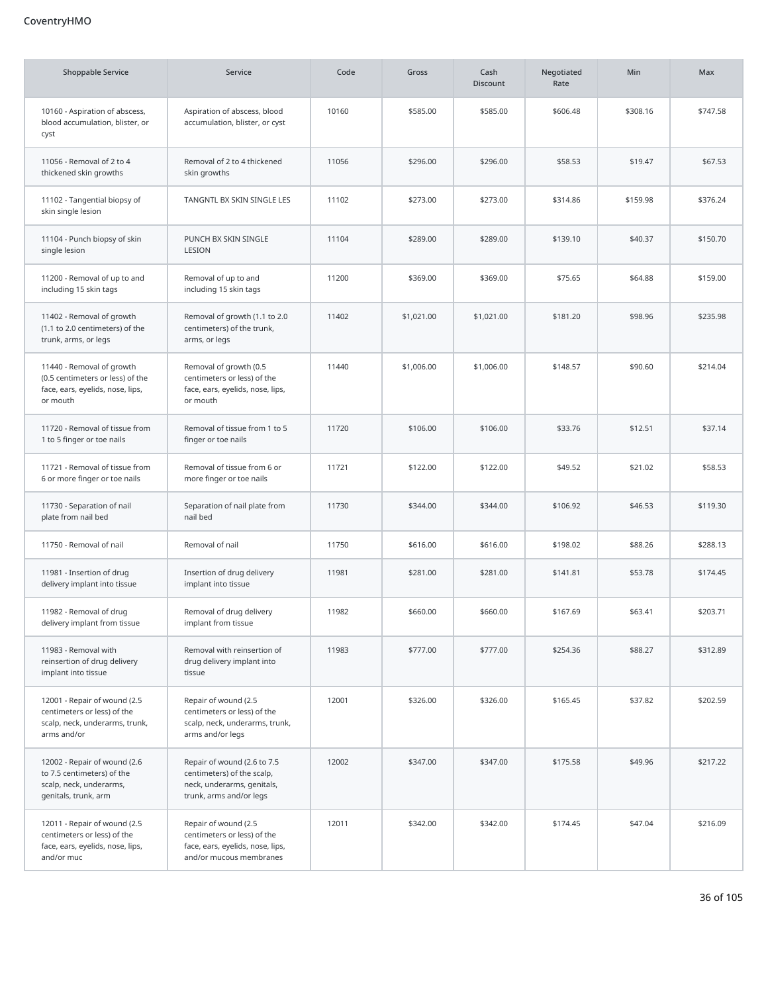# CoventryHMO

| <b>Shoppable Service</b>                                                                                      | Service                                                                                                            | Code  | Gross      | Cash<br><b>Discount</b> | Negotiated<br>Rate | Min      | Max      |
|---------------------------------------------------------------------------------------------------------------|--------------------------------------------------------------------------------------------------------------------|-------|------------|-------------------------|--------------------|----------|----------|
| 10160 - Aspiration of abscess,<br>blood accumulation, blister, or<br>cyst                                     | Aspiration of abscess, blood<br>accumulation, blister, or cyst                                                     | 10160 | \$585.00   | \$585.00                | \$606.48           | \$308.16 | \$747.58 |
| 11056 - Removal of 2 to 4<br>thickened skin growths                                                           | Removal of 2 to 4 thickened<br>skin growths                                                                        | 11056 | \$296.00   | \$296.00                | \$58.53            | \$19.47  | \$67.53  |
| 11102 - Tangential biopsy of<br>skin single lesion                                                            | TANGNTL BX SKIN SINGLE LES                                                                                         | 11102 | \$273.00   | \$273.00                | \$314.86           | \$159.98 | \$376.24 |
| 11104 - Punch biopsy of skin<br>single lesion                                                                 | PUNCH BX SKIN SINGLE<br>LESION                                                                                     | 11104 | \$289.00   | \$289.00                | \$139.10           | \$40.37  | \$150.70 |
| 11200 - Removal of up to and<br>including 15 skin tags                                                        | Removal of up to and<br>including 15 skin tags                                                                     | 11200 | \$369.00   | \$369.00                | \$75.65            | \$64.88  | \$159.00 |
| 11402 - Removal of growth<br>(1.1 to 2.0 centimeters) of the<br>trunk, arms, or legs                          | Removal of growth (1.1 to 2.0<br>centimeters) of the trunk,<br>arms, or legs                                       | 11402 | \$1,021.00 | \$1,021.00              | \$181.20           | \$98.96  | \$235.98 |
| 11440 - Removal of growth<br>(0.5 centimeters or less) of the<br>face, ears, eyelids, nose, lips,<br>or mouth | Removal of growth (0.5<br>centimeters or less) of the<br>face, ears, eyelids, nose, lips,<br>or mouth              | 11440 | \$1,006.00 | \$1,006.00              | \$148.57           | \$90.60  | \$214.04 |
| 11720 - Removal of tissue from<br>1 to 5 finger or toe nails                                                  | Removal of tissue from 1 to 5<br>finger or toe nails                                                               | 11720 | \$106.00   | \$106.00                | \$33.76            | \$12.51  | \$37.14  |
| 11721 - Removal of tissue from<br>6 or more finger or toe nails                                               | Removal of tissue from 6 or<br>more finger or toe nails                                                            | 11721 | \$122.00   | \$122.00                | \$49.52            | \$21.02  | \$58.53  |
| 11730 - Separation of nail<br>plate from nail bed                                                             | Separation of nail plate from<br>nail bed                                                                          | 11730 | \$344.00   | \$344.00                | \$106.92           | \$46.53  | \$119.30 |
| 11750 - Removal of nail                                                                                       | Removal of nail                                                                                                    | 11750 | \$616.00   | \$616.00                | \$198.02           | \$88.26  | \$288.13 |
| 11981 - Insertion of drug<br>delivery implant into tissue                                                     | Insertion of drug delivery<br>implant into tissue                                                                  | 11981 | \$281.00   | \$281.00                | \$141.81           | \$53.78  | \$174.45 |
| 11982 - Removal of drug<br>delivery implant from tissue                                                       | Removal of drug delivery<br>implant from tissue                                                                    | 11982 | \$660.00   | \$660.00                | \$167.69           | \$63.41  | \$203.71 |
| 11983 - Removal with<br>reinsertion of drug delivery<br>implant into tissue                                   | Removal with reinsertion of<br>drug delivery implant into<br>tissue                                                | 11983 | \$777.00   | \$777.00                | \$254.36           | \$88.27  | \$312.89 |
| 12001 - Repair of wound (2.5<br>centimeters or less) of the<br>scalp, neck, underarms, trunk,<br>arms and/or  | Repair of wound (2.5<br>centimeters or less) of the<br>scalp, neck, underarms, trunk,<br>arms and/or legs          | 12001 | \$326.00   | \$326.00                | \$165.45           | \$37.82  | \$202.59 |
| 12002 - Repair of wound (2.6<br>to 7.5 centimeters) of the<br>scalp, neck, underarms,<br>genitals, trunk, arm | Repair of wound (2.6 to 7.5<br>centimeters) of the scalp,<br>neck, underarms, genitals,<br>trunk, arms and/or legs | 12002 | \$347.00   | \$347.00                | \$175.58           | \$49.96  | \$217.22 |
| 12011 - Repair of wound (2.5<br>centimeters or less) of the<br>face, ears, eyelids, nose, lips,<br>and/or muc | Repair of wound (2.5<br>centimeters or less) of the<br>face, ears, eyelids, nose, lips,<br>and/or mucous membranes | 12011 | \$342.00   | \$342.00                | \$174.45           | \$47.04  | \$216.09 |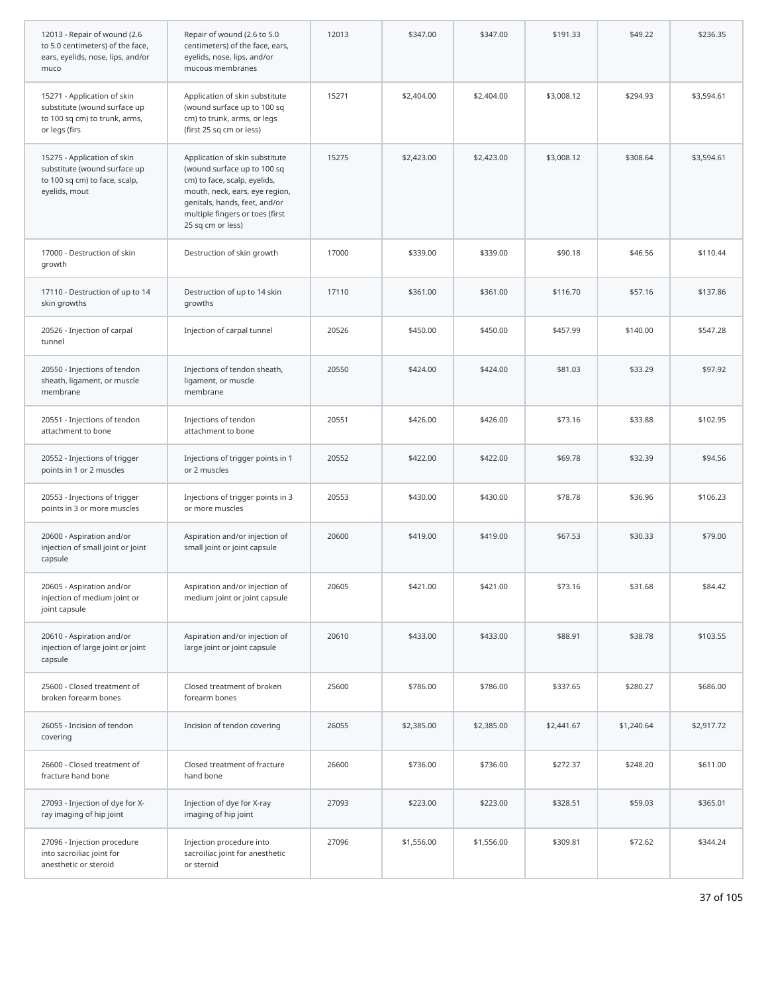| 12013 - Repair of wound (2.6<br>to 5.0 centimeters) of the face,<br>ears, eyelids, nose, lips, and/or<br>muco | Repair of wound (2.6 to 5.0<br>centimeters) of the face, ears,<br>eyelids, nose, lips, and/or<br>mucous membranes                                                                                                        | 12013 | \$347.00   | \$347.00   | \$191.33   | \$49.22    | \$236.35   |
|---------------------------------------------------------------------------------------------------------------|--------------------------------------------------------------------------------------------------------------------------------------------------------------------------------------------------------------------------|-------|------------|------------|------------|------------|------------|
| 15271 - Application of skin<br>substitute (wound surface up<br>to 100 sq cm) to trunk, arms,<br>or legs (firs | Application of skin substitute<br>(wound surface up to 100 sq<br>cm) to trunk, arms, or legs<br>(first 25 sq cm or less)                                                                                                 | 15271 | \$2,404.00 | \$2,404.00 | \$3,008.12 | \$294.93   | \$3,594.61 |
| 15275 - Application of skin<br>substitute (wound surface up<br>to 100 sq cm) to face, scalp,<br>eyelids, mout | Application of skin substitute<br>(wound surface up to 100 sq<br>cm) to face, scalp, eyelids,<br>mouth, neck, ears, eye region,<br>genitals, hands, feet, and/or<br>multiple fingers or toes (first<br>25 sq cm or less) | 15275 | \$2,423.00 | \$2,423.00 | \$3,008.12 | \$308.64   | \$3,594.61 |
| 17000 - Destruction of skin<br>growth                                                                         | Destruction of skin growth                                                                                                                                                                                               | 17000 | \$339.00   | \$339.00   | \$90.18    | \$46.56    | \$110.44   |
| 17110 - Destruction of up to 14<br>skin growths                                                               | Destruction of up to 14 skin<br>growths                                                                                                                                                                                  | 17110 | \$361.00   | \$361.00   | \$116.70   | \$57.16    | \$137.86   |
| 20526 - Injection of carpal<br>tunnel                                                                         | Injection of carpal tunnel                                                                                                                                                                                               | 20526 | \$450.00   | \$450.00   | \$457.99   | \$140.00   | \$547.28   |
| 20550 - Injections of tendon<br>sheath, ligament, or muscle<br>membrane                                       | Injections of tendon sheath,<br>ligament, or muscle<br>membrane                                                                                                                                                          | 20550 | \$424.00   | \$424.00   | \$81.03    | \$33.29    | \$97.92    |
| 20551 - Injections of tendon<br>attachment to bone                                                            | Injections of tendon<br>attachment to bone                                                                                                                                                                               | 20551 | \$426.00   | \$426.00   | \$73.16    | \$33.88    | \$102.95   |
| 20552 - Injections of trigger<br>points in 1 or 2 muscles                                                     | Injections of trigger points in 1<br>or 2 muscles                                                                                                                                                                        | 20552 | \$422.00   | \$422.00   | \$69.78    | \$32.39    | \$94.56    |
| 20553 - Injections of trigger<br>points in 3 or more muscles                                                  | Injections of trigger points in 3<br>or more muscles                                                                                                                                                                     | 20553 | \$430.00   | \$430.00   | \$78.78    | \$36.96    | \$106.23   |
| 20600 - Aspiration and/or<br>injection of small joint or joint<br>capsule                                     | Aspiration and/or injection of<br>small joint or joint capsule                                                                                                                                                           | 20600 | \$419.00   | \$419.00   | \$67.53    | \$30.33    | \$79.00    |
| 20605 - Aspiration and/or<br>injection of medium joint or<br>joint capsule                                    | Aspiration and/or injection of<br>medium joint or joint capsule                                                                                                                                                          | 20605 | \$421.00   | \$421.00   | \$73.16    | \$31.68    | \$84.42    |
| 20610 - Aspiration and/or<br>injection of large joint or joint<br>capsule                                     | Aspiration and/or injection of<br>large joint or joint capsule                                                                                                                                                           | 20610 | \$433.00   | \$433.00   | \$88.91    | \$38.78    | \$103.55   |
| 25600 - Closed treatment of<br>broken forearm bones                                                           | Closed treatment of broken<br>forearm bones                                                                                                                                                                              | 25600 | \$786.00   | \$786.00   | \$337.65   | \$280.27   | \$686.00   |
| 26055 - Incision of tendon<br>covering                                                                        | Incision of tendon covering                                                                                                                                                                                              | 26055 | \$2,385.00 | \$2,385.00 | \$2,441.67 | \$1,240.64 | \$2,917.72 |
| 26600 - Closed treatment of<br>fracture hand bone                                                             | Closed treatment of fracture<br>hand bone                                                                                                                                                                                | 26600 | \$736.00   | \$736.00   | \$272.37   | \$248.20   | \$611.00   |
| 27093 - Injection of dye for X-<br>ray imaging of hip joint                                                   | Injection of dye for X-ray<br>imaging of hip joint                                                                                                                                                                       | 27093 | \$223.00   | \$223.00   | \$328.51   | \$59.03    | \$365.01   |
| 27096 - Injection procedure<br>into sacroiliac joint for<br>anesthetic or steroid                             | Injection procedure into<br>sacroiliac joint for anesthetic<br>or steroid                                                                                                                                                | 27096 | \$1,556.00 | \$1,556.00 | \$309.81   | \$72.62    | \$344.24   |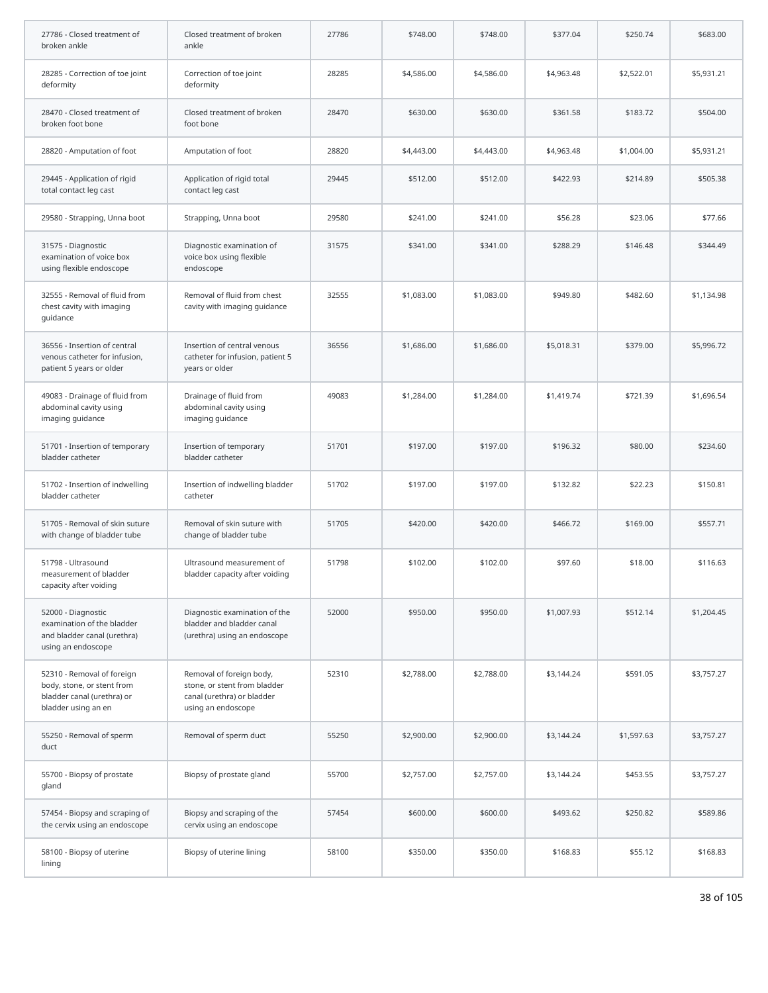| 27786 - Closed treatment of<br>broken ankle                                                                   | Closed treatment of broken<br>ankle                                                                          | 27786 | \$748.00   | \$748.00   | \$377.04   | \$250.74   | \$683.00   |
|---------------------------------------------------------------------------------------------------------------|--------------------------------------------------------------------------------------------------------------|-------|------------|------------|------------|------------|------------|
| 28285 - Correction of toe joint<br>deformity                                                                  | Correction of toe joint<br>deformity                                                                         | 28285 | \$4,586.00 | \$4,586.00 | \$4,963.48 | \$2,522.01 | \$5,931.21 |
| 28470 - Closed treatment of<br>broken foot bone                                                               | Closed treatment of broken<br>foot bone                                                                      | 28470 | \$630.00   | \$630.00   | \$361.58   | \$183.72   | \$504.00   |
| 28820 - Amputation of foot                                                                                    | Amputation of foot                                                                                           | 28820 | \$4,443.00 | \$4,443.00 | \$4,963.48 | \$1,004.00 | \$5,931.21 |
| 29445 - Application of rigid<br>total contact leg cast                                                        | Application of rigid total<br>contact leg cast                                                               | 29445 | \$512.00   | \$512.00   | \$422.93   | \$214.89   | \$505.38   |
| 29580 - Strapping, Unna boot                                                                                  | Strapping, Unna boot                                                                                         | 29580 | \$241.00   | \$241.00   | \$56.28    | \$23.06    | \$77.66    |
| 31575 - Diagnostic<br>examination of voice box<br>using flexible endoscope                                    | Diagnostic examination of<br>voice box using flexible<br>endoscope                                           | 31575 | \$341.00   | \$341.00   | \$288.29   | \$146.48   | \$344.49   |
| 32555 - Removal of fluid from<br>chest cavity with imaging<br>guidance                                        | Removal of fluid from chest<br>cavity with imaging guidance                                                  | 32555 | \$1,083.00 | \$1,083.00 | \$949.80   | \$482.60   | \$1,134.98 |
| 36556 - Insertion of central<br>venous catheter for infusion,<br>patient 5 years or older                     | Insertion of central venous<br>catheter for infusion, patient 5<br>years or older                            | 36556 | \$1,686.00 | \$1,686.00 | \$5,018.31 | \$379.00   | \$5,996.72 |
| 49083 - Drainage of fluid from<br>abdominal cavity using<br>imaging guidance                                  | Drainage of fluid from<br>abdominal cavity using<br>imaging guidance                                         | 49083 | \$1,284.00 | \$1,284.00 | \$1,419.74 | \$721.39   | \$1,696.54 |
| 51701 - Insertion of temporary<br>bladder catheter                                                            | Insertion of temporary<br>bladder catheter                                                                   | 51701 | \$197.00   | \$197.00   | \$196.32   | \$80.00    | \$234.60   |
| 51702 - Insertion of indwelling<br>bladder catheter                                                           | Insertion of indwelling bladder<br>catheter                                                                  | 51702 | \$197.00   | \$197.00   | \$132.82   | \$22.23    | \$150.81   |
| 51705 - Removal of skin suture<br>with change of bladder tube                                                 | Removal of skin suture with<br>change of bladder tube                                                        | 51705 | \$420.00   | \$420.00   | \$466.72   | \$169.00   | \$557.71   |
| 51798 - Ultrasound<br>measurement of bladder<br>capacity after voiding                                        | Ultrasound measurement of<br>bladder capacity after voiding                                                  | 51798 | \$102.00   | \$102.00   | \$97.60    | \$18.00    | \$116.63   |
| 52000 - Diagnostic<br>examination of the bladder<br>and bladder canal (urethra)<br>using an endoscope         | Diagnostic examination of the<br>bladder and bladder canal<br>(urethra) using an endoscope                   | 52000 | \$950.00   | \$950.00   | \$1,007.93 | \$512.14   | \$1,204.45 |
| 52310 - Removal of foreign<br>body, stone, or stent from<br>bladder canal (urethra) or<br>bladder using an en | Removal of foreign body,<br>stone, or stent from bladder<br>canal (urethra) or bladder<br>using an endoscope | 52310 | \$2,788.00 | \$2,788.00 | \$3,144.24 | \$591.05   | \$3,757.27 |
| 55250 - Removal of sperm<br>duct                                                                              | Removal of sperm duct                                                                                        | 55250 | \$2,900.00 | \$2,900.00 | \$3,144.24 | \$1,597.63 | \$3,757.27 |
| 55700 - Biopsy of prostate<br>gland                                                                           | Biopsy of prostate gland                                                                                     | 55700 | \$2,757.00 | \$2,757.00 | \$3,144.24 | \$453.55   | \$3,757.27 |
| 57454 - Biopsy and scraping of<br>the cervix using an endoscope                                               | Biopsy and scraping of the<br>cervix using an endoscope                                                      | 57454 | \$600.00   | \$600.00   | \$493.62   | \$250.82   | \$589.86   |
| 58100 - Biopsy of uterine<br>lining                                                                           | Biopsy of uterine lining                                                                                     | 58100 | \$350.00   | \$350.00   | \$168.83   | \$55.12    | \$168.83   |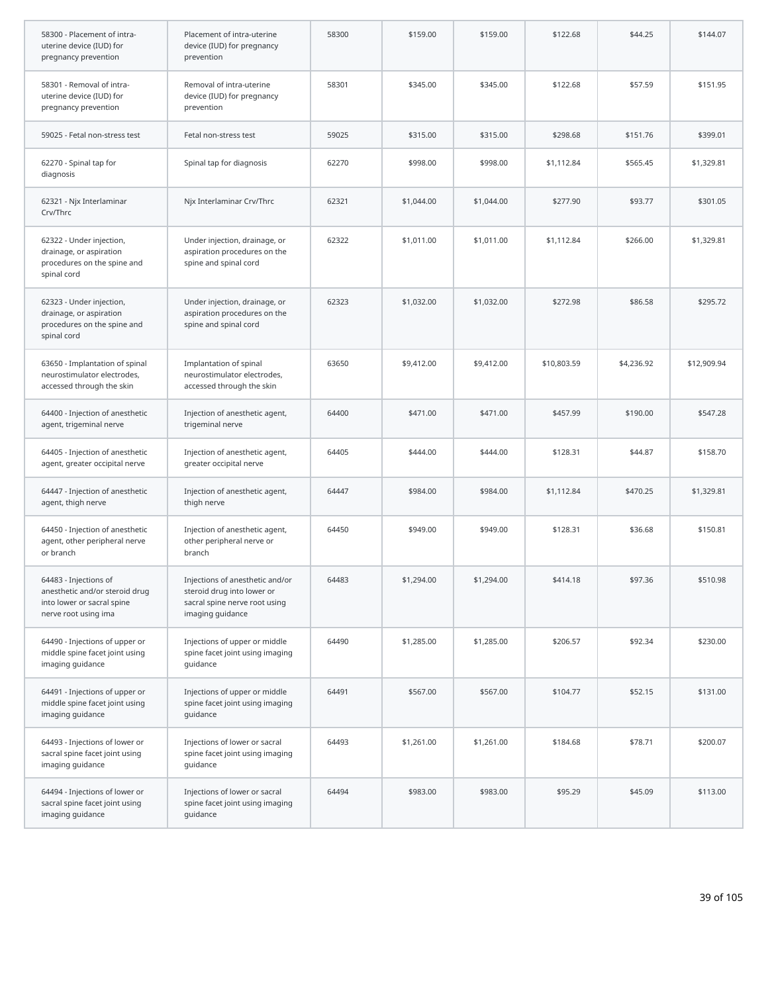| 58300 - Placement of intra-<br>uterine device (IUD) for<br>pregnancy prevention                               | Placement of intra-uterine<br>device (IUD) for pregnancy<br>prevention                                             | 58300 | \$159.00   | \$159.00   | \$122.68    | \$44.25    | \$144.07    |
|---------------------------------------------------------------------------------------------------------------|--------------------------------------------------------------------------------------------------------------------|-------|------------|------------|-------------|------------|-------------|
| 58301 - Removal of intra-<br>uterine device (IUD) for<br>pregnancy prevention                                 | Removal of intra-uterine<br>device (IUD) for pregnancy<br>prevention                                               | 58301 | \$345.00   | \$345.00   | \$122.68    | \$57.59    | \$151.95    |
| 59025 - Fetal non-stress test                                                                                 | Fetal non-stress test                                                                                              | 59025 | \$315.00   | \$315.00   | \$298.68    | \$151.76   | \$399.01    |
| 62270 - Spinal tap for<br>diagnosis                                                                           | Spinal tap for diagnosis                                                                                           | 62270 | \$998.00   | \$998.00   | \$1,112.84  | \$565.45   | \$1,329.81  |
| 62321 - Njx Interlaminar<br>Crv/Thrc                                                                          | Njx Interlaminar Crv/Thrc                                                                                          | 62321 | \$1,044.00 | \$1,044.00 | \$277.90    | \$93.77    | \$301.05    |
| 62322 - Under injection,<br>drainage, or aspiration<br>procedures on the spine and<br>spinal cord             | Under injection, drainage, or<br>aspiration procedures on the<br>spine and spinal cord                             | 62322 | \$1,011.00 | \$1,011.00 | \$1,112.84  | \$266.00   | \$1,329.81  |
| 62323 - Under injection,<br>drainage, or aspiration<br>procedures on the spine and<br>spinal cord             | Under injection, drainage, or<br>aspiration procedures on the<br>spine and spinal cord                             | 62323 | \$1,032.00 | \$1,032.00 | \$272.98    | \$86.58    | \$295.72    |
| 63650 - Implantation of spinal<br>neurostimulator electrodes,<br>accessed through the skin                    | Implantation of spinal<br>neurostimulator electrodes,<br>accessed through the skin                                 | 63650 | \$9,412.00 | \$9,412.00 | \$10,803.59 | \$4,236.92 | \$12,909.94 |
| 64400 - Injection of anesthetic<br>agent, trigeminal nerve                                                    | Injection of anesthetic agent,<br>trigeminal nerve                                                                 | 64400 | \$471.00   | \$471.00   | \$457.99    | \$190.00   | \$547.28    |
| 64405 - Injection of anesthetic<br>agent, greater occipital nerve                                             | Injection of anesthetic agent,<br>greater occipital nerve                                                          | 64405 | \$444.00   | \$444.00   | \$128.31    | \$44.87    | \$158.70    |
| 64447 - Injection of anesthetic<br>agent, thigh nerve                                                         | Injection of anesthetic agent,<br>thigh nerve                                                                      | 64447 | \$984.00   | \$984.00   | \$1,112.84  | \$470.25   | \$1,329.81  |
| 64450 - Injection of anesthetic<br>agent, other peripheral nerve<br>or branch                                 | Injection of anesthetic agent,<br>other peripheral nerve or<br>branch                                              | 64450 | \$949.00   | \$949.00   | \$128.31    | \$36.68    | \$150.81    |
| 64483 - Injections of<br>anesthetic and/or steroid drug<br>into lower or sacral spine<br>nerve root using ima | Injections of anesthetic and/or<br>steroid drug into lower or<br>sacral spine nerve root using<br>imaging guidance | 64483 | \$1,294.00 | \$1,294.00 | \$414.18    | \$97.36    | \$510.98    |
| 64490 - Injections of upper or<br>middle spine facet joint using<br>imaging guidance                          | Injections of upper or middle<br>spine facet joint using imaging<br>guidance                                       | 64490 | \$1,285.00 | \$1,285.00 | \$206.57    | \$92.34    | \$230.00    |
| 64491 - Injections of upper or<br>middle spine facet joint using<br>imaging guidance                          | Injections of upper or middle<br>spine facet joint using imaging<br>quidance                                       | 64491 | \$567.00   | \$567.00   | \$104.77    | \$52.15    | \$131.00    |
| 64493 - Injections of lower or<br>sacral spine facet joint using<br>imaging guidance                          | Injections of lower or sacral<br>spine facet joint using imaging<br>guidance                                       | 64493 | \$1,261.00 | \$1,261.00 | \$184.68    | \$78.71    | \$200.07    |
| 64494 - Injections of lower or<br>sacral spine facet joint using<br>imaging guidance                          | Injections of lower or sacral<br>spine facet joint using imaging<br>guidance                                       | 64494 | \$983.00   | \$983.00   | \$95.29     | \$45.09    | \$113.00    |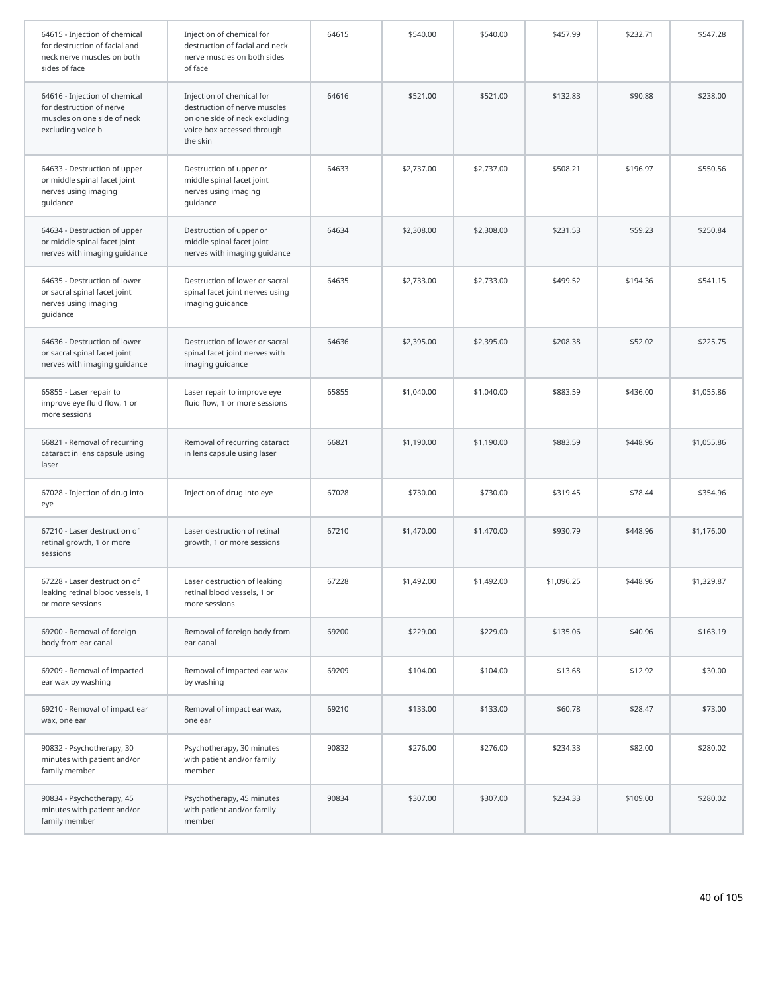| 64615 - Injection of chemical<br>for destruction of facial and<br>neck nerve muscles on both<br>sides of face | Injection of chemical for<br>destruction of facial and neck<br>nerve muscles on both sides<br>of face                                | 64615 | \$540.00   | \$540.00   | \$457.99   | \$232.71 | \$547.28   |
|---------------------------------------------------------------------------------------------------------------|--------------------------------------------------------------------------------------------------------------------------------------|-------|------------|------------|------------|----------|------------|
| 64616 - Injection of chemical<br>for destruction of nerve<br>muscles on one side of neck<br>excluding voice b | Injection of chemical for<br>destruction of nerve muscles<br>on one side of neck excluding<br>voice box accessed through<br>the skin | 64616 | \$521.00   | \$521.00   | \$132.83   | \$90.88  | \$238.00   |
| 64633 - Destruction of upper<br>or middle spinal facet joint<br>nerves using imaging<br>guidance              | Destruction of upper or<br>middle spinal facet joint<br>nerves using imaging<br>guidance                                             | 64633 | \$2,737.00 | \$2,737.00 | \$508.21   | \$196.97 | \$550.56   |
| 64634 - Destruction of upper<br>or middle spinal facet joint<br>nerves with imaging guidance                  | Destruction of upper or<br>middle spinal facet joint<br>nerves with imaging guidance                                                 | 64634 | \$2,308.00 | \$2,308.00 | \$231.53   | \$59.23  | \$250.84   |
| 64635 - Destruction of lower<br>or sacral spinal facet joint<br>nerves using imaging<br>guidance              | Destruction of lower or sacral<br>spinal facet joint nerves using<br>imaging guidance                                                | 64635 | \$2,733.00 | \$2,733.00 | \$499.52   | \$194.36 | \$541.15   |
| 64636 - Destruction of lower<br>or sacral spinal facet joint<br>nerves with imaging guidance                  | Destruction of lower or sacral<br>spinal facet joint nerves with<br>imaging guidance                                                 | 64636 | \$2,395.00 | \$2,395.00 | \$208.38   | \$52.02  | \$225.75   |
| 65855 - Laser repair to<br>improve eye fluid flow, 1 or<br>more sessions                                      | Laser repair to improve eye<br>fluid flow, 1 or more sessions                                                                        | 65855 | \$1,040.00 | \$1,040.00 | \$883.59   | \$436.00 | \$1,055.86 |
| 66821 - Removal of recurring<br>cataract in lens capsule using<br>laser                                       | Removal of recurring cataract<br>in lens capsule using laser                                                                         | 66821 | \$1,190.00 | \$1,190.00 | \$883.59   | \$448.96 | \$1,055.86 |
| 67028 - Injection of drug into<br>eye                                                                         | Injection of drug into eye                                                                                                           | 67028 | \$730.00   | \$730.00   | \$319.45   | \$78.44  | \$354.96   |
| 67210 - Laser destruction of<br>retinal growth, 1 or more<br>sessions                                         | Laser destruction of retinal<br>growth, 1 or more sessions                                                                           | 67210 | \$1,470.00 | \$1,470.00 | \$930.79   | \$448.96 | \$1,176.00 |
| 67228 - Laser destruction of<br>leaking retinal blood vessels, 1<br>or more sessions                          | Laser destruction of leaking<br>retinal blood vessels, 1 or<br>more sessions                                                         | 67228 | \$1,492.00 | \$1,492.00 | \$1,096.25 | \$448.96 | \$1,329.87 |
| 69200 - Removal of foreign<br>body from ear canal                                                             | Removal of foreign body from<br>ear canal                                                                                            | 69200 | \$229.00   | \$229.00   | \$135.06   | \$40.96  | \$163.19   |
| 69209 - Removal of impacted<br>ear wax by washing                                                             | Removal of impacted ear wax<br>by washing                                                                                            | 69209 | \$104.00   | \$104.00   | \$13.68    | \$12.92  | \$30.00    |
| 69210 - Removal of impact ear<br>wax, one ear                                                                 | Removal of impact ear wax,<br>one ear                                                                                                | 69210 | \$133.00   | \$133.00   | \$60.78    | \$28.47  | \$73.00    |
| 90832 - Psychotherapy, 30<br>minutes with patient and/or<br>family member                                     | Psychotherapy, 30 minutes<br>with patient and/or family<br>member                                                                    | 90832 | \$276.00   | \$276.00   | \$234.33   | \$82.00  | \$280.02   |
| 90834 - Psychotherapy, 45<br>minutes with patient and/or<br>family member                                     | Psychotherapy, 45 minutes<br>with patient and/or family<br>member                                                                    | 90834 | \$307.00   | \$307.00   | \$234.33   | \$109.00 | \$280.02   |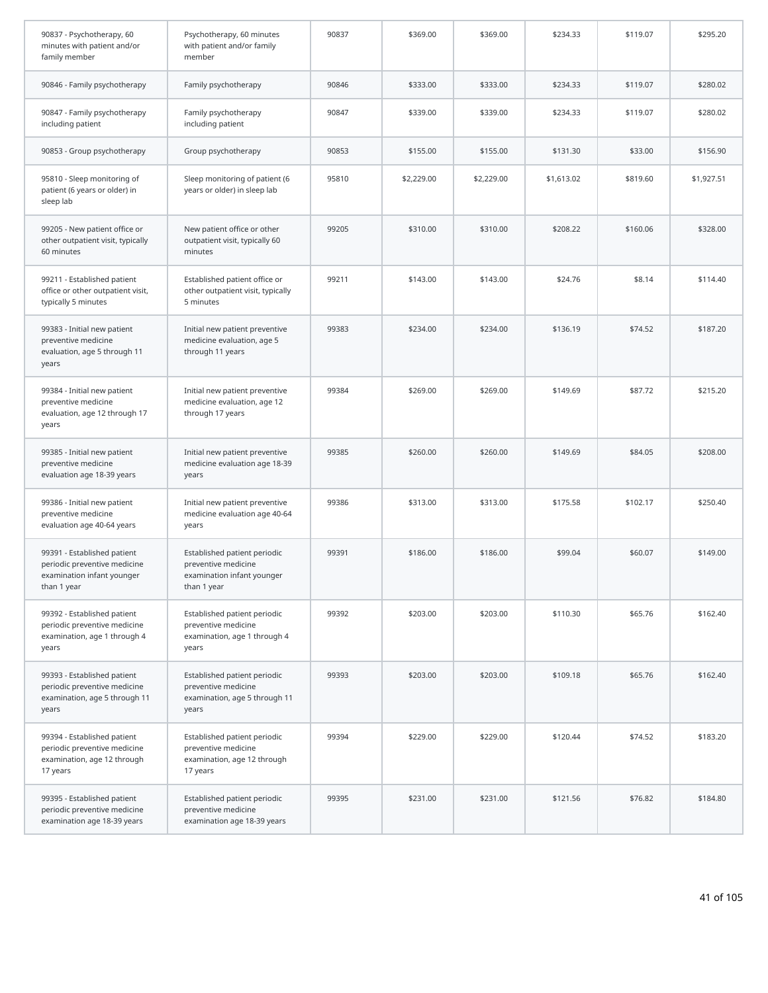| 90837 - Psychotherapy, 60<br>minutes with patient and/or<br>family member                                | Psychotherapy, 60 minutes<br>with patient and/or family<br>member                                | 90837 | \$369.00   | \$369.00   | \$234.33   | \$119.07 | \$295.20   |
|----------------------------------------------------------------------------------------------------------|--------------------------------------------------------------------------------------------------|-------|------------|------------|------------|----------|------------|
| 90846 - Family psychotherapy                                                                             | Family psychotherapy                                                                             | 90846 | \$333.00   | \$333.00   | \$234.33   | \$119.07 | \$280.02   |
| 90847 - Family psychotherapy<br>including patient                                                        | Family psychotherapy<br>including patient                                                        | 90847 | \$339.00   | \$339.00   | \$234.33   | \$119.07 | \$280.02   |
| 90853 - Group psychotherapy                                                                              | Group psychotherapy                                                                              | 90853 | \$155.00   | \$155.00   | \$131.30   | \$33.00  | \$156.90   |
| 95810 - Sleep monitoring of<br>patient (6 years or older) in<br>sleep lab                                | Sleep monitoring of patient (6<br>years or older) in sleep lab                                   | 95810 | \$2,229.00 | \$2,229.00 | \$1,613.02 | \$819.60 | \$1,927.51 |
| 99205 - New patient office or<br>other outpatient visit, typically<br>60 minutes                         | New patient office or other<br>outpatient visit, typically 60<br>minutes                         | 99205 | \$310.00   | \$310.00   | \$208.22   | \$160.06 | \$328.00   |
| 99211 - Established patient<br>office or other outpatient visit,<br>typically 5 minutes                  | Established patient office or<br>other outpatient visit, typically<br>5 minutes                  | 99211 | \$143.00   | \$143.00   | \$24.76    | \$8.14   | \$114.40   |
| 99383 - Initial new patient<br>preventive medicine<br>evaluation, age 5 through 11<br>years              | Initial new patient preventive<br>medicine evaluation, age 5<br>through 11 years                 | 99383 | \$234.00   | \$234.00   | \$136.19   | \$74.52  | \$187.20   |
| 99384 - Initial new patient<br>preventive medicine<br>evaluation, age 12 through 17<br>years             | Initial new patient preventive<br>medicine evaluation, age 12<br>through 17 years                | 99384 | \$269.00   | \$269.00   | \$149.69   | \$87.72  | \$215.20   |
| 99385 - Initial new patient<br>preventive medicine<br>evaluation age 18-39 years                         | Initial new patient preventive<br>medicine evaluation age 18-39<br>years                         | 99385 | \$260.00   | \$260.00   | \$149.69   | \$84.05  | \$208.00   |
| 99386 - Initial new patient<br>preventive medicine<br>evaluation age 40-64 years                         | Initial new patient preventive<br>medicine evaluation age 40-64<br>years                         | 99386 | \$313.00   | \$313.00   | \$175.58   | \$102.17 | \$250.40   |
| 99391 - Established patient<br>periodic preventive medicine<br>examination infant younger<br>than 1 year | Established patient periodic<br>preventive medicine<br>examination infant younger<br>than 1 year | 99391 | \$186.00   | \$186.00   | \$99.04    | \$60.07  | \$149.00   |
| 99392 - Established patient<br>periodic preventive medicine<br>examination, age 1 through 4<br>years     | Established patient periodic<br>preventive medicine<br>examination, age 1 through 4<br>years     | 99392 | \$203.00   | \$203.00   | \$110.30   | \$65.76  | \$162.40   |
| 99393 - Established patient<br>periodic preventive medicine<br>examination, age 5 through 11<br>years    | Established patient periodic<br>preventive medicine<br>examination, age 5 through 11<br>years    | 99393 | \$203.00   | \$203.00   | \$109.18   | \$65.76  | \$162.40   |
| 99394 - Established patient<br>periodic preventive medicine<br>examination, age 12 through<br>17 years   | Established patient periodic<br>preventive medicine<br>examination, age 12 through<br>17 years   | 99394 | \$229.00   | \$229.00   | \$120.44   | \$74.52  | \$183.20   |
| 99395 - Established patient<br>periodic preventive medicine<br>examination age 18-39 years               | Established patient periodic<br>preventive medicine<br>examination age 18-39 years               | 99395 | \$231.00   | \$231.00   | \$121.56   | \$76.82  | \$184.80   |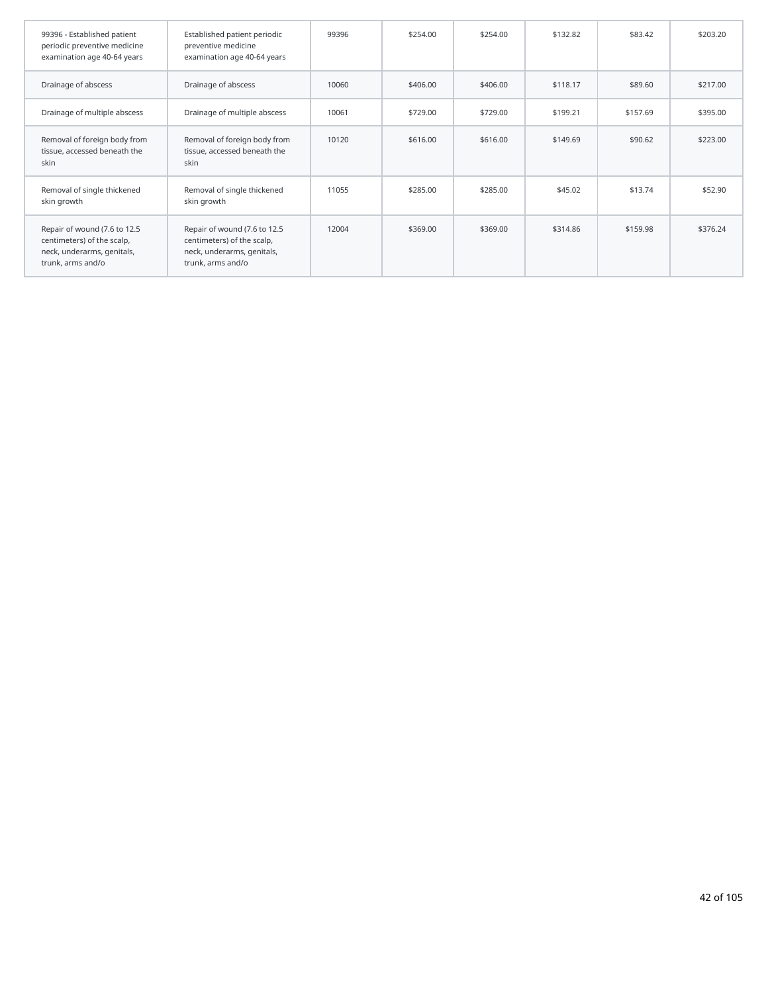| 99396 - Established patient<br>periodic preventive medicine<br>examination age 40-64 years                    | Established patient periodic<br>preventive medicine<br>examination age 40-64 years                            | 99396 | \$254.00 | \$254.00 | \$132.82 | \$83.42  | \$203.20 |
|---------------------------------------------------------------------------------------------------------------|---------------------------------------------------------------------------------------------------------------|-------|----------|----------|----------|----------|----------|
| Drainage of abscess                                                                                           | Drainage of abscess                                                                                           | 10060 | \$406.00 | \$406.00 | \$118.17 | \$89.60  | \$217.00 |
| Drainage of multiple abscess                                                                                  | Drainage of multiple abscess                                                                                  | 10061 | \$729.00 | \$729.00 | \$199.21 | \$157.69 | \$395.00 |
| Removal of foreign body from<br>tissue, accessed beneath the<br>skin                                          | Removal of foreign body from<br>tissue, accessed beneath the<br>skin                                          | 10120 | \$616.00 | \$616.00 | \$149.69 | \$90.62  | \$223.00 |
| Removal of single thickened<br>skin growth                                                                    | Removal of single thickened<br>skin growth                                                                    | 11055 | \$285.00 | \$285.00 | \$45.02  | \$13.74  | \$52.90  |
| Repair of wound (7.6 to 12.5<br>centimeters) of the scalp,<br>neck, underarms, genitals,<br>trunk, arms and/o | Repair of wound (7.6 to 12.5<br>centimeters) of the scalp,<br>neck, underarms, genitals,<br>trunk, arms and/o | 12004 | \$369.00 | \$369.00 | \$314.86 | \$159.98 | \$376.24 |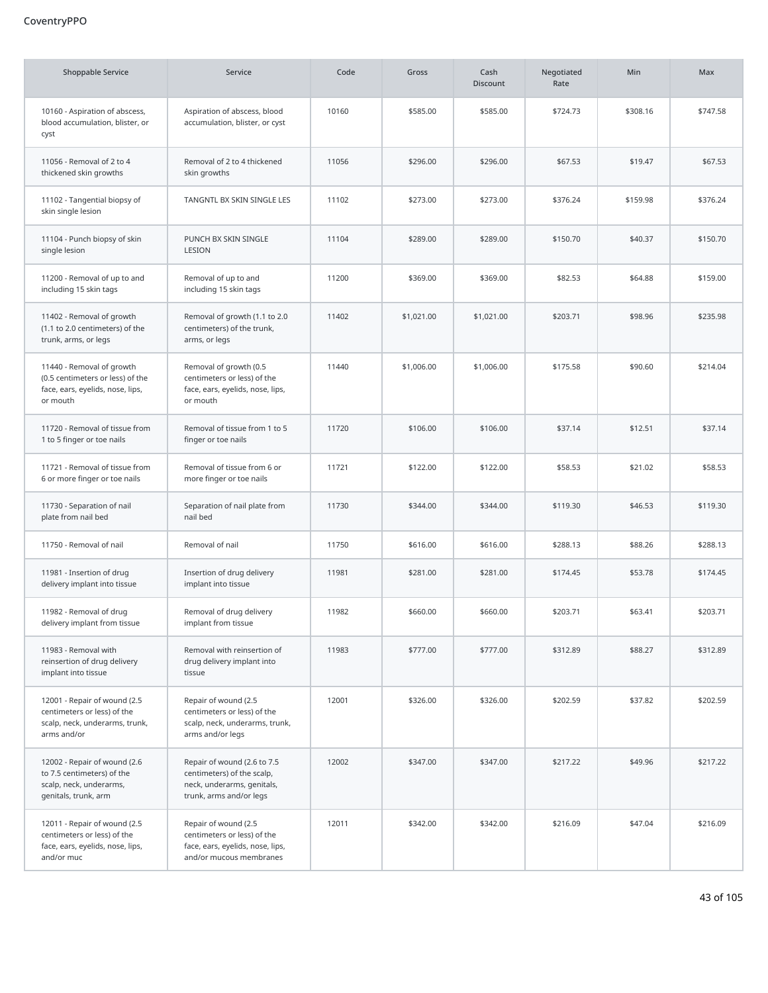## CoventryPPO

| <b>Shoppable Service</b>                                                                                      | Service                                                                                                            | Code  | Gross      | Cash<br><b>Discount</b> | Negotiated<br>Rate | Min      | Max      |
|---------------------------------------------------------------------------------------------------------------|--------------------------------------------------------------------------------------------------------------------|-------|------------|-------------------------|--------------------|----------|----------|
| 10160 - Aspiration of abscess,<br>blood accumulation, blister, or<br>cyst                                     | Aspiration of abscess, blood<br>accumulation, blister, or cyst                                                     | 10160 | \$585.00   | \$585.00                | \$724.73           | \$308.16 | \$747.58 |
| 11056 - Removal of 2 to 4<br>thickened skin growths                                                           | Removal of 2 to 4 thickened<br>skin growths                                                                        | 11056 | \$296.00   | \$296.00                | \$67.53            | \$19.47  | \$67.53  |
| 11102 - Tangential biopsy of<br>skin single lesion                                                            | TANGNTL BX SKIN SINGLE LES                                                                                         | 11102 | \$273.00   | \$273.00                | \$376.24           | \$159.98 | \$376.24 |
| 11104 - Punch biopsy of skin<br>single lesion                                                                 | PUNCH BX SKIN SINGLE<br>LESION                                                                                     | 11104 | \$289.00   | \$289.00                | \$150.70           | \$40.37  | \$150.70 |
| 11200 - Removal of up to and<br>including 15 skin tags                                                        | Removal of up to and<br>including 15 skin tags                                                                     | 11200 | \$369.00   | \$369.00                | \$82.53            | \$64.88  | \$159.00 |
| 11402 - Removal of growth<br>(1.1 to 2.0 centimeters) of the<br>trunk, arms, or legs                          | Removal of growth (1.1 to 2.0<br>centimeters) of the trunk,<br>arms, or legs                                       | 11402 | \$1,021.00 | \$1,021.00              | \$203.71           | \$98.96  | \$235.98 |
| 11440 - Removal of growth<br>(0.5 centimeters or less) of the<br>face, ears, eyelids, nose, lips,<br>or mouth | Removal of growth (0.5<br>centimeters or less) of the<br>face, ears, eyelids, nose, lips,<br>or mouth              | 11440 | \$1,006.00 | \$1,006.00              | \$175.58           | \$90.60  | \$214.04 |
| 11720 - Removal of tissue from<br>1 to 5 finger or toe nails                                                  | Removal of tissue from 1 to 5<br>finger or toe nails                                                               | 11720 | \$106.00   | \$106.00                | \$37.14            | \$12.51  | \$37.14  |
| 11721 - Removal of tissue from<br>6 or more finger or toe nails                                               | Removal of tissue from 6 or<br>more finger or toe nails                                                            | 11721 | \$122.00   | \$122.00                | \$58.53            | \$21.02  | \$58.53  |
| 11730 - Separation of nail<br>plate from nail bed                                                             | Separation of nail plate from<br>nail bed                                                                          | 11730 | \$344.00   | \$344.00                | \$119.30           | \$46.53  | \$119.30 |
| 11750 - Removal of nail                                                                                       | Removal of nail                                                                                                    | 11750 | \$616.00   | \$616.00                | \$288.13           | \$88.26  | \$288.13 |
| 11981 - Insertion of drug<br>delivery implant into tissue                                                     | Insertion of drug delivery<br>implant into tissue                                                                  | 11981 | \$281.00   | \$281.00                | \$174.45           | \$53.78  | \$174.45 |
| 11982 - Removal of drug<br>delivery implant from tissue                                                       | Removal of drug delivery<br>implant from tissue                                                                    | 11982 | \$660.00   | \$660.00                | \$203.71           | \$63.41  | \$203.71 |
| 11983 - Removal with<br>reinsertion of drug delivery<br>implant into tissue                                   | Removal with reinsertion of<br>drug delivery implant into<br>tissue                                                | 11983 | \$777.00   | \$777.00                | \$312.89           | \$88.27  | \$312.89 |
| 12001 - Repair of wound (2.5<br>centimeters or less) of the<br>scalp, neck, underarms, trunk,<br>arms and/or  | Repair of wound (2.5<br>centimeters or less) of the<br>scalp, neck, underarms, trunk,<br>arms and/or legs          | 12001 | \$326.00   | \$326.00                | \$202.59           | \$37.82  | \$202.59 |
| 12002 - Repair of wound (2.6<br>to 7.5 centimeters) of the<br>scalp, neck, underarms,<br>genitals, trunk, arm | Repair of wound (2.6 to 7.5<br>centimeters) of the scalp,<br>neck, underarms, genitals,<br>trunk, arms and/or legs | 12002 | \$347.00   | \$347.00                | \$217.22           | \$49.96  | \$217.22 |
| 12011 - Repair of wound (2.5<br>centimeters or less) of the<br>face, ears, eyelids, nose, lips,<br>and/or muc | Repair of wound (2.5<br>centimeters or less) of the<br>face, ears, eyelids, nose, lips,<br>and/or mucous membranes | 12011 | \$342.00   | \$342.00                | \$216.09           | \$47.04  | \$216.09 |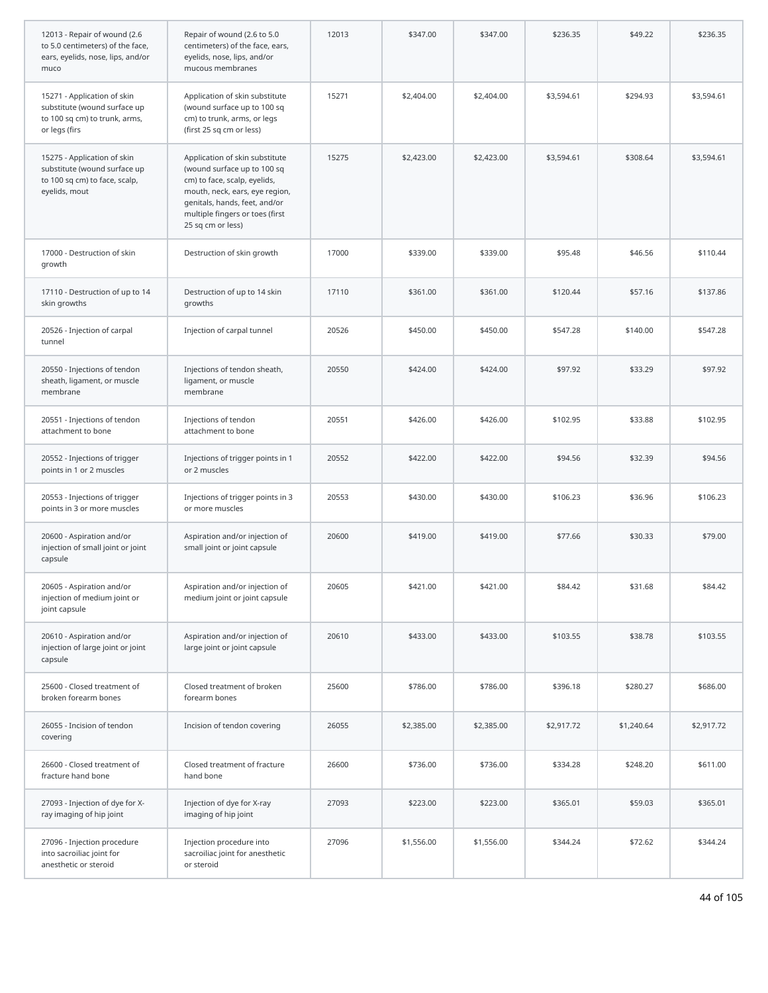| 12013 - Repair of wound (2.6<br>to 5.0 centimeters) of the face,<br>ears, eyelids, nose, lips, and/or<br>muco | Repair of wound (2.6 to 5.0<br>centimeters) of the face, ears,<br>eyelids, nose, lips, and/or<br>mucous membranes                                                                                                        | 12013 | \$347.00   | \$347.00   | \$236.35   | \$49.22    | \$236.35   |
|---------------------------------------------------------------------------------------------------------------|--------------------------------------------------------------------------------------------------------------------------------------------------------------------------------------------------------------------------|-------|------------|------------|------------|------------|------------|
| 15271 - Application of skin<br>substitute (wound surface up<br>to 100 sq cm) to trunk, arms,<br>or legs (firs | Application of skin substitute<br>(wound surface up to 100 sq<br>cm) to trunk, arms, or legs<br>(first 25 sq cm or less)                                                                                                 | 15271 | \$2,404.00 | \$2,404.00 | \$3,594.61 | \$294.93   | \$3,594.61 |
| 15275 - Application of skin<br>substitute (wound surface up<br>to 100 sq cm) to face, scalp,<br>eyelids, mout | Application of skin substitute<br>(wound surface up to 100 sq<br>cm) to face, scalp, eyelids,<br>mouth, neck, ears, eye region,<br>genitals, hands, feet, and/or<br>multiple fingers or toes (first<br>25 sq cm or less) | 15275 | \$2,423.00 | \$2,423.00 | \$3,594.61 | \$308.64   | \$3,594.61 |
| 17000 - Destruction of skin<br>growth                                                                         | Destruction of skin growth                                                                                                                                                                                               | 17000 | \$339.00   | \$339.00   | \$95.48    | \$46.56    | \$110.44   |
| 17110 - Destruction of up to 14<br>skin growths                                                               | Destruction of up to 14 skin<br>growths                                                                                                                                                                                  | 17110 | \$361.00   | \$361.00   | \$120.44   | \$57.16    | \$137.86   |
| 20526 - Injection of carpal<br>tunnel                                                                         | Injection of carpal tunnel                                                                                                                                                                                               | 20526 | \$450.00   | \$450.00   | \$547.28   | \$140.00   | \$547.28   |
| 20550 - Injections of tendon<br>sheath, ligament, or muscle<br>membrane                                       | Injections of tendon sheath,<br>ligament, or muscle<br>membrane                                                                                                                                                          | 20550 | \$424.00   | \$424.00   | \$97.92    | \$33.29    | \$97.92    |
| 20551 - Injections of tendon<br>attachment to bone                                                            | Injections of tendon<br>attachment to bone                                                                                                                                                                               | 20551 | \$426.00   | \$426.00   | \$102.95   | \$33.88    | \$102.95   |
| 20552 - Injections of trigger<br>points in 1 or 2 muscles                                                     | Injections of trigger points in 1<br>or 2 muscles                                                                                                                                                                        | 20552 | \$422.00   | \$422.00   | \$94.56    | \$32.39    | \$94.56    |
| 20553 - Injections of trigger<br>points in 3 or more muscles                                                  | Injections of trigger points in 3<br>or more muscles                                                                                                                                                                     | 20553 | \$430.00   | \$430.00   | \$106.23   | \$36.96    | \$106.23   |
| 20600 - Aspiration and/or<br>injection of small joint or joint<br>capsule                                     | Aspiration and/or injection of<br>small joint or joint capsule                                                                                                                                                           | 20600 | \$419.00   | \$419.00   | \$77.66    | \$30.33    | \$79.00    |
| 20605 - Aspiration and/or<br>injection of medium joint or<br>joint capsule                                    | Aspiration and/or injection of<br>medium joint or joint capsule                                                                                                                                                          | 20605 | \$421.00   | \$421.00   | \$84.42    | \$31.68    | \$84.42    |
| 20610 - Aspiration and/or<br>injection of large joint or joint<br>capsule                                     | Aspiration and/or injection of<br>large joint or joint capsule                                                                                                                                                           | 20610 | \$433.00   | \$433.00   | \$103.55   | \$38.78    | \$103.55   |
| 25600 - Closed treatment of<br>broken forearm bones                                                           | Closed treatment of broken<br>forearm bones                                                                                                                                                                              | 25600 | \$786.00   | \$786.00   | \$396.18   | \$280.27   | \$686.00   |
| 26055 - Incision of tendon<br>covering                                                                        | Incision of tendon covering                                                                                                                                                                                              | 26055 | \$2,385.00 | \$2,385.00 | \$2,917.72 | \$1,240.64 | \$2,917.72 |
| 26600 - Closed treatment of<br>fracture hand bone                                                             | Closed treatment of fracture<br>hand bone                                                                                                                                                                                | 26600 | \$736.00   | \$736.00   | \$334.28   | \$248.20   | \$611.00   |
| 27093 - Injection of dye for X-<br>ray imaging of hip joint                                                   | Injection of dye for X-ray<br>imaging of hip joint                                                                                                                                                                       | 27093 | \$223.00   | \$223.00   | \$365.01   | \$59.03    | \$365.01   |
| 27096 - Injection procedure<br>into sacroiliac joint for<br>anesthetic or steroid                             | Injection procedure into<br>sacroiliac joint for anesthetic<br>or steroid                                                                                                                                                | 27096 | \$1,556.00 | \$1,556.00 | \$344.24   | \$72.62    | \$344.24   |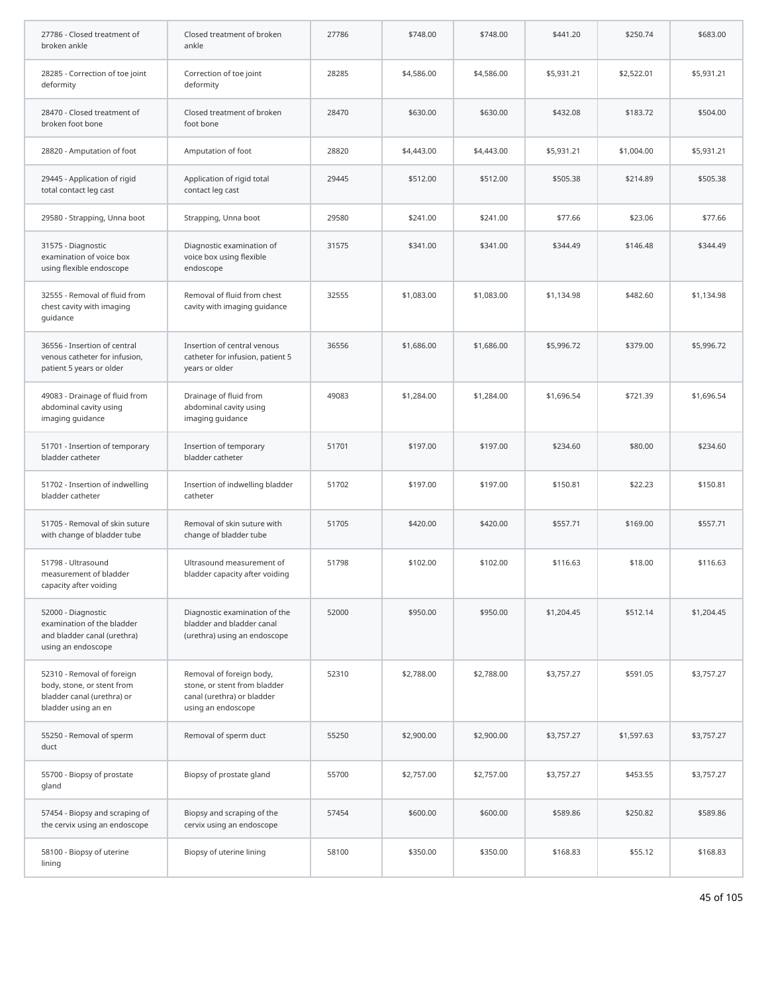| 27786 - Closed treatment of<br>broken ankle                                                                   | Closed treatment of broken<br>ankle                                                                          | 27786 | \$748.00   | \$748.00   | \$441.20   | \$250.74   | \$683.00   |
|---------------------------------------------------------------------------------------------------------------|--------------------------------------------------------------------------------------------------------------|-------|------------|------------|------------|------------|------------|
| 28285 - Correction of toe joint<br>deformity                                                                  | Correction of toe joint<br>deformity                                                                         | 28285 | \$4,586.00 | \$4,586.00 | \$5,931.21 | \$2,522.01 | \$5,931.21 |
| 28470 - Closed treatment of<br>broken foot bone                                                               | Closed treatment of broken<br>foot bone                                                                      | 28470 | \$630.00   | \$630.00   | \$432.08   | \$183.72   | \$504.00   |
| 28820 - Amputation of foot                                                                                    | Amputation of foot                                                                                           | 28820 | \$4,443.00 | \$4,443.00 | \$5,931.21 | \$1,004.00 | \$5,931.21 |
| 29445 - Application of rigid<br>total contact leg cast                                                        | Application of rigid total<br>contact leg cast                                                               | 29445 | \$512.00   | \$512.00   | \$505.38   | \$214.89   | \$505.38   |
| 29580 - Strapping, Unna boot                                                                                  | Strapping, Unna boot                                                                                         | 29580 | \$241.00   | \$241.00   | \$77.66    | \$23.06    | \$77.66    |
| 31575 - Diagnostic<br>examination of voice box<br>using flexible endoscope                                    | Diagnostic examination of<br>voice box using flexible<br>endoscope                                           | 31575 | \$341.00   | \$341.00   | \$344.49   | \$146.48   | \$344.49   |
| 32555 - Removal of fluid from<br>chest cavity with imaging<br>quidance                                        | Removal of fluid from chest<br>cavity with imaging guidance                                                  | 32555 | \$1,083,00 | \$1,083.00 | \$1,134.98 | \$482.60   | \$1,134.98 |
| 36556 - Insertion of central<br>venous catheter for infusion,<br>patient 5 years or older                     | Insertion of central venous<br>catheter for infusion, patient 5<br>years or older                            | 36556 | \$1,686.00 | \$1,686.00 | \$5,996.72 | \$379.00   | \$5,996.72 |
| 49083 - Drainage of fluid from<br>abdominal cavity using<br>imaging guidance                                  | Drainage of fluid from<br>abdominal cavity using<br>imaging guidance                                         | 49083 | \$1,284.00 | \$1,284.00 | \$1,696.54 | \$721.39   | \$1,696.54 |
| 51701 - Insertion of temporary<br>bladder catheter                                                            | Insertion of temporary<br>bladder catheter                                                                   | 51701 | \$197.00   | \$197.00   | \$234.60   | \$80.00    | \$234.60   |
| 51702 - Insertion of indwelling<br>bladder catheter                                                           | Insertion of indwelling bladder<br>catheter                                                                  | 51702 | \$197.00   | \$197.00   | \$150.81   | \$22.23    | \$150.81   |
| 51705 - Removal of skin suture<br>with change of bladder tube                                                 | Removal of skin suture with<br>change of bladder tube                                                        | 51705 | \$420.00   | \$420.00   | \$557.71   | \$169.00   | \$557.71   |
| 51798 - Ultrasound<br>measurement of bladder<br>capacity after voiding                                        | Ultrasound measurement of<br>bladder capacity after voiding                                                  | 51798 | \$102.00   | \$102.00   | \$116.63   | \$18.00    | \$116.63   |
| 52000 - Diagnostic<br>examination of the bladder<br>and bladder canal (urethra)<br>using an endoscope         | Diagnostic examination of the<br>bladder and bladder canal<br>(urethra) using an endoscope                   | 52000 | \$950.00   | \$950.00   | \$1,204.45 | \$512.14   | \$1,204.45 |
| 52310 - Removal of foreign<br>body, stone, or stent from<br>bladder canal (urethra) or<br>bladder using an en | Removal of foreign body,<br>stone, or stent from bladder<br>canal (urethra) or bladder<br>using an endoscope | 52310 | \$2,788.00 | \$2,788.00 | \$3,757.27 | \$591.05   | \$3,757.27 |
| 55250 - Removal of sperm<br>duct                                                                              | Removal of sperm duct                                                                                        | 55250 | \$2,900.00 | \$2,900.00 | \$3,757.27 | \$1,597.63 | \$3,757.27 |
| 55700 - Biopsy of prostate<br>gland                                                                           | Biopsy of prostate gland                                                                                     | 55700 | \$2,757.00 | \$2,757.00 | \$3,757.27 | \$453.55   | \$3,757.27 |
| 57454 - Biopsy and scraping of<br>the cervix using an endoscope                                               | Biopsy and scraping of the<br>cervix using an endoscope                                                      | 57454 | \$600.00   | \$600.00   | \$589.86   | \$250.82   | \$589.86   |
| 58100 - Biopsy of uterine<br>lining                                                                           | Biopsy of uterine lining                                                                                     | 58100 | \$350.00   | \$350.00   | \$168.83   | \$55.12    | \$168.83   |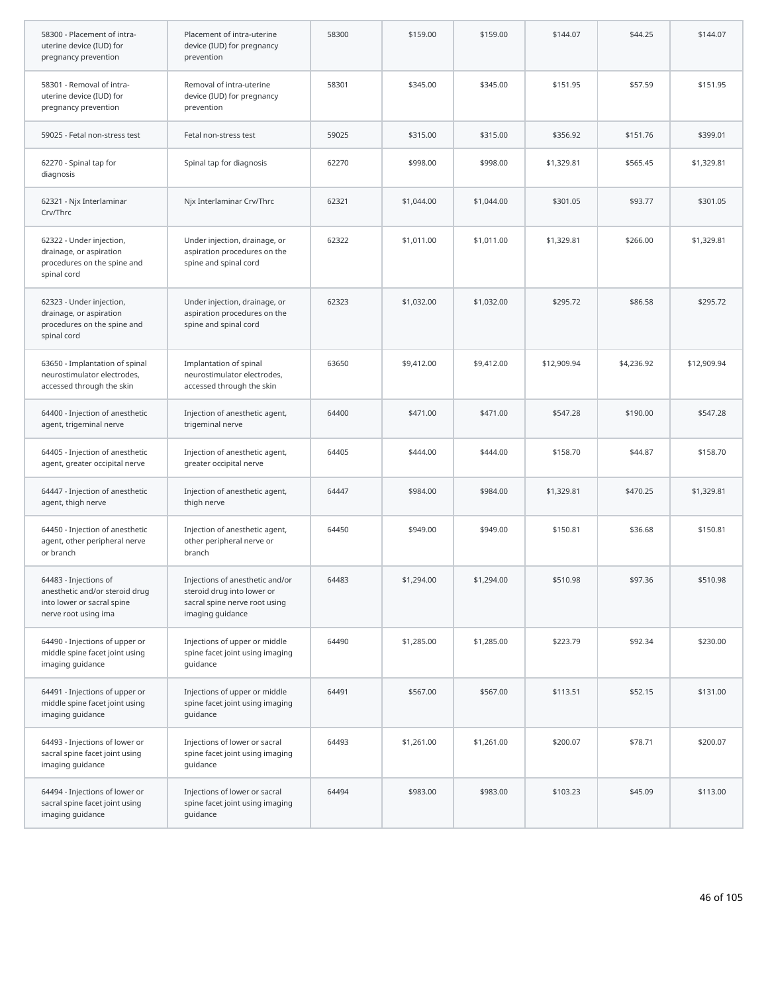| 58300 - Placement of intra-<br>uterine device (IUD) for<br>pregnancy prevention                               | Placement of intra-uterine<br>device (IUD) for pregnancy<br>prevention                                             | 58300 | \$159.00   | \$159.00   | \$144.07    | \$44.25    | \$144.07    |
|---------------------------------------------------------------------------------------------------------------|--------------------------------------------------------------------------------------------------------------------|-------|------------|------------|-------------|------------|-------------|
| 58301 - Removal of intra-<br>uterine device (IUD) for<br>pregnancy prevention                                 | Removal of intra-uterine<br>device (IUD) for pregnancy<br>prevention                                               | 58301 | \$345.00   | \$345.00   | \$151.95    | \$57.59    | \$151.95    |
| 59025 - Fetal non-stress test                                                                                 | Fetal non-stress test                                                                                              | 59025 | \$315.00   | \$315.00   | \$356.92    | \$151.76   | \$399.01    |
| 62270 - Spinal tap for<br>diagnosis                                                                           | Spinal tap for diagnosis                                                                                           | 62270 | \$998.00   | \$998.00   | \$1,329.81  | \$565.45   | \$1,329.81  |
| 62321 - Njx Interlaminar<br>Crv/Thrc                                                                          | Njx Interlaminar Crv/Thrc                                                                                          | 62321 | \$1,044.00 | \$1,044.00 | \$301.05    | \$93.77    | \$301.05    |
| 62322 - Under injection,<br>drainage, or aspiration<br>procedures on the spine and<br>spinal cord             | Under injection, drainage, or<br>aspiration procedures on the<br>spine and spinal cord                             | 62322 | \$1,011.00 | \$1,011.00 | \$1,329.81  | \$266.00   | \$1,329.81  |
| 62323 - Under injection,<br>drainage, or aspiration<br>procedures on the spine and<br>spinal cord             | Under injection, drainage, or<br>aspiration procedures on the<br>spine and spinal cord                             | 62323 | \$1,032.00 | \$1,032.00 | \$295.72    | \$86.58    | \$295.72    |
| 63650 - Implantation of spinal<br>neurostimulator electrodes,<br>accessed through the skin                    | Implantation of spinal<br>neurostimulator electrodes,<br>accessed through the skin                                 | 63650 | \$9,412.00 | \$9,412.00 | \$12,909.94 | \$4,236.92 | \$12,909.94 |
| 64400 - Injection of anesthetic<br>agent, trigeminal nerve                                                    | Injection of anesthetic agent,<br>trigeminal nerve                                                                 | 64400 | \$471.00   | \$471.00   | \$547.28    | \$190.00   | \$547.28    |
| 64405 - Injection of anesthetic<br>agent, greater occipital nerve                                             | Injection of anesthetic agent,<br>greater occipital nerve                                                          | 64405 | \$444.00   | \$444.00   | \$158.70    | \$44.87    | \$158.70    |
| 64447 - Injection of anesthetic<br>agent, thigh nerve                                                         | Injection of anesthetic agent,<br>thigh nerve                                                                      | 64447 | \$984.00   | \$984.00   | \$1,329.81  | \$470.25   | \$1,329.81  |
| 64450 - Injection of anesthetic<br>agent, other peripheral nerve<br>or branch                                 | Injection of anesthetic agent,<br>other peripheral nerve or<br>branch                                              | 64450 | \$949.00   | \$949.00   | \$150.81    | \$36.68    | \$150.81    |
| 64483 - Injections of<br>anesthetic and/or steroid drug<br>into lower or sacral spine<br>nerve root using ima | Injections of anesthetic and/or<br>steroid drug into lower or<br>sacral spine nerve root using<br>imaging guidance | 64483 | \$1,294.00 | \$1,294.00 | \$510.98    | \$97.36    | \$510.98    |
| 64490 - Injections of upper or<br>middle spine facet joint using<br>imaging guidance                          | Injections of upper or middle<br>spine facet joint using imaging<br>guidance                                       | 64490 | \$1,285.00 | \$1,285.00 | \$223.79    | \$92.34    | \$230.00    |
| 64491 - Injections of upper or<br>middle spine facet joint using<br>imaging guidance                          | Injections of upper or middle<br>spine facet joint using imaging<br>quidance                                       | 64491 | \$567.00   | \$567.00   | \$113.51    | \$52.15    | \$131.00    |
| 64493 - Injections of lower or<br>sacral spine facet joint using<br>imaging guidance                          | Injections of lower or sacral<br>spine facet joint using imaging<br>guidance                                       | 64493 | \$1,261.00 | \$1,261.00 | \$200.07    | \$78.71    | \$200.07    |
| 64494 - Injections of lower or<br>sacral spine facet joint using<br>imaging guidance                          | Injections of lower or sacral<br>spine facet joint using imaging<br>guidance                                       | 64494 | \$983.00   | \$983.00   | \$103.23    | \$45.09    | \$113.00    |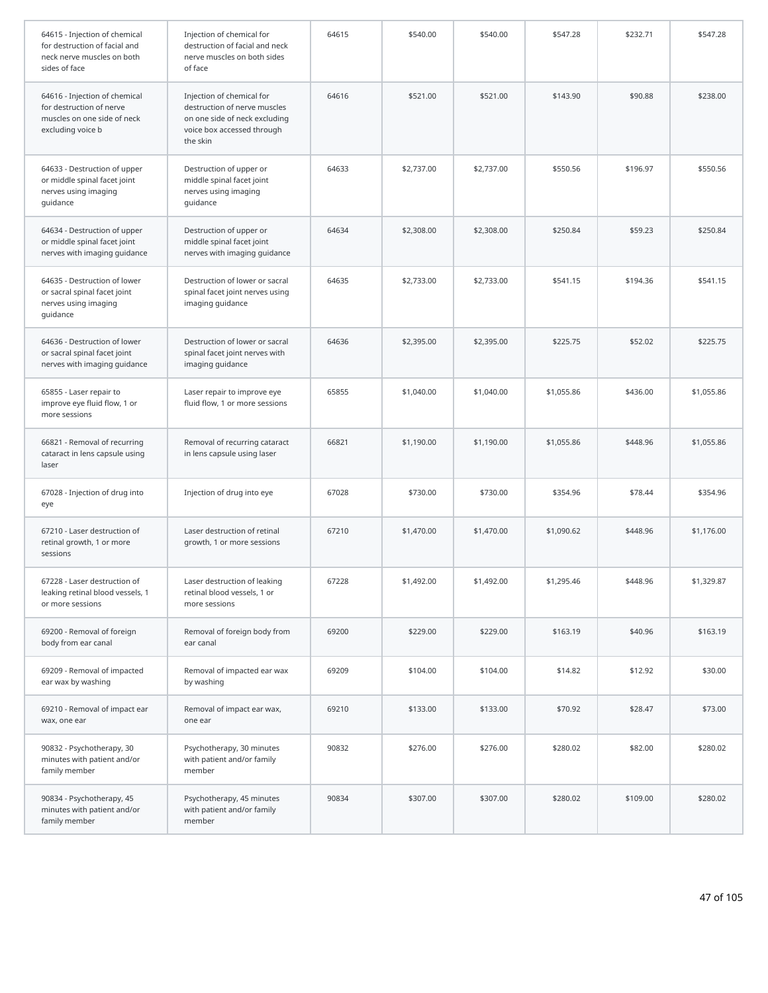| 64615 - Injection of chemical<br>for destruction of facial and<br>neck nerve muscles on both<br>sides of face | Injection of chemical for<br>destruction of facial and neck<br>nerve muscles on both sides<br>of face                                | 64615 | \$540.00   | \$540.00   | \$547.28   | \$232.71 | \$547.28   |
|---------------------------------------------------------------------------------------------------------------|--------------------------------------------------------------------------------------------------------------------------------------|-------|------------|------------|------------|----------|------------|
| 64616 - Injection of chemical<br>for destruction of nerve<br>muscles on one side of neck<br>excluding voice b | Injection of chemical for<br>destruction of nerve muscles<br>on one side of neck excluding<br>voice box accessed through<br>the skin | 64616 | \$521.00   | \$521.00   | \$143.90   | \$90.88  | \$238.00   |
| 64633 - Destruction of upper<br>or middle spinal facet joint<br>nerves using imaging<br>guidance              | Destruction of upper or<br>middle spinal facet joint<br>nerves using imaging<br>guidance                                             | 64633 | \$2,737.00 | \$2,737.00 | \$550.56   | \$196.97 | \$550.56   |
| 64634 - Destruction of upper<br>or middle spinal facet joint<br>nerves with imaging guidance                  | Destruction of upper or<br>middle spinal facet joint<br>nerves with imaging guidance                                                 | 64634 | \$2,308.00 | \$2,308.00 | \$250.84   | \$59.23  | \$250.84   |
| 64635 - Destruction of lower<br>or sacral spinal facet joint<br>nerves using imaging<br>guidance              | Destruction of lower or sacral<br>spinal facet joint nerves using<br>imaging guidance                                                | 64635 | \$2,733.00 | \$2,733.00 | \$541.15   | \$194.36 | \$541.15   |
| 64636 - Destruction of lower<br>or sacral spinal facet joint<br>nerves with imaging guidance                  | Destruction of lower or sacral<br>spinal facet joint nerves with<br>imaging guidance                                                 | 64636 | \$2,395.00 | \$2,395.00 | \$225.75   | \$52.02  | \$225.75   |
| 65855 - Laser repair to<br>improve eye fluid flow, 1 or<br>more sessions                                      | Laser repair to improve eye<br>fluid flow, 1 or more sessions                                                                        | 65855 | \$1,040.00 | \$1,040.00 | \$1,055.86 | \$436.00 | \$1,055.86 |
| 66821 - Removal of recurring<br>cataract in lens capsule using<br>laser                                       | Removal of recurring cataract<br>in lens capsule using laser                                                                         | 66821 | \$1,190.00 | \$1,190.00 | \$1,055.86 | \$448.96 | \$1,055.86 |
| 67028 - Injection of drug into<br>eye                                                                         | Injection of drug into eye                                                                                                           | 67028 | \$730.00   | \$730.00   | \$354.96   | \$78.44  | \$354.96   |
| 67210 - Laser destruction of<br>retinal growth, 1 or more<br>sessions                                         | Laser destruction of retinal<br>growth, 1 or more sessions                                                                           | 67210 | \$1,470.00 | \$1,470.00 | \$1,090.62 | \$448.96 | \$1,176.00 |
| 67228 - Laser destruction of<br>leaking retinal blood vessels, 1<br>or more sessions                          | Laser destruction of leaking<br>retinal blood vessels, 1 or<br>more sessions                                                         | 67228 | \$1,492.00 | \$1,492.00 | \$1,295.46 | \$448.96 | \$1,329.87 |
| 69200 - Removal of foreign<br>body from ear canal                                                             | Removal of foreign body from<br>ear canal                                                                                            | 69200 | \$229.00   | \$229.00   | \$163.19   | \$40.96  | \$163.19   |
| 69209 - Removal of impacted<br>ear wax by washing                                                             | Removal of impacted ear wax<br>by washing                                                                                            | 69209 | \$104.00   | \$104.00   | \$14.82    | \$12.92  | \$30.00    |
| 69210 - Removal of impact ear<br>wax, one ear                                                                 | Removal of impact ear wax,<br>one ear                                                                                                | 69210 | \$133.00   | \$133.00   | \$70.92    | \$28.47  | \$73.00    |
| 90832 - Psychotherapy, 30<br>minutes with patient and/or<br>family member                                     | Psychotherapy, 30 minutes<br>with patient and/or family<br>member                                                                    | 90832 | \$276.00   | \$276.00   | \$280.02   | \$82.00  | \$280.02   |
| 90834 - Psychotherapy, 45<br>minutes with patient and/or<br>family member                                     | Psychotherapy, 45 minutes<br>with patient and/or family<br>member                                                                    | 90834 | \$307.00   | \$307.00   | \$280.02   | \$109.00 | \$280.02   |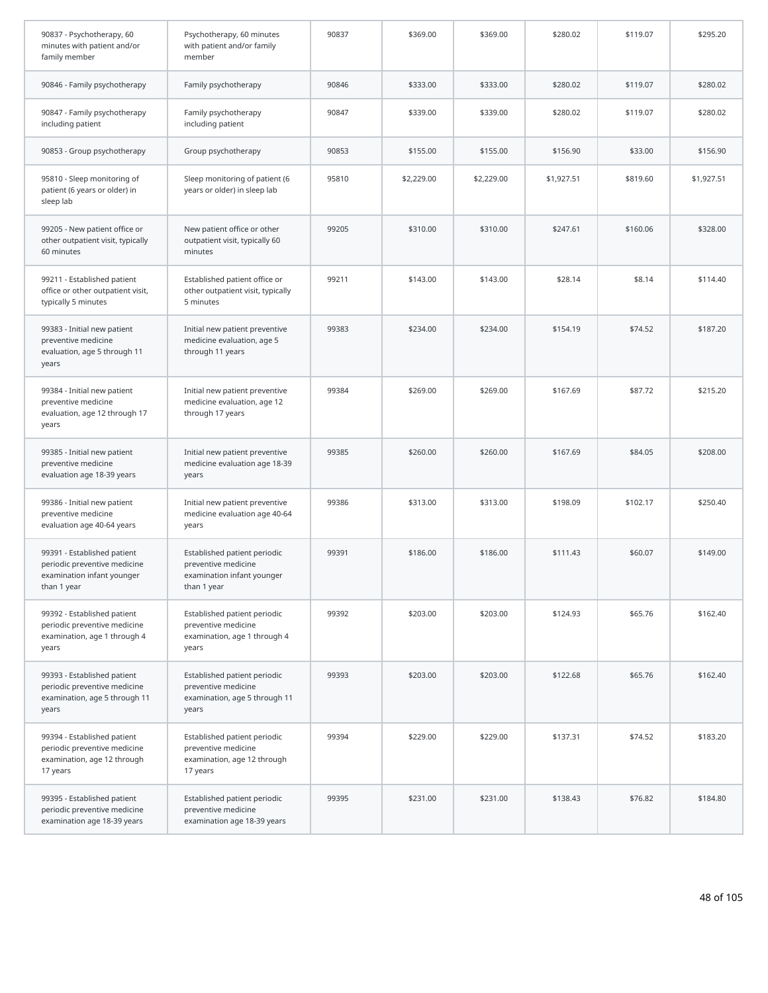| 90837 - Psychotherapy, 60<br>minutes with patient and/or<br>family member                                | Psychotherapy, 60 minutes<br>with patient and/or family<br>member                                | 90837 | \$369.00   | \$369.00   | \$280.02   | \$119.07 | \$295.20   |
|----------------------------------------------------------------------------------------------------------|--------------------------------------------------------------------------------------------------|-------|------------|------------|------------|----------|------------|
| 90846 - Family psychotherapy                                                                             | Family psychotherapy                                                                             | 90846 | \$333.00   | \$333.00   | \$280.02   | \$119.07 | \$280.02   |
| 90847 - Family psychotherapy<br>including patient                                                        | Family psychotherapy<br>including patient                                                        | 90847 | \$339.00   | \$339.00   | \$280.02   | \$119.07 | \$280.02   |
| 90853 - Group psychotherapy                                                                              | Group psychotherapy                                                                              | 90853 | \$155.00   | \$155.00   | \$156.90   | \$33.00  | \$156.90   |
| 95810 - Sleep monitoring of<br>patient (6 years or older) in<br>sleep lab                                | Sleep monitoring of patient (6<br>years or older) in sleep lab                                   | 95810 | \$2,229.00 | \$2,229.00 | \$1,927.51 | \$819.60 | \$1,927.51 |
| 99205 - New patient office or<br>other outpatient visit, typically<br>60 minutes                         | New patient office or other<br>outpatient visit, typically 60<br>minutes                         | 99205 | \$310.00   | \$310.00   | \$247.61   | \$160.06 | \$328.00   |
| 99211 - Established patient<br>office or other outpatient visit,<br>typically 5 minutes                  | Established patient office or<br>other outpatient visit, typically<br>5 minutes                  | 99211 | \$143.00   | \$143.00   | \$28.14    | \$8.14   | \$114.40   |
| 99383 - Initial new patient<br>preventive medicine<br>evaluation, age 5 through 11<br>years              | Initial new patient preventive<br>medicine evaluation, age 5<br>through 11 years                 | 99383 | \$234.00   | \$234.00   | \$154.19   | \$74.52  | \$187.20   |
| 99384 - Initial new patient<br>preventive medicine<br>evaluation, age 12 through 17<br>years             | Initial new patient preventive<br>medicine evaluation, age 12<br>through 17 years                | 99384 | \$269.00   | \$269.00   | \$167.69   | \$87.72  | \$215.20   |
| 99385 - Initial new patient<br>preventive medicine<br>evaluation age 18-39 years                         | Initial new patient preventive<br>medicine evaluation age 18-39<br>years                         | 99385 | \$260.00   | \$260.00   | \$167.69   | \$84.05  | \$208.00   |
| 99386 - Initial new patient<br>preventive medicine<br>evaluation age 40-64 years                         | Initial new patient preventive<br>medicine evaluation age 40-64<br>years                         | 99386 | \$313.00   | \$313.00   | \$198.09   | \$102.17 | \$250.40   |
| 99391 - Established patient<br>periodic preventive medicine<br>examination infant younger<br>than 1 year | Established patient periodic<br>preventive medicine<br>examination infant younger<br>than 1 year | 99391 | \$186.00   | \$186.00   | \$111.43   | \$60.07  | \$149.00   |
| 99392 - Established patient<br>periodic preventive medicine<br>examination, age 1 through 4<br>years     | Established patient periodic<br>preventive medicine<br>examination, age 1 through 4<br>years     | 99392 | \$203.00   | \$203.00   | \$124.93   | \$65.76  | \$162.40   |
| 99393 - Established patient<br>periodic preventive medicine<br>examination, age 5 through 11<br>years    | Established patient periodic<br>preventive medicine<br>examination, age 5 through 11<br>years    | 99393 | \$203.00   | \$203.00   | \$122.68   | \$65.76  | \$162.40   |
| 99394 - Established patient<br>periodic preventive medicine<br>examination, age 12 through<br>17 years   | Established patient periodic<br>preventive medicine<br>examination, age 12 through<br>17 years   | 99394 | \$229.00   | \$229.00   | \$137.31   | \$74.52  | \$183.20   |
| 99395 - Established patient<br>periodic preventive medicine<br>examination age 18-39 years               | Established patient periodic<br>preventive medicine<br>examination age 18-39 years               | 99395 | \$231.00   | \$231.00   | \$138.43   | \$76.82  | \$184.80   |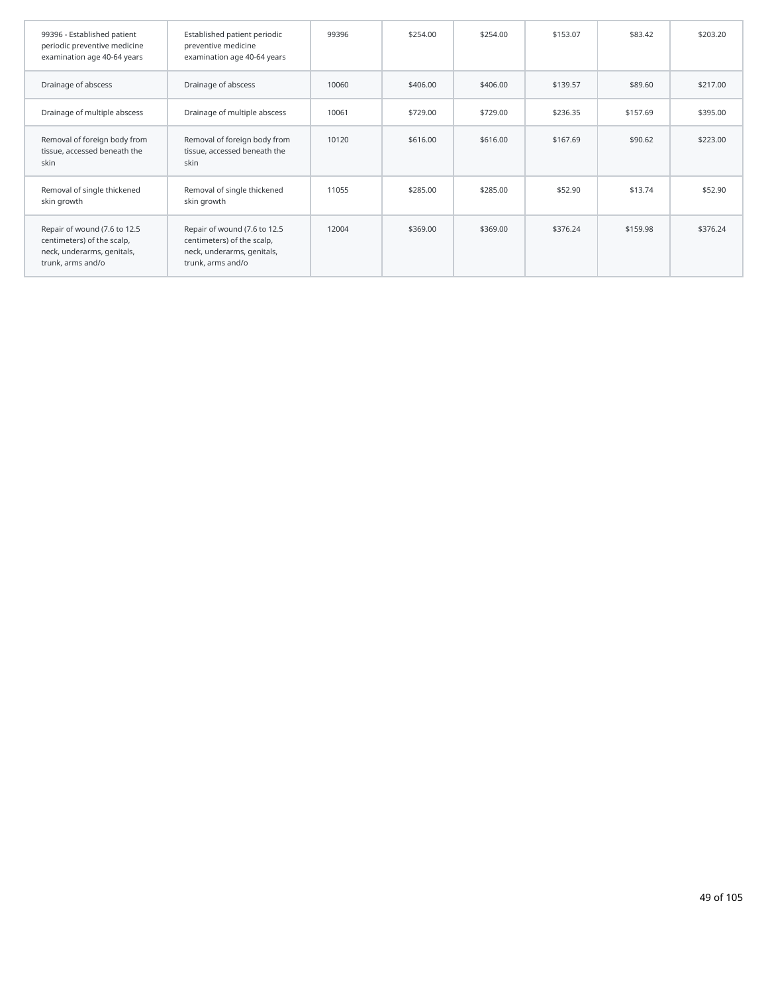| 99396 - Established patient<br>periodic preventive medicine<br>examination age 40-64 years                    | Established patient periodic<br>preventive medicine<br>examination age 40-64 years                            | 99396 | \$254.00 | \$254.00 | \$153.07 | \$83.42  | \$203.20 |
|---------------------------------------------------------------------------------------------------------------|---------------------------------------------------------------------------------------------------------------|-------|----------|----------|----------|----------|----------|
| Drainage of abscess                                                                                           | Drainage of abscess                                                                                           | 10060 | \$406.00 | \$406.00 | \$139.57 | \$89.60  | \$217.00 |
| Drainage of multiple abscess                                                                                  | Drainage of multiple abscess                                                                                  | 10061 | \$729.00 | \$729.00 | \$236.35 | \$157.69 | \$395.00 |
| Removal of foreign body from<br>tissue, accessed beneath the<br>skin                                          | Removal of foreign body from<br>tissue, accessed beneath the<br>skin                                          | 10120 | \$616.00 | \$616.00 | \$167.69 | \$90.62  | \$223.00 |
| Removal of single thickened<br>skin growth                                                                    | Removal of single thickened<br>skin growth                                                                    | 11055 | \$285.00 | \$285.00 | \$52.90  | \$13.74  | \$52.90  |
| Repair of wound (7.6 to 12.5<br>centimeters) of the scalp,<br>neck, underarms, genitals,<br>trunk, arms and/o | Repair of wound (7.6 to 12.5<br>centimeters) of the scalp,<br>neck, underarms, genitals,<br>trunk, arms and/o | 12004 | \$369.00 | \$369.00 | \$376.24 | \$159.98 | \$376.24 |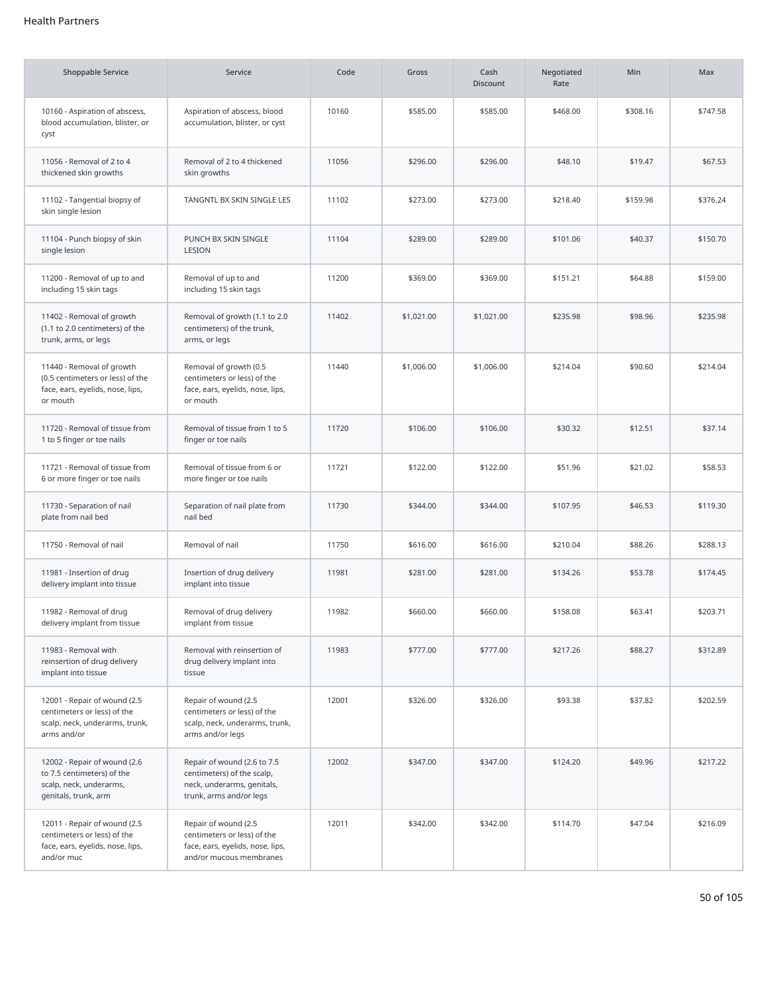## Health Partners

| <b>Shoppable Service</b>                                                                                      | Service                                                                                                            | Code  | Gross      | Cash<br><b>Discount</b> | Negotiated<br>Rate | Min      | Max      |
|---------------------------------------------------------------------------------------------------------------|--------------------------------------------------------------------------------------------------------------------|-------|------------|-------------------------|--------------------|----------|----------|
| 10160 - Aspiration of abscess,<br>blood accumulation, blister, or<br>cyst                                     | Aspiration of abscess, blood<br>accumulation, blister, or cyst                                                     | 10160 | \$585.00   | \$585.00                | \$468.00           | \$308.16 | \$747.58 |
| 11056 - Removal of 2 to 4<br>thickened skin growths                                                           | Removal of 2 to 4 thickened<br>skin growths                                                                        | 11056 | \$296.00   | \$296.00                | \$48.10            | \$19.47  | \$67.53  |
| 11102 - Tangential biopsy of<br>skin single lesion                                                            | TANGNTL BX SKIN SINGLE LES                                                                                         | 11102 | \$273.00   | \$273.00                | \$218.40           | \$159.98 | \$376.24 |
| 11104 - Punch biopsy of skin<br>single lesion                                                                 | PUNCH BX SKIN SINGLE<br>LESION                                                                                     | 11104 | \$289.00   | \$289.00                | \$101.06           | \$40.37  | \$150.70 |
| 11200 - Removal of up to and<br>including 15 skin tags                                                        | Removal of up to and<br>including 15 skin tags                                                                     | 11200 | \$369.00   | \$369.00                | \$151.21           | \$64.88  | \$159.00 |
| 11402 - Removal of growth<br>(1.1 to 2.0 centimeters) of the<br>trunk, arms, or legs                          | Removal of growth (1.1 to 2.0<br>centimeters) of the trunk,<br>arms, or legs                                       | 11402 | \$1,021.00 | \$1,021.00              | \$235.98           | \$98.96  | \$235.98 |
| 11440 - Removal of growth<br>(0.5 centimeters or less) of the<br>face, ears, eyelids, nose, lips,<br>or mouth | Removal of growth (0.5<br>centimeters or less) of the<br>face, ears, eyelids, nose, lips,<br>or mouth              | 11440 | \$1,006.00 | \$1,006.00              | \$214.04           | \$90.60  | \$214.04 |
| 11720 - Removal of tissue from<br>1 to 5 finger or toe nails                                                  | Removal of tissue from 1 to 5<br>finger or toe nails                                                               | 11720 | \$106.00   | \$106.00                | \$30.32            | \$12.51  | \$37.14  |
| 11721 - Removal of tissue from<br>6 or more finger or toe nails                                               | Removal of tissue from 6 or<br>more finger or toe nails                                                            | 11721 | \$122.00   | \$122.00                | \$51.96            | \$21.02  | \$58.53  |
| 11730 - Separation of nail<br>plate from nail bed                                                             | Separation of nail plate from<br>nail bed                                                                          | 11730 | \$344.00   | \$344.00                | \$107.95           | \$46.53  | \$119.30 |
| 11750 - Removal of nail                                                                                       | Removal of nail                                                                                                    | 11750 | \$616.00   | \$616.00                | \$210.04           | \$88.26  | \$288.13 |
| 11981 - Insertion of drug<br>delivery implant into tissue                                                     | Insertion of drug delivery<br>implant into tissue                                                                  | 11981 | \$281.00   | \$281.00                | \$134.26           | \$53.78  | \$174.45 |
| 11982 - Removal of drug<br>delivery implant from tissue                                                       | Removal of drug delivery<br>implant from tissue                                                                    | 11982 | \$660.00   | \$660.00                | \$158.08           | \$63.41  | \$203.71 |
| 11983 - Removal with<br>reinsertion of drug delivery<br>implant into tissue                                   | Removal with reinsertion of<br>drug delivery implant into<br>tissue                                                | 11983 | \$777.00   | \$777.00                | \$217.26           | \$88.27  | \$312.89 |
| 12001 - Repair of wound (2.5<br>centimeters or less) of the<br>scalp, neck, underarms, trunk,<br>arms and/or  | Repair of wound (2.5<br>centimeters or less) of the<br>scalp, neck, underarms, trunk,<br>arms and/or legs          | 12001 | \$326.00   | \$326.00                | \$93.38            | \$37.82  | \$202.59 |
| 12002 - Repair of wound (2.6<br>to 7.5 centimeters) of the<br>scalp, neck, underarms,<br>genitals, trunk, arm | Repair of wound (2.6 to 7.5<br>centimeters) of the scalp,<br>neck, underarms, genitals,<br>trunk, arms and/or legs | 12002 | \$347.00   | \$347.00                | \$124.20           | \$49.96  | \$217.22 |
| 12011 - Repair of wound (2.5<br>centimeters or less) of the<br>face, ears, eyelids, nose, lips,<br>and/or muc | Repair of wound (2.5<br>centimeters or less) of the<br>face, ears, eyelids, nose, lips,<br>and/or mucous membranes | 12011 | \$342.00   | \$342.00                | \$114.70           | \$47.04  | \$216.09 |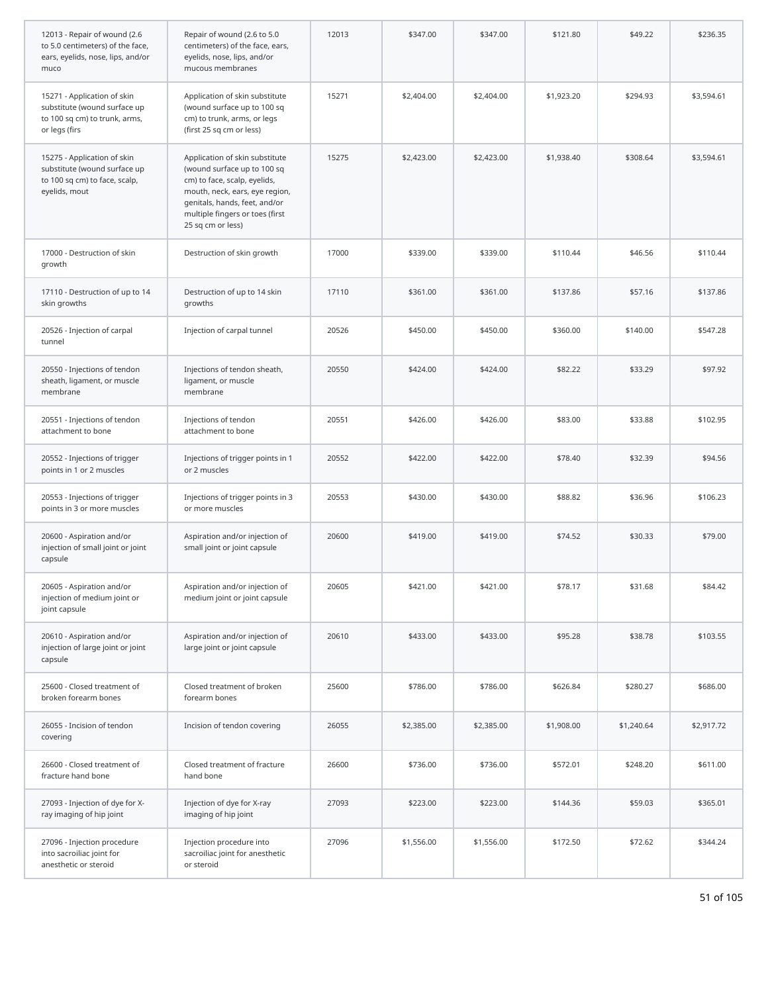| 12013 - Repair of wound (2.6<br>to 5.0 centimeters) of the face,<br>ears, eyelids, nose, lips, and/or<br>muco | Repair of wound (2.6 to 5.0<br>centimeters) of the face, ears,<br>eyelids, nose, lips, and/or<br>mucous membranes                                                                                                        | 12013 | \$347.00   | \$347.00   | \$121.80   | \$49.22    | \$236.35   |
|---------------------------------------------------------------------------------------------------------------|--------------------------------------------------------------------------------------------------------------------------------------------------------------------------------------------------------------------------|-------|------------|------------|------------|------------|------------|
| 15271 - Application of skin<br>substitute (wound surface up<br>to 100 sq cm) to trunk, arms,<br>or legs (firs | Application of skin substitute<br>(wound surface up to 100 sq<br>cm) to trunk, arms, or legs<br>(first 25 sq cm or less)                                                                                                 | 15271 | \$2,404.00 | \$2,404.00 | \$1,923.20 | \$294.93   | \$3,594.61 |
| 15275 - Application of skin<br>substitute (wound surface up<br>to 100 sq cm) to face, scalp,<br>eyelids, mout | Application of skin substitute<br>(wound surface up to 100 sq<br>cm) to face, scalp, eyelids,<br>mouth, neck, ears, eye region,<br>genitals, hands, feet, and/or<br>multiple fingers or toes (first<br>25 sq cm or less) | 15275 | \$2,423.00 | \$2,423.00 | \$1,938.40 | \$308.64   | \$3,594.61 |
| 17000 - Destruction of skin<br>growth                                                                         | Destruction of skin growth                                                                                                                                                                                               | 17000 | \$339.00   | \$339.00   | \$110.44   | \$46.56    | \$110.44   |
| 17110 - Destruction of up to 14<br>skin growths                                                               | Destruction of up to 14 skin<br>growths                                                                                                                                                                                  | 17110 | \$361.00   | \$361.00   | \$137.86   | \$57.16    | \$137.86   |
| 20526 - Injection of carpal<br>tunnel                                                                         | Injection of carpal tunnel                                                                                                                                                                                               | 20526 | \$450.00   | \$450.00   | \$360.00   | \$140.00   | \$547.28   |
| 20550 - Injections of tendon<br>sheath, ligament, or muscle<br>membrane                                       | Injections of tendon sheath,<br>ligament, or muscle<br>membrane                                                                                                                                                          | 20550 | \$424.00   | \$424.00   | \$82.22    | \$33.29    | \$97.92    |
| 20551 - Injections of tendon<br>attachment to bone                                                            | Injections of tendon<br>attachment to bone                                                                                                                                                                               | 20551 | \$426.00   | \$426.00   | \$83.00    | \$33.88    | \$102.95   |
| 20552 - Injections of trigger<br>points in 1 or 2 muscles                                                     | Injections of trigger points in 1<br>or 2 muscles                                                                                                                                                                        | 20552 | \$422.00   | \$422.00   | \$78.40    | \$32.39    | \$94.56    |
| 20553 - Injections of trigger<br>points in 3 or more muscles                                                  | Injections of trigger points in 3<br>or more muscles                                                                                                                                                                     | 20553 | \$430.00   | \$430.00   | \$88.82    | \$36.96    | \$106.23   |
| 20600 - Aspiration and/or<br>injection of small joint or joint<br>capsule                                     | Aspiration and/or injection of<br>small joint or joint capsule                                                                                                                                                           | 20600 | \$419.00   | \$419.00   | \$74.52    | \$30.33    | \$79.00    |
| 20605 - Aspiration and/or<br>injection of medium joint or<br>joint capsule                                    | Aspiration and/or injection of<br>medium joint or joint capsule                                                                                                                                                          | 20605 | \$421.00   | \$421.00   | \$78.17    | \$31.68    | \$84.42    |
| 20610 - Aspiration and/or<br>injection of large joint or joint<br>capsule                                     | Aspiration and/or injection of<br>large joint or joint capsule                                                                                                                                                           | 20610 | \$433.00   | \$433.00   | \$95.28    | \$38.78    | \$103.55   |
| 25600 - Closed treatment of<br>broken forearm bones                                                           | Closed treatment of broken<br>forearm bones                                                                                                                                                                              | 25600 | \$786.00   | \$786.00   | \$626.84   | \$280.27   | \$686.00   |
| 26055 - Incision of tendon<br>covering                                                                        | Incision of tendon covering                                                                                                                                                                                              | 26055 | \$2,385.00 | \$2,385.00 | \$1,908.00 | \$1,240.64 | \$2,917.72 |
| 26600 - Closed treatment of<br>fracture hand bone                                                             | Closed treatment of fracture<br>hand bone                                                                                                                                                                                | 26600 | \$736.00   | \$736.00   | \$572.01   | \$248.20   | \$611.00   |
| 27093 - Injection of dye for X-<br>ray imaging of hip joint                                                   | Injection of dye for X-ray<br>imaging of hip joint                                                                                                                                                                       | 27093 | \$223.00   | \$223.00   | \$144.36   | \$59.03    | \$365.01   |
| 27096 - Injection procedure<br>into sacroiliac joint for<br>anesthetic or steroid                             | Injection procedure into<br>sacroiliac joint for anesthetic<br>or steroid                                                                                                                                                | 27096 | \$1,556.00 | \$1,556.00 | \$172.50   | \$72.62    | \$344.24   |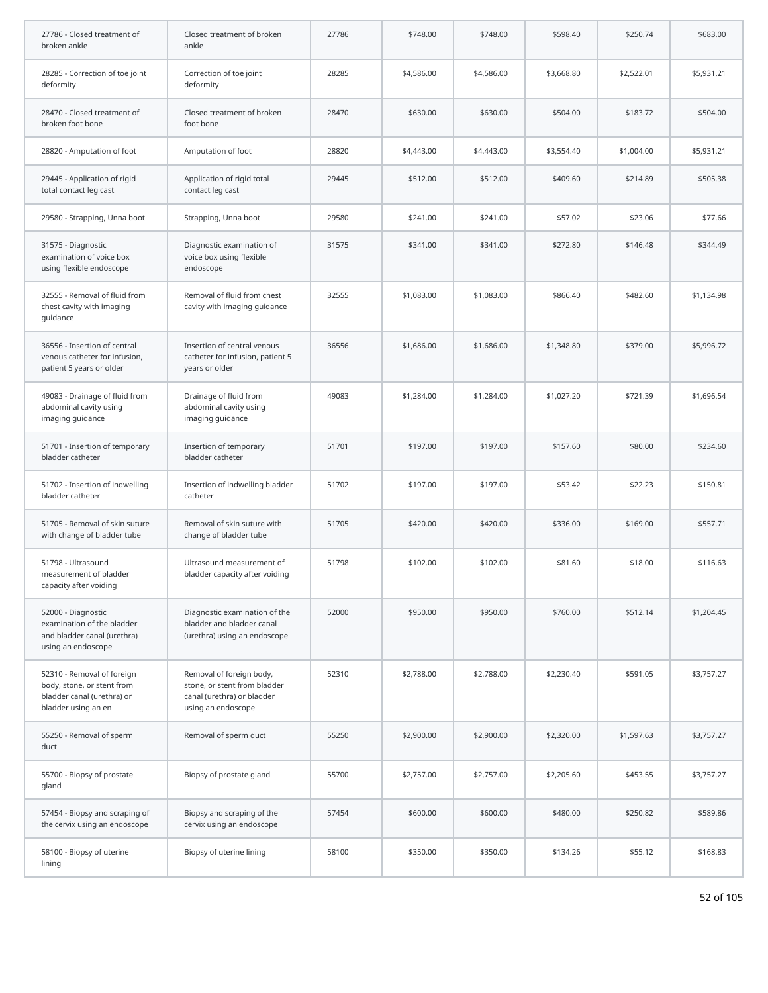| 27786 - Closed treatment of<br>broken ankle                                                                   | Closed treatment of broken<br>ankle                                                                          | 27786 | \$748.00   | \$748.00   | \$598.40   | \$250.74   | \$683.00   |
|---------------------------------------------------------------------------------------------------------------|--------------------------------------------------------------------------------------------------------------|-------|------------|------------|------------|------------|------------|
| 28285 - Correction of toe joint<br>deformity                                                                  | Correction of toe joint<br>deformity                                                                         | 28285 | \$4,586.00 | \$4,586.00 | \$3,668.80 | \$2,522.01 | \$5,931.21 |
| 28470 - Closed treatment of<br>broken foot bone                                                               | Closed treatment of broken<br>foot bone                                                                      | 28470 | \$630.00   | \$630.00   | \$504.00   | \$183.72   | \$504.00   |
| 28820 - Amputation of foot                                                                                    | Amputation of foot                                                                                           | 28820 | \$4,443.00 | \$4,443.00 | \$3,554.40 | \$1,004.00 | \$5,931.21 |
| 29445 - Application of rigid<br>total contact leg cast                                                        | Application of rigid total<br>contact leg cast                                                               | 29445 | \$512.00   | \$512.00   | \$409.60   | \$214.89   | \$505.38   |
| 29580 - Strapping, Unna boot                                                                                  | Strapping, Unna boot                                                                                         | 29580 | \$241.00   | \$241.00   | \$57.02    | \$23.06    | \$77.66    |
| 31575 - Diagnostic<br>examination of voice box<br>using flexible endoscope                                    | Diagnostic examination of<br>voice box using flexible<br>endoscope                                           | 31575 | \$341.00   | \$341.00   | \$272.80   | \$146.48   | \$344.49   |
| 32555 - Removal of fluid from<br>chest cavity with imaging<br>quidance                                        | Removal of fluid from chest<br>cavity with imaging guidance                                                  | 32555 | \$1,083.00 | \$1,083.00 | \$866.40   | \$482.60   | \$1,134.98 |
| 36556 - Insertion of central<br>venous catheter for infusion,<br>patient 5 years or older                     | Insertion of central venous<br>catheter for infusion, patient 5<br>years or older                            | 36556 | \$1,686.00 | \$1,686.00 | \$1,348.80 | \$379.00   | \$5,996.72 |
| 49083 - Drainage of fluid from<br>abdominal cavity using<br>imaging guidance                                  | Drainage of fluid from<br>abdominal cavity using<br>imaging guidance                                         | 49083 | \$1,284.00 | \$1,284.00 | \$1,027.20 | \$721.39   | \$1,696.54 |
| 51701 - Insertion of temporary<br>bladder catheter                                                            | Insertion of temporary<br>bladder catheter                                                                   | 51701 | \$197.00   | \$197.00   | \$157.60   | \$80.00    | \$234.60   |
| 51702 - Insertion of indwelling<br>bladder catheter                                                           | Insertion of indwelling bladder<br>catheter                                                                  | 51702 | \$197.00   | \$197.00   | \$53.42    | \$22.23    | \$150.81   |
| 51705 - Removal of skin suture<br>with change of bladder tube                                                 | Removal of skin suture with<br>change of bladder tube                                                        | 51705 | \$420.00   | \$420.00   | \$336.00   | \$169.00   | \$557.71   |
| 51798 - Ultrasound<br>measurement of bladder<br>capacity after voiding                                        | Ultrasound measurement of<br>bladder capacity after voiding                                                  | 51798 | \$102.00   | \$102.00   | \$81.60    | \$18.00    | \$116.63   |
| 52000 - Diagnostic<br>examination of the bladder<br>and bladder canal (urethra)<br>using an endoscope         | Diagnostic examination of the<br>bladder and bladder canal<br>(urethra) using an endoscope                   | 52000 | \$950.00   | \$950.00   | \$760.00   | \$512.14   | \$1,204.45 |
| 52310 - Removal of foreign<br>body, stone, or stent from<br>bladder canal (urethra) or<br>bladder using an en | Removal of foreign body,<br>stone, or stent from bladder<br>canal (urethra) or bladder<br>using an endoscope | 52310 | \$2,788.00 | \$2,788.00 | \$2,230.40 | \$591.05   | \$3,757.27 |
| 55250 - Removal of sperm<br>duct                                                                              | Removal of sperm duct                                                                                        | 55250 | \$2,900.00 | \$2,900.00 | \$2,320.00 | \$1,597.63 | \$3,757.27 |
| 55700 - Biopsy of prostate<br>gland                                                                           | Biopsy of prostate gland                                                                                     | 55700 | \$2,757.00 | \$2,757.00 | \$2,205.60 | \$453.55   | \$3,757.27 |
| 57454 - Biopsy and scraping of<br>the cervix using an endoscope                                               | Biopsy and scraping of the<br>cervix using an endoscope                                                      | 57454 | \$600.00   | \$600.00   | \$480.00   | \$250.82   | \$589.86   |
| 58100 - Biopsy of uterine<br>lining                                                                           | Biopsy of uterine lining                                                                                     | 58100 | \$350.00   | \$350.00   | \$134.26   | \$55.12    | \$168.83   |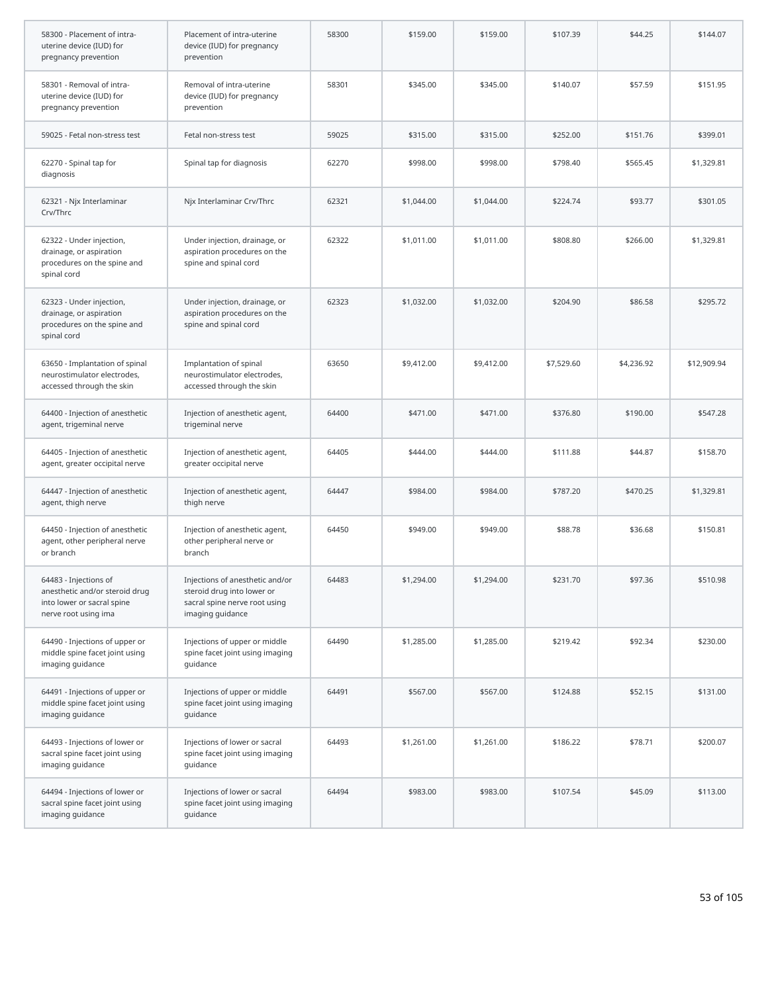| 58300 - Placement of intra-<br>uterine device (IUD) for<br>pregnancy prevention                               | Placement of intra-uterine<br>device (IUD) for pregnancy<br>prevention                                             | 58300 | \$159.00   | \$159.00   | \$107.39   | \$44.25    | \$144.07    |
|---------------------------------------------------------------------------------------------------------------|--------------------------------------------------------------------------------------------------------------------|-------|------------|------------|------------|------------|-------------|
| 58301 - Removal of intra-<br>uterine device (IUD) for<br>pregnancy prevention                                 | Removal of intra-uterine<br>device (IUD) for pregnancy<br>prevention                                               | 58301 | \$345.00   | \$345.00   | \$140.07   | \$57.59    | \$151.95    |
| 59025 - Fetal non-stress test                                                                                 | Fetal non-stress test                                                                                              | 59025 | \$315.00   | \$315.00   | \$252.00   | \$151.76   | \$399.01    |
| 62270 - Spinal tap for<br>diagnosis                                                                           | Spinal tap for diagnosis                                                                                           | 62270 | \$998.00   | \$998.00   | \$798.40   | \$565.45   | \$1,329.81  |
| 62321 - Njx Interlaminar<br>Crv/Thrc                                                                          | Njx Interlaminar Crv/Thrc                                                                                          | 62321 | \$1,044.00 | \$1,044.00 | \$224.74   | \$93.77    | \$301.05    |
| 62322 - Under injection,<br>drainage, or aspiration<br>procedures on the spine and<br>spinal cord             | Under injection, drainage, or<br>aspiration procedures on the<br>spine and spinal cord                             | 62322 | \$1,011.00 | \$1,011.00 | \$808.80   | \$266.00   | \$1,329.81  |
| 62323 - Under injection,<br>drainage, or aspiration<br>procedures on the spine and<br>spinal cord             | Under injection, drainage, or<br>aspiration procedures on the<br>spine and spinal cord                             | 62323 | \$1,032.00 | \$1,032.00 | \$204.90   | \$86.58    | \$295.72    |
| 63650 - Implantation of spinal<br>neurostimulator electrodes,<br>accessed through the skin                    | Implantation of spinal<br>neurostimulator electrodes,<br>accessed through the skin                                 | 63650 | \$9,412.00 | \$9,412.00 | \$7,529.60 | \$4,236.92 | \$12,909.94 |
| 64400 - Injection of anesthetic<br>agent, trigeminal nerve                                                    | Injection of anesthetic agent,<br>trigeminal nerve                                                                 | 64400 | \$471.00   | \$471.00   | \$376.80   | \$190.00   | \$547.28    |
| 64405 - Injection of anesthetic<br>agent, greater occipital nerve                                             | Injection of anesthetic agent,<br>greater occipital nerve                                                          | 64405 | \$444.00   | \$444.00   | \$111.88   | \$44.87    | \$158.70    |
| 64447 - Injection of anesthetic<br>agent, thigh nerve                                                         | Injection of anesthetic agent,<br>thigh nerve                                                                      | 64447 | \$984.00   | \$984.00   | \$787.20   | \$470.25   | \$1,329.81  |
| 64450 - Injection of anesthetic<br>agent, other peripheral nerve<br>or branch                                 | Injection of anesthetic agent,<br>other peripheral nerve or<br>branch                                              | 64450 | \$949.00   | \$949.00   | \$88.78    | \$36.68    | \$150.81    |
| 64483 - Injections of<br>anesthetic and/or steroid drug<br>into lower or sacral spine<br>nerve root using ima | Injections of anesthetic and/or<br>steroid drug into lower or<br>sacral spine nerve root using<br>imaging guidance | 64483 | \$1,294.00 | \$1,294.00 | \$231.70   | \$97.36    | \$510.98    |
| 64490 - Injections of upper or<br>middle spine facet joint using<br>imaging guidance                          | Injections of upper or middle<br>spine facet joint using imaging<br>guidance                                       | 64490 | \$1,285.00 | \$1,285.00 | \$219.42   | \$92.34    | \$230.00    |
| 64491 - Injections of upper or<br>middle spine facet joint using<br>imaging guidance                          | Injections of upper or middle<br>spine facet joint using imaging<br>quidance                                       | 64491 | \$567.00   | \$567.00   | \$124.88   | \$52.15    | \$131.00    |
| 64493 - Injections of lower or<br>sacral spine facet joint using<br>imaging guidance                          | Injections of lower or sacral<br>spine facet joint using imaging<br>guidance                                       | 64493 | \$1,261.00 | \$1,261.00 | \$186.22   | \$78.71    | \$200.07    |
| 64494 - Injections of lower or<br>sacral spine facet joint using<br>imaging guidance                          | Injections of lower or sacral<br>spine facet joint using imaging<br>guidance                                       | 64494 | \$983.00   | \$983.00   | \$107.54   | \$45.09    | \$113.00    |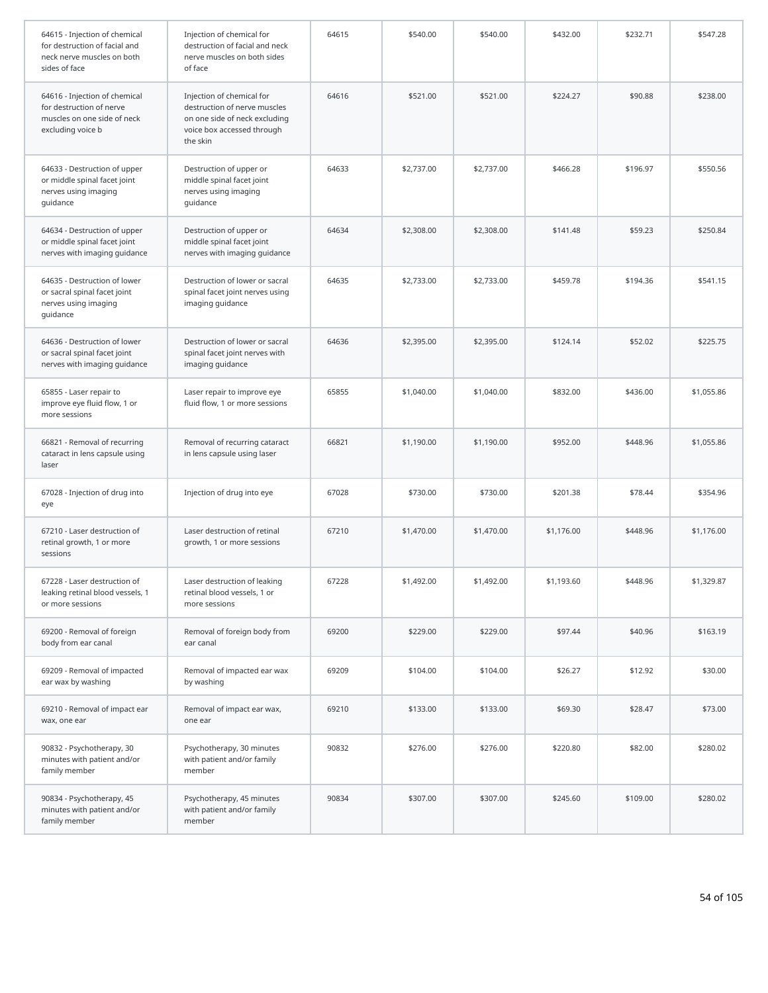| 64615 - Injection of chemical<br>for destruction of facial and<br>neck nerve muscles on both<br>sides of face | Injection of chemical for<br>destruction of facial and neck<br>nerve muscles on both sides<br>of face                                | 64615 | \$540.00   | \$540.00   | \$432.00   | \$232.71 | \$547.28   |
|---------------------------------------------------------------------------------------------------------------|--------------------------------------------------------------------------------------------------------------------------------------|-------|------------|------------|------------|----------|------------|
| 64616 - Injection of chemical<br>for destruction of nerve<br>muscles on one side of neck<br>excluding voice b | Injection of chemical for<br>destruction of nerve muscles<br>on one side of neck excluding<br>voice box accessed through<br>the skin | 64616 | \$521.00   | \$521.00   | \$224.27   | \$90.88  | \$238.00   |
| 64633 - Destruction of upper<br>or middle spinal facet joint<br>nerves using imaging<br>guidance              | Destruction of upper or<br>middle spinal facet joint<br>nerves using imaging<br>guidance                                             | 64633 | \$2,737.00 | \$2,737.00 | \$466.28   | \$196.97 | \$550.56   |
| 64634 - Destruction of upper<br>or middle spinal facet joint<br>nerves with imaging guidance                  | Destruction of upper or<br>middle spinal facet joint<br>nerves with imaging guidance                                                 | 64634 | \$2,308.00 | \$2,308.00 | \$141.48   | \$59.23  | \$250.84   |
| 64635 - Destruction of lower<br>or sacral spinal facet joint<br>nerves using imaging<br>guidance              | Destruction of lower or sacral<br>spinal facet joint nerves using<br>imaging guidance                                                | 64635 | \$2,733.00 | \$2,733.00 | \$459.78   | \$194.36 | \$541.15   |
| 64636 - Destruction of lower<br>or sacral spinal facet joint<br>nerves with imaging guidance                  | Destruction of lower or sacral<br>spinal facet joint nerves with<br>imaging guidance                                                 | 64636 | \$2,395.00 | \$2,395.00 | \$124.14   | \$52.02  | \$225.75   |
| 65855 - Laser repair to<br>improve eye fluid flow, 1 or<br>more sessions                                      | Laser repair to improve eye<br>fluid flow, 1 or more sessions                                                                        | 65855 | \$1,040.00 | \$1,040.00 | \$832.00   | \$436.00 | \$1,055.86 |
| 66821 - Removal of recurring<br>cataract in lens capsule using<br>laser                                       | Removal of recurring cataract<br>in lens capsule using laser                                                                         | 66821 | \$1,190.00 | \$1,190.00 | \$952.00   | \$448.96 | \$1,055.86 |
| 67028 - Injection of drug into<br>eye                                                                         | Injection of drug into eye                                                                                                           | 67028 | \$730.00   | \$730.00   | \$201.38   | \$78.44  | \$354.96   |
| 67210 - Laser destruction of<br>retinal growth, 1 or more<br>sessions                                         | Laser destruction of retinal<br>growth, 1 or more sessions                                                                           | 67210 | \$1,470.00 | \$1,470.00 | \$1,176.00 | \$448.96 | \$1,176.00 |
| 67228 - Laser destruction of<br>leaking retinal blood vessels, 1<br>or more sessions                          | Laser destruction of leaking<br>retinal blood vessels, 1 or<br>more sessions                                                         | 67228 | \$1,492.00 | \$1,492.00 | \$1,193.60 | \$448.96 | \$1,329.87 |
| 69200 - Removal of foreign<br>body from ear canal                                                             | Removal of foreign body from<br>ear canal                                                                                            | 69200 | \$229.00   | \$229.00   | \$97.44    | \$40.96  | \$163.19   |
| 69209 - Removal of impacted<br>ear wax by washing                                                             | Removal of impacted ear wax<br>by washing                                                                                            | 69209 | \$104.00   | \$104.00   | \$26.27    | \$12.92  | \$30.00    |
| 69210 - Removal of impact ear<br>wax, one ear                                                                 | Removal of impact ear wax,<br>one ear                                                                                                | 69210 | \$133.00   | \$133.00   | \$69.30    | \$28.47  | \$73.00    |
| 90832 - Psychotherapy, 30<br>minutes with patient and/or<br>family member                                     | Psychotherapy, 30 minutes<br>with patient and/or family<br>member                                                                    | 90832 | \$276.00   | \$276.00   | \$220.80   | \$82.00  | \$280.02   |
| 90834 - Psychotherapy, 45<br>minutes with patient and/or<br>family member                                     | Psychotherapy, 45 minutes<br>with patient and/or family<br>member                                                                    | 90834 | \$307.00   | \$307.00   | \$245.60   | \$109.00 | \$280.02   |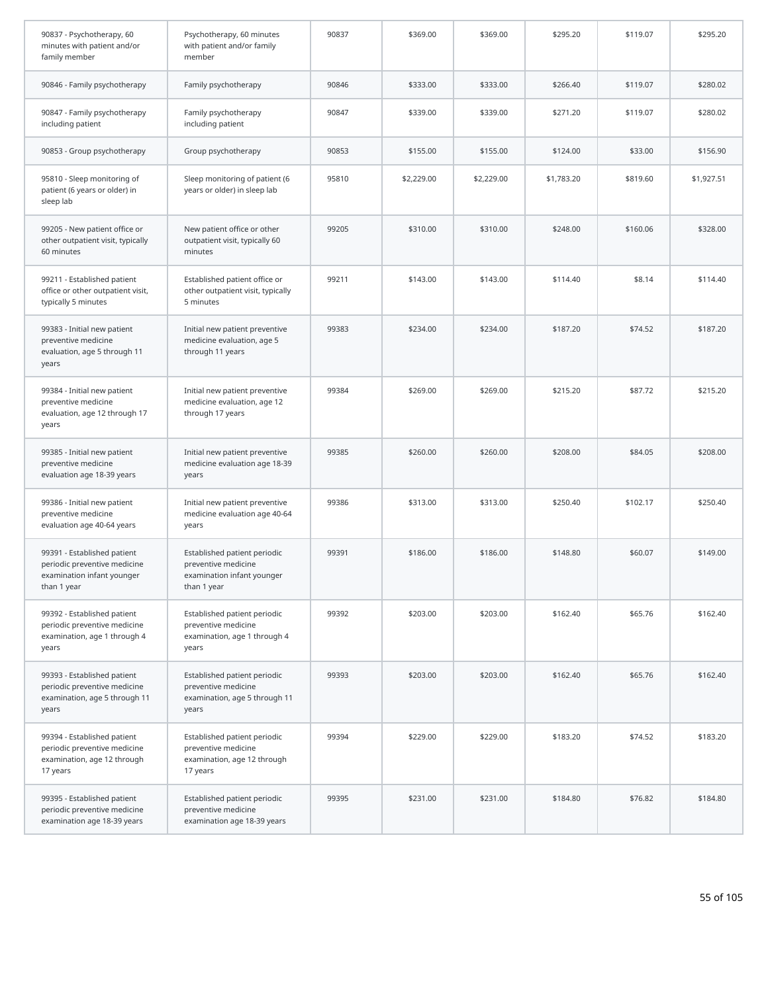| 90837 - Psychotherapy, 60<br>minutes with patient and/or<br>family member                                | Psychotherapy, 60 minutes<br>with patient and/or family<br>member                                | 90837 | \$369.00   | \$369.00   | \$295.20   | \$119.07 | \$295.20   |
|----------------------------------------------------------------------------------------------------------|--------------------------------------------------------------------------------------------------|-------|------------|------------|------------|----------|------------|
| 90846 - Family psychotherapy                                                                             | Family psychotherapy                                                                             | 90846 | \$333.00   | \$333.00   | \$266.40   | \$119.07 | \$280.02   |
| 90847 - Family psychotherapy<br>including patient                                                        | Family psychotherapy<br>including patient                                                        | 90847 | \$339.00   | \$339.00   | \$271.20   | \$119.07 | \$280.02   |
| 90853 - Group psychotherapy                                                                              | Group psychotherapy                                                                              | 90853 | \$155.00   | \$155.00   | \$124.00   | \$33.00  | \$156.90   |
| 95810 - Sleep monitoring of<br>patient (6 years or older) in<br>sleep lab                                | Sleep monitoring of patient (6<br>years or older) in sleep lab                                   | 95810 | \$2,229.00 | \$2,229.00 | \$1,783.20 | \$819.60 | \$1,927.51 |
| 99205 - New patient office or<br>other outpatient visit, typically<br>60 minutes                         | New patient office or other<br>outpatient visit, typically 60<br>minutes                         | 99205 | \$310.00   | \$310.00   | \$248.00   | \$160.06 | \$328.00   |
| 99211 - Established patient<br>office or other outpatient visit,<br>typically 5 minutes                  | Established patient office or<br>other outpatient visit, typically<br>5 minutes                  | 99211 | \$143.00   | \$143.00   | \$114.40   | \$8.14   | \$114.40   |
| 99383 - Initial new patient<br>preventive medicine<br>evaluation, age 5 through 11<br>years              | Initial new patient preventive<br>medicine evaluation, age 5<br>through 11 years                 | 99383 | \$234.00   | \$234.00   | \$187.20   | \$74.52  | \$187.20   |
| 99384 - Initial new patient<br>preventive medicine<br>evaluation, age 12 through 17<br>years             | Initial new patient preventive<br>medicine evaluation, age 12<br>through 17 years                | 99384 | \$269.00   | \$269.00   | \$215.20   | \$87.72  | \$215.20   |
| 99385 - Initial new patient<br>preventive medicine<br>evaluation age 18-39 years                         | Initial new patient preventive<br>medicine evaluation age 18-39<br>years                         | 99385 | \$260.00   | \$260.00   | \$208.00   | \$84.05  | \$208.00   |
| 99386 - Initial new patient<br>preventive medicine<br>evaluation age 40-64 years                         | Initial new patient preventive<br>medicine evaluation age 40-64<br>years                         | 99386 | \$313.00   | \$313.00   | \$250.40   | \$102.17 | \$250.40   |
| 99391 - Established patient<br>periodic preventive medicine<br>examination infant younger<br>than 1 year | Established patient periodic<br>preventive medicine<br>examination infant younger<br>than 1 year | 99391 | \$186.00   | \$186.00   | \$148.80   | \$60.07  | \$149.00   |
| 99392 - Established patient<br>periodic preventive medicine<br>examination, age 1 through 4<br>years     | Established patient periodic<br>preventive medicine<br>examination, age 1 through 4<br>years     | 99392 | \$203.00   | \$203.00   | \$162.40   | \$65.76  | \$162.40   |
| 99393 - Established patient<br>periodic preventive medicine<br>examination, age 5 through 11<br>years    | Established patient periodic<br>preventive medicine<br>examination, age 5 through 11<br>years    | 99393 | \$203.00   | \$203.00   | \$162.40   | \$65.76  | \$162.40   |
| 99394 - Established patient<br>periodic preventive medicine<br>examination, age 12 through<br>17 years   | Established patient periodic<br>preventive medicine<br>examination, age 12 through<br>17 years   | 99394 | \$229.00   | \$229.00   | \$183.20   | \$74.52  | \$183.20   |
| 99395 - Established patient<br>periodic preventive medicine<br>examination age 18-39 years               | Established patient periodic<br>preventive medicine<br>examination age 18-39 years               | 99395 | \$231.00   | \$231.00   | \$184.80   | \$76.82  | \$184.80   |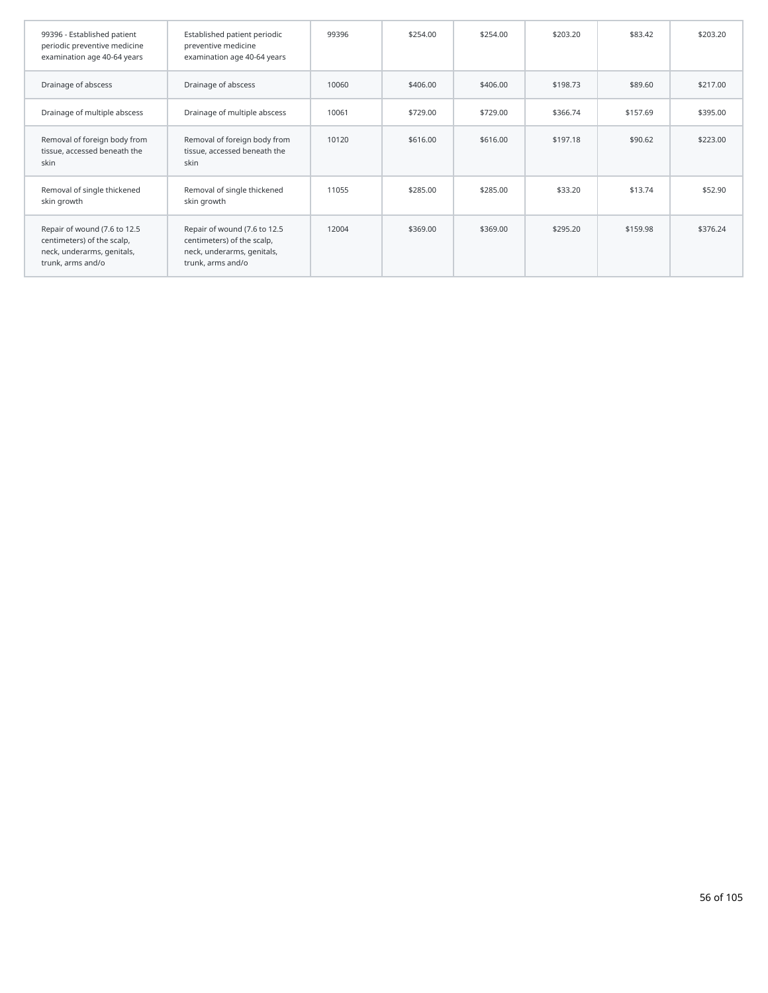| 99396 - Established patient<br>periodic preventive medicine<br>examination age 40-64 years                    | Established patient periodic<br>preventive medicine<br>examination age 40-64 years                            | 99396 | \$254.00 | \$254.00 | \$203.20 | \$83.42  | \$203.20 |
|---------------------------------------------------------------------------------------------------------------|---------------------------------------------------------------------------------------------------------------|-------|----------|----------|----------|----------|----------|
| Drainage of abscess                                                                                           | Drainage of abscess                                                                                           | 10060 | \$406.00 | \$406.00 | \$198.73 | \$89.60  | \$217.00 |
| Drainage of multiple abscess                                                                                  | Drainage of multiple abscess                                                                                  | 10061 | \$729.00 | \$729.00 | \$366.74 | \$157.69 | \$395.00 |
| Removal of foreign body from<br>tissue, accessed beneath the<br>skin                                          | Removal of foreign body from<br>tissue, accessed beneath the<br>skin                                          | 10120 | \$616.00 | \$616.00 | \$197.18 | \$90.62  | \$223.00 |
| Removal of single thickened<br>skin growth                                                                    | Removal of single thickened<br>skin growth                                                                    | 11055 | \$285.00 | \$285.00 | \$33.20  | \$13.74  | \$52.90  |
| Repair of wound (7.6 to 12.5<br>centimeters) of the scalp,<br>neck, underarms, genitals,<br>trunk, arms and/o | Repair of wound (7.6 to 12.5<br>centimeters) of the scalp,<br>neck, underarms, genitals,<br>trunk, arms and/o | 12004 | \$369.00 | \$369.00 | \$295.20 | \$159.98 | \$376.24 |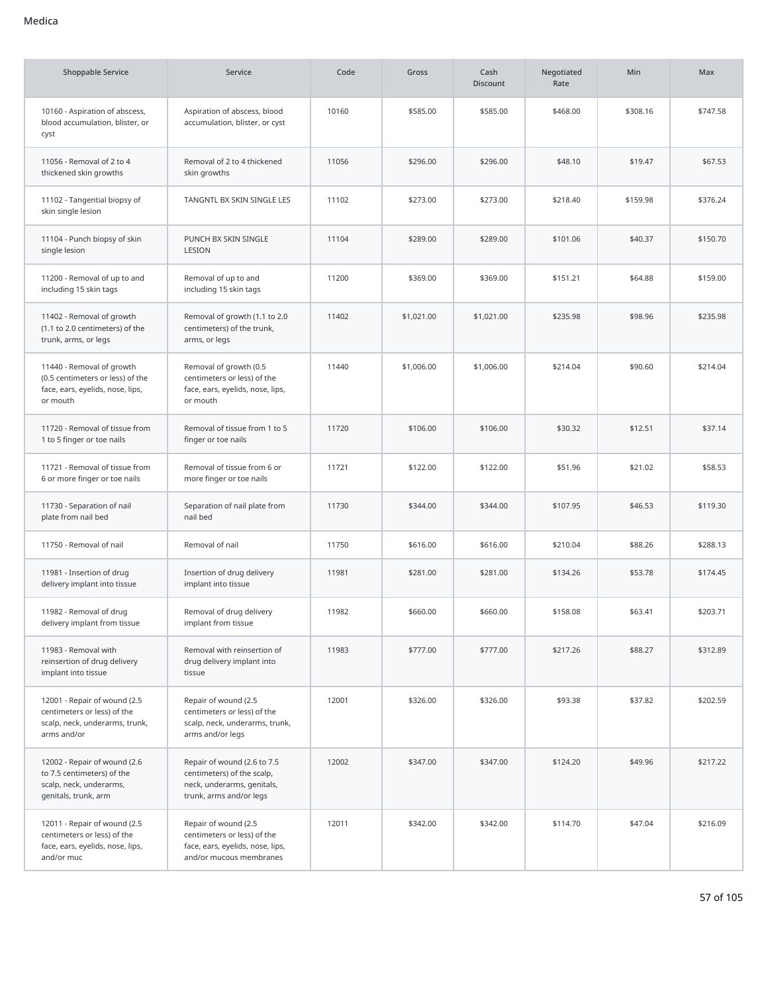| <b>Shoppable Service</b>                                                                                      | Service                                                                                                            | Code  | Gross      | Cash<br><b>Discount</b> | Negotiated<br>Rate | <b>Min</b> | Max      |
|---------------------------------------------------------------------------------------------------------------|--------------------------------------------------------------------------------------------------------------------|-------|------------|-------------------------|--------------------|------------|----------|
| 10160 - Aspiration of abscess,<br>blood accumulation, blister, or<br>cyst                                     | Aspiration of abscess, blood<br>accumulation, blister, or cyst                                                     | 10160 | \$585.00   | \$585.00                | \$468.00           | \$308.16   | \$747.58 |
| 11056 - Removal of 2 to 4<br>thickened skin growths                                                           | Removal of 2 to 4 thickened<br>skin growths                                                                        | 11056 | \$296.00   | \$296.00                | \$48.10            | \$19.47    | \$67.53  |
| 11102 - Tangential biopsy of<br>skin single lesion                                                            | TANGNTL BX SKIN SINGLE LES                                                                                         | 11102 | \$273.00   | \$273.00                | \$218.40           | \$159.98   | \$376.24 |
| 11104 - Punch biopsy of skin<br>single lesion                                                                 | PUNCH BX SKIN SINGLE<br>LESION                                                                                     | 11104 | \$289.00   | \$289.00                | \$101.06           | \$40.37    | \$150.70 |
| 11200 - Removal of up to and<br>including 15 skin tags                                                        | Removal of up to and<br>including 15 skin tags                                                                     | 11200 | \$369.00   | \$369.00                | \$151.21           | \$64.88    | \$159.00 |
| 11402 - Removal of growth<br>(1.1 to 2.0 centimeters) of the<br>trunk, arms, or legs                          | Removal of growth (1.1 to 2.0<br>centimeters) of the trunk,<br>arms, or legs                                       | 11402 | \$1,021.00 | \$1,021.00              | \$235.98           | \$98.96    | \$235.98 |
| 11440 - Removal of growth<br>(0.5 centimeters or less) of the<br>face, ears, eyelids, nose, lips,<br>or mouth | Removal of growth (0.5<br>centimeters or less) of the<br>face, ears, eyelids, nose, lips,<br>or mouth              | 11440 | \$1,006.00 | \$1,006.00              | \$214.04           | \$90.60    | \$214.04 |
| 11720 - Removal of tissue from<br>1 to 5 finger or toe nails                                                  | Removal of tissue from 1 to 5<br>finger or toe nails                                                               | 11720 | \$106.00   | \$106.00                | \$30.32            | \$12.51    | \$37.14  |
| 11721 - Removal of tissue from<br>6 or more finger or toe nails                                               | Removal of tissue from 6 or<br>more finger or toe nails                                                            | 11721 | \$122.00   | \$122.00                | \$51.96            | \$21.02    | \$58.53  |
| 11730 - Separation of nail<br>plate from nail bed                                                             | Separation of nail plate from<br>nail bed                                                                          | 11730 | \$344.00   | \$344.00                | \$107.95           | \$46.53    | \$119.30 |
| 11750 - Removal of nail                                                                                       | Removal of nail                                                                                                    | 11750 | \$616.00   | \$616.00                | \$210.04           | \$88.26    | \$288.13 |
| 11981 - Insertion of drug<br>delivery implant into tissue                                                     | Insertion of drug delivery<br>implant into tissue                                                                  | 11981 | \$281.00   | \$281.00                | \$134.26           | \$53.78    | \$174.45 |
| 11982 - Removal of drug<br>delivery implant from tissue                                                       | Removal of drug delivery<br>implant from tissue                                                                    | 11982 | \$660.00   | \$660.00                | \$158.08           | \$63.41    | \$203.71 |
| 11983 - Removal with<br>reinsertion of drug delivery<br>implant into tissue                                   | Removal with reinsertion of<br>drug delivery implant into<br>tissue                                                | 11983 | \$777.00   | \$777.00                | \$217.26           | \$88.27    | \$312.89 |
| 12001 - Repair of wound (2.5<br>centimeters or less) of the<br>scalp, neck, underarms, trunk,<br>arms and/or  | Repair of wound (2.5<br>centimeters or less) of the<br>scalp, neck, underarms, trunk,<br>arms and/or legs          | 12001 | \$326.00   | \$326.00                | \$93.38            | \$37.82    | \$202.59 |
| 12002 - Repair of wound (2.6<br>to 7.5 centimeters) of the<br>scalp, neck, underarms,<br>genitals, trunk, arm | Repair of wound (2.6 to 7.5<br>centimeters) of the scalp,<br>neck, underarms, genitals,<br>trunk, arms and/or legs | 12002 | \$347.00   | \$347.00                | \$124.20           | \$49.96    | \$217.22 |
| 12011 - Repair of wound (2.5<br>centimeters or less) of the<br>face, ears, eyelids, nose, lips,<br>and/or muc | Repair of wound (2.5<br>centimeters or less) of the<br>face, ears, eyelids, nose, lips,<br>and/or mucous membranes | 12011 | \$342.00   | \$342.00                | \$114.70           | \$47.04    | \$216.09 |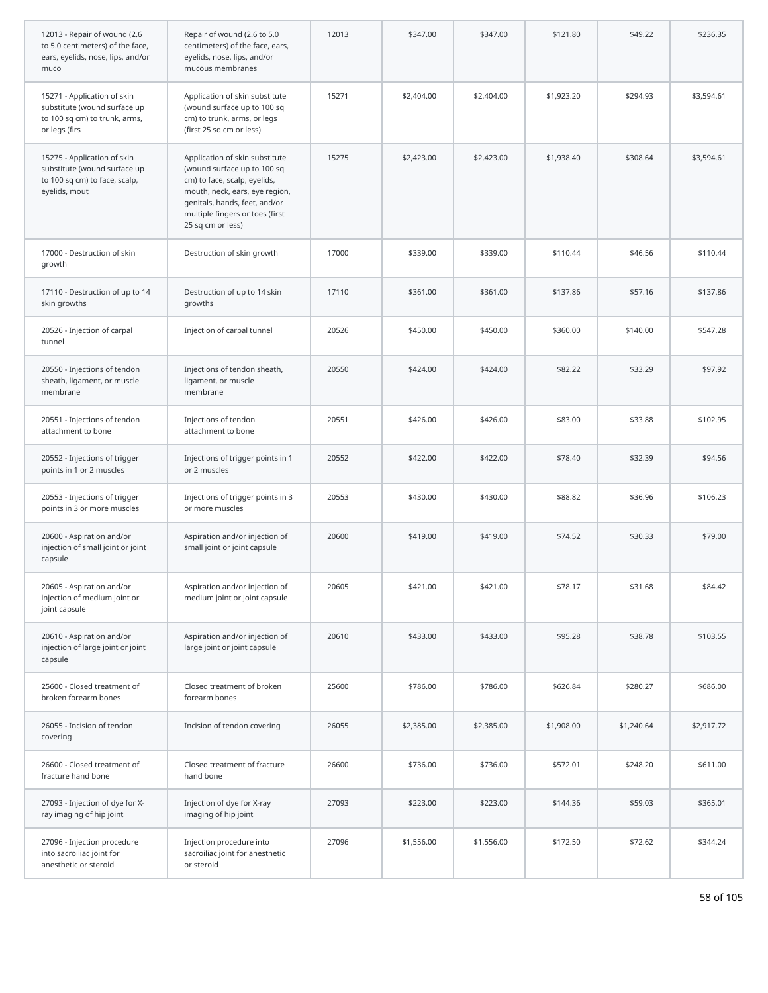| 12013 - Repair of wound (2.6<br>to 5.0 centimeters) of the face,<br>ears, eyelids, nose, lips, and/or<br>muco | Repair of wound (2.6 to 5.0<br>centimeters) of the face, ears,<br>eyelids, nose, lips, and/or<br>mucous membranes                                                                                                        | 12013 | \$347.00   | \$347.00   | \$121.80   | \$49.22    | \$236.35   |
|---------------------------------------------------------------------------------------------------------------|--------------------------------------------------------------------------------------------------------------------------------------------------------------------------------------------------------------------------|-------|------------|------------|------------|------------|------------|
| 15271 - Application of skin<br>substitute (wound surface up<br>to 100 sq cm) to trunk, arms,<br>or legs (firs | Application of skin substitute<br>(wound surface up to 100 sq<br>cm) to trunk, arms, or legs<br>(first 25 sq cm or less)                                                                                                 | 15271 | \$2,404.00 | \$2,404.00 | \$1,923.20 | \$294.93   | \$3,594.61 |
| 15275 - Application of skin<br>substitute (wound surface up<br>to 100 sq cm) to face, scalp,<br>eyelids, mout | Application of skin substitute<br>(wound surface up to 100 sq<br>cm) to face, scalp, eyelids,<br>mouth, neck, ears, eye region,<br>genitals, hands, feet, and/or<br>multiple fingers or toes (first<br>25 sq cm or less) | 15275 | \$2,423.00 | \$2,423.00 | \$1,938.40 | \$308.64   | \$3,594.61 |
| 17000 - Destruction of skin<br>growth                                                                         | Destruction of skin growth                                                                                                                                                                                               | 17000 | \$339.00   | \$339.00   | \$110.44   | \$46.56    | \$110.44   |
| 17110 - Destruction of up to 14<br>skin growths                                                               | Destruction of up to 14 skin<br>growths                                                                                                                                                                                  | 17110 | \$361.00   | \$361.00   | \$137.86   | \$57.16    | \$137.86   |
| 20526 - Injection of carpal<br>tunnel                                                                         | Injection of carpal tunnel                                                                                                                                                                                               | 20526 | \$450.00   | \$450.00   | \$360.00   | \$140.00   | \$547.28   |
| 20550 - Injections of tendon<br>sheath, ligament, or muscle<br>membrane                                       | Injections of tendon sheath,<br>ligament, or muscle<br>membrane                                                                                                                                                          | 20550 | \$424.00   | \$424.00   | \$82.22    | \$33.29    | \$97.92    |
| 20551 - Injections of tendon<br>attachment to bone                                                            | Injections of tendon<br>attachment to bone                                                                                                                                                                               | 20551 | \$426.00   | \$426.00   | \$83.00    | \$33.88    | \$102.95   |
| 20552 - Injections of trigger<br>points in 1 or 2 muscles                                                     | Injections of trigger points in 1<br>or 2 muscles                                                                                                                                                                        | 20552 | \$422.00   | \$422.00   | \$78.40    | \$32.39    | \$94.56    |
| 20553 - Injections of trigger<br>points in 3 or more muscles                                                  | Injections of trigger points in 3<br>or more muscles                                                                                                                                                                     | 20553 | \$430.00   | \$430.00   | \$88.82    | \$36.96    | \$106.23   |
| 20600 - Aspiration and/or<br>injection of small joint or joint<br>capsule                                     | Aspiration and/or injection of<br>small joint or joint capsule                                                                                                                                                           | 20600 | \$419.00   | \$419.00   | \$74.52    | \$30.33    | \$79.00    |
| 20605 - Aspiration and/or<br>injection of medium joint or<br>joint capsule                                    | Aspiration and/or injection of<br>medium joint or joint capsule                                                                                                                                                          | 20605 | \$421.00   | \$421.00   | \$78.17    | \$31.68    | \$84.42    |
| 20610 - Aspiration and/or<br>injection of large joint or joint<br>capsule                                     | Aspiration and/or injection of<br>large joint or joint capsule                                                                                                                                                           | 20610 | \$433.00   | \$433.00   | \$95.28    | \$38.78    | \$103.55   |
| 25600 - Closed treatment of<br>broken forearm bones                                                           | Closed treatment of broken<br>forearm bones                                                                                                                                                                              | 25600 | \$786.00   | \$786.00   | \$626.84   | \$280.27   | \$686.00   |
| 26055 - Incision of tendon<br>covering                                                                        | Incision of tendon covering                                                                                                                                                                                              | 26055 | \$2,385.00 | \$2,385.00 | \$1,908.00 | \$1,240.64 | \$2,917.72 |
| 26600 - Closed treatment of<br>fracture hand bone                                                             | Closed treatment of fracture<br>hand bone                                                                                                                                                                                | 26600 | \$736.00   | \$736.00   | \$572.01   | \$248.20   | \$611.00   |
| 27093 - Injection of dye for X-<br>ray imaging of hip joint                                                   | Injection of dye for X-ray<br>imaging of hip joint                                                                                                                                                                       | 27093 | \$223.00   | \$223.00   | \$144.36   | \$59.03    | \$365.01   |
| 27096 - Injection procedure<br>into sacroiliac joint for<br>anesthetic or steroid                             | Injection procedure into<br>sacroiliac joint for anesthetic<br>or steroid                                                                                                                                                | 27096 | \$1,556.00 | \$1,556.00 | \$172.50   | \$72.62    | \$344.24   |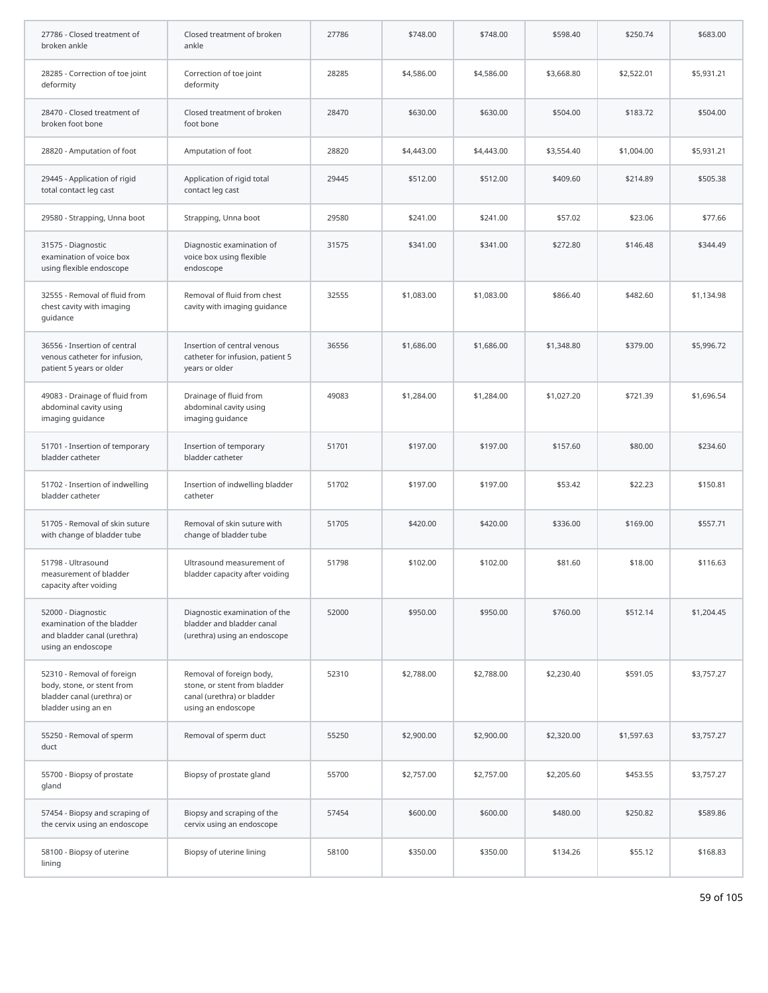| 27786 - Closed treatment of<br>broken ankle                                                                   | Closed treatment of broken<br>ankle                                                                          | 27786 | \$748.00   | \$748.00   | \$598.40   | \$250.74   | \$683.00   |
|---------------------------------------------------------------------------------------------------------------|--------------------------------------------------------------------------------------------------------------|-------|------------|------------|------------|------------|------------|
| 28285 - Correction of toe joint<br>deformity                                                                  | Correction of toe joint<br>deformity                                                                         | 28285 | \$4,586.00 | \$4,586.00 | \$3,668.80 | \$2,522.01 | \$5,931.21 |
| 28470 - Closed treatment of<br>broken foot bone                                                               | Closed treatment of broken<br>foot bone                                                                      | 28470 | \$630.00   | \$630.00   | \$504.00   | \$183.72   | \$504.00   |
| 28820 - Amputation of foot                                                                                    | Amputation of foot                                                                                           | 28820 | \$4,443.00 | \$4,443.00 | \$3,554.40 | \$1,004.00 | \$5,931.21 |
| 29445 - Application of rigid<br>total contact leg cast                                                        | Application of rigid total<br>contact leg cast                                                               | 29445 | \$512.00   | \$512.00   | \$409.60   | \$214.89   | \$505.38   |
| 29580 - Strapping, Unna boot                                                                                  | Strapping, Unna boot                                                                                         | 29580 | \$241.00   | \$241.00   | \$57.02    | \$23.06    | \$77.66    |
| 31575 - Diagnostic<br>examination of voice box<br>using flexible endoscope                                    | Diagnostic examination of<br>voice box using flexible<br>endoscope                                           | 31575 | \$341.00   | \$341.00   | \$272.80   | \$146.48   | \$344.49   |
| 32555 - Removal of fluid from<br>chest cavity with imaging<br>guidance                                        | Removal of fluid from chest<br>cavity with imaging guidance                                                  | 32555 | \$1,083.00 | \$1,083.00 | \$866.40   | \$482.60   | \$1,134.98 |
| 36556 - Insertion of central<br>venous catheter for infusion,<br>patient 5 years or older                     | Insertion of central venous<br>catheter for infusion, patient 5<br>years or older                            | 36556 | \$1,686.00 | \$1,686.00 | \$1,348.80 | \$379.00   | \$5,996.72 |
| 49083 - Drainage of fluid from<br>abdominal cavity using<br>imaging guidance                                  | Drainage of fluid from<br>abdominal cavity using<br>imaging guidance                                         | 49083 | \$1,284.00 | \$1,284.00 | \$1,027.20 | \$721.39   | \$1,696.54 |
| 51701 - Insertion of temporary<br>bladder catheter                                                            | Insertion of temporary<br>bladder catheter                                                                   | 51701 | \$197.00   | \$197.00   | \$157.60   | \$80.00    | \$234.60   |
| 51702 - Insertion of indwelling<br>bladder catheter                                                           | Insertion of indwelling bladder<br>catheter                                                                  | 51702 | \$197.00   | \$197.00   | \$53.42    | \$22.23    | \$150.81   |
| 51705 - Removal of skin suture<br>with change of bladder tube                                                 | Removal of skin suture with<br>change of bladder tube                                                        | 51705 | \$420.00   | \$420.00   | \$336.00   | \$169.00   | \$557.71   |
| 51798 - Ultrasound<br>measurement of bladder<br>capacity after voiding                                        | Ultrasound measurement of<br>bladder capacity after voiding                                                  | 51798 | \$102.00   | \$102.00   | \$81.60    | \$18.00    | \$116.63   |
| 52000 - Diagnostic<br>examination of the bladder<br>and bladder canal (urethra)<br>using an endoscope         | Diagnostic examination of the<br>bladder and bladder canal<br>(urethra) using an endoscope                   | 52000 | \$950.00   | \$950.00   | \$760.00   | \$512.14   | \$1,204.45 |
| 52310 - Removal of foreign<br>body, stone, or stent from<br>bladder canal (urethra) or<br>bladder using an en | Removal of foreign body,<br>stone, or stent from bladder<br>canal (urethra) or bladder<br>using an endoscope | 52310 | \$2,788.00 | \$2,788.00 | \$2,230.40 | \$591.05   | \$3,757.27 |
| 55250 - Removal of sperm<br>duct                                                                              | Removal of sperm duct                                                                                        | 55250 | \$2,900.00 | \$2,900.00 | \$2,320.00 | \$1,597.63 | \$3,757.27 |
| 55700 - Biopsy of prostate<br>gland                                                                           | Biopsy of prostate gland                                                                                     | 55700 | \$2,757.00 | \$2,757.00 | \$2,205.60 | \$453.55   | \$3,757.27 |
| 57454 - Biopsy and scraping of<br>the cervix using an endoscope                                               | Biopsy and scraping of the<br>cervix using an endoscope                                                      | 57454 | \$600.00   | \$600.00   | \$480.00   | \$250.82   | \$589.86   |
| 58100 - Biopsy of uterine<br>lining                                                                           | Biopsy of uterine lining                                                                                     | 58100 | \$350.00   | \$350.00   | \$134.26   | \$55.12    | \$168.83   |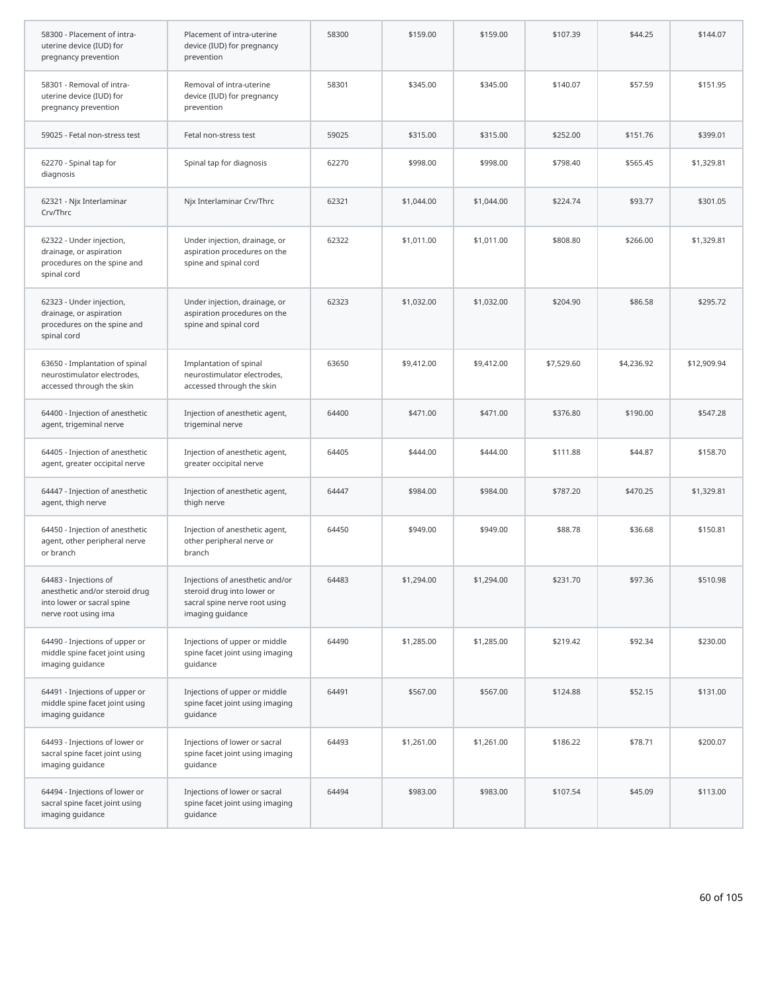| 58300 - Placement of intra-<br>uterine device (IUD) for<br>pregnancy prevention                               | Placement of intra-uterine<br>device (IUD) for pregnancy<br>prevention                                             | 58300 | \$159.00   | \$159.00   | \$107.39   | \$44.25    | \$144.07    |
|---------------------------------------------------------------------------------------------------------------|--------------------------------------------------------------------------------------------------------------------|-------|------------|------------|------------|------------|-------------|
| 58301 - Removal of intra-<br>uterine device (IUD) for<br>pregnancy prevention                                 | Removal of intra-uterine<br>device (IUD) for pregnancy<br>prevention                                               | 58301 | \$345.00   | \$345.00   | \$140.07   | \$57.59    | \$151.95    |
| 59025 - Fetal non-stress test                                                                                 | Fetal non-stress test                                                                                              | 59025 | \$315.00   | \$315.00   | \$252.00   | \$151.76   | \$399.01    |
| 62270 - Spinal tap for<br>diagnosis                                                                           | Spinal tap for diagnosis                                                                                           | 62270 | \$998.00   | \$998.00   | \$798.40   | \$565.45   | \$1,329.81  |
| 62321 - Njx Interlaminar<br>Crv/Thrc                                                                          | Njx Interlaminar Crv/Thrc                                                                                          | 62321 | \$1,044.00 | \$1,044.00 | \$224.74   | \$93.77    | \$301.05    |
| 62322 - Under injection,<br>drainage, or aspiration<br>procedures on the spine and<br>spinal cord             | Under injection, drainage, or<br>aspiration procedures on the<br>spine and spinal cord                             | 62322 | \$1,011.00 | \$1,011.00 | \$808.80   | \$266.00   | \$1,329.81  |
| 62323 - Under injection,<br>drainage, or aspiration<br>procedures on the spine and<br>spinal cord             | Under injection, drainage, or<br>aspiration procedures on the<br>spine and spinal cord                             | 62323 | \$1,032.00 | \$1,032.00 | \$204.90   | \$86.58    | \$295.72    |
| 63650 - Implantation of spinal<br>neurostimulator electrodes,<br>accessed through the skin                    | Implantation of spinal<br>neurostimulator electrodes,<br>accessed through the skin                                 | 63650 | \$9,412.00 | \$9,412.00 | \$7,529.60 | \$4,236.92 | \$12,909.94 |
| 64400 - Injection of anesthetic<br>agent, trigeminal nerve                                                    | Injection of anesthetic agent,<br>trigeminal nerve                                                                 | 64400 | \$471.00   | \$471.00   | \$376.80   | \$190.00   | \$547.28    |
| 64405 - Injection of anesthetic<br>agent, greater occipital nerve                                             | Injection of anesthetic agent,<br>greater occipital nerve                                                          | 64405 | \$444.00   | \$444.00   | \$111.88   | \$44.87    | \$158.70    |
| 64447 - Injection of anesthetic<br>agent, thigh nerve                                                         | Injection of anesthetic agent,<br>thigh nerve                                                                      | 64447 | \$984.00   | \$984.00   | \$787.20   | \$470.25   | \$1,329.81  |
| 64450 - Injection of anesthetic<br>agent, other peripheral nerve<br>or branch                                 | Injection of anesthetic agent,<br>other peripheral nerve or<br>branch                                              | 64450 | \$949.00   | \$949.00   | \$88.78    | \$36.68    | \$150.81    |
| 64483 - Injections of<br>anesthetic and/or steroid drug<br>into lower or sacral spine<br>nerve root using ima | Injections of anesthetic and/or<br>steroid drug into lower or<br>sacral spine nerve root using<br>imaging guidance | 64483 | \$1,294.00 | \$1,294.00 | \$231.70   | \$97.36    | \$510.98    |
| 64490 - Injections of upper or<br>middle spine facet joint using<br>imaging guidance                          | Injections of upper or middle<br>spine facet joint using imaging<br>guidance                                       | 64490 | \$1,285.00 | \$1,285.00 | \$219.42   | \$92.34    | \$230.00    |
| 64491 - Injections of upper or<br>middle spine facet joint using<br>imaging guidance                          | Injections of upper or middle<br>spine facet joint using imaging<br>quidance                                       | 64491 | \$567.00   | \$567.00   | \$124.88   | \$52.15    | \$131.00    |
| 64493 - Injections of lower or<br>sacral spine facet joint using<br>imaging guidance                          | Injections of lower or sacral<br>spine facet joint using imaging<br>guidance                                       | 64493 | \$1,261.00 | \$1,261.00 | \$186.22   | \$78.71    | \$200.07    |
| 64494 - Injections of lower or<br>sacral spine facet joint using<br>imaging guidance                          | Injections of lower or sacral<br>spine facet joint using imaging<br>guidance                                       | 64494 | \$983.00   | \$983.00   | \$107.54   | \$45.09    | \$113.00    |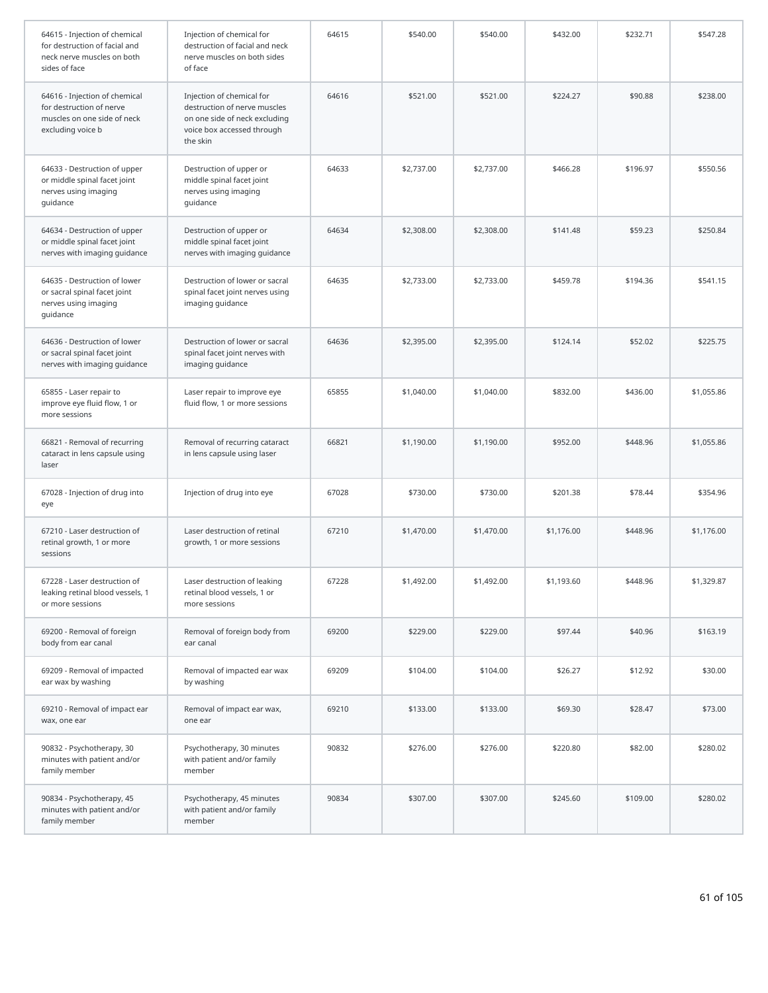| 64615 - Injection of chemical<br>for destruction of facial and<br>neck nerve muscles on both<br>sides of face | Injection of chemical for<br>destruction of facial and neck<br>nerve muscles on both sides<br>of face                                | 64615 | \$540.00   | \$540.00   | \$432.00   | \$232.71 | \$547.28   |
|---------------------------------------------------------------------------------------------------------------|--------------------------------------------------------------------------------------------------------------------------------------|-------|------------|------------|------------|----------|------------|
| 64616 - Injection of chemical<br>for destruction of nerve<br>muscles on one side of neck<br>excluding voice b | Injection of chemical for<br>destruction of nerve muscles<br>on one side of neck excluding<br>voice box accessed through<br>the skin | 64616 | \$521.00   | \$521.00   | \$224.27   | \$90.88  | \$238.00   |
| 64633 - Destruction of upper<br>or middle spinal facet joint<br>nerves using imaging<br>guidance              | Destruction of upper or<br>middle spinal facet joint<br>nerves using imaging<br>guidance                                             | 64633 | \$2,737.00 | \$2,737.00 | \$466.28   | \$196.97 | \$550.56   |
| 64634 - Destruction of upper<br>or middle spinal facet joint<br>nerves with imaging guidance                  | Destruction of upper or<br>middle spinal facet joint<br>nerves with imaging guidance                                                 | 64634 | \$2,308.00 | \$2,308.00 | \$141.48   | \$59.23  | \$250.84   |
| 64635 - Destruction of lower<br>or sacral spinal facet joint<br>nerves using imaging<br>guidance              | Destruction of lower or sacral<br>spinal facet joint nerves using<br>imaging guidance                                                | 64635 | \$2,733.00 | \$2,733.00 | \$459.78   | \$194.36 | \$541.15   |
| 64636 - Destruction of lower<br>or sacral spinal facet joint<br>nerves with imaging guidance                  | Destruction of lower or sacral<br>spinal facet joint nerves with<br>imaging guidance                                                 | 64636 | \$2,395.00 | \$2,395.00 | \$124.14   | \$52.02  | \$225.75   |
| 65855 - Laser repair to<br>improve eye fluid flow, 1 or<br>more sessions                                      | Laser repair to improve eye<br>fluid flow, 1 or more sessions                                                                        | 65855 | \$1,040.00 | \$1,040.00 | \$832.00   | \$436.00 | \$1,055.86 |
| 66821 - Removal of recurring<br>cataract in lens capsule using<br>laser                                       | Removal of recurring cataract<br>in lens capsule using laser                                                                         | 66821 | \$1,190.00 | \$1,190.00 | \$952.00   | \$448.96 | \$1,055.86 |
| 67028 - Injection of drug into<br>eye                                                                         | Injection of drug into eye                                                                                                           | 67028 | \$730.00   | \$730.00   | \$201.38   | \$78.44  | \$354.96   |
| 67210 - Laser destruction of<br>retinal growth, 1 or more<br>sessions                                         | Laser destruction of retinal<br>growth, 1 or more sessions                                                                           | 67210 | \$1,470.00 | \$1,470.00 | \$1,176.00 | \$448.96 | \$1,176.00 |
| 67228 - Laser destruction of<br>leaking retinal blood vessels, 1<br>or more sessions                          | Laser destruction of leaking<br>retinal blood vessels, 1 or<br>more sessions                                                         | 67228 | \$1,492.00 | \$1,492.00 | \$1,193.60 | \$448.96 | \$1,329.87 |
| 69200 - Removal of foreign<br>body from ear canal                                                             | Removal of foreign body from<br>ear canal                                                                                            | 69200 | \$229.00   | \$229.00   | \$97.44    | \$40.96  | \$163.19   |
| 69209 - Removal of impacted<br>ear wax by washing                                                             | Removal of impacted ear wax<br>by washing                                                                                            | 69209 | \$104.00   | \$104.00   | \$26.27    | \$12.92  | \$30.00    |
| 69210 - Removal of impact ear<br>wax, one ear                                                                 | Removal of impact ear wax,<br>one ear                                                                                                | 69210 | \$133.00   | \$133.00   | \$69.30    | \$28.47  | \$73.00    |
| 90832 - Psychotherapy, 30<br>minutes with patient and/or<br>family member                                     | Psychotherapy, 30 minutes<br>with patient and/or family<br>member                                                                    | 90832 | \$276.00   | \$276.00   | \$220.80   | \$82.00  | \$280.02   |
| 90834 - Psychotherapy, 45<br>minutes with patient and/or<br>family member                                     | Psychotherapy, 45 minutes<br>with patient and/or family<br>member                                                                    | 90834 | \$307.00   | \$307.00   | \$245.60   | \$109.00 | \$280.02   |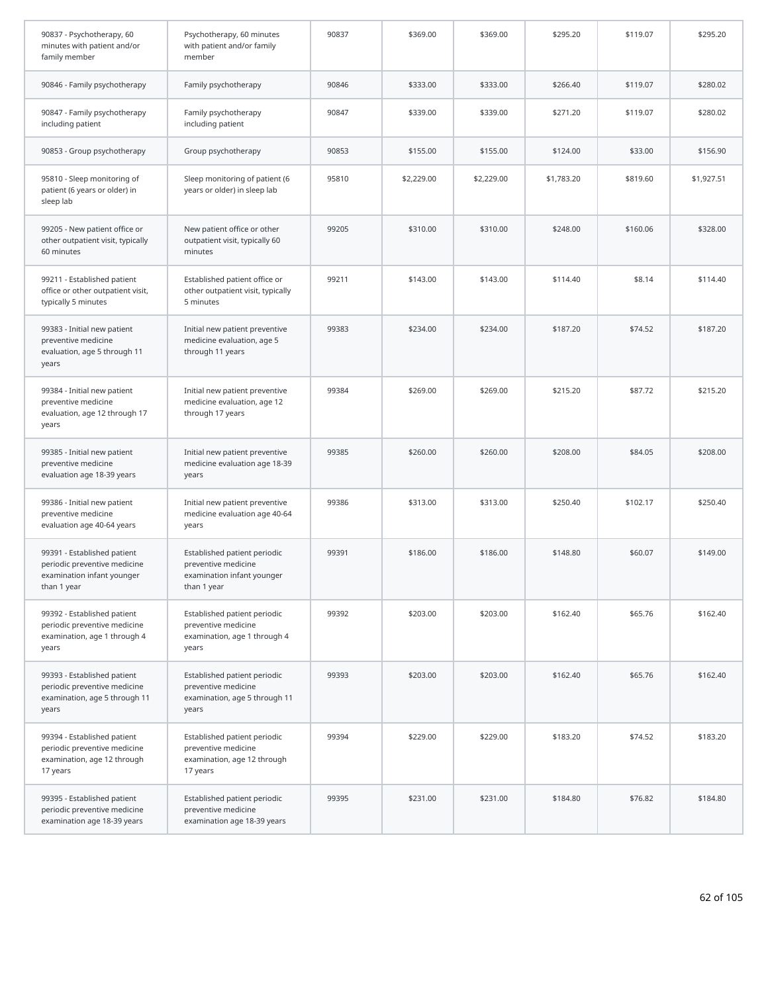| 90837 - Psychotherapy, 60<br>minutes with patient and/or<br>family member                                | Psychotherapy, 60 minutes<br>with patient and/or family<br>member                                | 90837 | \$369.00   | \$369.00   | \$295.20   | \$119.07 | \$295.20   |
|----------------------------------------------------------------------------------------------------------|--------------------------------------------------------------------------------------------------|-------|------------|------------|------------|----------|------------|
| 90846 - Family psychotherapy                                                                             | Family psychotherapy                                                                             | 90846 | \$333.00   | \$333.00   | \$266.40   | \$119.07 | \$280.02   |
| 90847 - Family psychotherapy<br>including patient                                                        | Family psychotherapy<br>including patient                                                        | 90847 | \$339.00   | \$339.00   | \$271.20   | \$119.07 | \$280.02   |
| 90853 - Group psychotherapy                                                                              | Group psychotherapy                                                                              | 90853 | \$155.00   | \$155.00   | \$124.00   | \$33.00  | \$156.90   |
| 95810 - Sleep monitoring of<br>patient (6 years or older) in<br>sleep lab                                | Sleep monitoring of patient (6<br>years or older) in sleep lab                                   | 95810 | \$2,229.00 | \$2,229.00 | \$1,783.20 | \$819.60 | \$1,927.51 |
| 99205 - New patient office or<br>other outpatient visit, typically<br>60 minutes                         | New patient office or other<br>outpatient visit, typically 60<br>minutes                         | 99205 | \$310.00   | \$310.00   | \$248.00   | \$160.06 | \$328.00   |
| 99211 - Established patient<br>office or other outpatient visit,<br>typically 5 minutes                  | Established patient office or<br>other outpatient visit, typically<br>5 minutes                  | 99211 | \$143.00   | \$143.00   | \$114.40   | \$8.14   | \$114.40   |
| 99383 - Initial new patient<br>preventive medicine<br>evaluation, age 5 through 11<br>years              | Initial new patient preventive<br>medicine evaluation, age 5<br>through 11 years                 | 99383 | \$234.00   | \$234.00   | \$187.20   | \$74.52  | \$187.20   |
| 99384 - Initial new patient<br>preventive medicine<br>evaluation, age 12 through 17<br>years             | Initial new patient preventive<br>medicine evaluation, age 12<br>through 17 years                | 99384 | \$269.00   | \$269.00   | \$215.20   | \$87.72  | \$215.20   |
| 99385 - Initial new patient<br>preventive medicine<br>evaluation age 18-39 years                         | Initial new patient preventive<br>medicine evaluation age 18-39<br>years                         | 99385 | \$260.00   | \$260.00   | \$208.00   | \$84.05  | \$208.00   |
| 99386 - Initial new patient<br>preventive medicine<br>evaluation age 40-64 years                         | Initial new patient preventive<br>medicine evaluation age 40-64<br>years                         | 99386 | \$313.00   | \$313.00   | \$250.40   | \$102.17 | \$250.40   |
| 99391 - Established patient<br>periodic preventive medicine<br>examination infant younger<br>than 1 year | Established patient periodic<br>preventive medicine<br>examination infant younger<br>than 1 year | 99391 | \$186.00   | \$186.00   | \$148.80   | \$60.07  | \$149.00   |
| 99392 - Established patient<br>periodic preventive medicine<br>examination, age 1 through 4<br>years     | Established patient periodic<br>preventive medicine<br>examination, age 1 through 4<br>years     | 99392 | \$203.00   | \$203.00   | \$162.40   | \$65.76  | \$162.40   |
| 99393 - Established patient<br>periodic preventive medicine<br>examination, age 5 through 11<br>years    | Established patient periodic<br>preventive medicine<br>examination, age 5 through 11<br>years    | 99393 | \$203.00   | \$203.00   | \$162.40   | \$65.76  | \$162.40   |
| 99394 - Established patient<br>periodic preventive medicine<br>examination, age 12 through<br>17 years   | Established patient periodic<br>preventive medicine<br>examination, age 12 through<br>17 years   | 99394 | \$229.00   | \$229.00   | \$183.20   | \$74.52  | \$183.20   |
| 99395 - Established patient<br>periodic preventive medicine<br>examination age 18-39 years               | Established patient periodic<br>preventive medicine<br>examination age 18-39 years               | 99395 | \$231.00   | \$231.00   | \$184.80   | \$76.82  | \$184.80   |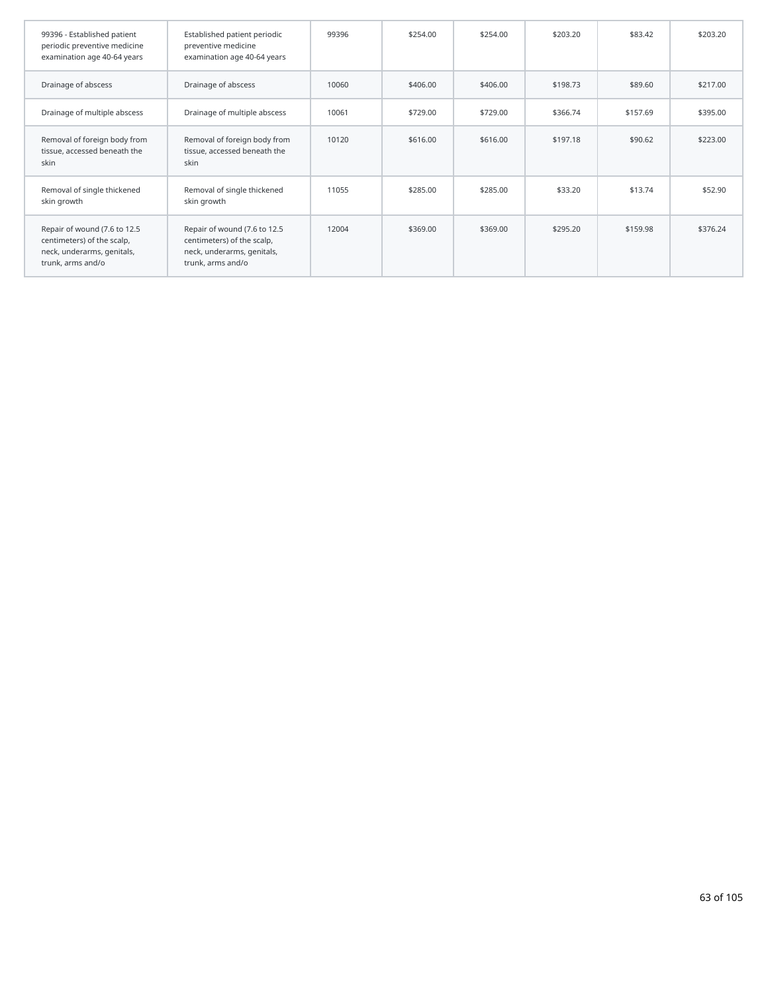| 99396 - Established patient<br>periodic preventive medicine<br>examination age 40-64 years                    | Established patient periodic<br>preventive medicine<br>examination age 40-64 years                            | 99396 | \$254.00 | \$254.00 | \$203.20 | \$83.42  | \$203.20 |
|---------------------------------------------------------------------------------------------------------------|---------------------------------------------------------------------------------------------------------------|-------|----------|----------|----------|----------|----------|
| Drainage of abscess                                                                                           | Drainage of abscess                                                                                           | 10060 | \$406.00 | \$406.00 | \$198.73 | \$89.60  | \$217.00 |
| Drainage of multiple abscess                                                                                  | Drainage of multiple abscess                                                                                  | 10061 | \$729.00 | \$729.00 | \$366.74 | \$157.69 | \$395.00 |
| Removal of foreign body from<br>tissue, accessed beneath the<br>skin                                          | Removal of foreign body from<br>tissue, accessed beneath the<br>skin                                          | 10120 | \$616.00 | \$616.00 | \$197.18 | \$90.62  | \$223.00 |
| Removal of single thickened<br>skin growth                                                                    | Removal of single thickened<br>skin growth                                                                    | 11055 | \$285.00 | \$285.00 | \$33.20  | \$13.74  | \$52.90  |
| Repair of wound (7.6 to 12.5<br>centimeters) of the scalp,<br>neck, underarms, genitals,<br>trunk, arms and/o | Repair of wound (7.6 to 12.5<br>centimeters) of the scalp,<br>neck, underarms, genitals,<br>trunk, arms and/o | 12004 | \$369.00 | \$369.00 | \$295.20 | \$159.98 | \$376.24 |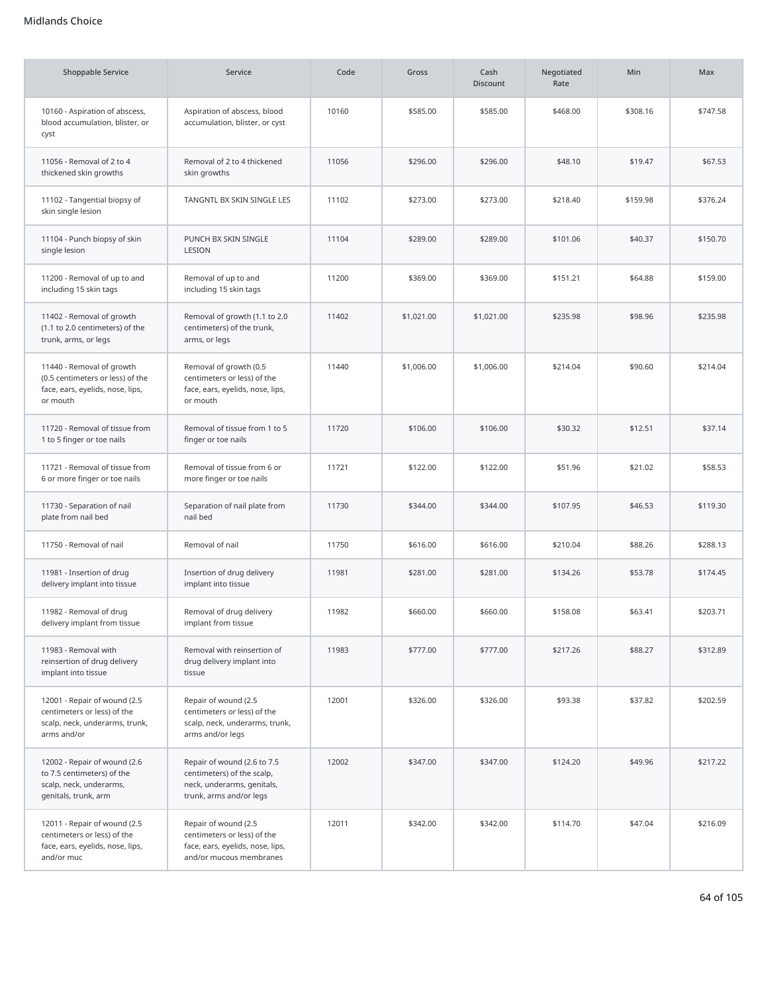| Shoppable Service                                                                                             | Service                                                                                                            | Code  | Gross      | Cash<br><b>Discount</b> | Negotiated<br>Rate | Min      | Max      |
|---------------------------------------------------------------------------------------------------------------|--------------------------------------------------------------------------------------------------------------------|-------|------------|-------------------------|--------------------|----------|----------|
| 10160 - Aspiration of abscess,<br>blood accumulation, blister, or<br>cyst                                     | Aspiration of abscess, blood<br>accumulation, blister, or cyst                                                     | 10160 | \$585.00   | \$585.00                | \$468.00           | \$308.16 | \$747.58 |
| 11056 - Removal of 2 to 4<br>thickened skin growths                                                           | Removal of 2 to 4 thickened<br>skin growths                                                                        | 11056 | \$296.00   | \$296.00                | \$48.10            | \$19.47  | \$67.53  |
| 11102 - Tangential biopsy of<br>skin single lesion                                                            | TANGNTL BX SKIN SINGLE LES                                                                                         | 11102 | \$273.00   | \$273.00                | \$218.40           | \$159.98 | \$376.24 |
| 11104 - Punch biopsy of skin<br>single lesion                                                                 | PUNCH BX SKIN SINGLE<br>LESION                                                                                     | 11104 | \$289.00   | \$289.00                | \$101.06           | \$40.37  | \$150.70 |
| 11200 - Removal of up to and<br>including 15 skin tags                                                        | Removal of up to and<br>including 15 skin tags                                                                     | 11200 | \$369.00   | \$369.00                | \$151.21           | \$64.88  | \$159.00 |
| 11402 - Removal of growth<br>(1.1 to 2.0 centimeters) of the<br>trunk, arms, or legs                          | Removal of growth (1.1 to 2.0<br>centimeters) of the trunk,<br>arms, or legs                                       | 11402 | \$1,021.00 | \$1,021.00              | \$235.98           | \$98.96  | \$235.98 |
| 11440 - Removal of growth<br>(0.5 centimeters or less) of the<br>face, ears, eyelids, nose, lips,<br>or mouth | Removal of growth (0.5<br>centimeters or less) of the<br>face, ears, eyelids, nose, lips,<br>or mouth              | 11440 | \$1,006.00 | \$1,006.00              | \$214.04           | \$90.60  | \$214.04 |
| 11720 - Removal of tissue from<br>1 to 5 finger or toe nails                                                  | Removal of tissue from 1 to 5<br>finger or toe nails                                                               | 11720 | \$106.00   | \$106.00                | \$30.32            | \$12.51  | \$37.14  |
| 11721 - Removal of tissue from<br>6 or more finger or toe nails                                               | Removal of tissue from 6 or<br>more finger or toe nails                                                            | 11721 | \$122.00   | \$122.00                | \$51.96            | \$21.02  | \$58.53  |
| 11730 - Separation of nail<br>plate from nail bed                                                             | Separation of nail plate from<br>nail bed                                                                          | 11730 | \$344.00   | \$344.00                | \$107.95           | \$46.53  | \$119.30 |
| 11750 - Removal of nail                                                                                       | Removal of nail                                                                                                    | 11750 | \$616.00   | \$616.00                | \$210.04           | \$88.26  | \$288.13 |
| 11981 - Insertion of drug<br>delivery implant into tissue                                                     | Insertion of drug delivery<br>implant into tissue                                                                  | 11981 | \$281.00   | \$281.00                | \$134.26           | \$53.78  | \$174.45 |
| 11982 - Removal of drug<br>delivery implant from tissue                                                       | Removal of drug delivery<br>implant from tissue                                                                    | 11982 | \$660.00   | \$660.00                | \$158.08           | \$63.41  | \$203.71 |
| 11983 - Removal with<br>reinsertion of drug delivery<br>implant into tissue                                   | Removal with reinsertion of<br>drug delivery implant into<br>tissue                                                | 11983 | \$777.00   | \$777.00                | \$217.26           | \$88.27  | \$312.89 |
| 12001 - Repair of wound (2.5<br>centimeters or less) of the<br>scalp, neck, underarms, trunk,<br>arms and/or  | Repair of wound (2.5<br>centimeters or less) of the<br>scalp, neck, underarms, trunk,<br>arms and/or legs          | 12001 | \$326.00   | \$326.00                | \$93.38            | \$37.82  | \$202.59 |
| 12002 - Repair of wound (2.6<br>to 7.5 centimeters) of the<br>scalp, neck, underarms,<br>genitals, trunk, arm | Repair of wound (2.6 to 7.5<br>centimeters) of the scalp,<br>neck, underarms, genitals,<br>trunk, arms and/or legs | 12002 | \$347.00   | \$347.00                | \$124.20           | \$49.96  | \$217.22 |
| 12011 - Repair of wound (2.5<br>centimeters or less) of the<br>face, ears, eyelids, nose, lips,<br>and/or muc | Repair of wound (2.5<br>centimeters or less) of the<br>face, ears, eyelids, nose, lips,<br>and/or mucous membranes | 12011 | \$342.00   | \$342.00                | \$114.70           | \$47.04  | \$216.09 |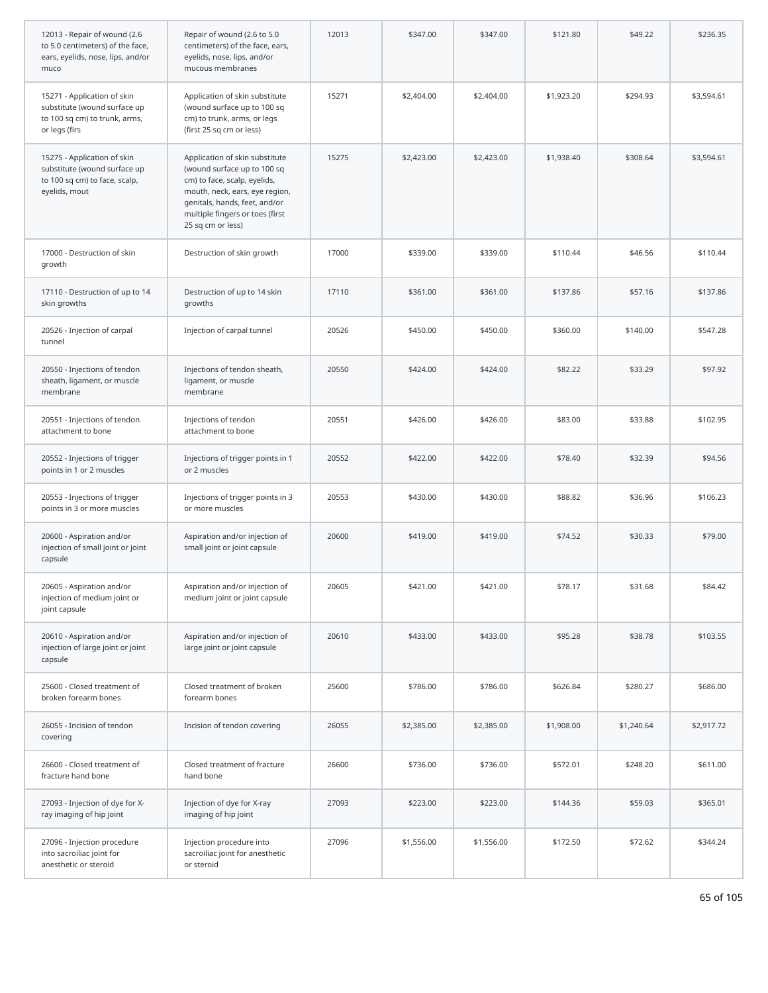| 12013 - Repair of wound (2.6<br>to 5.0 centimeters) of the face,<br>ears, eyelids, nose, lips, and/or<br>muco | Repair of wound (2.6 to 5.0<br>centimeters) of the face, ears,<br>eyelids, nose, lips, and/or<br>mucous membranes                                                                                                        | 12013 | \$347.00   | \$347.00   | \$121.80   | \$49.22    | \$236.35   |
|---------------------------------------------------------------------------------------------------------------|--------------------------------------------------------------------------------------------------------------------------------------------------------------------------------------------------------------------------|-------|------------|------------|------------|------------|------------|
| 15271 - Application of skin<br>substitute (wound surface up<br>to 100 sq cm) to trunk, arms,<br>or legs (firs | Application of skin substitute<br>(wound surface up to 100 sq<br>cm) to trunk, arms, or legs<br>(first 25 sq cm or less)                                                                                                 | 15271 | \$2,404.00 | \$2,404.00 | \$1,923.20 | \$294.93   | \$3,594.61 |
| 15275 - Application of skin<br>substitute (wound surface up<br>to 100 sq cm) to face, scalp,<br>eyelids, mout | Application of skin substitute<br>(wound surface up to 100 sq<br>cm) to face, scalp, eyelids,<br>mouth, neck, ears, eye region,<br>genitals, hands, feet, and/or<br>multiple fingers or toes (first<br>25 sq cm or less) | 15275 | \$2,423.00 | \$2,423.00 | \$1,938.40 | \$308.64   | \$3,594.61 |
| 17000 - Destruction of skin<br>growth                                                                         | Destruction of skin growth                                                                                                                                                                                               | 17000 | \$339.00   | \$339.00   | \$110.44   | \$46.56    | \$110.44   |
| 17110 - Destruction of up to 14<br>skin growths                                                               | Destruction of up to 14 skin<br>growths                                                                                                                                                                                  | 17110 | \$361.00   | \$361.00   | \$137.86   | \$57.16    | \$137.86   |
| 20526 - Injection of carpal<br>tunnel                                                                         | Injection of carpal tunnel                                                                                                                                                                                               | 20526 | \$450.00   | \$450.00   | \$360.00   | \$140.00   | \$547.28   |
| 20550 - Injections of tendon<br>sheath, ligament, or muscle<br>membrane                                       | Injections of tendon sheath,<br>ligament, or muscle<br>membrane                                                                                                                                                          | 20550 | \$424.00   | \$424.00   | \$82.22    | \$33.29    | \$97.92    |
| 20551 - Injections of tendon<br>attachment to bone                                                            | Injections of tendon<br>attachment to bone                                                                                                                                                                               | 20551 | \$426.00   | \$426.00   | \$83.00    | \$33.88    | \$102.95   |
| 20552 - Injections of trigger<br>points in 1 or 2 muscles                                                     | Injections of trigger points in 1<br>or 2 muscles                                                                                                                                                                        | 20552 | \$422.00   | \$422.00   | \$78.40    | \$32.39    | \$94.56    |
| 20553 - Injections of trigger<br>points in 3 or more muscles                                                  | Injections of trigger points in 3<br>or more muscles                                                                                                                                                                     | 20553 | \$430.00   | \$430.00   | \$88.82    | \$36.96    | \$106.23   |
| 20600 - Aspiration and/or<br>injection of small joint or joint<br>capsule                                     | Aspiration and/or injection of<br>small joint or joint capsule                                                                                                                                                           | 20600 | \$419.00   | \$419.00   | \$74.52    | \$30.33    | \$79.00    |
| 20605 - Aspiration and/or<br>injection of medium joint or<br>joint capsule                                    | Aspiration and/or injection of<br>medium joint or joint capsule                                                                                                                                                          | 20605 | \$421.00   | \$421.00   | \$78.17    | \$31.68    | \$84.42    |
| 20610 - Aspiration and/or<br>injection of large joint or joint<br>capsule                                     | Aspiration and/or injection of<br>large joint or joint capsule                                                                                                                                                           | 20610 | \$433.00   | \$433.00   | \$95.28    | \$38.78    | \$103.55   |
| 25600 - Closed treatment of<br>broken forearm bones                                                           | Closed treatment of broken<br>forearm bones                                                                                                                                                                              | 25600 | \$786.00   | \$786.00   | \$626.84   | \$280.27   | \$686.00   |
| 26055 - Incision of tendon<br>covering                                                                        | Incision of tendon covering                                                                                                                                                                                              | 26055 | \$2,385.00 | \$2,385.00 | \$1,908.00 | \$1,240.64 | \$2,917.72 |
| 26600 - Closed treatment of<br>fracture hand bone                                                             | Closed treatment of fracture<br>hand bone                                                                                                                                                                                | 26600 | \$736.00   | \$736.00   | \$572.01   | \$248.20   | \$611.00   |
| 27093 - Injection of dye for X-<br>ray imaging of hip joint                                                   | Injection of dye for X-ray<br>imaging of hip joint                                                                                                                                                                       | 27093 | \$223.00   | \$223.00   | \$144.36   | \$59.03    | \$365.01   |
| 27096 - Injection procedure<br>into sacroiliac joint for<br>anesthetic or steroid                             | Injection procedure into<br>sacroiliac joint for anesthetic<br>or steroid                                                                                                                                                | 27096 | \$1,556.00 | \$1,556.00 | \$172.50   | \$72.62    | \$344.24   |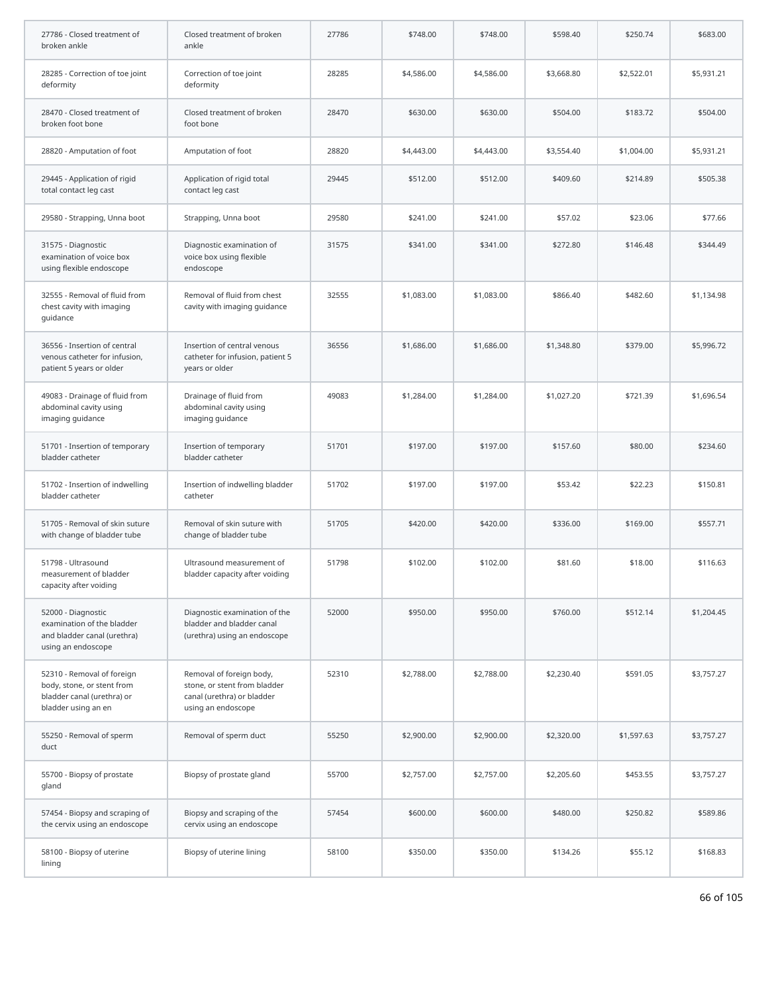| 27786 - Closed treatment of<br>broken ankle                                                                   | Closed treatment of broken<br>ankle                                                                          | 27786 | \$748.00   | \$748.00   | \$598.40   | \$250.74   | \$683.00   |
|---------------------------------------------------------------------------------------------------------------|--------------------------------------------------------------------------------------------------------------|-------|------------|------------|------------|------------|------------|
| 28285 - Correction of toe joint<br>deformity                                                                  | Correction of toe joint<br>deformity                                                                         | 28285 | \$4,586.00 | \$4,586.00 | \$3,668.80 | \$2,522.01 | \$5,931.21 |
| 28470 - Closed treatment of<br>broken foot bone                                                               | Closed treatment of broken<br>foot bone                                                                      | 28470 | \$630.00   | \$630.00   | \$504.00   | \$183.72   | \$504.00   |
| 28820 - Amputation of foot                                                                                    | Amputation of foot                                                                                           | 28820 | \$4,443.00 | \$4,443.00 | \$3,554.40 | \$1,004.00 | \$5,931.21 |
| 29445 - Application of rigid<br>total contact leg cast                                                        | Application of rigid total<br>contact leg cast                                                               | 29445 | \$512.00   | \$512.00   | \$409.60   | \$214.89   | \$505.38   |
| 29580 - Strapping, Unna boot                                                                                  | Strapping, Unna boot                                                                                         | 29580 | \$241.00   | \$241.00   | \$57.02    | \$23.06    | \$77.66    |
| 31575 - Diagnostic<br>examination of voice box<br>using flexible endoscope                                    | Diagnostic examination of<br>voice box using flexible<br>endoscope                                           | 31575 | \$341.00   | \$341.00   | \$272.80   | \$146.48   | \$344.49   |
| 32555 - Removal of fluid from<br>chest cavity with imaging<br>guidance                                        | Removal of fluid from chest<br>cavity with imaging guidance                                                  | 32555 | \$1,083.00 | \$1,083.00 | \$866.40   | \$482.60   | \$1,134.98 |
| 36556 - Insertion of central<br>venous catheter for infusion,<br>patient 5 years or older                     | Insertion of central venous<br>catheter for infusion, patient 5<br>years or older                            | 36556 | \$1,686.00 | \$1,686.00 | \$1,348.80 | \$379.00   | \$5,996.72 |
| 49083 - Drainage of fluid from<br>abdominal cavity using<br>imaging guidance                                  | Drainage of fluid from<br>abdominal cavity using<br>imaging guidance                                         | 49083 | \$1,284.00 | \$1,284.00 | \$1,027.20 | \$721.39   | \$1,696.54 |
| 51701 - Insertion of temporary<br>bladder catheter                                                            | Insertion of temporary<br>bladder catheter                                                                   | 51701 | \$197.00   | \$197.00   | \$157.60   | \$80.00    | \$234.60   |
| 51702 - Insertion of indwelling<br>bladder catheter                                                           | Insertion of indwelling bladder<br>catheter                                                                  | 51702 | \$197.00   | \$197.00   | \$53.42    | \$22.23    | \$150.81   |
| 51705 - Removal of skin suture<br>with change of bladder tube                                                 | Removal of skin suture with<br>change of bladder tube                                                        | 51705 | \$420.00   | \$420.00   | \$336.00   | \$169.00   | \$557.71   |
| 51798 - Ultrasound<br>measurement of bladder<br>capacity after voiding                                        | Ultrasound measurement of<br>bladder capacity after voiding                                                  | 51798 | \$102.00   | \$102.00   | \$81.60    | \$18.00    | \$116.63   |
| 52000 - Diagnostic<br>examination of the bladder<br>and bladder canal (urethra)<br>using an endoscope         | Diagnostic examination of the<br>bladder and bladder canal<br>(urethra) using an endoscope                   | 52000 | \$950.00   | \$950.00   | \$760.00   | \$512.14   | \$1,204.45 |
| 52310 - Removal of foreign<br>body, stone, or stent from<br>bladder canal (urethra) or<br>bladder using an en | Removal of foreign body,<br>stone, or stent from bladder<br>canal (urethra) or bladder<br>using an endoscope | 52310 | \$2,788.00 | \$2,788.00 | \$2,230.40 | \$591.05   | \$3,757.27 |
| 55250 - Removal of sperm<br>duct                                                                              | Removal of sperm duct                                                                                        | 55250 | \$2,900.00 | \$2,900.00 | \$2,320.00 | \$1,597.63 | \$3,757.27 |
| 55700 - Biopsy of prostate<br>gland                                                                           | Biopsy of prostate gland                                                                                     | 55700 | \$2,757.00 | \$2,757.00 | \$2,205.60 | \$453.55   | \$3,757.27 |
| 57454 - Biopsy and scraping of<br>the cervix using an endoscope                                               | Biopsy and scraping of the<br>cervix using an endoscope                                                      | 57454 | \$600.00   | \$600.00   | \$480.00   | \$250.82   | \$589.86   |
| 58100 - Biopsy of uterine<br>lining                                                                           | Biopsy of uterine lining                                                                                     | 58100 | \$350.00   | \$350.00   | \$134.26   | \$55.12    | \$168.83   |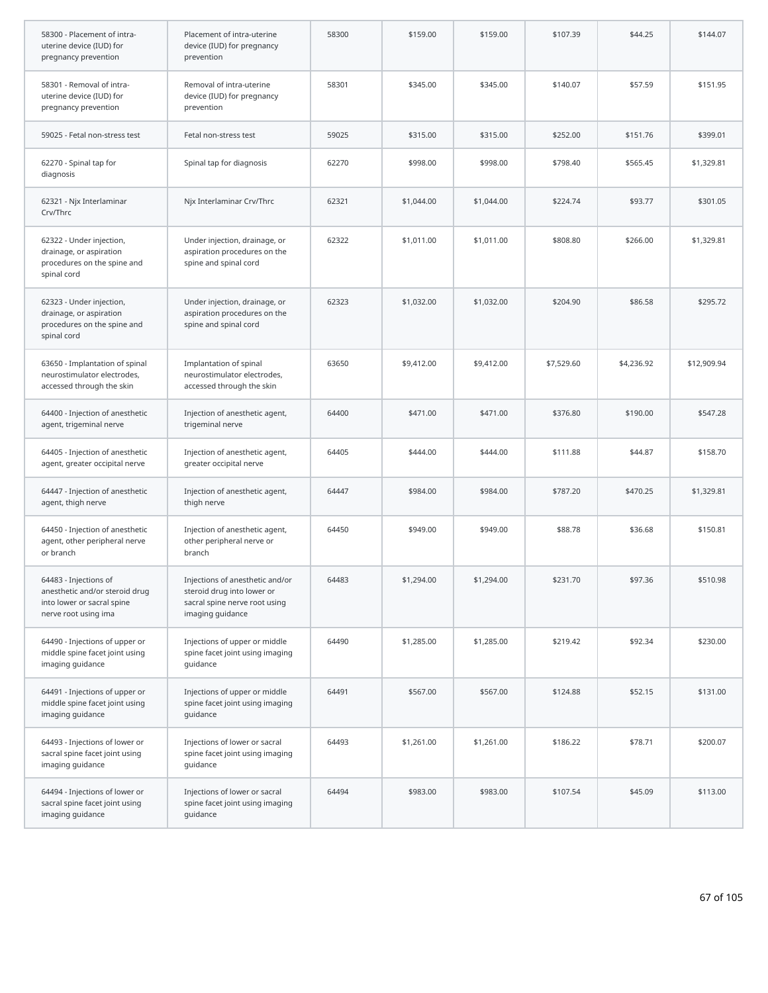| 58300 - Placement of intra-<br>uterine device (IUD) for<br>pregnancy prevention                               | Placement of intra-uterine<br>device (IUD) for pregnancy<br>prevention                                             | 58300 | \$159.00   | \$159.00   | \$107.39   | \$44.25    | \$144.07    |
|---------------------------------------------------------------------------------------------------------------|--------------------------------------------------------------------------------------------------------------------|-------|------------|------------|------------|------------|-------------|
| 58301 - Removal of intra-<br>uterine device (IUD) for<br>pregnancy prevention                                 | Removal of intra-uterine<br>device (IUD) for pregnancy<br>prevention                                               | 58301 | \$345.00   | \$345.00   | \$140.07   | \$57.59    | \$151.95    |
| 59025 - Fetal non-stress test                                                                                 | Fetal non-stress test                                                                                              | 59025 | \$315.00   | \$315.00   | \$252.00   | \$151.76   | \$399.01    |
| 62270 - Spinal tap for<br>diagnosis                                                                           | Spinal tap for diagnosis                                                                                           | 62270 | \$998.00   | \$998.00   | \$798.40   | \$565.45   | \$1,329.81  |
| 62321 - Njx Interlaminar<br>Crv/Thrc                                                                          | Njx Interlaminar Crv/Thrc                                                                                          | 62321 | \$1,044.00 | \$1,044.00 | \$224.74   | \$93.77    | \$301.05    |
| 62322 - Under injection,<br>drainage, or aspiration<br>procedures on the spine and<br>spinal cord             | Under injection, drainage, or<br>aspiration procedures on the<br>spine and spinal cord                             | 62322 | \$1,011.00 | \$1,011.00 | \$808.80   | \$266.00   | \$1,329.81  |
| 62323 - Under injection,<br>drainage, or aspiration<br>procedures on the spine and<br>spinal cord             | Under injection, drainage, or<br>aspiration procedures on the<br>spine and spinal cord                             | 62323 | \$1,032.00 | \$1,032.00 | \$204.90   | \$86.58    | \$295.72    |
| 63650 - Implantation of spinal<br>neurostimulator electrodes,<br>accessed through the skin                    | Implantation of spinal<br>neurostimulator electrodes,<br>accessed through the skin                                 | 63650 | \$9,412.00 | \$9,412.00 | \$7,529.60 | \$4,236.92 | \$12,909.94 |
| 64400 - Injection of anesthetic<br>agent, trigeminal nerve                                                    | Injection of anesthetic agent,<br>trigeminal nerve                                                                 | 64400 | \$471.00   | \$471.00   | \$376.80   | \$190.00   | \$547.28    |
| 64405 - Injection of anesthetic<br>agent, greater occipital nerve                                             | Injection of anesthetic agent,<br>greater occipital nerve                                                          | 64405 | \$444.00   | \$444.00   | \$111.88   | \$44.87    | \$158.70    |
| 64447 - Injection of anesthetic<br>agent, thigh nerve                                                         | Injection of anesthetic agent,<br>thigh nerve                                                                      | 64447 | \$984.00   | \$984.00   | \$787.20   | \$470.25   | \$1,329.81  |
| 64450 - Injection of anesthetic<br>agent, other peripheral nerve<br>or branch                                 | Injection of anesthetic agent,<br>other peripheral nerve or<br>branch                                              | 64450 | \$949.00   | \$949.00   | \$88.78    | \$36.68    | \$150.81    |
| 64483 - Injections of<br>anesthetic and/or steroid drug<br>into lower or sacral spine<br>nerve root using ima | Injections of anesthetic and/or<br>steroid drug into lower or<br>sacral spine nerve root using<br>imaging guidance | 64483 | \$1,294.00 | \$1,294.00 | \$231.70   | \$97.36    | \$510.98    |
| 64490 - Injections of upper or<br>middle spine facet joint using<br>imaging guidance                          | Injections of upper or middle<br>spine facet joint using imaging<br>guidance                                       | 64490 | \$1,285.00 | \$1,285.00 | \$219.42   | \$92.34    | \$230.00    |
| 64491 - Injections of upper or<br>middle spine facet joint using<br>imaging guidance                          | Injections of upper or middle<br>spine facet joint using imaging<br>quidance                                       | 64491 | \$567.00   | \$567.00   | \$124.88   | \$52.15    | \$131.00    |
| 64493 - Injections of lower or<br>sacral spine facet joint using<br>imaging guidance                          | Injections of lower or sacral<br>spine facet joint using imaging<br>guidance                                       | 64493 | \$1,261.00 | \$1,261.00 | \$186.22   | \$78.71    | \$200.07    |
| 64494 - Injections of lower or<br>sacral spine facet joint using<br>imaging guidance                          | Injections of lower or sacral<br>spine facet joint using imaging<br>guidance                                       | 64494 | \$983.00   | \$983.00   | \$107.54   | \$45.09    | \$113.00    |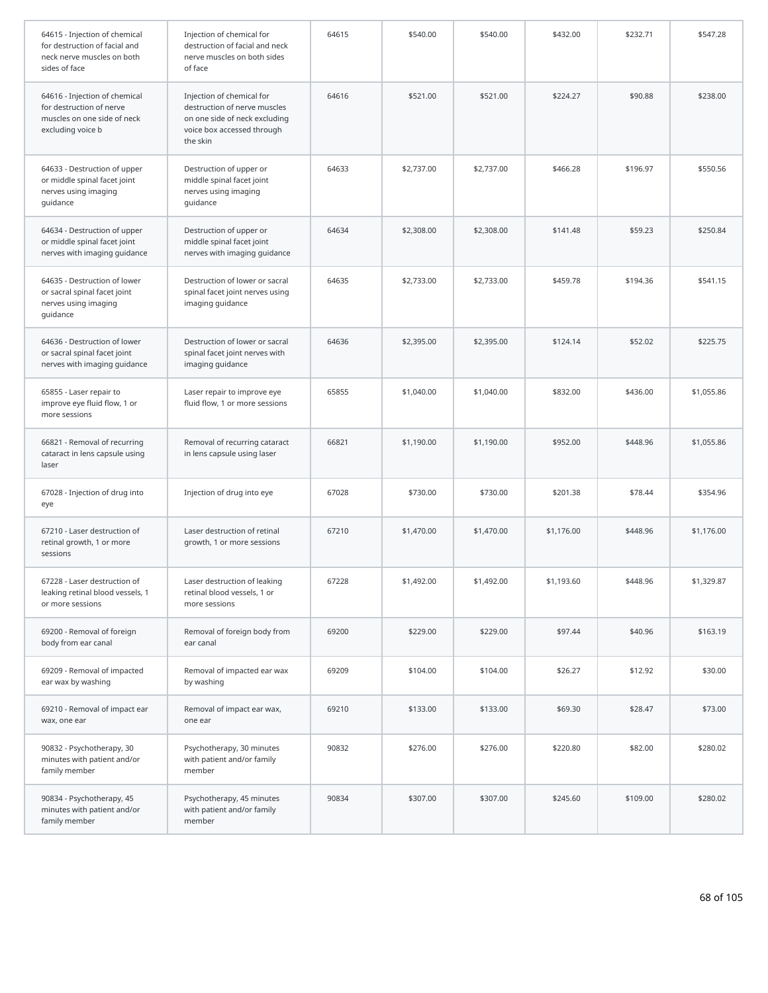| 64615 - Injection of chemical<br>for destruction of facial and<br>neck nerve muscles on both<br>sides of face | Injection of chemical for<br>destruction of facial and neck<br>nerve muscles on both sides<br>of face                                | 64615 | \$540.00   | \$540.00   | \$432.00   | \$232.71 | \$547.28   |
|---------------------------------------------------------------------------------------------------------------|--------------------------------------------------------------------------------------------------------------------------------------|-------|------------|------------|------------|----------|------------|
| 64616 - Injection of chemical<br>for destruction of nerve<br>muscles on one side of neck<br>excluding voice b | Injection of chemical for<br>destruction of nerve muscles<br>on one side of neck excluding<br>voice box accessed through<br>the skin | 64616 | \$521.00   | \$521.00   | \$224.27   | \$90.88  | \$238.00   |
| 64633 - Destruction of upper<br>or middle spinal facet joint<br>nerves using imaging<br>guidance              | Destruction of upper or<br>middle spinal facet joint<br>nerves using imaging<br>guidance                                             | 64633 | \$2,737.00 | \$2,737.00 | \$466.28   | \$196.97 | \$550.56   |
| 64634 - Destruction of upper<br>or middle spinal facet joint<br>nerves with imaging guidance                  | Destruction of upper or<br>middle spinal facet joint<br>nerves with imaging guidance                                                 | 64634 | \$2,308.00 | \$2,308.00 | \$141.48   | \$59.23  | \$250.84   |
| 64635 - Destruction of lower<br>or sacral spinal facet joint<br>nerves using imaging<br>guidance              | Destruction of lower or sacral<br>spinal facet joint nerves using<br>imaging guidance                                                | 64635 | \$2,733.00 | \$2,733.00 | \$459.78   | \$194.36 | \$541.15   |
| 64636 - Destruction of lower<br>or sacral spinal facet joint<br>nerves with imaging guidance                  | Destruction of lower or sacral<br>spinal facet joint nerves with<br>imaging guidance                                                 | 64636 | \$2,395.00 | \$2,395.00 | \$124.14   | \$52.02  | \$225.75   |
| 65855 - Laser repair to<br>improve eye fluid flow, 1 or<br>more sessions                                      | Laser repair to improve eye<br>fluid flow, 1 or more sessions                                                                        | 65855 | \$1,040.00 | \$1,040.00 | \$832.00   | \$436.00 | \$1,055.86 |
| 66821 - Removal of recurring<br>cataract in lens capsule using<br>laser                                       | Removal of recurring cataract<br>in lens capsule using laser                                                                         | 66821 | \$1,190.00 | \$1,190.00 | \$952.00   | \$448.96 | \$1,055.86 |
| 67028 - Injection of drug into<br>eye                                                                         | Injection of drug into eye                                                                                                           | 67028 | \$730.00   | \$730.00   | \$201.38   | \$78.44  | \$354.96   |
| 67210 - Laser destruction of<br>retinal growth, 1 or more<br>sessions                                         | Laser destruction of retinal<br>growth, 1 or more sessions                                                                           | 67210 | \$1,470.00 | \$1,470.00 | \$1,176.00 | \$448.96 | \$1,176.00 |
| 67228 - Laser destruction of<br>leaking retinal blood vessels, 1<br>or more sessions                          | Laser destruction of leaking<br>retinal blood vessels, 1 or<br>more sessions                                                         | 67228 | \$1,492.00 | \$1,492.00 | \$1,193.60 | \$448.96 | \$1,329.87 |
| 69200 - Removal of foreign<br>body from ear canal                                                             | Removal of foreign body from<br>ear canal                                                                                            | 69200 | \$229.00   | \$229.00   | \$97.44    | \$40.96  | \$163.19   |
| 69209 - Removal of impacted<br>ear wax by washing                                                             | Removal of impacted ear wax<br>by washing                                                                                            | 69209 | \$104.00   | \$104.00   | \$26.27    | \$12.92  | \$30.00    |
| 69210 - Removal of impact ear<br>wax, one ear                                                                 | Removal of impact ear wax,<br>one ear                                                                                                | 69210 | \$133.00   | \$133.00   | \$69.30    | \$28.47  | \$73.00    |
| 90832 - Psychotherapy, 30<br>minutes with patient and/or<br>family member                                     | Psychotherapy, 30 minutes<br>with patient and/or family<br>member                                                                    | 90832 | \$276.00   | \$276.00   | \$220.80   | \$82.00  | \$280.02   |
| 90834 - Psychotherapy, 45<br>minutes with patient and/or<br>family member                                     | Psychotherapy, 45 minutes<br>with patient and/or family<br>member                                                                    | 90834 | \$307.00   | \$307.00   | \$245.60   | \$109.00 | \$280.02   |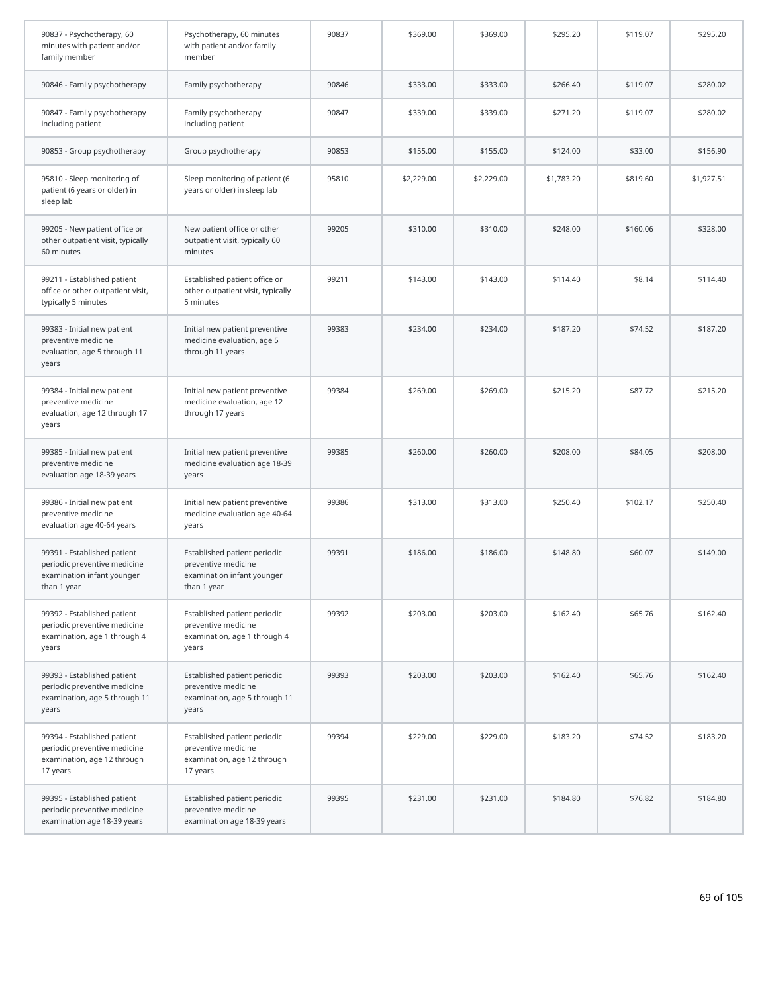| 90837 - Psychotherapy, 60<br>minutes with patient and/or<br>family member                                | Psychotherapy, 60 minutes<br>with patient and/or family<br>member                                | 90837 | \$369.00   | \$369.00   | \$295.20   | \$119.07 | \$295.20   |
|----------------------------------------------------------------------------------------------------------|--------------------------------------------------------------------------------------------------|-------|------------|------------|------------|----------|------------|
| 90846 - Family psychotherapy                                                                             | Family psychotherapy                                                                             | 90846 | \$333.00   | \$333.00   | \$266.40   | \$119.07 | \$280.02   |
| 90847 - Family psychotherapy<br>including patient                                                        | Family psychotherapy<br>including patient                                                        | 90847 | \$339.00   | \$339.00   | \$271.20   | \$119.07 | \$280.02   |
| 90853 - Group psychotherapy                                                                              | Group psychotherapy                                                                              | 90853 | \$155.00   | \$155.00   | \$124.00   | \$33.00  | \$156.90   |
| 95810 - Sleep monitoring of<br>patient (6 years or older) in<br>sleep lab                                | Sleep monitoring of patient (6<br>years or older) in sleep lab                                   | 95810 | \$2,229.00 | \$2,229.00 | \$1,783.20 | \$819.60 | \$1,927.51 |
| 99205 - New patient office or<br>other outpatient visit, typically<br>60 minutes                         | New patient office or other<br>outpatient visit, typically 60<br>minutes                         | 99205 | \$310.00   | \$310.00   | \$248.00   | \$160.06 | \$328.00   |
| 99211 - Established patient<br>office or other outpatient visit,<br>typically 5 minutes                  | Established patient office or<br>other outpatient visit, typically<br>5 minutes                  | 99211 | \$143.00   | \$143.00   | \$114.40   | \$8.14   | \$114.40   |
| 99383 - Initial new patient<br>preventive medicine<br>evaluation, age 5 through 11<br>years              | Initial new patient preventive<br>medicine evaluation, age 5<br>through 11 years                 | 99383 | \$234.00   | \$234.00   | \$187.20   | \$74.52  | \$187.20   |
| 99384 - Initial new patient<br>preventive medicine<br>evaluation, age 12 through 17<br>years             | Initial new patient preventive<br>medicine evaluation, age 12<br>through 17 years                | 99384 | \$269.00   | \$269.00   | \$215.20   | \$87.72  | \$215.20   |
| 99385 - Initial new patient<br>preventive medicine<br>evaluation age 18-39 years                         | Initial new patient preventive<br>medicine evaluation age 18-39<br>years                         | 99385 | \$260.00   | \$260.00   | \$208.00   | \$84.05  | \$208.00   |
| 99386 - Initial new patient<br>preventive medicine<br>evaluation age 40-64 years                         | Initial new patient preventive<br>medicine evaluation age 40-64<br>years                         | 99386 | \$313.00   | \$313.00   | \$250.40   | \$102.17 | \$250.40   |
| 99391 - Established patient<br>periodic preventive medicine<br>examination infant younger<br>than 1 year | Established patient periodic<br>preventive medicine<br>examination infant younger<br>than 1 year | 99391 | \$186.00   | \$186.00   | \$148.80   | \$60.07  | \$149.00   |
| 99392 - Established patient<br>periodic preventive medicine<br>examination, age 1 through 4<br>years     | Established patient periodic<br>preventive medicine<br>examination, age 1 through 4<br>years     | 99392 | \$203.00   | \$203.00   | \$162.40   | \$65.76  | \$162.40   |
| 99393 - Established patient<br>periodic preventive medicine<br>examination, age 5 through 11<br>years    | Established patient periodic<br>preventive medicine<br>examination, age 5 through 11<br>years    | 99393 | \$203.00   | \$203.00   | \$162.40   | \$65.76  | \$162.40   |
| 99394 - Established patient<br>periodic preventive medicine<br>examination, age 12 through<br>17 years   | Established patient periodic<br>preventive medicine<br>examination, age 12 through<br>17 years   | 99394 | \$229.00   | \$229.00   | \$183.20   | \$74.52  | \$183.20   |
| 99395 - Established patient<br>periodic preventive medicine<br>examination age 18-39 years               | Established patient periodic<br>preventive medicine<br>examination age 18-39 years               | 99395 | \$231.00   | \$231.00   | \$184.80   | \$76.82  | \$184.80   |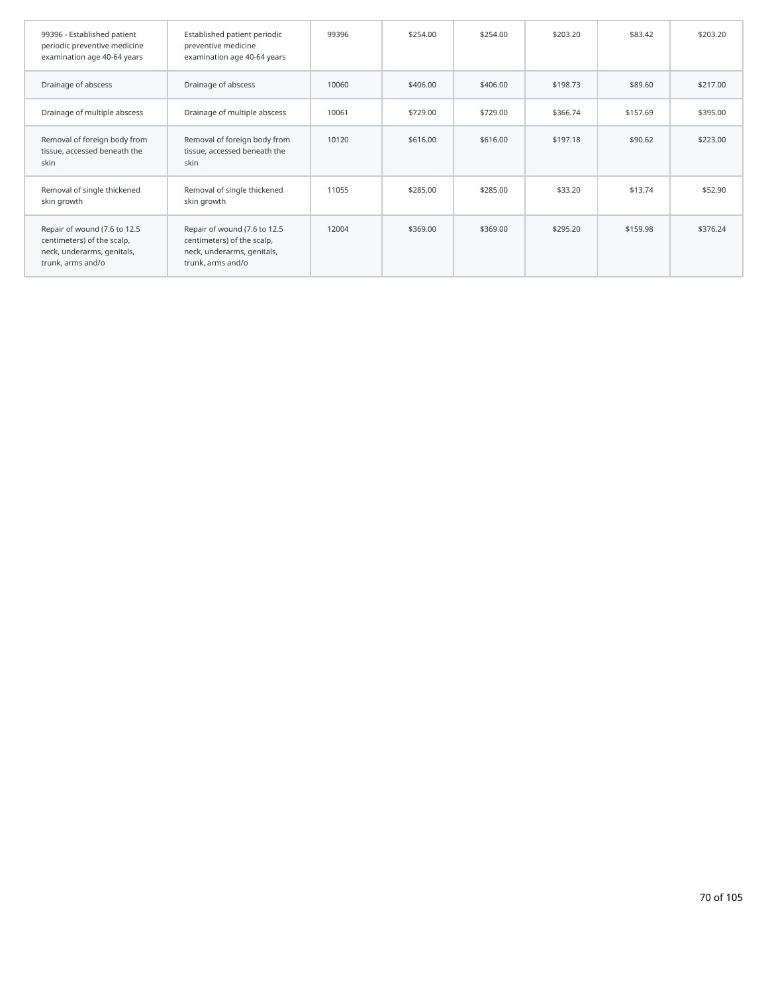| 99396 - Established patient<br>periodic preventive medicine<br>examination age 40-64 years                    | Established patient periodic<br>preventive medicine<br>examination age 40-64 years                            | 99396 | \$254.00 | \$254.00 | \$203.20 | \$83.42  | \$203.20 |
|---------------------------------------------------------------------------------------------------------------|---------------------------------------------------------------------------------------------------------------|-------|----------|----------|----------|----------|----------|
| Drainage of abscess                                                                                           | Drainage of abscess                                                                                           | 10060 | \$406.00 | \$406.00 | \$198.73 | \$89.60  | \$217.00 |
| Drainage of multiple abscess                                                                                  | Drainage of multiple abscess                                                                                  | 10061 | \$729.00 | \$729.00 | \$366.74 | \$157.69 | \$395.00 |
| Removal of foreign body from<br>tissue, accessed beneath the<br>skin                                          | Removal of foreign body from<br>tissue, accessed beneath the<br>skin                                          | 10120 | \$616.00 | \$616.00 | \$197.18 | \$90.62  | \$223.00 |
| Removal of single thickened<br>skin growth                                                                    | Removal of single thickened<br>skin growth                                                                    | 11055 | \$285.00 | \$285.00 | \$33.20  | \$13.74  | \$52.90  |
| Repair of wound (7.6 to 12.5<br>centimeters) of the scalp,<br>neck, underarms, genitals,<br>trunk, arms and/o | Repair of wound (7.6 to 12.5<br>centimeters) of the scalp,<br>neck, underarms, genitals,<br>trunk, arms and/o | 12004 | \$369.00 | \$369.00 | \$295.20 | \$159.98 | \$376.24 |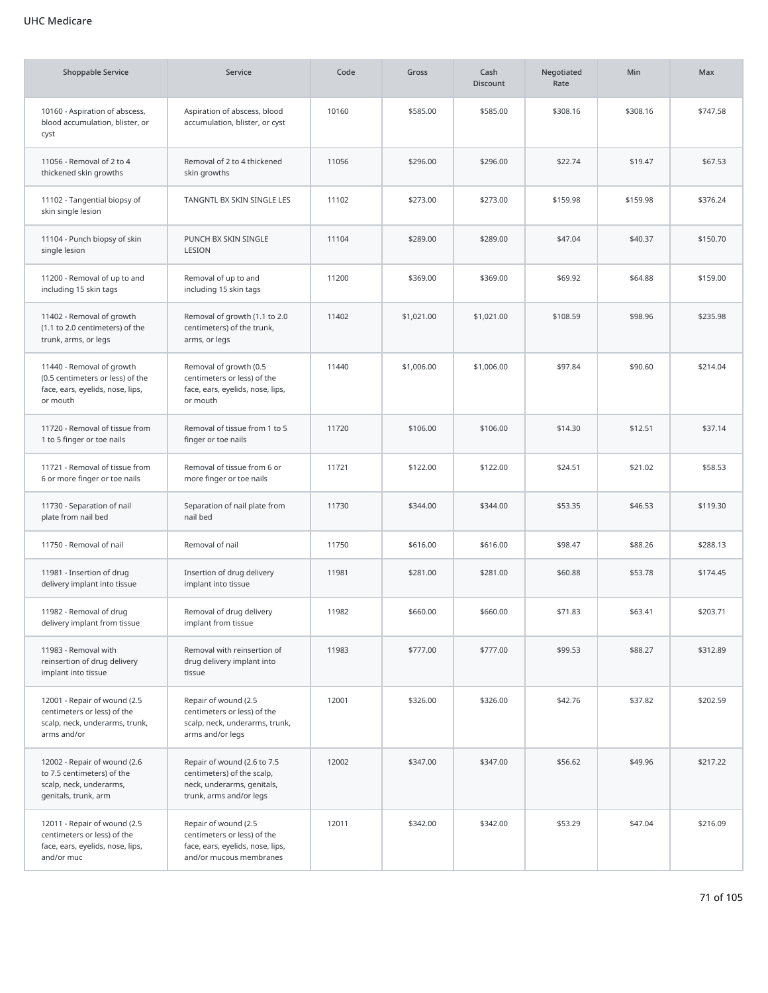| Shoppable Service                                                                                             | Service                                                                                                            | Code  | Gross      | Cash<br><b>Discount</b> | Negotiated<br>Rate | Min      | Max      |
|---------------------------------------------------------------------------------------------------------------|--------------------------------------------------------------------------------------------------------------------|-------|------------|-------------------------|--------------------|----------|----------|
| 10160 - Aspiration of abscess,<br>blood accumulation, blister, or<br>cyst                                     | Aspiration of abscess, blood<br>accumulation, blister, or cyst                                                     | 10160 | \$585.00   | \$585.00                | \$308.16           | \$308.16 | \$747.58 |
| 11056 - Removal of 2 to 4<br>thickened skin growths                                                           | Removal of 2 to 4 thickened<br>skin growths                                                                        | 11056 | \$296.00   | \$296.00                | \$22.74            | \$19.47  | \$67.53  |
| 11102 - Tangential biopsy of<br>skin single lesion                                                            | TANGNTL BX SKIN SINGLE LES                                                                                         | 11102 | \$273.00   | \$273.00                | \$159.98           | \$159.98 | \$376.24 |
| 11104 - Punch biopsy of skin<br>single lesion                                                                 | PUNCH BX SKIN SINGLE<br>LESION                                                                                     | 11104 | \$289.00   | \$289.00                | \$47.04            | \$40.37  | \$150.70 |
| 11200 - Removal of up to and<br>including 15 skin tags                                                        | Removal of up to and<br>including 15 skin tags                                                                     | 11200 | \$369.00   | \$369.00                | \$69.92            | \$64.88  | \$159.00 |
| 11402 - Removal of growth<br>(1.1 to 2.0 centimeters) of the<br>trunk, arms, or legs                          | Removal of growth (1.1 to 2.0<br>centimeters) of the trunk,<br>arms, or legs                                       | 11402 | \$1,021.00 | \$1,021.00              | \$108.59           | \$98.96  | \$235.98 |
| 11440 - Removal of growth<br>(0.5 centimeters or less) of the<br>face, ears, eyelids, nose, lips,<br>or mouth | Removal of growth (0.5<br>centimeters or less) of the<br>face, ears, eyelids, nose, lips,<br>or mouth              | 11440 | \$1,006.00 | \$1,006.00              | \$97.84            | \$90.60  | \$214.04 |
| 11720 - Removal of tissue from<br>1 to 5 finger or toe nails                                                  | Removal of tissue from 1 to 5<br>finger or toe nails                                                               | 11720 | \$106.00   | \$106.00                | \$14.30            | \$12.51  | \$37.14  |
| 11721 - Removal of tissue from<br>6 or more finger or toe nails                                               | Removal of tissue from 6 or<br>more finger or toe nails                                                            | 11721 | \$122.00   | \$122.00                | \$24.51            | \$21.02  | \$58.53  |
| 11730 - Separation of nail<br>plate from nail bed                                                             | Separation of nail plate from<br>nail bed                                                                          | 11730 | \$344.00   | \$344.00                | \$53.35            | \$46.53  | \$119.30 |
| 11750 - Removal of nail                                                                                       | Removal of nail                                                                                                    | 11750 | \$616.00   | \$616.00                | \$98.47            | \$88.26  | \$288.13 |
| 11981 - Insertion of drug<br>delivery implant into tissue                                                     | Insertion of drug delivery<br>implant into tissue                                                                  | 11981 | \$281.00   | \$281.00                | \$60.88            | \$53.78  | \$174.45 |
| 11982 - Removal of drug<br>delivery implant from tissue                                                       | Removal of drug delivery<br>implant from tissue                                                                    | 11982 | \$660.00   | \$660.00                | \$71.83            | \$63.41  | \$203.71 |
| 11983 - Removal with<br>reinsertion of drug delivery<br>implant into tissue                                   | Removal with reinsertion of<br>drug delivery implant into<br>tissue                                                | 11983 | \$777.00   | \$777.00                | \$99.53            | \$88.27  | \$312.89 |
| 12001 - Repair of wound (2.5<br>centimeters or less) of the<br>scalp, neck, underarms, trunk,<br>arms and/or  | Repair of wound (2.5<br>centimeters or less) of the<br>scalp, neck, underarms, trunk,<br>arms and/or legs          | 12001 | \$326.00   | \$326.00                | \$42.76            | \$37.82  | \$202.59 |
| 12002 - Repair of wound (2.6<br>to 7.5 centimeters) of the<br>scalp, neck, underarms,<br>genitals, trunk, arm | Repair of wound (2.6 to 7.5<br>centimeters) of the scalp,<br>neck, underarms, genitals,<br>trunk, arms and/or legs | 12002 | \$347.00   | \$347.00                | \$56.62            | \$49.96  | \$217.22 |
| 12011 - Repair of wound (2.5<br>centimeters or less) of the<br>face, ears, eyelids, nose, lips,<br>and/or muc | Repair of wound (2.5<br>centimeters or less) of the<br>face, ears, eyelids, nose, lips,<br>and/or mucous membranes | 12011 | \$342.00   | \$342.00                | \$53.29            | \$47.04  | \$216.09 |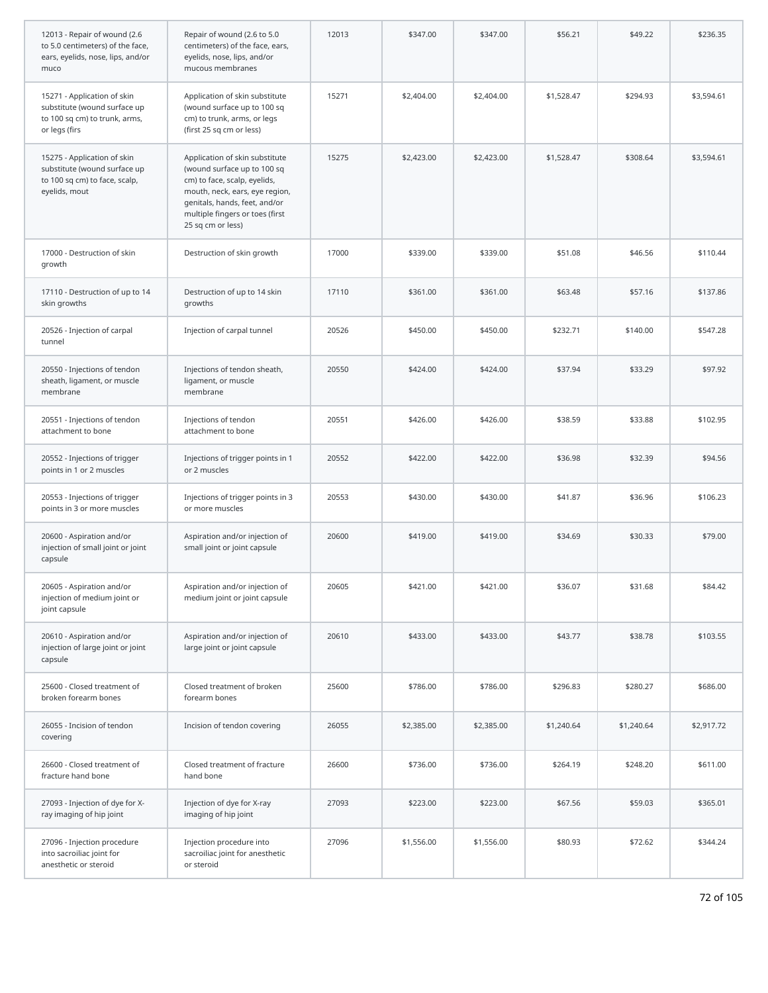| 12013 - Repair of wound (2.6<br>to 5.0 centimeters) of the face,<br>ears, eyelids, nose, lips, and/or<br>muco | Repair of wound (2.6 to 5.0<br>centimeters) of the face, ears,<br>eyelids, nose, lips, and/or<br>mucous membranes                                                                                                        | 12013 | \$347.00   | \$347.00   | \$56.21    | \$49.22    | \$236.35   |
|---------------------------------------------------------------------------------------------------------------|--------------------------------------------------------------------------------------------------------------------------------------------------------------------------------------------------------------------------|-------|------------|------------|------------|------------|------------|
| 15271 - Application of skin<br>substitute (wound surface up<br>to 100 sq cm) to trunk, arms,<br>or legs (firs | Application of skin substitute<br>(wound surface up to 100 sq<br>cm) to trunk, arms, or legs<br>(first 25 sq cm or less)                                                                                                 | 15271 | \$2,404.00 | \$2,404.00 | \$1,528.47 | \$294.93   | \$3,594.61 |
| 15275 - Application of skin<br>substitute (wound surface up<br>to 100 sq cm) to face, scalp,<br>eyelids, mout | Application of skin substitute<br>(wound surface up to 100 sq<br>cm) to face, scalp, eyelids,<br>mouth, neck, ears, eye region,<br>genitals, hands, feet, and/or<br>multiple fingers or toes (first<br>25 sq cm or less) | 15275 | \$2,423.00 | \$2,423.00 | \$1,528.47 | \$308.64   | \$3,594.61 |
| 17000 - Destruction of skin<br>growth                                                                         | Destruction of skin growth                                                                                                                                                                                               | 17000 | \$339.00   | \$339.00   | \$51.08    | \$46.56    | \$110.44   |
| 17110 - Destruction of up to 14<br>skin growths                                                               | Destruction of up to 14 skin<br>growths                                                                                                                                                                                  | 17110 | \$361.00   | \$361.00   | \$63.48    | \$57.16    | \$137.86   |
| 20526 - Injection of carpal<br>tunnel                                                                         | Injection of carpal tunnel                                                                                                                                                                                               | 20526 | \$450.00   | \$450.00   | \$232.71   | \$140.00   | \$547.28   |
| 20550 - Injections of tendon<br>sheath, ligament, or muscle<br>membrane                                       | Injections of tendon sheath,<br>ligament, or muscle<br>membrane                                                                                                                                                          | 20550 | \$424.00   | \$424.00   | \$37.94    | \$33.29    | \$97.92    |
| 20551 - Injections of tendon<br>attachment to bone                                                            | Injections of tendon<br>attachment to bone                                                                                                                                                                               | 20551 | \$426.00   | \$426.00   | \$38.59    | \$33.88    | \$102.95   |
| 20552 - Injections of trigger<br>points in 1 or 2 muscles                                                     | Injections of trigger points in 1<br>or 2 muscles                                                                                                                                                                        | 20552 | \$422.00   | \$422.00   | \$36.98    | \$32.39    | \$94.56    |
| 20553 - Injections of trigger<br>points in 3 or more muscles                                                  | Injections of trigger points in 3<br>or more muscles                                                                                                                                                                     | 20553 | \$430.00   | \$430.00   | \$41.87    | \$36.96    | \$106.23   |
| 20600 - Aspiration and/or<br>injection of small joint or joint<br>capsule                                     | Aspiration and/or injection of<br>small joint or joint capsule                                                                                                                                                           | 20600 | \$419.00   | \$419.00   | \$34.69    | \$30.33    | \$79.00    |
| 20605 - Aspiration and/or<br>injection of medium joint or<br>joint capsule                                    | Aspiration and/or injection of<br>medium joint or joint capsule                                                                                                                                                          | 20605 | \$421.00   | \$421.00   | \$36.07    | \$31.68    | \$84.42    |
| 20610 - Aspiration and/or<br>injection of large joint or joint<br>capsule                                     | Aspiration and/or injection of<br>large joint or joint capsule                                                                                                                                                           | 20610 | \$433.00   | \$433.00   | \$43.77    | \$38.78    | \$103.55   |
| 25600 - Closed treatment of<br>broken forearm bones                                                           | Closed treatment of broken<br>forearm bones                                                                                                                                                                              | 25600 | \$786.00   | \$786.00   | \$296.83   | \$280.27   | \$686.00   |
| 26055 - Incision of tendon<br>covering                                                                        | Incision of tendon covering                                                                                                                                                                                              | 26055 | \$2,385.00 | \$2,385.00 | \$1,240.64 | \$1,240.64 | \$2,917.72 |
| 26600 - Closed treatment of<br>fracture hand bone                                                             | Closed treatment of fracture<br>hand bone                                                                                                                                                                                | 26600 | \$736.00   | \$736.00   | \$264.19   | \$248.20   | \$611.00   |
| 27093 - Injection of dye for X-<br>ray imaging of hip joint                                                   | Injection of dye for X-ray<br>imaging of hip joint                                                                                                                                                                       | 27093 | \$223.00   | \$223.00   | \$67.56    | \$59.03    | \$365.01   |
| 27096 - Injection procedure<br>into sacroiliac joint for<br>anesthetic or steroid                             | Injection procedure into<br>sacroiliac joint for anesthetic<br>or steroid                                                                                                                                                | 27096 | \$1,556.00 | \$1,556.00 | \$80.93    | \$72.62    | \$344.24   |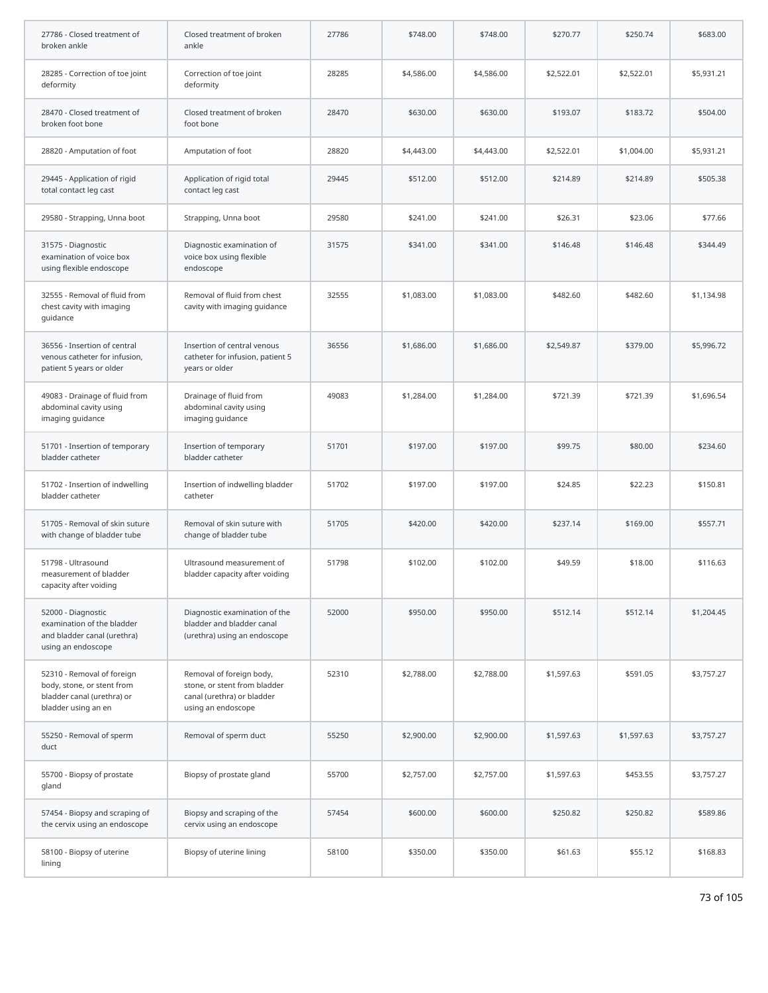| 27786 - Closed treatment of<br>broken ankle                                                                   | Closed treatment of broken<br>ankle                                                                          | 27786 | \$748.00   | \$748.00   | \$270.77   | \$250.74   | \$683.00   |
|---------------------------------------------------------------------------------------------------------------|--------------------------------------------------------------------------------------------------------------|-------|------------|------------|------------|------------|------------|
| 28285 - Correction of toe joint<br>deformity                                                                  | Correction of toe joint<br>deformity                                                                         | 28285 | \$4,586.00 | \$4,586.00 | \$2,522.01 | \$2,522.01 | \$5,931.21 |
| 28470 - Closed treatment of<br>broken foot bone                                                               | Closed treatment of broken<br>foot bone                                                                      | 28470 | \$630.00   | \$630.00   | \$193.07   | \$183.72   | \$504.00   |
| 28820 - Amputation of foot                                                                                    | Amputation of foot                                                                                           | 28820 | \$4,443.00 | \$4,443.00 | \$2,522.01 | \$1,004.00 | \$5,931.21 |
| 29445 - Application of rigid<br>total contact leg cast                                                        | Application of rigid total<br>contact leg cast                                                               | 29445 | \$512.00   | \$512.00   | \$214.89   | \$214.89   | \$505.38   |
| 29580 - Strapping, Unna boot                                                                                  | Strapping, Unna boot                                                                                         | 29580 | \$241.00   | \$241.00   | \$26.31    | \$23.06    | \$77.66    |
| 31575 - Diagnostic<br>examination of voice box<br>using flexible endoscope                                    | Diagnostic examination of<br>voice box using flexible<br>endoscope                                           | 31575 | \$341.00   | \$341.00   | \$146.48   | \$146.48   | \$344.49   |
| 32555 - Removal of fluid from<br>chest cavity with imaging<br>guidance                                        | Removal of fluid from chest<br>cavity with imaging guidance                                                  | 32555 | \$1,083.00 | \$1,083.00 | \$482.60   | \$482.60   | \$1,134.98 |
| 36556 - Insertion of central<br>venous catheter for infusion,<br>patient 5 years or older                     | Insertion of central venous<br>catheter for infusion, patient 5<br>years or older                            | 36556 | \$1,686.00 | \$1,686.00 | \$2,549.87 | \$379.00   | \$5,996.72 |
| 49083 - Drainage of fluid from<br>abdominal cavity using<br>imaging guidance                                  | Drainage of fluid from<br>abdominal cavity using<br>imaging guidance                                         | 49083 | \$1,284.00 | \$1,284.00 | \$721.39   | \$721.39   | \$1,696.54 |
| 51701 - Insertion of temporary<br>bladder catheter                                                            | Insertion of temporary<br>bladder catheter                                                                   | 51701 | \$197.00   | \$197.00   | \$99.75    | \$80.00    | \$234.60   |
| 51702 - Insertion of indwelling<br>bladder catheter                                                           | Insertion of indwelling bladder<br>catheter                                                                  | 51702 | \$197.00   | \$197.00   | \$24.85    | \$22.23    | \$150.81   |
| 51705 - Removal of skin suture<br>with change of bladder tube                                                 | Removal of skin suture with<br>change of bladder tube                                                        | 51705 | \$420.00   | \$420.00   | \$237.14   | \$169.00   | \$557.71   |
| 51798 - Ultrasound<br>measurement of bladder<br>capacity after voiding                                        | Ultrasound measurement of<br>bladder capacity after voiding                                                  | 51798 | \$102.00   | \$102.00   | \$49.59    | \$18.00    | \$116.63   |
| 52000 - Diagnostic<br>examination of the bladder<br>and bladder canal (urethra)<br>using an endoscope         | Diagnostic examination of the<br>bladder and bladder canal<br>(urethra) using an endoscope                   | 52000 | \$950.00   | \$950.00   | \$512.14   | \$512.14   | \$1,204.45 |
| 52310 - Removal of foreign<br>body, stone, or stent from<br>bladder canal (urethra) or<br>bladder using an en | Removal of foreign body,<br>stone, or stent from bladder<br>canal (urethra) or bladder<br>using an endoscope | 52310 | \$2,788.00 | \$2,788.00 | \$1,597.63 | \$591.05   | \$3,757.27 |
| 55250 - Removal of sperm<br>duct                                                                              | Removal of sperm duct                                                                                        | 55250 | \$2,900.00 | \$2,900.00 | \$1,597.63 | \$1,597.63 | \$3,757.27 |
| 55700 - Biopsy of prostate<br>gland                                                                           | Biopsy of prostate gland                                                                                     | 55700 | \$2,757.00 | \$2,757.00 | \$1,597.63 | \$453.55   | \$3,757.27 |
| 57454 - Biopsy and scraping of<br>the cervix using an endoscope                                               | Biopsy and scraping of the<br>cervix using an endoscope                                                      | 57454 | \$600.00   | \$600.00   | \$250.82   | \$250.82   | \$589.86   |
| 58100 - Biopsy of uterine<br>lining                                                                           | Biopsy of uterine lining                                                                                     | 58100 | \$350.00   | \$350.00   | \$61.63    | \$55.12    | \$168.83   |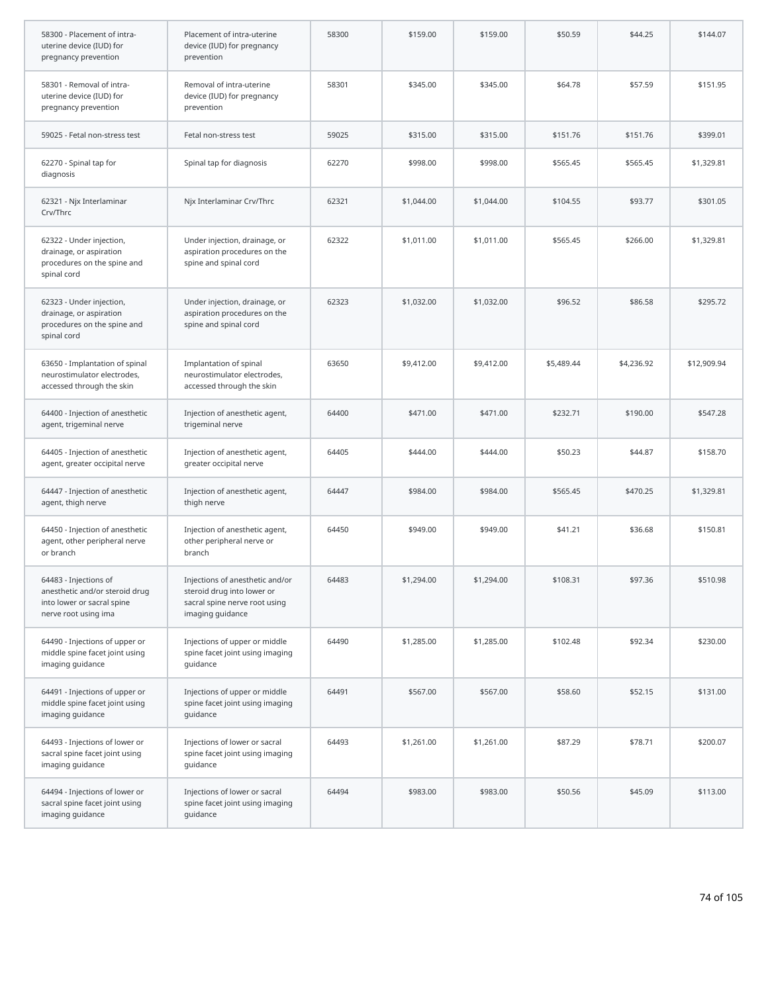| 58300 - Placement of intra-<br>uterine device (IUD) for<br>pregnancy prevention                               | Placement of intra-uterine<br>device (IUD) for pregnancy<br>prevention                                             | 58300 | \$159.00   | \$159.00   | \$50.59    | \$44.25    | \$144.07    |
|---------------------------------------------------------------------------------------------------------------|--------------------------------------------------------------------------------------------------------------------|-------|------------|------------|------------|------------|-------------|
| 58301 - Removal of intra-<br>uterine device (IUD) for<br>pregnancy prevention                                 | Removal of intra-uterine<br>device (IUD) for pregnancy<br>prevention                                               | 58301 | \$345.00   | \$345.00   | \$64.78    | \$57.59    | \$151.95    |
| 59025 - Fetal non-stress test                                                                                 | Fetal non-stress test                                                                                              | 59025 | \$315.00   | \$315.00   | \$151.76   | \$151.76   | \$399.01    |
| 62270 - Spinal tap for<br>diagnosis                                                                           | Spinal tap for diagnosis                                                                                           | 62270 | \$998.00   | \$998.00   | \$565.45   | \$565.45   | \$1,329.81  |
| 62321 - Njx Interlaminar<br>Crv/Thrc                                                                          | Njx Interlaminar Crv/Thrc                                                                                          | 62321 | \$1,044.00 | \$1,044.00 | \$104.55   | \$93.77    | \$301.05    |
| 62322 - Under injection,<br>drainage, or aspiration<br>procedures on the spine and<br>spinal cord             | Under injection, drainage, or<br>aspiration procedures on the<br>spine and spinal cord                             | 62322 | \$1,011.00 | \$1,011.00 | \$565.45   | \$266.00   | \$1,329.81  |
| 62323 - Under injection,<br>drainage, or aspiration<br>procedures on the spine and<br>spinal cord             | Under injection, drainage, or<br>aspiration procedures on the<br>spine and spinal cord                             | 62323 | \$1,032.00 | \$1,032.00 | \$96.52    | \$86.58    | \$295.72    |
| 63650 - Implantation of spinal<br>neurostimulator electrodes,<br>accessed through the skin                    | Implantation of spinal<br>neurostimulator electrodes,<br>accessed through the skin                                 | 63650 | \$9,412.00 | \$9,412.00 | \$5,489.44 | \$4,236.92 | \$12,909.94 |
| 64400 - Injection of anesthetic<br>agent, trigeminal nerve                                                    | Injection of anesthetic agent,<br>trigeminal nerve                                                                 | 64400 | \$471.00   | \$471.00   | \$232.71   | \$190.00   | \$547.28    |
| 64405 - Injection of anesthetic<br>agent, greater occipital nerve                                             | Injection of anesthetic agent,<br>greater occipital nerve                                                          | 64405 | \$444.00   | \$444.00   | \$50.23    | \$44.87    | \$158.70    |
| 64447 - Injection of anesthetic<br>agent, thigh nerve                                                         | Injection of anesthetic agent,<br>thigh nerve                                                                      | 64447 | \$984.00   | \$984.00   | \$565.45   | \$470.25   | \$1,329.81  |
| 64450 - Injection of anesthetic<br>agent, other peripheral nerve<br>or branch                                 | Injection of anesthetic agent,<br>other peripheral nerve or<br>branch                                              | 64450 | \$949.00   | \$949.00   | \$41.21    | \$36.68    | \$150.81    |
| 64483 - Injections of<br>anesthetic and/or steroid drug<br>into lower or sacral spine<br>nerve root using ima | Injections of anesthetic and/or<br>steroid drug into lower or<br>sacral spine nerve root using<br>imaging guidance | 64483 | \$1,294.00 | \$1,294.00 | \$108.31   | \$97.36    | \$510.98    |
| 64490 - Injections of upper or<br>middle spine facet joint using<br>imaging guidance                          | Injections of upper or middle<br>spine facet joint using imaging<br>guidance                                       | 64490 | \$1,285.00 | \$1,285.00 | \$102.48   | \$92.34    | \$230.00    |
| 64491 - Injections of upper or<br>middle spine facet joint using<br>imaging guidance                          | Injections of upper or middle<br>spine facet joint using imaging<br>quidance                                       | 64491 | \$567.00   | \$567.00   | \$58.60    | \$52.15    | \$131.00    |
| 64493 - Injections of lower or<br>sacral spine facet joint using<br>imaging guidance                          | Injections of lower or sacral<br>spine facet joint using imaging<br>guidance                                       | 64493 | \$1,261.00 | \$1,261.00 | \$87.29    | \$78.71    | \$200.07    |
| 64494 - Injections of lower or<br>sacral spine facet joint using<br>imaging guidance                          | Injections of lower or sacral<br>spine facet joint using imaging<br>guidance                                       | 64494 | \$983.00   | \$983.00   | \$50.56    | \$45.09    | \$113.00    |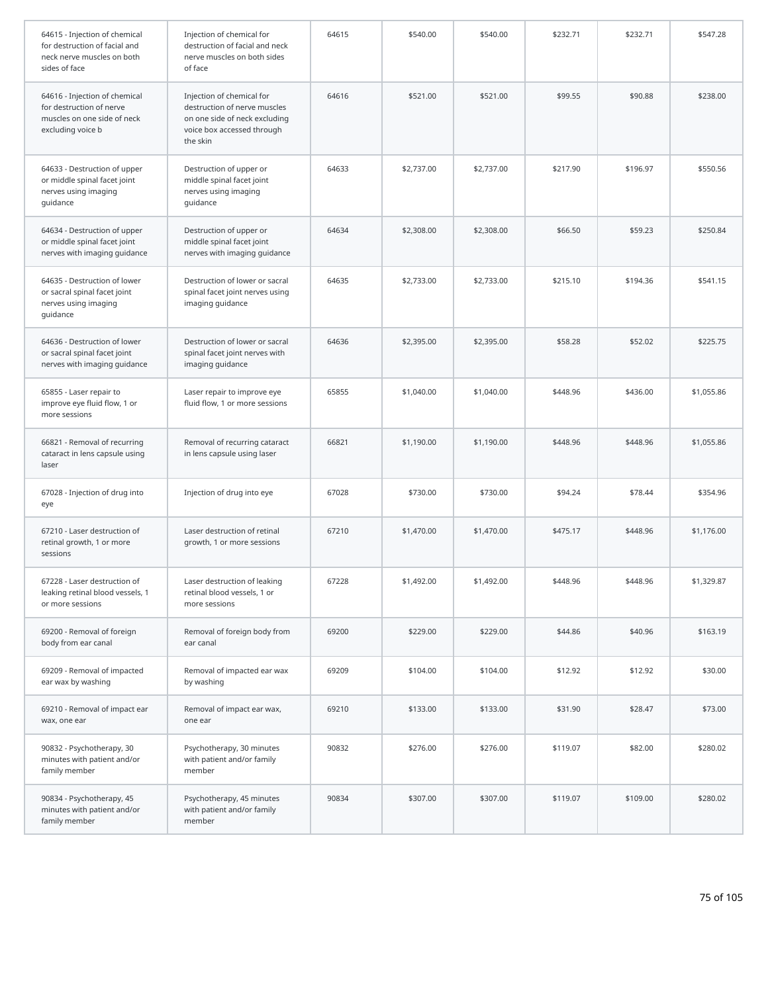| 64615 - Injection of chemical<br>for destruction of facial and<br>neck nerve muscles on both<br>sides of face | Injection of chemical for<br>destruction of facial and neck<br>nerve muscles on both sides<br>of face                                | 64615 | \$540.00   | \$540.00   | \$232.71 | \$232.71 | \$547.28   |
|---------------------------------------------------------------------------------------------------------------|--------------------------------------------------------------------------------------------------------------------------------------|-------|------------|------------|----------|----------|------------|
| 64616 - Injection of chemical<br>for destruction of nerve<br>muscles on one side of neck<br>excluding voice b | Injection of chemical for<br>destruction of nerve muscles<br>on one side of neck excluding<br>voice box accessed through<br>the skin | 64616 | \$521.00   | \$521.00   | \$99.55  | \$90.88  | \$238.00   |
| 64633 - Destruction of upper<br>or middle spinal facet joint<br>nerves using imaging<br>guidance              | Destruction of upper or<br>middle spinal facet joint<br>nerves using imaging<br>guidance                                             | 64633 | \$2,737.00 | \$2,737.00 | \$217.90 | \$196.97 | \$550.56   |
| 64634 - Destruction of upper<br>or middle spinal facet joint<br>nerves with imaging guidance                  | Destruction of upper or<br>middle spinal facet joint<br>nerves with imaging guidance                                                 | 64634 | \$2,308.00 | \$2,308.00 | \$66.50  | \$59.23  | \$250.84   |
| 64635 - Destruction of lower<br>or sacral spinal facet joint<br>nerves using imaging<br>guidance              | Destruction of lower or sacral<br>spinal facet joint nerves using<br>imaging guidance                                                | 64635 | \$2,733.00 | \$2,733.00 | \$215.10 | \$194.36 | \$541.15   |
| 64636 - Destruction of lower<br>or sacral spinal facet joint<br>nerves with imaging guidance                  | Destruction of lower or sacral<br>spinal facet joint nerves with<br>imaging guidance                                                 | 64636 | \$2,395.00 | \$2,395.00 | \$58.28  | \$52.02  | \$225.75   |
| 65855 - Laser repair to<br>improve eye fluid flow, 1 or<br>more sessions                                      | Laser repair to improve eye<br>fluid flow, 1 or more sessions                                                                        | 65855 | \$1,040.00 | \$1,040.00 | \$448.96 | \$436.00 | \$1,055.86 |
| 66821 - Removal of recurring<br>cataract in lens capsule using<br>laser                                       | Removal of recurring cataract<br>in lens capsule using laser                                                                         | 66821 | \$1,190.00 | \$1,190.00 | \$448.96 | \$448.96 | \$1,055.86 |
| 67028 - Injection of drug into<br>eye                                                                         | Injection of drug into eye                                                                                                           | 67028 | \$730.00   | \$730.00   | \$94.24  | \$78.44  | \$354.96   |
| 67210 - Laser destruction of<br>retinal growth, 1 or more<br>sessions                                         | Laser destruction of retinal<br>growth, 1 or more sessions                                                                           | 67210 | \$1,470.00 | \$1,470.00 | \$475.17 | \$448.96 | \$1,176.00 |
| 67228 - Laser destruction of<br>leaking retinal blood vessels, 1<br>or more sessions                          | Laser destruction of leaking<br>retinal blood vessels, 1 or<br>more sessions                                                         | 67228 | \$1,492.00 | \$1,492.00 | \$448.96 | \$448.96 | \$1,329.87 |
| 69200 - Removal of foreign<br>body from ear canal                                                             | Removal of foreign body from<br>ear canal                                                                                            | 69200 | \$229.00   | \$229.00   | \$44.86  | \$40.96  | \$163.19   |
| 69209 - Removal of impacted<br>ear wax by washing                                                             | Removal of impacted ear wax<br>by washing                                                                                            | 69209 | \$104.00   | \$104.00   | \$12.92  | \$12.92  | \$30.00    |
| 69210 - Removal of impact ear<br>wax, one ear                                                                 | Removal of impact ear wax,<br>one ear                                                                                                | 69210 | \$133.00   | \$133.00   | \$31.90  | \$28.47  | \$73.00    |
| 90832 - Psychotherapy, 30<br>minutes with patient and/or<br>family member                                     | Psychotherapy, 30 minutes<br>with patient and/or family<br>member                                                                    | 90832 | \$276.00   | \$276.00   | \$119.07 | \$82.00  | \$280.02   |
| 90834 - Psychotherapy, 45<br>minutes with patient and/or<br>family member                                     | Psychotherapy, 45 minutes<br>with patient and/or family<br>member                                                                    | 90834 | \$307.00   | \$307.00   | \$119.07 | \$109.00 | \$280.02   |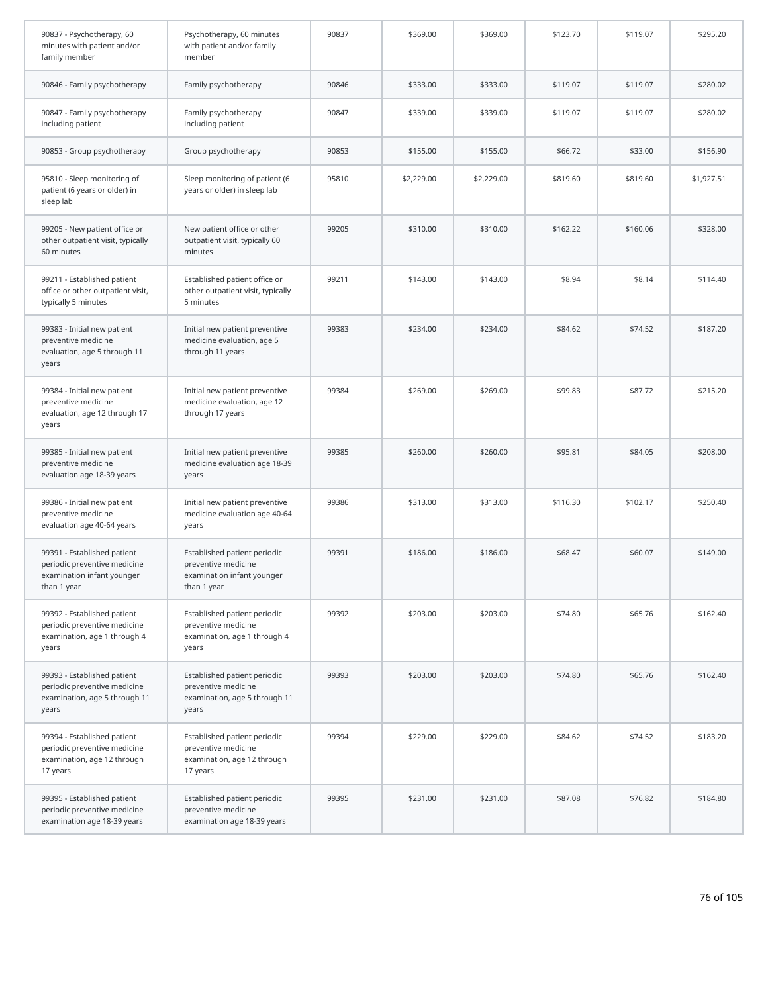| 90837 - Psychotherapy, 60<br>minutes with patient and/or<br>family member                                | Psychotherapy, 60 minutes<br>with patient and/or family<br>member                                | 90837 | \$369.00   | \$369.00   | \$123.70 | \$119.07 | \$295.20   |
|----------------------------------------------------------------------------------------------------------|--------------------------------------------------------------------------------------------------|-------|------------|------------|----------|----------|------------|
| 90846 - Family psychotherapy                                                                             | Family psychotherapy                                                                             | 90846 | \$333.00   | \$333.00   | \$119.07 | \$119.07 | \$280.02   |
| 90847 - Family psychotherapy<br>including patient                                                        | Family psychotherapy<br>including patient                                                        | 90847 | \$339.00   | \$339.00   | \$119.07 | \$119.07 | \$280.02   |
| 90853 - Group psychotherapy                                                                              | Group psychotherapy                                                                              | 90853 | \$155.00   | \$155.00   | \$66.72  | \$33.00  | \$156.90   |
| 95810 - Sleep monitoring of<br>patient (6 years or older) in<br>sleep lab                                | Sleep monitoring of patient (6<br>years or older) in sleep lab                                   | 95810 | \$2,229.00 | \$2,229.00 | \$819.60 | \$819.60 | \$1,927.51 |
| 99205 - New patient office or<br>other outpatient visit, typically<br>60 minutes                         | New patient office or other<br>outpatient visit, typically 60<br>minutes                         | 99205 | \$310.00   | \$310.00   | \$162.22 | \$160.06 | \$328.00   |
| 99211 - Established patient<br>office or other outpatient visit,<br>typically 5 minutes                  | Established patient office or<br>other outpatient visit, typically<br>5 minutes                  | 99211 | \$143.00   | \$143.00   | \$8.94   | \$8.14   | \$114.40   |
| 99383 - Initial new patient<br>preventive medicine<br>evaluation, age 5 through 11<br>years              | Initial new patient preventive<br>medicine evaluation, age 5<br>through 11 years                 | 99383 | \$234.00   | \$234.00   | \$84.62  | \$74.52  | \$187.20   |
| 99384 - Initial new patient<br>preventive medicine<br>evaluation, age 12 through 17<br>years             | Initial new patient preventive<br>medicine evaluation, age 12<br>through 17 years                | 99384 | \$269.00   | \$269.00   | \$99.83  | \$87.72  | \$215.20   |
| 99385 - Initial new patient<br>preventive medicine<br>evaluation age 18-39 years                         | Initial new patient preventive<br>medicine evaluation age 18-39<br>years                         | 99385 | \$260.00   | \$260.00   | \$95.81  | \$84.05  | \$208.00   |
| 99386 - Initial new patient<br>preventive medicine<br>evaluation age 40-64 years                         | Initial new patient preventive<br>medicine evaluation age 40-64<br>years                         | 99386 | \$313.00   | \$313.00   | \$116.30 | \$102.17 | \$250.40   |
| 99391 - Established patient<br>periodic preventive medicine<br>examination infant younger<br>than 1 year | Established patient periodic<br>preventive medicine<br>examination infant younger<br>than 1 year | 99391 | \$186.00   | \$186.00   | \$68.47  | \$60.07  | \$149.00   |
| 99392 - Established patient<br>periodic preventive medicine<br>examination, age 1 through 4<br>years     | Established patient periodic<br>preventive medicine<br>examination, age 1 through 4<br>years     | 99392 | \$203.00   | \$203.00   | \$74.80  | \$65.76  | \$162.40   |
| 99393 - Established patient<br>periodic preventive medicine<br>examination, age 5 through 11<br>years    | Established patient periodic<br>preventive medicine<br>examination, age 5 through 11<br>years    | 99393 | \$203.00   | \$203.00   | \$74.80  | \$65.76  | \$162.40   |
| 99394 - Established patient<br>periodic preventive medicine<br>examination, age 12 through<br>17 years   | Established patient periodic<br>preventive medicine<br>examination, age 12 through<br>17 years   | 99394 | \$229.00   | \$229.00   | \$84.62  | \$74.52  | \$183.20   |
| 99395 - Established patient<br>periodic preventive medicine<br>examination age 18-39 years               | Established patient periodic<br>preventive medicine<br>examination age 18-39 years               | 99395 | \$231.00   | \$231.00   | \$87.08  | \$76.82  | \$184.80   |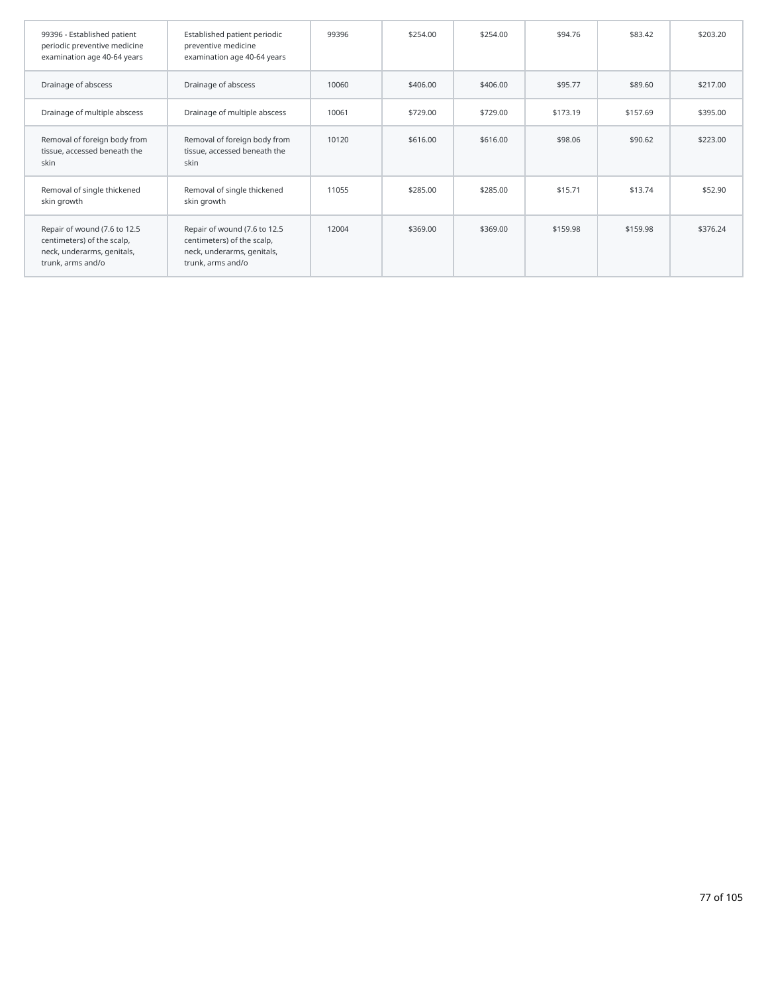| 99396 - Established patient<br>periodic preventive medicine<br>examination age 40-64 years                    | Established patient periodic<br>preventive medicine<br>examination age 40-64 years                            | 99396 | \$254.00 | \$254.00 | \$94.76  | \$83.42  | \$203.20 |
|---------------------------------------------------------------------------------------------------------------|---------------------------------------------------------------------------------------------------------------|-------|----------|----------|----------|----------|----------|
| Drainage of abscess                                                                                           | Drainage of abscess                                                                                           | 10060 | \$406.00 | \$406.00 | \$95.77  | \$89.60  | \$217.00 |
| Drainage of multiple abscess                                                                                  | Drainage of multiple abscess                                                                                  | 10061 | \$729.00 | \$729.00 | \$173.19 | \$157.69 | \$395.00 |
| Removal of foreign body from<br>tissue, accessed beneath the<br>skin                                          | Removal of foreign body from<br>tissue, accessed beneath the<br>skin                                          | 10120 | \$616.00 | \$616.00 | \$98.06  | \$90.62  | \$223.00 |
| Removal of single thickened<br>skin growth                                                                    | Removal of single thickened<br>skin growth                                                                    | 11055 | \$285.00 | \$285.00 | \$15.71  | \$13.74  | \$52.90  |
| Repair of wound (7.6 to 12.5<br>centimeters) of the scalp,<br>neck, underarms, genitals,<br>trunk, arms and/o | Repair of wound (7.6 to 12.5<br>centimeters) of the scalp,<br>neck, underarms, genitals,<br>trunk, arms and/o | 12004 | \$369.00 | \$369.00 | \$159.98 | \$159.98 | \$376.24 |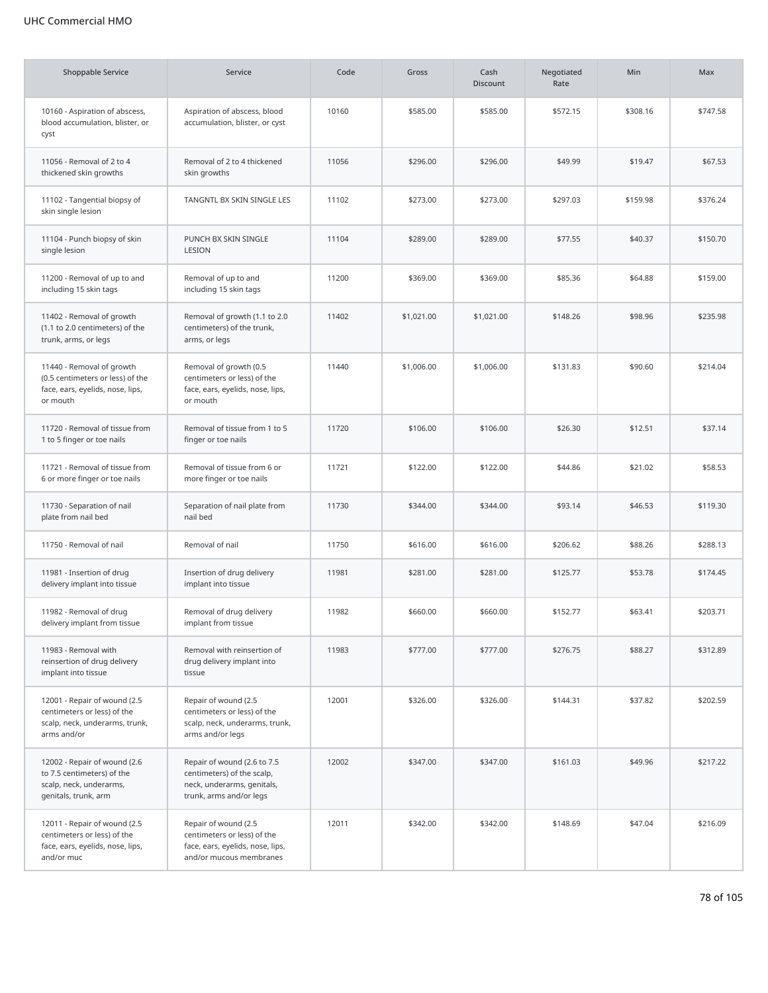## UHC Commercial HMO

| <b>Shoppable Service</b>                                                                                      | Service                                                                                                            | Code  | Gross      | Cash<br><b>Discount</b> | Negotiated<br>Rate | Min      | Max      |
|---------------------------------------------------------------------------------------------------------------|--------------------------------------------------------------------------------------------------------------------|-------|------------|-------------------------|--------------------|----------|----------|
| 10160 - Aspiration of abscess,<br>blood accumulation, blister, or<br>cyst                                     | Aspiration of abscess, blood<br>accumulation, blister, or cyst                                                     | 10160 | \$585.00   | \$585.00                | \$572.15           | \$308.16 | \$747.58 |
| 11056 - Removal of 2 to 4<br>thickened skin growths                                                           | Removal of 2 to 4 thickened<br>skin growths                                                                        | 11056 | \$296.00   | \$296.00                | \$49.99            | \$19.47  | \$67.53  |
| 11102 - Tangential biopsy of<br>skin single lesion                                                            | TANGNTL BX SKIN SINGLE LES                                                                                         | 11102 | \$273.00   | \$273.00                | \$297.03           | \$159.98 | \$376.24 |
| 11104 - Punch biopsy of skin<br>single lesion                                                                 | PUNCH BX SKIN SINGLE<br>LESION                                                                                     | 11104 | \$289.00   | \$289.00                | \$77.55            | \$40.37  | \$150.70 |
| 11200 - Removal of up to and<br>including 15 skin tags                                                        | Removal of up to and<br>including 15 skin tags                                                                     | 11200 | \$369.00   | \$369.00                | \$85.36            | \$64.88  | \$159.00 |
| 11402 - Removal of growth<br>(1.1 to 2.0 centimeters) of the<br>trunk, arms, or legs                          | Removal of growth (1.1 to 2.0<br>centimeters) of the trunk,<br>arms, or legs                                       | 11402 | \$1,021.00 | \$1,021.00              | \$148.26           | \$98.96  | \$235.98 |
| 11440 - Removal of growth<br>(0.5 centimeters or less) of the<br>face, ears, eyelids, nose, lips,<br>or mouth | Removal of growth (0.5<br>centimeters or less) of the<br>face, ears, eyelids, nose, lips,<br>or mouth              | 11440 | \$1,006.00 | \$1,006.00              | \$131.83           | \$90.60  | \$214.04 |
| 11720 - Removal of tissue from<br>1 to 5 finger or toe nails                                                  | Removal of tissue from 1 to 5<br>finger or toe nails                                                               | 11720 | \$106.00   | \$106.00                | \$26.30            | \$12.51  | \$37.14  |
| 11721 - Removal of tissue from<br>6 or more finger or toe nails                                               | Removal of tissue from 6 or<br>more finger or toe nails                                                            | 11721 | \$122.00   | \$122.00                | \$44.86            | \$21.02  | \$58.53  |
| 11730 - Separation of nail<br>plate from nail bed                                                             | Separation of nail plate from<br>nail bed                                                                          | 11730 | \$344.00   | \$344.00                | \$93.14            | \$46.53  | \$119.30 |
| 11750 - Removal of nail                                                                                       | Removal of nail                                                                                                    | 11750 | \$616.00   | \$616.00                | \$206.62           | \$88.26  | \$288.13 |
| 11981 - Insertion of drug<br>delivery implant into tissue                                                     | Insertion of drug delivery<br>implant into tissue                                                                  | 11981 | \$281.00   | \$281.00                | \$125.77           | \$53.78  | \$174.45 |
| 11982 - Removal of drug<br>delivery implant from tissue                                                       | Removal of drug delivery<br>implant from tissue                                                                    | 11982 | \$660.00   | \$660.00                | \$152.77           | \$63.41  | \$203.71 |
| 11983 - Removal with<br>reinsertion of drug delivery<br>implant into tissue                                   | Removal with reinsertion of<br>drug delivery implant into<br>tissue                                                | 11983 | \$777.00   | \$777.00                | \$276.75           | \$88.27  | \$312.89 |
| 12001 - Repair of wound (2.5<br>centimeters or less) of the<br>scalp, neck, underarms, trunk,<br>arms and/or  | Repair of wound (2.5<br>centimeters or less) of the<br>scalp, neck, underarms, trunk,<br>arms and/or legs          | 12001 | \$326.00   | \$326.00                | \$144.31           | \$37.82  | \$202.59 |
| 12002 - Repair of wound (2.6<br>to 7.5 centimeters) of the<br>scalp, neck, underarms,<br>genitals, trunk, arm | Repair of wound (2.6 to 7.5<br>centimeters) of the scalp,<br>neck, underarms, genitals,<br>trunk, arms and/or legs | 12002 | \$347.00   | \$347.00                | \$161.03           | \$49.96  | \$217.22 |
| 12011 - Repair of wound (2.5<br>centimeters or less) of the<br>face, ears, eyelids, nose, lips,<br>and/or muc | Repair of wound (2.5<br>centimeters or less) of the<br>face, ears, eyelids, nose, lips,<br>and/or mucous membranes | 12011 | \$342.00   | \$342.00                | \$148.69           | \$47.04  | \$216.09 |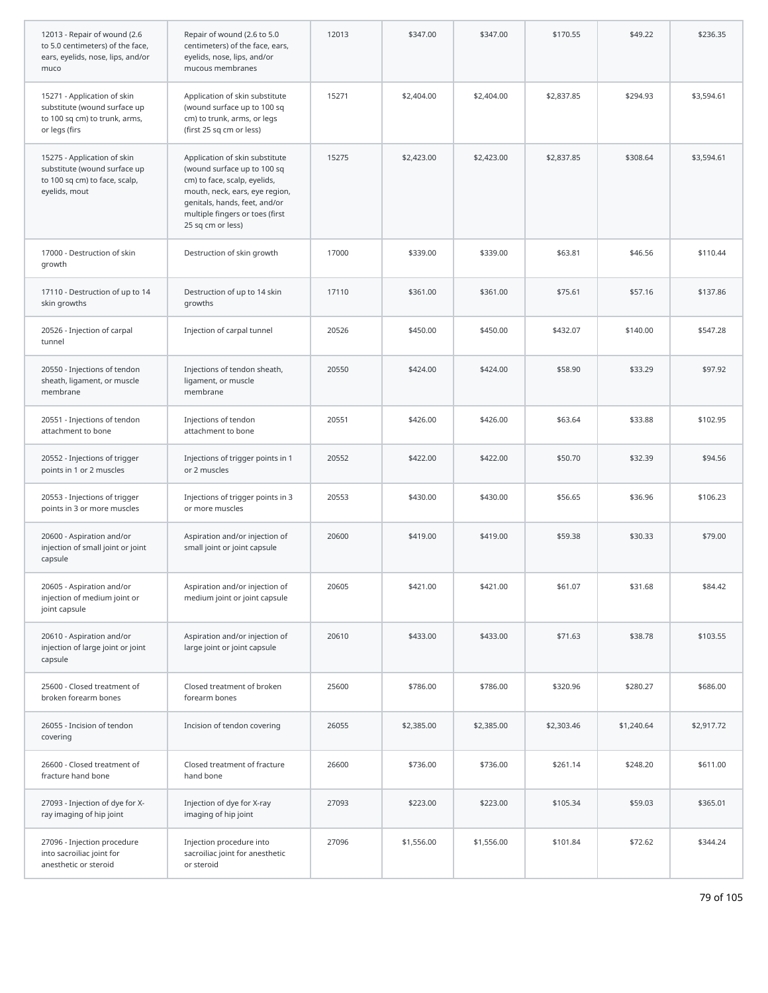| 12013 - Repair of wound (2.6<br>to 5.0 centimeters) of the face,<br>ears, eyelids, nose, lips, and/or<br>muco | Repair of wound (2.6 to 5.0<br>centimeters) of the face, ears,<br>eyelids, nose, lips, and/or<br>mucous membranes                                                                                                        | 12013 | \$347.00   | \$347.00   | \$170.55   | \$49.22    | \$236.35   |
|---------------------------------------------------------------------------------------------------------------|--------------------------------------------------------------------------------------------------------------------------------------------------------------------------------------------------------------------------|-------|------------|------------|------------|------------|------------|
| 15271 - Application of skin<br>substitute (wound surface up<br>to 100 sq cm) to trunk, arms,<br>or legs (firs | Application of skin substitute<br>(wound surface up to 100 sq<br>cm) to trunk, arms, or legs<br>(first 25 sq cm or less)                                                                                                 | 15271 | \$2,404.00 | \$2,404.00 | \$2,837.85 | \$294.93   | \$3,594.61 |
| 15275 - Application of skin<br>substitute (wound surface up<br>to 100 sq cm) to face, scalp,<br>eyelids, mout | Application of skin substitute<br>(wound surface up to 100 sq<br>cm) to face, scalp, eyelids,<br>mouth, neck, ears, eye region,<br>genitals, hands, feet, and/or<br>multiple fingers or toes (first<br>25 sq cm or less) | 15275 | \$2,423.00 | \$2,423.00 | \$2,837.85 | \$308.64   | \$3,594.61 |
| 17000 - Destruction of skin<br>growth                                                                         | Destruction of skin growth                                                                                                                                                                                               | 17000 | \$339.00   | \$339.00   | \$63.81    | \$46.56    | \$110.44   |
| 17110 - Destruction of up to 14<br>skin growths                                                               | Destruction of up to 14 skin<br>growths                                                                                                                                                                                  | 17110 | \$361.00   | \$361.00   | \$75.61    | \$57.16    | \$137.86   |
| 20526 - Injection of carpal<br>tunnel                                                                         | Injection of carpal tunnel                                                                                                                                                                                               | 20526 | \$450.00   | \$450.00   | \$432.07   | \$140.00   | \$547.28   |
| 20550 - Injections of tendon<br>sheath, ligament, or muscle<br>membrane                                       | Injections of tendon sheath,<br>ligament, or muscle<br>membrane                                                                                                                                                          | 20550 | \$424.00   | \$424.00   | \$58.90    | \$33.29    | \$97.92    |
| 20551 - Injections of tendon<br>attachment to bone                                                            | Injections of tendon<br>attachment to bone                                                                                                                                                                               | 20551 | \$426.00   | \$426.00   | \$63.64    | \$33.88    | \$102.95   |
| 20552 - Injections of trigger<br>points in 1 or 2 muscles                                                     | Injections of trigger points in 1<br>or 2 muscles                                                                                                                                                                        | 20552 | \$422.00   | \$422.00   | \$50.70    | \$32.39    | \$94.56    |
| 20553 - Injections of trigger<br>points in 3 or more muscles                                                  | Injections of trigger points in 3<br>or more muscles                                                                                                                                                                     | 20553 | \$430.00   | \$430.00   | \$56.65    | \$36.96    | \$106.23   |
| 20600 - Aspiration and/or<br>injection of small joint or joint<br>capsule                                     | Aspiration and/or injection of<br>small joint or joint capsule                                                                                                                                                           | 20600 | \$419.00   | \$419.00   | \$59.38    | \$30.33    | \$79.00    |
| 20605 - Aspiration and/or<br>injection of medium joint or<br>joint capsule                                    | Aspiration and/or injection of<br>medium joint or joint capsule                                                                                                                                                          | 20605 | \$421.00   | \$421.00   | \$61.07    | \$31.68    | \$84.42    |
| 20610 - Aspiration and/or<br>injection of large joint or joint<br>capsule                                     | Aspiration and/or injection of<br>large joint or joint capsule                                                                                                                                                           | 20610 | \$433.00   | \$433.00   | \$71.63    | \$38.78    | \$103.55   |
| 25600 - Closed treatment of<br>broken forearm bones                                                           | Closed treatment of broken<br>forearm bones                                                                                                                                                                              | 25600 | \$786.00   | \$786.00   | \$320.96   | \$280.27   | \$686.00   |
| 26055 - Incision of tendon<br>covering                                                                        | Incision of tendon covering                                                                                                                                                                                              | 26055 | \$2,385.00 | \$2,385.00 | \$2,303.46 | \$1,240.64 | \$2,917.72 |
| 26600 - Closed treatment of<br>fracture hand bone                                                             | Closed treatment of fracture<br>hand bone                                                                                                                                                                                | 26600 | \$736.00   | \$736.00   | \$261.14   | \$248.20   | \$611.00   |
| 27093 - Injection of dye for X-<br>ray imaging of hip joint                                                   | Injection of dye for X-ray<br>imaging of hip joint                                                                                                                                                                       | 27093 | \$223.00   | \$223.00   | \$105.34   | \$59.03    | \$365.01   |
| 27096 - Injection procedure<br>into sacroiliac joint for<br>anesthetic or steroid                             | Injection procedure into<br>sacroiliac joint for anesthetic<br>or steroid                                                                                                                                                | 27096 | \$1,556.00 | \$1,556.00 | \$101.84   | \$72.62    | \$344.24   |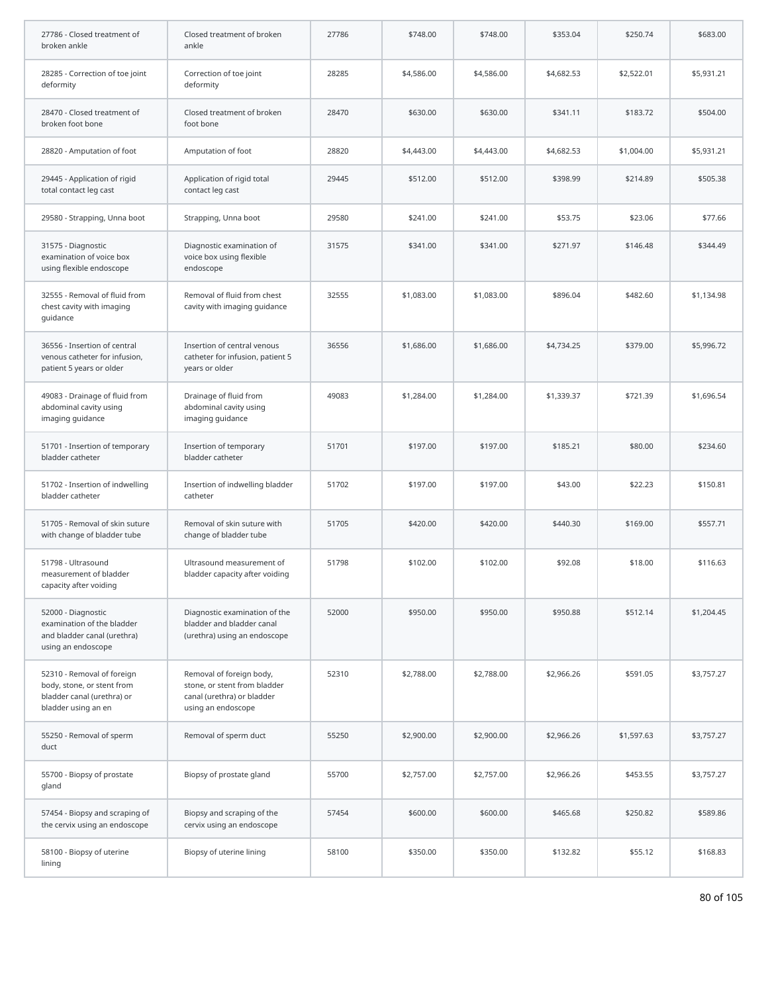| 27786 - Closed treatment of<br>broken ankle                                                                   | Closed treatment of broken<br>ankle                                                                          | 27786 | \$748.00   | \$748.00   | \$353.04   | \$250.74   | \$683.00   |
|---------------------------------------------------------------------------------------------------------------|--------------------------------------------------------------------------------------------------------------|-------|------------|------------|------------|------------|------------|
| 28285 - Correction of toe joint<br>deformity                                                                  | Correction of toe joint<br>deformity                                                                         | 28285 | \$4,586.00 | \$4,586.00 | \$4,682.53 | \$2,522.01 | \$5,931.21 |
| 28470 - Closed treatment of<br>broken foot bone                                                               | Closed treatment of broken<br>foot bone                                                                      | 28470 | \$630.00   | \$630.00   | \$341.11   | \$183.72   | \$504.00   |
| 28820 - Amputation of foot                                                                                    | Amputation of foot                                                                                           | 28820 | \$4,443.00 | \$4,443.00 | \$4,682.53 | \$1,004.00 | \$5,931.21 |
| 29445 - Application of rigid<br>total contact leg cast                                                        | Application of rigid total<br>contact leg cast                                                               | 29445 | \$512.00   | \$512.00   | \$398.99   | \$214.89   | \$505.38   |
| 29580 - Strapping, Unna boot                                                                                  | Strapping, Unna boot                                                                                         | 29580 | \$241.00   | \$241.00   | \$53.75    | \$23.06    | \$77.66    |
| 31575 - Diagnostic<br>examination of voice box<br>using flexible endoscope                                    | Diagnostic examination of<br>voice box using flexible<br>endoscope                                           | 31575 | \$341.00   | \$341.00   | \$271.97   | \$146.48   | \$344.49   |
| 32555 - Removal of fluid from<br>chest cavity with imaging<br>guidance                                        | Removal of fluid from chest<br>cavity with imaging guidance                                                  | 32555 | \$1,083.00 | \$1,083.00 | \$896.04   | \$482.60   | \$1,134.98 |
| 36556 - Insertion of central<br>venous catheter for infusion,<br>patient 5 years or older                     | Insertion of central venous<br>catheter for infusion, patient 5<br>years or older                            | 36556 | \$1,686.00 | \$1,686.00 | \$4,734.25 | \$379.00   | \$5,996.72 |
| 49083 - Drainage of fluid from<br>abdominal cavity using<br>imaging guidance                                  | Drainage of fluid from<br>abdominal cavity using<br>imaging guidance                                         | 49083 | \$1,284.00 | \$1,284.00 | \$1,339.37 | \$721.39   | \$1,696.54 |
| 51701 - Insertion of temporary<br>bladder catheter                                                            | Insertion of temporary<br>bladder catheter                                                                   | 51701 | \$197.00   | \$197.00   | \$185.21   | \$80.00    | \$234.60   |
| 51702 - Insertion of indwelling<br>bladder catheter                                                           | Insertion of indwelling bladder<br>catheter                                                                  | 51702 | \$197.00   | \$197.00   | \$43.00    | \$22.23    | \$150.81   |
| 51705 - Removal of skin suture<br>with change of bladder tube                                                 | Removal of skin suture with<br>change of bladder tube                                                        | 51705 | \$420.00   | \$420.00   | \$440.30   | \$169.00   | \$557.71   |
| 51798 - Ultrasound<br>measurement of bladder<br>capacity after voiding                                        | Ultrasound measurement of<br>bladder capacity after voiding                                                  | 51798 | \$102.00   | \$102.00   | \$92.08    | \$18.00    | \$116.63   |
| 52000 - Diagnostic<br>examination of the bladder<br>and bladder canal (urethra)<br>using an endoscope         | Diagnostic examination of the<br>bladder and bladder canal<br>(urethra) using an endoscope                   | 52000 | \$950.00   | \$950.00   | \$950.88   | \$512.14   | \$1,204.45 |
| 52310 - Removal of foreign<br>body, stone, or stent from<br>bladder canal (urethra) or<br>bladder using an en | Removal of foreign body,<br>stone, or stent from bladder<br>canal (urethra) or bladder<br>using an endoscope | 52310 | \$2,788.00 | \$2,788.00 | \$2,966.26 | \$591.05   | \$3,757.27 |
| 55250 - Removal of sperm<br>duct                                                                              | Removal of sperm duct                                                                                        | 55250 | \$2,900.00 | \$2,900.00 | \$2,966.26 | \$1,597.63 | \$3,757.27 |
| 55700 - Biopsy of prostate<br>gland                                                                           | Biopsy of prostate gland                                                                                     | 55700 | \$2,757.00 | \$2,757.00 | \$2,966.26 | \$453.55   | \$3,757.27 |
| 57454 - Biopsy and scraping of<br>the cervix using an endoscope                                               | Biopsy and scraping of the<br>cervix using an endoscope                                                      | 57454 | \$600.00   | \$600.00   | \$465.68   | \$250.82   | \$589.86   |
| 58100 - Biopsy of uterine<br>lining                                                                           | Biopsy of uterine lining                                                                                     | 58100 | \$350.00   | \$350.00   | \$132.82   | \$55.12    | \$168.83   |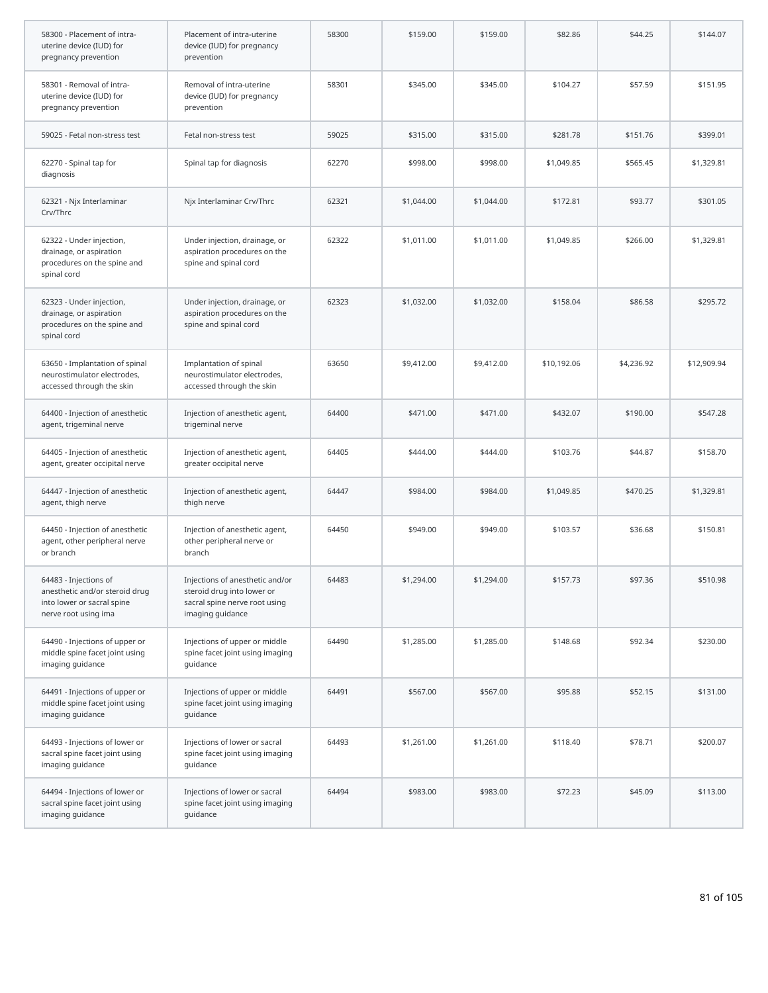| 58300 - Placement of intra-<br>uterine device (IUD) for<br>pregnancy prevention                               | Placement of intra-uterine<br>device (IUD) for pregnancy<br>prevention                                             | 58300 | \$159.00   | \$159.00   | \$82.86     | \$44.25    | \$144.07    |
|---------------------------------------------------------------------------------------------------------------|--------------------------------------------------------------------------------------------------------------------|-------|------------|------------|-------------|------------|-------------|
| 58301 - Removal of intra-<br>uterine device (IUD) for<br>pregnancy prevention                                 | Removal of intra-uterine<br>device (IUD) for pregnancy<br>prevention                                               | 58301 | \$345.00   | \$345.00   | \$104.27    | \$57.59    | \$151.95    |
| 59025 - Fetal non-stress test                                                                                 | Fetal non-stress test                                                                                              | 59025 | \$315.00   | \$315.00   | \$281.78    | \$151.76   | \$399.01    |
| 62270 - Spinal tap for<br>diagnosis                                                                           | Spinal tap for diagnosis                                                                                           | 62270 | \$998.00   | \$998.00   | \$1,049.85  | \$565.45   | \$1,329.81  |
| 62321 - Njx Interlaminar<br>Crv/Thrc                                                                          | Njx Interlaminar Crv/Thrc                                                                                          | 62321 | \$1,044.00 | \$1,044.00 | \$172.81    | \$93.77    | \$301.05    |
| 62322 - Under injection,<br>drainage, or aspiration<br>procedures on the spine and<br>spinal cord             | Under injection, drainage, or<br>aspiration procedures on the<br>spine and spinal cord                             | 62322 | \$1,011.00 | \$1,011.00 | \$1,049.85  | \$266.00   | \$1,329.81  |
| 62323 - Under injection,<br>drainage, or aspiration<br>procedures on the spine and<br>spinal cord             | Under injection, drainage, or<br>aspiration procedures on the<br>spine and spinal cord                             | 62323 | \$1,032.00 | \$1,032.00 | \$158.04    | \$86.58    | \$295.72    |
| 63650 - Implantation of spinal<br>neurostimulator electrodes,<br>accessed through the skin                    | Implantation of spinal<br>neurostimulator electrodes,<br>accessed through the skin                                 | 63650 | \$9,412.00 | \$9,412.00 | \$10,192.06 | \$4,236.92 | \$12,909.94 |
| 64400 - Injection of anesthetic<br>agent, trigeminal nerve                                                    | Injection of anesthetic agent,<br>trigeminal nerve                                                                 | 64400 | \$471.00   | \$471.00   | \$432.07    | \$190.00   | \$547.28    |
| 64405 - Injection of anesthetic<br>agent, greater occipital nerve                                             | Injection of anesthetic agent,<br>greater occipital nerve                                                          | 64405 | \$444.00   | \$444.00   | \$103.76    | \$44.87    | \$158.70    |
| 64447 - Injection of anesthetic<br>agent, thigh nerve                                                         | Injection of anesthetic agent,<br>thigh nerve                                                                      | 64447 | \$984.00   | \$984.00   | \$1,049.85  | \$470.25   | \$1,329.81  |
| 64450 - Injection of anesthetic<br>agent, other peripheral nerve<br>or branch                                 | Injection of anesthetic agent,<br>other peripheral nerve or<br>branch                                              | 64450 | \$949.00   | \$949.00   | \$103.57    | \$36.68    | \$150.81    |
| 64483 - Injections of<br>anesthetic and/or steroid drug<br>into lower or sacral spine<br>nerve root using ima | Injections of anesthetic and/or<br>steroid drug into lower or<br>sacral spine nerve root using<br>imaging guidance | 64483 | \$1,294.00 | \$1,294.00 | \$157.73    | \$97.36    | \$510.98    |
| 64490 - Injections of upper or<br>middle spine facet joint using<br>imaging guidance                          | Injections of upper or middle<br>spine facet joint using imaging<br>guidance                                       | 64490 | \$1,285.00 | \$1,285.00 | \$148.68    | \$92.34    | \$230.00    |
| 64491 - Injections of upper or<br>middle spine facet joint using<br>imaging guidance                          | Injections of upper or middle<br>spine facet joint using imaging<br>quidance                                       | 64491 | \$567.00   | \$567.00   | \$95.88     | \$52.15    | \$131.00    |
| 64493 - Injections of lower or<br>sacral spine facet joint using<br>imaging guidance                          | Injections of lower or sacral<br>spine facet joint using imaging<br>guidance                                       | 64493 | \$1,261.00 | \$1,261.00 | \$118.40    | \$78.71    | \$200.07    |
| 64494 - Injections of lower or<br>sacral spine facet joint using<br>imaging guidance                          | Injections of lower or sacral<br>spine facet joint using imaging<br>guidance                                       | 64494 | \$983.00   | \$983.00   | \$72.23     | \$45.09    | \$113.00    |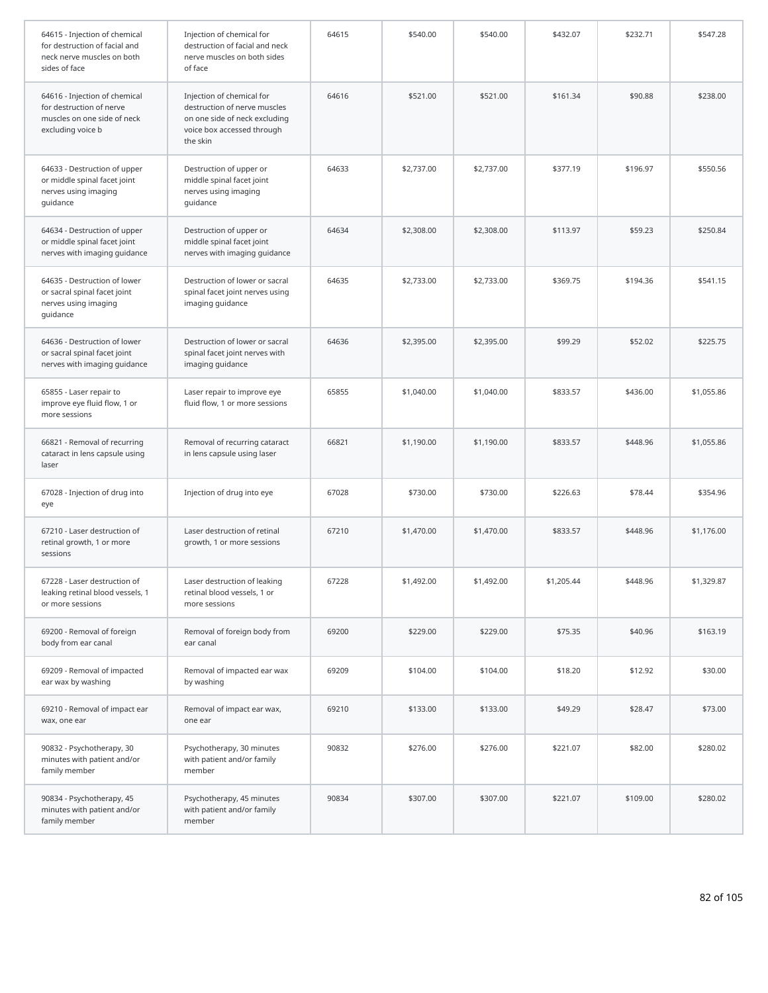| 64615 - Injection of chemical<br>for destruction of facial and<br>neck nerve muscles on both<br>sides of face | Injection of chemical for<br>destruction of facial and neck<br>nerve muscles on both sides<br>of face                                | 64615 | \$540.00   | \$540.00   | \$432.07   | \$232.71 | \$547.28   |
|---------------------------------------------------------------------------------------------------------------|--------------------------------------------------------------------------------------------------------------------------------------|-------|------------|------------|------------|----------|------------|
| 64616 - Injection of chemical<br>for destruction of nerve<br>muscles on one side of neck<br>excluding voice b | Injection of chemical for<br>destruction of nerve muscles<br>on one side of neck excluding<br>voice box accessed through<br>the skin | 64616 | \$521.00   | \$521.00   | \$161.34   | \$90.88  | \$238.00   |
| 64633 - Destruction of upper<br>or middle spinal facet joint<br>nerves using imaging<br>guidance              | Destruction of upper or<br>middle spinal facet joint<br>nerves using imaging<br>guidance                                             | 64633 | \$2,737.00 | \$2,737.00 | \$377.19   | \$196.97 | \$550.56   |
| 64634 - Destruction of upper<br>or middle spinal facet joint<br>nerves with imaging guidance                  | Destruction of upper or<br>middle spinal facet joint<br>nerves with imaging guidance                                                 | 64634 | \$2,308.00 | \$2,308.00 | \$113.97   | \$59.23  | \$250.84   |
| 64635 - Destruction of lower<br>or sacral spinal facet joint<br>nerves using imaging<br>guidance              | Destruction of lower or sacral<br>spinal facet joint nerves using<br>imaging guidance                                                | 64635 | \$2,733.00 | \$2,733.00 | \$369.75   | \$194.36 | \$541.15   |
| 64636 - Destruction of lower<br>or sacral spinal facet joint<br>nerves with imaging guidance                  | Destruction of lower or sacral<br>spinal facet joint nerves with<br>imaging guidance                                                 | 64636 | \$2,395.00 | \$2,395.00 | \$99.29    | \$52.02  | \$225.75   |
| 65855 - Laser repair to<br>improve eye fluid flow, 1 or<br>more sessions                                      | Laser repair to improve eye<br>fluid flow, 1 or more sessions                                                                        | 65855 | \$1,040.00 | \$1,040.00 | \$833.57   | \$436.00 | \$1,055.86 |
| 66821 - Removal of recurring<br>cataract in lens capsule using<br>laser                                       | Removal of recurring cataract<br>in lens capsule using laser                                                                         | 66821 | \$1,190.00 | \$1,190.00 | \$833.57   | \$448.96 | \$1,055.86 |
| 67028 - Injection of drug into<br>eye                                                                         | Injection of drug into eye                                                                                                           | 67028 | \$730.00   | \$730.00   | \$226.63   | \$78.44  | \$354.96   |
| 67210 - Laser destruction of<br>retinal growth, 1 or more<br>sessions                                         | Laser destruction of retinal<br>growth, 1 or more sessions                                                                           | 67210 | \$1,470.00 | \$1,470.00 | \$833.57   | \$448.96 | \$1,176.00 |
| 67228 - Laser destruction of<br>leaking retinal blood vessels, 1<br>or more sessions                          | Laser destruction of leaking<br>retinal blood vessels, 1 or<br>more sessions                                                         | 67228 | \$1,492.00 | \$1,492.00 | \$1,205.44 | \$448.96 | \$1,329.87 |
| 69200 - Removal of foreign<br>body from ear canal                                                             | Removal of foreign body from<br>ear canal                                                                                            | 69200 | \$229.00   | \$229.00   | \$75.35    | \$40.96  | \$163.19   |
| 69209 - Removal of impacted<br>ear wax by washing                                                             | Removal of impacted ear wax<br>by washing                                                                                            | 69209 | \$104.00   | \$104.00   | \$18.20    | \$12.92  | \$30.00    |
| 69210 - Removal of impact ear<br>wax, one ear                                                                 | Removal of impact ear wax,<br>one ear                                                                                                | 69210 | \$133.00   | \$133.00   | \$49.29    | \$28.47  | \$73.00    |
| 90832 - Psychotherapy, 30<br>minutes with patient and/or<br>family member                                     | Psychotherapy, 30 minutes<br>with patient and/or family<br>member                                                                    | 90832 | \$276.00   | \$276.00   | \$221.07   | \$82.00  | \$280.02   |
| 90834 - Psychotherapy, 45<br>minutes with patient and/or<br>family member                                     | Psychotherapy, 45 minutes<br>with patient and/or family<br>member                                                                    | 90834 | \$307.00   | \$307.00   | \$221.07   | \$109.00 | \$280.02   |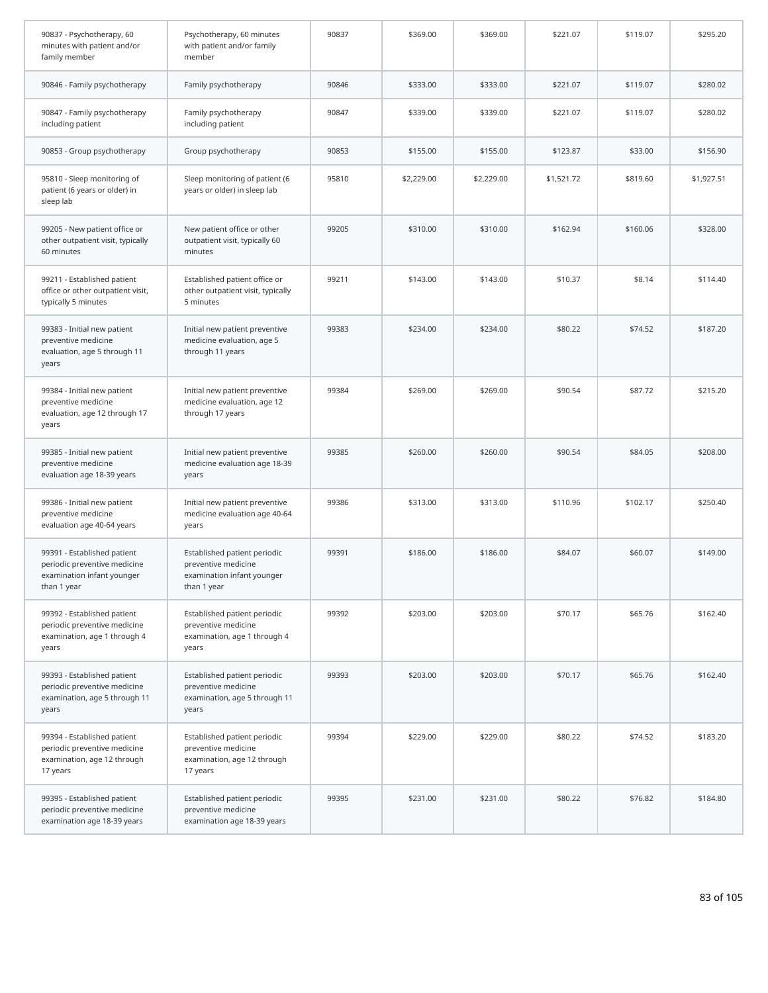| 90837 - Psychotherapy, 60<br>minutes with patient and/or<br>family member                                | Psychotherapy, 60 minutes<br>with patient and/or family<br>member                                | 90837 | \$369.00   | \$369.00   | \$221.07   | \$119.07 | \$295.20   |
|----------------------------------------------------------------------------------------------------------|--------------------------------------------------------------------------------------------------|-------|------------|------------|------------|----------|------------|
| 90846 - Family psychotherapy                                                                             | Family psychotherapy                                                                             | 90846 | \$333.00   | \$333.00   | \$221.07   | \$119.07 | \$280.02   |
| 90847 - Family psychotherapy<br>including patient                                                        | Family psychotherapy<br>including patient                                                        | 90847 | \$339.00   | \$339.00   | \$221.07   | \$119.07 | \$280.02   |
| 90853 - Group psychotherapy                                                                              | Group psychotherapy                                                                              | 90853 | \$155.00   | \$155.00   | \$123.87   | \$33.00  | \$156.90   |
| 95810 - Sleep monitoring of<br>patient (6 years or older) in<br>sleep lab                                | Sleep monitoring of patient (6<br>years or older) in sleep lab                                   | 95810 | \$2,229.00 | \$2,229.00 | \$1,521.72 | \$819.60 | \$1,927.51 |
| 99205 - New patient office or<br>other outpatient visit, typically<br>60 minutes                         | New patient office or other<br>outpatient visit, typically 60<br>minutes                         | 99205 | \$310.00   | \$310.00   | \$162.94   | \$160.06 | \$328.00   |
| 99211 - Established patient<br>office or other outpatient visit,<br>typically 5 minutes                  | Established patient office or<br>other outpatient visit, typically<br>5 minutes                  | 99211 | \$143.00   | \$143.00   | \$10.37    | \$8.14   | \$114.40   |
| 99383 - Initial new patient<br>preventive medicine<br>evaluation, age 5 through 11<br>years              | Initial new patient preventive<br>medicine evaluation, age 5<br>through 11 years                 | 99383 | \$234.00   | \$234.00   | \$80.22    | \$74.52  | \$187.20   |
| 99384 - Initial new patient<br>preventive medicine<br>evaluation, age 12 through 17<br>years             | Initial new patient preventive<br>medicine evaluation, age 12<br>through 17 years                | 99384 | \$269.00   | \$269.00   | \$90.54    | \$87.72  | \$215.20   |
| 99385 - Initial new patient<br>preventive medicine<br>evaluation age 18-39 years                         | Initial new patient preventive<br>medicine evaluation age 18-39<br>years                         | 99385 | \$260.00   | \$260.00   | \$90.54    | \$84.05  | \$208.00   |
| 99386 - Initial new patient<br>preventive medicine<br>evaluation age 40-64 years                         | Initial new patient preventive<br>medicine evaluation age 40-64<br>years                         | 99386 | \$313.00   | \$313.00   | \$110.96   | \$102.17 | \$250.40   |
| 99391 - Established patient<br>periodic preventive medicine<br>examination infant younger<br>than 1 year | Established patient periodic<br>preventive medicine<br>examination infant younger<br>than 1 year | 99391 | \$186.00   | \$186.00   | \$84.07    | \$60.07  | \$149.00   |
| 99392 - Established patient<br>periodic preventive medicine<br>examination, age 1 through 4<br>years     | Established patient periodic<br>preventive medicine<br>examination, age 1 through 4<br>years     | 99392 | \$203.00   | \$203.00   | \$70.17    | \$65.76  | \$162.40   |
| 99393 - Established patient<br>periodic preventive medicine<br>examination, age 5 through 11<br>years    | Established patient periodic<br>preventive medicine<br>examination, age 5 through 11<br>years    | 99393 | \$203.00   | \$203.00   | \$70.17    | \$65.76  | \$162.40   |
| 99394 - Established patient<br>periodic preventive medicine<br>examination, age 12 through<br>17 years   | Established patient periodic<br>preventive medicine<br>examination, age 12 through<br>17 years   | 99394 | \$229.00   | \$229.00   | \$80.22    | \$74.52  | \$183.20   |
| 99395 - Established patient<br>periodic preventive medicine<br>examination age 18-39 years               | Established patient periodic<br>preventive medicine<br>examination age 18-39 years               | 99395 | \$231.00   | \$231.00   | \$80.22    | \$76.82  | \$184.80   |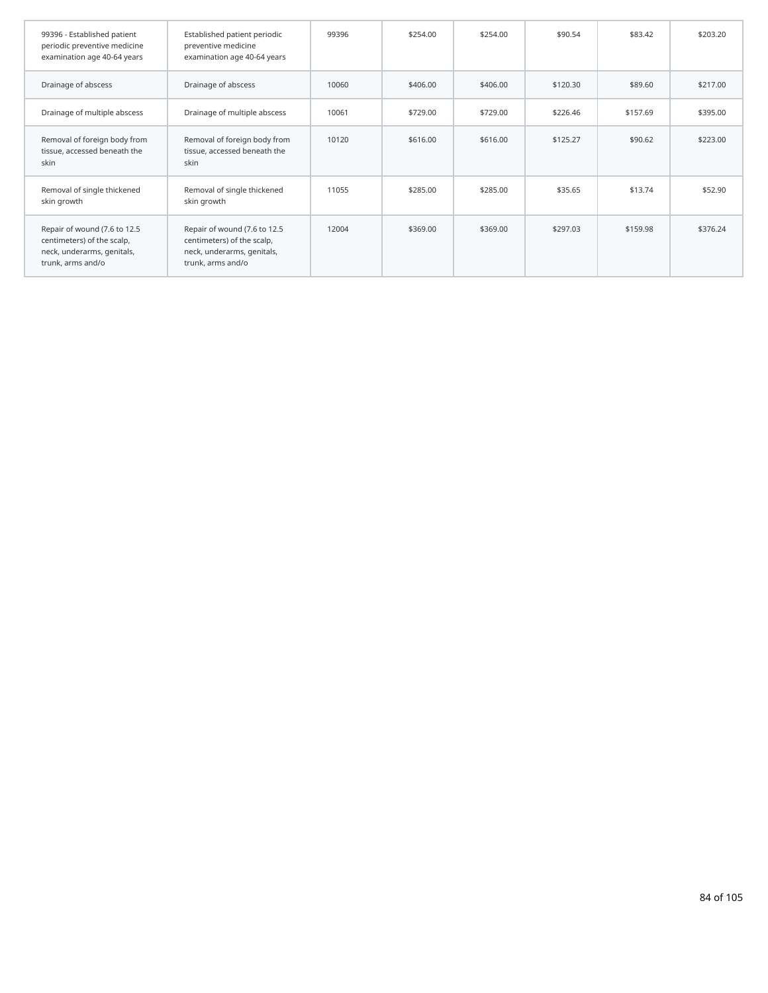| 99396 - Established patient<br>periodic preventive medicine<br>examination age 40-64 years                    | Established patient periodic<br>preventive medicine<br>examination age 40-64 years                            | 99396 | \$254.00 | \$254.00 | \$90.54  | \$83.42  | \$203.20 |
|---------------------------------------------------------------------------------------------------------------|---------------------------------------------------------------------------------------------------------------|-------|----------|----------|----------|----------|----------|
| Drainage of abscess                                                                                           | Drainage of abscess                                                                                           | 10060 | \$406.00 | \$406.00 | \$120.30 | \$89.60  | \$217.00 |
| Drainage of multiple abscess                                                                                  | Drainage of multiple abscess                                                                                  | 10061 | \$729.00 | \$729.00 | \$226.46 | \$157.69 | \$395.00 |
| Removal of foreign body from<br>tissue, accessed beneath the<br>skin                                          | Removal of foreign body from<br>tissue, accessed beneath the<br>skin                                          | 10120 | \$616.00 | \$616.00 | \$125.27 | \$90.62  | \$223.00 |
| Removal of single thickened<br>skin growth                                                                    | Removal of single thickened<br>skin growth                                                                    | 11055 | \$285.00 | \$285.00 | \$35.65  | \$13.74  | \$52.90  |
| Repair of wound (7.6 to 12.5<br>centimeters) of the scalp,<br>neck, underarms, genitals,<br>trunk, arms and/o | Repair of wound (7.6 to 12.5<br>centimeters) of the scalp,<br>neck, underarms, genitals,<br>trunk, arms and/o | 12004 | \$369.00 | \$369.00 | \$297.03 | \$159.98 | \$376.24 |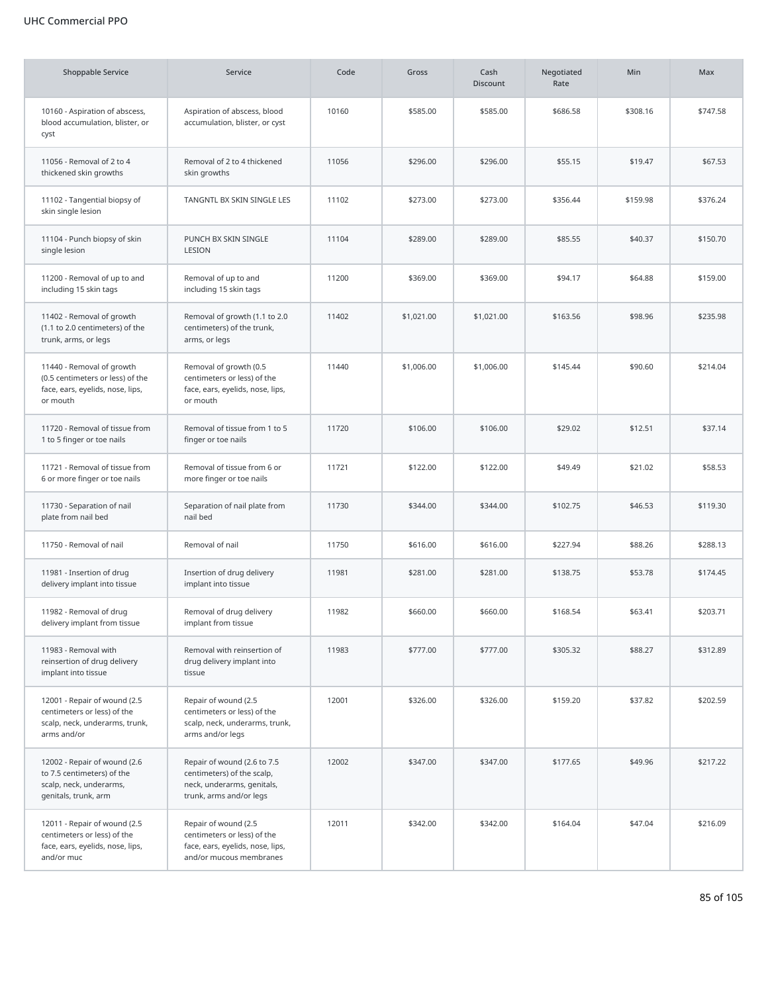## UHC Commercial PPO

| <b>Shoppable Service</b>                                                                                      | Service                                                                                                            | Code  | Gross      | Cash<br><b>Discount</b> | Negotiated<br>Rate | Min      | Max      |
|---------------------------------------------------------------------------------------------------------------|--------------------------------------------------------------------------------------------------------------------|-------|------------|-------------------------|--------------------|----------|----------|
| 10160 - Aspiration of abscess,<br>blood accumulation, blister, or<br>cyst                                     | Aspiration of abscess, blood<br>accumulation, blister, or cyst                                                     | 10160 | \$585.00   | \$585.00                | \$686.58           | \$308.16 | \$747.58 |
| 11056 - Removal of 2 to 4<br>thickened skin growths                                                           | Removal of 2 to 4 thickened<br>skin growths                                                                        | 11056 | \$296.00   | \$296.00                | \$55.15            | \$19.47  | \$67.53  |
| 11102 - Tangential biopsy of<br>skin single lesion                                                            | TANGNTL BX SKIN SINGLE LES                                                                                         | 11102 | \$273.00   | \$273.00                | \$356.44           | \$159.98 | \$376.24 |
| 11104 - Punch biopsy of skin<br>single lesion                                                                 | PUNCH BX SKIN SINGLE<br>LESION                                                                                     | 11104 | \$289.00   | \$289.00                | \$85.55            | \$40.37  | \$150.70 |
| 11200 - Removal of up to and<br>including 15 skin tags                                                        | Removal of up to and<br>including 15 skin tags                                                                     | 11200 | \$369.00   | \$369.00                | \$94.17            | \$64.88  | \$159.00 |
| 11402 - Removal of growth<br>(1.1 to 2.0 centimeters) of the<br>trunk, arms, or legs                          | Removal of growth (1.1 to 2.0<br>centimeters) of the trunk,<br>arms, or legs                                       | 11402 | \$1,021.00 | \$1,021.00              | \$163.56           | \$98.96  | \$235.98 |
| 11440 - Removal of growth<br>(0.5 centimeters or less) of the<br>face, ears, eyelids, nose, lips,<br>or mouth | Removal of growth (0.5<br>centimeters or less) of the<br>face, ears, eyelids, nose, lips,<br>or mouth              | 11440 | \$1,006.00 | \$1,006.00              | \$145.44           | \$90.60  | \$214.04 |
| 11720 - Removal of tissue from<br>1 to 5 finger or toe nails                                                  | Removal of tissue from 1 to 5<br>finger or toe nails                                                               | 11720 | \$106.00   | \$106.00                | \$29.02            | \$12.51  | \$37.14  |
| 11721 - Removal of tissue from<br>6 or more finger or toe nails                                               | Removal of tissue from 6 or<br>more finger or toe nails                                                            | 11721 | \$122.00   | \$122.00                | \$49.49            | \$21.02  | \$58.53  |
| 11730 - Separation of nail<br>plate from nail bed                                                             | Separation of nail plate from<br>nail bed                                                                          | 11730 | \$344.00   | \$344.00                | \$102.75           | \$46.53  | \$119.30 |
| 11750 - Removal of nail                                                                                       | Removal of nail                                                                                                    | 11750 | \$616.00   | \$616.00                | \$227.94           | \$88.26  | \$288.13 |
| 11981 - Insertion of drug<br>delivery implant into tissue                                                     | Insertion of drug delivery<br>implant into tissue                                                                  | 11981 | \$281.00   | \$281.00                | \$138.75           | \$53.78  | \$174.45 |
| 11982 - Removal of drug<br>delivery implant from tissue                                                       | Removal of drug delivery<br>implant from tissue                                                                    | 11982 | \$660.00   | \$660.00                | \$168.54           | \$63.41  | \$203.71 |
| 11983 - Removal with<br>reinsertion of drug delivery<br>implant into tissue                                   | Removal with reinsertion of<br>drug delivery implant into<br>tissue                                                | 11983 | \$777.00   | \$777.00                | \$305.32           | \$88.27  | \$312.89 |
| 12001 - Repair of wound (2.5<br>centimeters or less) of the<br>scalp, neck, underarms, trunk,<br>arms and/or  | Repair of wound (2.5<br>centimeters or less) of the<br>scalp, neck, underarms, trunk,<br>arms and/or legs          | 12001 | \$326.00   | \$326.00                | \$159.20           | \$37.82  | \$202.59 |
| 12002 - Repair of wound (2.6<br>to 7.5 centimeters) of the<br>scalp, neck, underarms,<br>genitals, trunk, arm | Repair of wound (2.6 to 7.5<br>centimeters) of the scalp,<br>neck, underarms, genitals,<br>trunk, arms and/or legs | 12002 | \$347.00   | \$347.00                | \$177.65           | \$49.96  | \$217.22 |
| 12011 - Repair of wound (2.5<br>centimeters or less) of the<br>face, ears, eyelids, nose, lips,<br>and/or muc | Repair of wound (2.5<br>centimeters or less) of the<br>face, ears, eyelids, nose, lips,<br>and/or mucous membranes | 12011 | \$342.00   | \$342.00                | \$164.04           | \$47.04  | \$216.09 |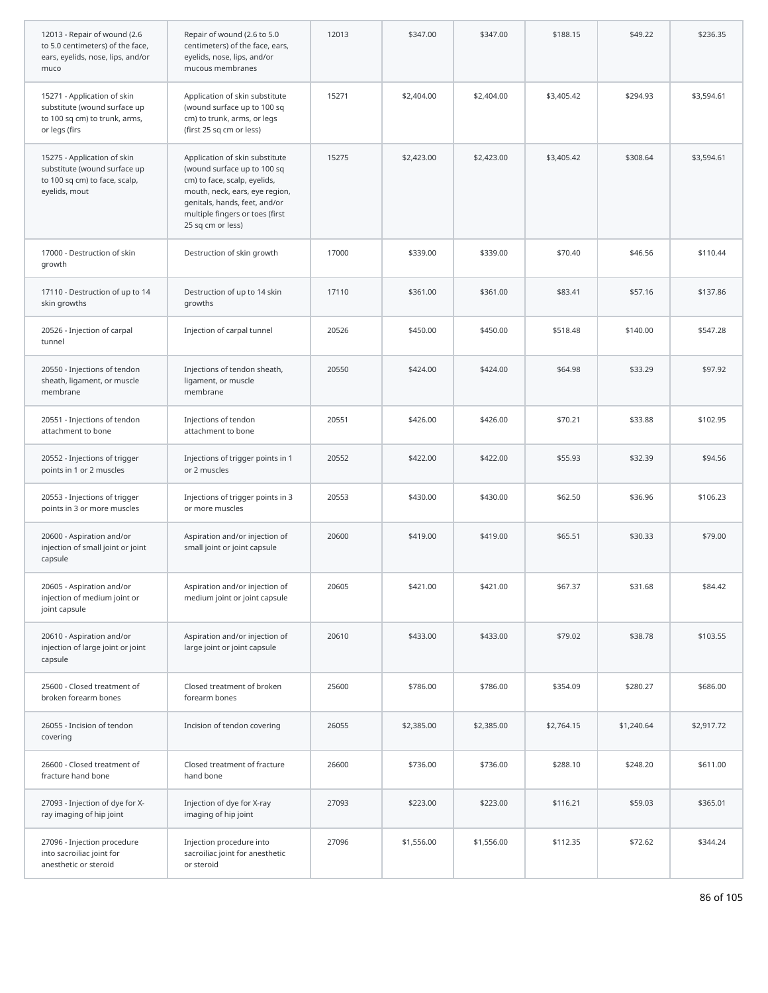| 12013 - Repair of wound (2.6<br>to 5.0 centimeters) of the face,<br>ears, eyelids, nose, lips, and/or<br>muco | Repair of wound (2.6 to 5.0<br>centimeters) of the face, ears,<br>eyelids, nose, lips, and/or<br>mucous membranes                                                                                                        | 12013 | \$347.00   | \$347.00   | \$188.15   | \$49.22    | \$236.35   |
|---------------------------------------------------------------------------------------------------------------|--------------------------------------------------------------------------------------------------------------------------------------------------------------------------------------------------------------------------|-------|------------|------------|------------|------------|------------|
| 15271 - Application of skin<br>substitute (wound surface up<br>to 100 sq cm) to trunk, arms,<br>or legs (firs | Application of skin substitute<br>(wound surface up to 100 sq<br>cm) to trunk, arms, or legs<br>(first 25 sq cm or less)                                                                                                 | 15271 | \$2,404.00 | \$2,404.00 | \$3,405.42 | \$294.93   | \$3,594.61 |
| 15275 - Application of skin<br>substitute (wound surface up<br>to 100 sq cm) to face, scalp,<br>eyelids, mout | Application of skin substitute<br>(wound surface up to 100 sq<br>cm) to face, scalp, eyelids,<br>mouth, neck, ears, eye region,<br>genitals, hands, feet, and/or<br>multiple fingers or toes (first<br>25 sq cm or less) | 15275 | \$2,423.00 | \$2,423.00 | \$3,405.42 | \$308.64   | \$3,594.61 |
| 17000 - Destruction of skin<br>growth                                                                         | Destruction of skin growth                                                                                                                                                                                               | 17000 | \$339.00   | \$339.00   | \$70.40    | \$46.56    | \$110.44   |
| 17110 - Destruction of up to 14<br>skin growths                                                               | Destruction of up to 14 skin<br>growths                                                                                                                                                                                  | 17110 | \$361.00   | \$361.00   | \$83.41    | \$57.16    | \$137.86   |
| 20526 - Injection of carpal<br>tunnel                                                                         | Injection of carpal tunnel                                                                                                                                                                                               | 20526 | \$450.00   | \$450.00   | \$518.48   | \$140.00   | \$547.28   |
| 20550 - Injections of tendon<br>sheath, ligament, or muscle<br>membrane                                       | Injections of tendon sheath,<br>ligament, or muscle<br>membrane                                                                                                                                                          | 20550 | \$424.00   | \$424.00   | \$64.98    | \$33.29    | \$97.92    |
| 20551 - Injections of tendon<br>attachment to bone                                                            | Injections of tendon<br>attachment to bone                                                                                                                                                                               | 20551 | \$426.00   | \$426.00   | \$70.21    | \$33.88    | \$102.95   |
| 20552 - Injections of trigger<br>points in 1 or 2 muscles                                                     | Injections of trigger points in 1<br>or 2 muscles                                                                                                                                                                        | 20552 | \$422.00   | \$422.00   | \$55.93    | \$32.39    | \$94.56    |
| 20553 - Injections of trigger<br>points in 3 or more muscles                                                  | Injections of trigger points in 3<br>or more muscles                                                                                                                                                                     | 20553 | \$430.00   | \$430.00   | \$62.50    | \$36.96    | \$106.23   |
| 20600 - Aspiration and/or<br>injection of small joint or joint<br>capsule                                     | Aspiration and/or injection of<br>small joint or joint capsule                                                                                                                                                           | 20600 | \$419.00   | \$419.00   | \$65.51    | \$30.33    | \$79.00    |
| 20605 - Aspiration and/or<br>injection of medium joint or<br>joint capsule                                    | Aspiration and/or injection of<br>medium joint or joint capsule                                                                                                                                                          | 20605 | \$421.00   | \$421.00   | \$67.37    | \$31.68    | \$84.42    |
| 20610 - Aspiration and/or<br>injection of large joint or joint<br>capsule                                     | Aspiration and/or injection of<br>large joint or joint capsule                                                                                                                                                           | 20610 | \$433.00   | \$433.00   | \$79.02    | \$38.78    | \$103.55   |
| 25600 - Closed treatment of<br>broken forearm bones                                                           | Closed treatment of broken<br>forearm bones                                                                                                                                                                              | 25600 | \$786.00   | \$786.00   | \$354.09   | \$280.27   | \$686.00   |
| 26055 - Incision of tendon<br>covering                                                                        | Incision of tendon covering                                                                                                                                                                                              | 26055 | \$2,385.00 | \$2,385.00 | \$2,764.15 | \$1,240.64 | \$2,917.72 |
| 26600 - Closed treatment of<br>fracture hand bone                                                             | Closed treatment of fracture<br>hand bone                                                                                                                                                                                | 26600 | \$736.00   | \$736.00   | \$288.10   | \$248.20   | \$611.00   |
| 27093 - Injection of dye for X-<br>ray imaging of hip joint                                                   | Injection of dye for X-ray<br>imaging of hip joint                                                                                                                                                                       | 27093 | \$223.00   | \$223.00   | \$116.21   | \$59.03    | \$365.01   |
| 27096 - Injection procedure<br>into sacroiliac joint for<br>anesthetic or steroid                             | Injection procedure into<br>sacroiliac joint for anesthetic<br>or steroid                                                                                                                                                | 27096 | \$1,556.00 | \$1,556.00 | \$112.35   | \$72.62    | \$344.24   |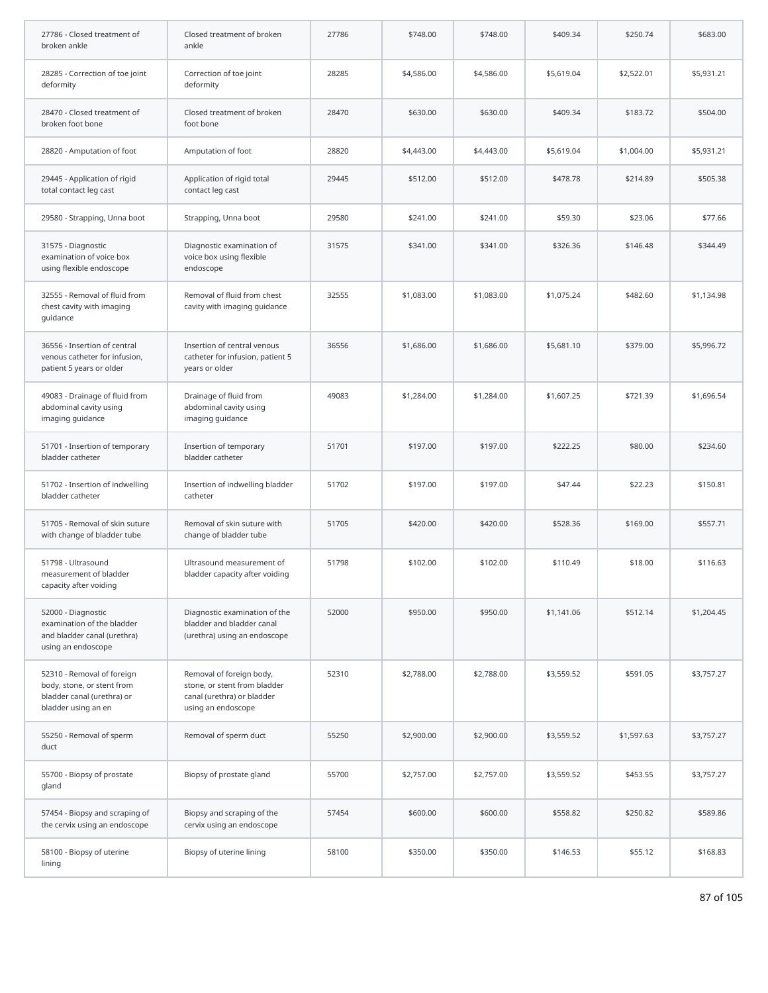| 27786 - Closed treatment of<br>broken ankle                                                                   | Closed treatment of broken<br>ankle                                                                          | 27786 | \$748.00   | \$748.00   | \$409.34   | \$250.74   | \$683.00   |
|---------------------------------------------------------------------------------------------------------------|--------------------------------------------------------------------------------------------------------------|-------|------------|------------|------------|------------|------------|
| 28285 - Correction of toe joint<br>deformity                                                                  | Correction of toe joint<br>deformity                                                                         | 28285 | \$4,586.00 | \$4,586.00 | \$5,619.04 | \$2,522.01 | \$5,931.21 |
| 28470 - Closed treatment of<br>broken foot bone                                                               | Closed treatment of broken<br>foot bone                                                                      | 28470 | \$630.00   | \$630.00   | \$409.34   | \$183.72   | \$504.00   |
| 28820 - Amputation of foot                                                                                    | Amputation of foot                                                                                           | 28820 | \$4,443.00 | \$4,443.00 | \$5,619.04 | \$1,004.00 | \$5,931.21 |
| 29445 - Application of rigid<br>total contact leg cast                                                        | Application of rigid total<br>contact leg cast                                                               | 29445 | \$512.00   | \$512.00   | \$478.78   | \$214.89   | \$505.38   |
| 29580 - Strapping, Unna boot                                                                                  | Strapping, Unna boot                                                                                         | 29580 | \$241.00   | \$241.00   | \$59.30    | \$23.06    | \$77.66    |
| 31575 - Diagnostic<br>examination of voice box<br>using flexible endoscope                                    | Diagnostic examination of<br>voice box using flexible<br>endoscope                                           | 31575 | \$341.00   | \$341.00   | \$326.36   | \$146.48   | \$344.49   |
| 32555 - Removal of fluid from<br>chest cavity with imaging<br>quidance                                        | Removal of fluid from chest<br>cavity with imaging guidance                                                  | 32555 | \$1,083,00 | \$1,083.00 | \$1,075.24 | \$482.60   | \$1,134.98 |
| 36556 - Insertion of central<br>venous catheter for infusion,<br>patient 5 years or older                     | Insertion of central venous<br>catheter for infusion, patient 5<br>years or older                            | 36556 | \$1,686.00 | \$1,686.00 | \$5,681.10 | \$379.00   | \$5,996.72 |
| 49083 - Drainage of fluid from<br>abdominal cavity using<br>imaging guidance                                  | Drainage of fluid from<br>abdominal cavity using<br>imaging guidance                                         | 49083 | \$1,284.00 | \$1,284.00 | \$1,607.25 | \$721.39   | \$1,696.54 |
| 51701 - Insertion of temporary<br>bladder catheter                                                            | Insertion of temporary<br>bladder catheter                                                                   | 51701 | \$197.00   | \$197.00   | \$222.25   | \$80.00    | \$234.60   |
| 51702 - Insertion of indwelling<br>bladder catheter                                                           | Insertion of indwelling bladder<br>catheter                                                                  | 51702 | \$197.00   | \$197.00   | \$47.44    | \$22.23    | \$150.81   |
| 51705 - Removal of skin suture<br>with change of bladder tube                                                 | Removal of skin suture with<br>change of bladder tube                                                        | 51705 | \$420.00   | \$420.00   | \$528.36   | \$169.00   | \$557.71   |
| 51798 - Ultrasound<br>measurement of bladder<br>capacity after voiding                                        | Ultrasound measurement of<br>bladder capacity after voiding                                                  | 51798 | \$102.00   | \$102.00   | \$110.49   | \$18.00    | \$116.63   |
| 52000 - Diagnostic<br>examination of the bladder<br>and bladder canal (urethra)<br>using an endoscope         | Diagnostic examination of the<br>bladder and bladder canal<br>(urethra) using an endoscope                   | 52000 | \$950.00   | \$950.00   | \$1,141.06 | \$512.14   | \$1,204.45 |
| 52310 - Removal of foreign<br>body, stone, or stent from<br>bladder canal (urethra) or<br>bladder using an en | Removal of foreign body,<br>stone, or stent from bladder<br>canal (urethra) or bladder<br>using an endoscope | 52310 | \$2,788.00 | \$2,788.00 | \$3,559.52 | \$591.05   | \$3,757.27 |
| 55250 - Removal of sperm<br>duct                                                                              | Removal of sperm duct                                                                                        | 55250 | \$2,900.00 | \$2,900.00 | \$3,559.52 | \$1,597.63 | \$3,757.27 |
| 55700 - Biopsy of prostate<br>gland                                                                           | Biopsy of prostate gland                                                                                     | 55700 | \$2,757.00 | \$2,757.00 | \$3,559.52 | \$453.55   | \$3,757.27 |
| 57454 - Biopsy and scraping of<br>the cervix using an endoscope                                               | Biopsy and scraping of the<br>cervix using an endoscope                                                      | 57454 | \$600.00   | \$600.00   | \$558.82   | \$250.82   | \$589.86   |
| 58100 - Biopsy of uterine<br>lining                                                                           | Biopsy of uterine lining                                                                                     | 58100 | \$350.00   | \$350.00   | \$146.53   | \$55.12    | \$168.83   |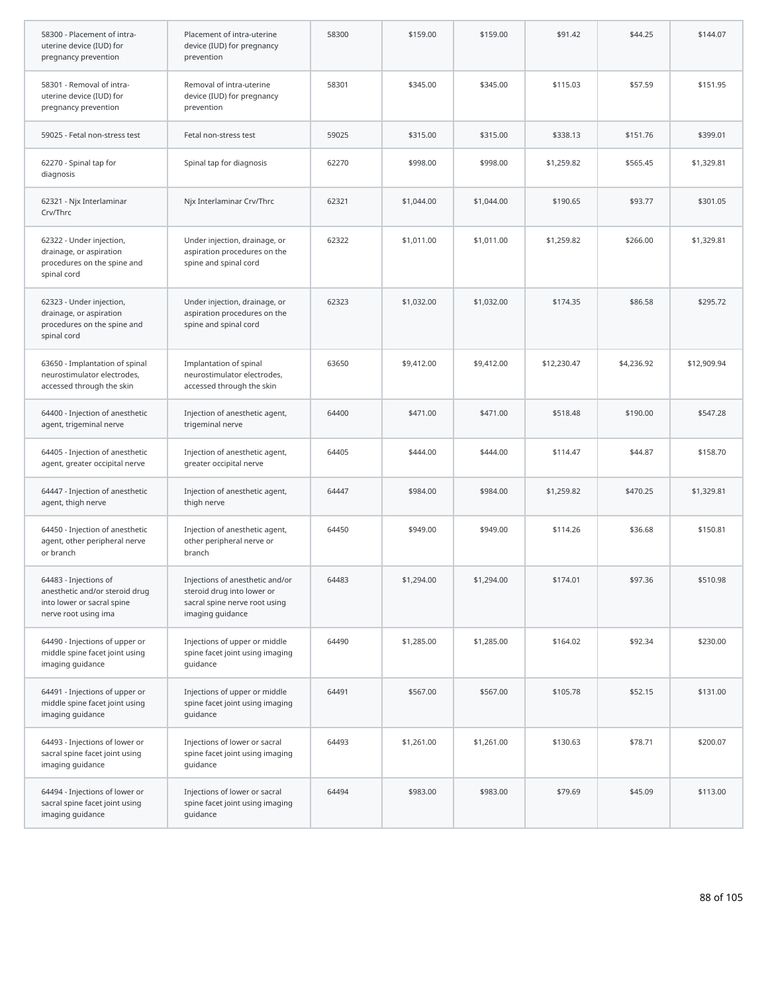| 58300 - Placement of intra-<br>uterine device (IUD) for<br>pregnancy prevention                               | Placement of intra-uterine<br>device (IUD) for pregnancy<br>prevention                                             | 58300 | \$159.00   | \$159.00   | \$91.42     | \$44.25    | \$144.07    |
|---------------------------------------------------------------------------------------------------------------|--------------------------------------------------------------------------------------------------------------------|-------|------------|------------|-------------|------------|-------------|
| 58301 - Removal of intra-<br>uterine device (IUD) for<br>pregnancy prevention                                 | Removal of intra-uterine<br>device (IUD) for pregnancy<br>prevention                                               | 58301 | \$345.00   | \$345.00   | \$115.03    | \$57.59    | \$151.95    |
| 59025 - Fetal non-stress test                                                                                 | Fetal non-stress test                                                                                              | 59025 | \$315.00   | \$315.00   | \$338.13    | \$151.76   | \$399.01    |
| 62270 - Spinal tap for<br>diagnosis                                                                           | Spinal tap for diagnosis                                                                                           | 62270 | \$998.00   | \$998.00   | \$1,259.82  | \$565.45   | \$1,329.81  |
| 62321 - Njx Interlaminar<br>Crv/Thrc                                                                          | Njx Interlaminar Crv/Thrc                                                                                          | 62321 | \$1,044.00 | \$1,044.00 | \$190.65    | \$93.77    | \$301.05    |
| 62322 - Under injection,<br>drainage, or aspiration<br>procedures on the spine and<br>spinal cord             | Under injection, drainage, or<br>aspiration procedures on the<br>spine and spinal cord                             | 62322 | \$1,011.00 | \$1,011.00 | \$1,259.82  | \$266.00   | \$1,329.81  |
| 62323 - Under injection,<br>drainage, or aspiration<br>procedures on the spine and<br>spinal cord             | Under injection, drainage, or<br>aspiration procedures on the<br>spine and spinal cord                             | 62323 | \$1,032.00 | \$1,032.00 | \$174.35    | \$86.58    | \$295.72    |
| 63650 - Implantation of spinal<br>neurostimulator electrodes,<br>accessed through the skin                    | Implantation of spinal<br>neurostimulator electrodes,<br>accessed through the skin                                 | 63650 | \$9,412.00 | \$9,412.00 | \$12,230.47 | \$4,236.92 | \$12,909.94 |
| 64400 - Injection of anesthetic<br>agent, trigeminal nerve                                                    | Injection of anesthetic agent,<br>trigeminal nerve                                                                 | 64400 | \$471.00   | \$471.00   | \$518.48    | \$190.00   | \$547.28    |
| 64405 - Injection of anesthetic<br>agent, greater occipital nerve                                             | Injection of anesthetic agent,<br>greater occipital nerve                                                          | 64405 | \$444.00   | \$444.00   | \$114.47    | \$44.87    | \$158.70    |
| 64447 - Injection of anesthetic<br>agent, thigh nerve                                                         | Injection of anesthetic agent,<br>thigh nerve                                                                      | 64447 | \$984.00   | \$984.00   | \$1,259.82  | \$470.25   | \$1,329.81  |
| 64450 - Injection of anesthetic<br>agent, other peripheral nerve<br>or branch                                 | Injection of anesthetic agent,<br>other peripheral nerve or<br>branch                                              | 64450 | \$949.00   | \$949.00   | \$114.26    | \$36.68    | \$150.81    |
| 64483 - Injections of<br>anesthetic and/or steroid drug<br>into lower or sacral spine<br>nerve root using ima | Injections of anesthetic and/or<br>steroid drug into lower or<br>sacral spine nerve root using<br>imaging guidance | 64483 | \$1,294.00 | \$1,294.00 | \$174.01    | \$97.36    | \$510.98    |
| 64490 - Injections of upper or<br>middle spine facet joint using<br>imaging guidance                          | Injections of upper or middle<br>spine facet joint using imaging<br>guidance                                       | 64490 | \$1,285.00 | \$1,285.00 | \$164.02    | \$92.34    | \$230.00    |
| 64491 - Injections of upper or<br>middle spine facet joint using<br>imaging guidance                          | Injections of upper or middle<br>spine facet joint using imaging<br>quidance                                       | 64491 | \$567.00   | \$567.00   | \$105.78    | \$52.15    | \$131.00    |
| 64493 - Injections of lower or<br>sacral spine facet joint using<br>imaging guidance                          | Injections of lower or sacral<br>spine facet joint using imaging<br>guidance                                       | 64493 | \$1,261.00 | \$1,261.00 | \$130.63    | \$78.71    | \$200.07    |
| 64494 - Injections of lower or<br>sacral spine facet joint using<br>imaging guidance                          | Injections of lower or sacral<br>spine facet joint using imaging<br>guidance                                       | 64494 | \$983.00   | \$983.00   | \$79.69     | \$45.09    | \$113.00    |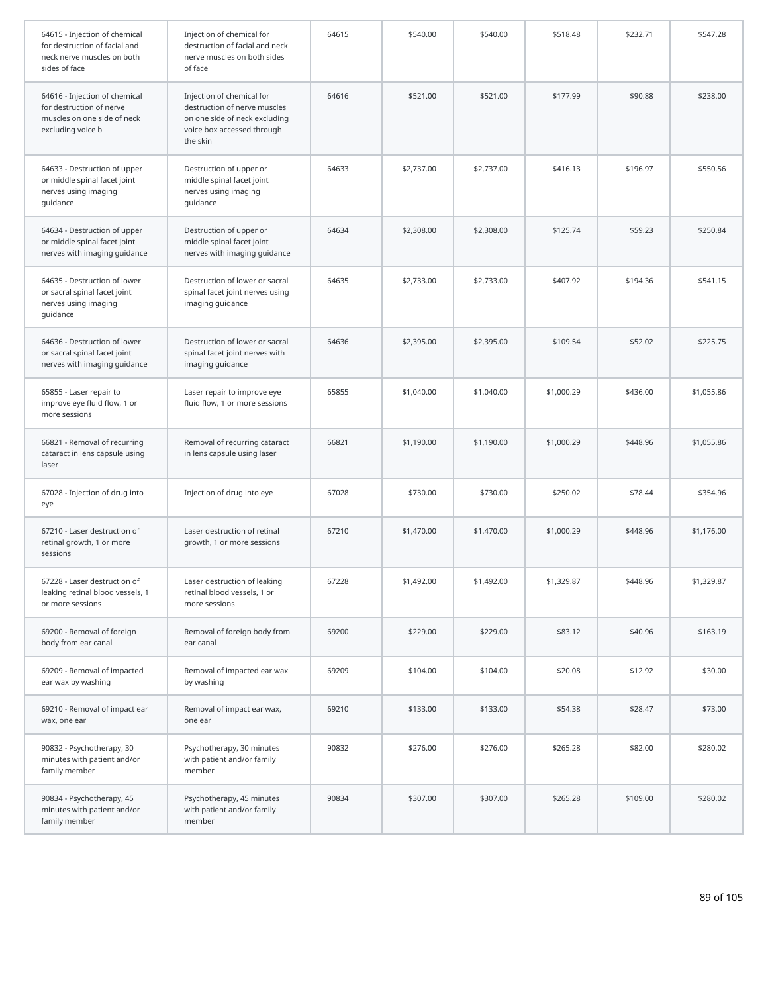| 64615 - Injection of chemical<br>for destruction of facial and<br>neck nerve muscles on both<br>sides of face | Injection of chemical for<br>destruction of facial and neck<br>nerve muscles on both sides<br>of face                                | 64615 | \$540.00   | \$540.00   | \$518.48   | \$232.71 | \$547.28   |
|---------------------------------------------------------------------------------------------------------------|--------------------------------------------------------------------------------------------------------------------------------------|-------|------------|------------|------------|----------|------------|
| 64616 - Injection of chemical<br>for destruction of nerve<br>muscles on one side of neck<br>excluding voice b | Injection of chemical for<br>destruction of nerve muscles<br>on one side of neck excluding<br>voice box accessed through<br>the skin | 64616 | \$521.00   | \$521.00   | \$177.99   | \$90.88  | \$238.00   |
| 64633 - Destruction of upper<br>or middle spinal facet joint<br>nerves using imaging<br>guidance              | Destruction of upper or<br>middle spinal facet joint<br>nerves using imaging<br>guidance                                             | 64633 | \$2,737.00 | \$2,737.00 | \$416.13   | \$196.97 | \$550.56   |
| 64634 - Destruction of upper<br>or middle spinal facet joint<br>nerves with imaging guidance                  | Destruction of upper or<br>middle spinal facet joint<br>nerves with imaging guidance                                                 | 64634 | \$2,308.00 | \$2,308.00 | \$125.74   | \$59.23  | \$250.84   |
| 64635 - Destruction of lower<br>or sacral spinal facet joint<br>nerves using imaging<br>guidance              | Destruction of lower or sacral<br>spinal facet joint nerves using<br>imaging guidance                                                | 64635 | \$2,733.00 | \$2,733.00 | \$407.92   | \$194.36 | \$541.15   |
| 64636 - Destruction of lower<br>or sacral spinal facet joint<br>nerves with imaging guidance                  | Destruction of lower or sacral<br>spinal facet joint nerves with<br>imaging guidance                                                 | 64636 | \$2,395.00 | \$2,395.00 | \$109.54   | \$52.02  | \$225.75   |
| 65855 - Laser repair to<br>improve eye fluid flow, 1 or<br>more sessions                                      | Laser repair to improve eye<br>fluid flow, 1 or more sessions                                                                        | 65855 | \$1,040.00 | \$1,040.00 | \$1,000.29 | \$436.00 | \$1,055.86 |
| 66821 - Removal of recurring<br>cataract in lens capsule using<br>laser                                       | Removal of recurring cataract<br>in lens capsule using laser                                                                         | 66821 | \$1,190.00 | \$1,190.00 | \$1,000.29 | \$448.96 | \$1,055.86 |
| 67028 - Injection of drug into<br>eye                                                                         | Injection of drug into eye                                                                                                           | 67028 | \$730.00   | \$730.00   | \$250.02   | \$78.44  | \$354.96   |
| 67210 - Laser destruction of<br>retinal growth, 1 or more<br>sessions                                         | Laser destruction of retinal<br>growth, 1 or more sessions                                                                           | 67210 | \$1,470.00 | \$1,470.00 | \$1,000.29 | \$448.96 | \$1,176.00 |
| 67228 - Laser destruction of<br>leaking retinal blood vessels, 1<br>or more sessions                          | Laser destruction of leaking<br>retinal blood vessels, 1 or<br>more sessions                                                         | 67228 | \$1,492.00 | \$1,492.00 | \$1,329.87 | \$448.96 | \$1,329.87 |
| 69200 - Removal of foreign<br>body from ear canal                                                             | Removal of foreign body from<br>ear canal                                                                                            | 69200 | \$229.00   | \$229.00   | \$83.12    | \$40.96  | \$163.19   |
| 69209 - Removal of impacted<br>ear wax by washing                                                             | Removal of impacted ear wax<br>by washing                                                                                            | 69209 | \$104.00   | \$104.00   | \$20.08    | \$12.92  | \$30.00    |
| 69210 - Removal of impact ear<br>wax, one ear                                                                 | Removal of impact ear wax,<br>one ear                                                                                                | 69210 | \$133.00   | \$133.00   | \$54.38    | \$28.47  | \$73.00    |
| 90832 - Psychotherapy, 30<br>minutes with patient and/or<br>family member                                     | Psychotherapy, 30 minutes<br>with patient and/or family<br>member                                                                    | 90832 | \$276.00   | \$276.00   | \$265.28   | \$82.00  | \$280.02   |
| 90834 - Psychotherapy, 45<br>minutes with patient and/or<br>family member                                     | Psychotherapy, 45 minutes<br>with patient and/or family<br>member                                                                    | 90834 | \$307.00   | \$307.00   | \$265.28   | \$109.00 | \$280.02   |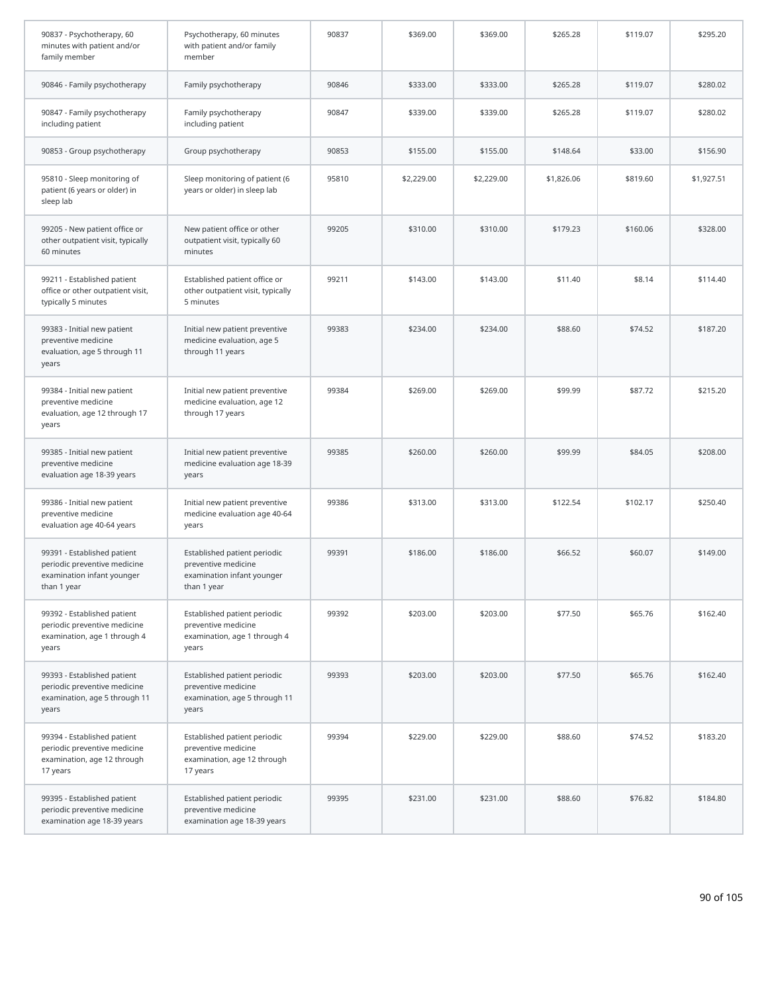| 90837 - Psychotherapy, 60<br>minutes with patient and/or<br>family member                                | Psychotherapy, 60 minutes<br>with patient and/or family<br>member                                | 90837 | \$369.00   | \$369.00   | \$265.28   | \$119.07 | \$295.20   |
|----------------------------------------------------------------------------------------------------------|--------------------------------------------------------------------------------------------------|-------|------------|------------|------------|----------|------------|
| 90846 - Family psychotherapy                                                                             | Family psychotherapy                                                                             | 90846 | \$333.00   | \$333.00   | \$265.28   | \$119.07 | \$280.02   |
| 90847 - Family psychotherapy<br>including patient                                                        | Family psychotherapy<br>including patient                                                        | 90847 | \$339.00   | \$339.00   | \$265.28   | \$119.07 | \$280.02   |
| 90853 - Group psychotherapy                                                                              | Group psychotherapy                                                                              | 90853 | \$155.00   | \$155.00   | \$148.64   | \$33.00  | \$156.90   |
| 95810 - Sleep monitoring of<br>patient (6 years or older) in<br>sleep lab                                | Sleep monitoring of patient (6<br>years or older) in sleep lab                                   | 95810 | \$2,229.00 | \$2,229.00 | \$1,826.06 | \$819.60 | \$1,927.51 |
| 99205 - New patient office or<br>other outpatient visit, typically<br>60 minutes                         | New patient office or other<br>outpatient visit, typically 60<br>minutes                         | 99205 | \$310.00   | \$310.00   | \$179.23   | \$160.06 | \$328.00   |
| 99211 - Established patient<br>office or other outpatient visit,<br>typically 5 minutes                  | Established patient office or<br>other outpatient visit, typically<br>5 minutes                  | 99211 | \$143.00   | \$143.00   | \$11.40    | \$8.14   | \$114.40   |
| 99383 - Initial new patient<br>preventive medicine<br>evaluation, age 5 through 11<br>years              | Initial new patient preventive<br>medicine evaluation, age 5<br>through 11 years                 | 99383 | \$234.00   | \$234.00   | \$88.60    | \$74.52  | \$187.20   |
| 99384 - Initial new patient<br>preventive medicine<br>evaluation, age 12 through 17<br>years             | Initial new patient preventive<br>medicine evaluation, age 12<br>through 17 years                | 99384 | \$269.00   | \$269.00   | \$99.99    | \$87.72  | \$215.20   |
| 99385 - Initial new patient<br>preventive medicine<br>evaluation age 18-39 years                         | Initial new patient preventive<br>medicine evaluation age 18-39<br>years                         | 99385 | \$260.00   | \$260.00   | \$99.99    | \$84.05  | \$208.00   |
| 99386 - Initial new patient<br>preventive medicine<br>evaluation age 40-64 years                         | Initial new patient preventive<br>medicine evaluation age 40-64<br>years                         | 99386 | \$313.00   | \$313.00   | \$122.54   | \$102.17 | \$250.40   |
| 99391 - Established patient<br>periodic preventive medicine<br>examination infant younger<br>than 1 year | Established patient periodic<br>preventive medicine<br>examination infant younger<br>than 1 year | 99391 | \$186.00   | \$186.00   | \$66.52    | \$60.07  | \$149.00   |
| 99392 - Established patient<br>periodic preventive medicine<br>examination, age 1 through 4<br>years     | Established patient periodic<br>preventive medicine<br>examination, age 1 through 4<br>years     | 99392 | \$203.00   | \$203.00   | \$77.50    | \$65.76  | \$162.40   |
| 99393 - Established patient<br>periodic preventive medicine<br>examination, age 5 through 11<br>years    | Established patient periodic<br>preventive medicine<br>examination, age 5 through 11<br>years    | 99393 | \$203.00   | \$203.00   | \$77.50    | \$65.76  | \$162.40   |
| 99394 - Established patient<br>periodic preventive medicine<br>examination, age 12 through<br>17 years   | Established patient periodic<br>preventive medicine<br>examination, age 12 through<br>17 years   | 99394 | \$229.00   | \$229.00   | \$88.60    | \$74.52  | \$183.20   |
| 99395 - Established patient<br>periodic preventive medicine<br>examination age 18-39 years               | Established patient periodic<br>preventive medicine<br>examination age 18-39 years               | 99395 | \$231.00   | \$231.00   | \$88.60    | \$76.82  | \$184.80   |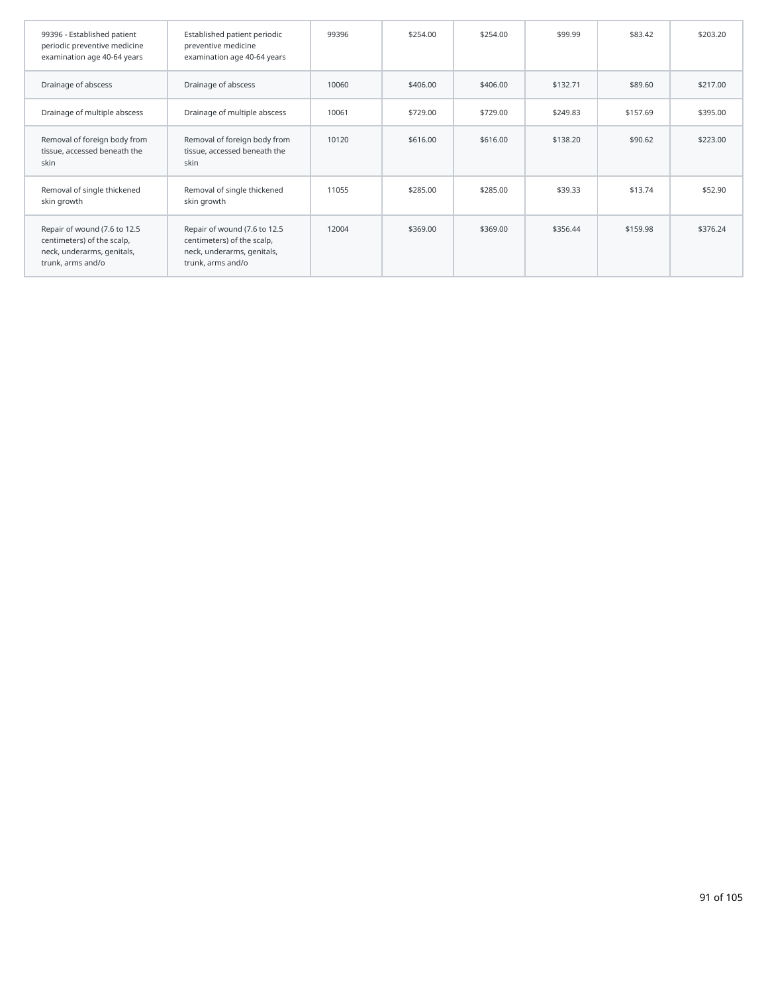| 99396 - Established patient<br>periodic preventive medicine<br>examination age 40-64 years                    | Established patient periodic<br>preventive medicine<br>examination age 40-64 years                            | 99396 | \$254.00 | \$254.00 | \$99.99  | \$83.42  | \$203.20 |
|---------------------------------------------------------------------------------------------------------------|---------------------------------------------------------------------------------------------------------------|-------|----------|----------|----------|----------|----------|
| Drainage of abscess                                                                                           | Drainage of abscess                                                                                           | 10060 | \$406.00 | \$406.00 | \$132.71 | \$89.60  | \$217.00 |
| Drainage of multiple abscess                                                                                  | Drainage of multiple abscess                                                                                  | 10061 | \$729.00 | \$729.00 | \$249.83 | \$157.69 | \$395.00 |
| Removal of foreign body from<br>tissue, accessed beneath the<br>skin                                          | Removal of foreign body from<br>tissue, accessed beneath the<br>skin                                          | 10120 | \$616.00 | \$616.00 | \$138.20 | \$90.62  | \$223.00 |
| Removal of single thickened<br>skin growth                                                                    | Removal of single thickened<br>skin growth                                                                    | 11055 | \$285.00 | \$285.00 | \$39.33  | \$13.74  | \$52.90  |
| Repair of wound (7.6 to 12.5<br>centimeters) of the scalp,<br>neck, underarms, genitals,<br>trunk, arms and/o | Repair of wound (7.6 to 12.5<br>centimeters) of the scalp,<br>neck, underarms, genitals,<br>trunk, arms and/o | 12004 | \$369.00 | \$369.00 | \$356.44 | \$159.98 | \$376.24 |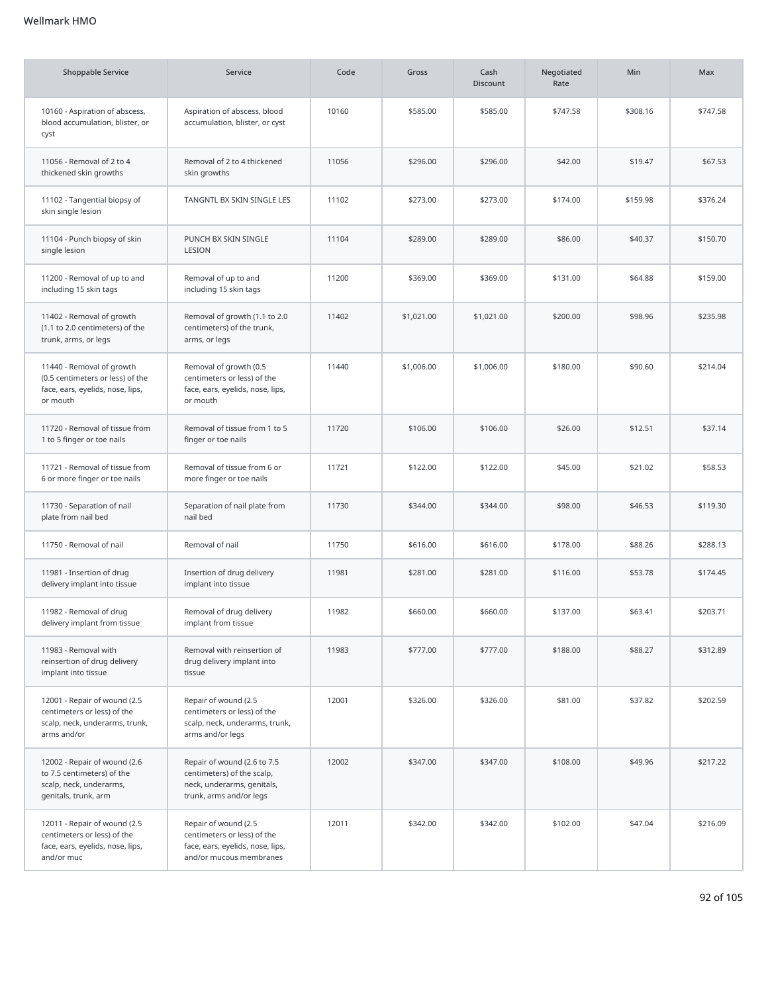## Wellmark HMO

| <b>Shoppable Service</b>                                                                                      | Service                                                                                                            | Code  | Gross      | Cash<br>Discount | Negotiated<br>Rate | Min      | Max      |
|---------------------------------------------------------------------------------------------------------------|--------------------------------------------------------------------------------------------------------------------|-------|------------|------------------|--------------------|----------|----------|
| 10160 - Aspiration of abscess,<br>blood accumulation, blister, or<br>cyst                                     | Aspiration of abscess, blood<br>accumulation, blister, or cyst                                                     | 10160 | \$585.00   | \$585.00         | \$747.58           | \$308.16 | \$747.58 |
| 11056 - Removal of 2 to 4<br>thickened skin growths                                                           | Removal of 2 to 4 thickened<br>skin growths                                                                        | 11056 | \$296.00   | \$296.00         | \$42.00            | \$19.47  | \$67.53  |
| 11102 - Tangential biopsy of<br>skin single lesion                                                            | TANGNTL BX SKIN SINGLE LES                                                                                         | 11102 | \$273.00   | \$273.00         | \$174.00           | \$159.98 | \$376.24 |
| 11104 - Punch biopsy of skin<br>single lesion                                                                 | PUNCH BX SKIN SINGLE<br>LESION                                                                                     | 11104 | \$289.00   | \$289.00         | \$86.00            | \$40.37  | \$150.70 |
| 11200 - Removal of up to and<br>including 15 skin tags                                                        | Removal of up to and<br>including 15 skin tags                                                                     | 11200 | \$369.00   | \$369.00         | \$131.00           | \$64.88  | \$159.00 |
| 11402 - Removal of growth<br>(1.1 to 2.0 centimeters) of the<br>trunk, arms, or legs                          | Removal of growth (1.1 to 2.0<br>centimeters) of the trunk,<br>arms, or legs                                       | 11402 | \$1,021.00 | \$1,021.00       | \$200.00           | \$98.96  | \$235.98 |
| 11440 - Removal of growth<br>(0.5 centimeters or less) of the<br>face, ears, eyelids, nose, lips,<br>or mouth | Removal of growth (0.5<br>centimeters or less) of the<br>face, ears, eyelids, nose, lips,<br>or mouth              | 11440 | \$1,006.00 | \$1,006.00       | \$180.00           | \$90.60  | \$214.04 |
| 11720 - Removal of tissue from<br>1 to 5 finger or toe nails                                                  | Removal of tissue from 1 to 5<br>finger or toe nails                                                               | 11720 | \$106.00   | \$106.00         | \$26.00            | \$12.51  | \$37.14  |
| 11721 - Removal of tissue from<br>6 or more finger or toe nails                                               | Removal of tissue from 6 or<br>more finger or toe nails                                                            | 11721 | \$122.00   | \$122.00         | \$45.00            | \$21.02  | \$58.53  |
| 11730 - Separation of nail<br>plate from nail bed                                                             | Separation of nail plate from<br>nail bed                                                                          | 11730 | \$344.00   | \$344.00         | \$98.00            | \$46.53  | \$119.30 |
| 11750 - Removal of nail                                                                                       | Removal of nail                                                                                                    | 11750 | \$616.00   | \$616.00         | \$178.00           | \$88.26  | \$288.13 |
| 11981 - Insertion of drug<br>delivery implant into tissue                                                     | Insertion of drug delivery<br>implant into tissue                                                                  | 11981 | \$281.00   | \$281.00         | \$116.00           | \$53.78  | \$174.45 |
| 11982 - Removal of drug<br>delivery implant from tissue                                                       | Removal of drug delivery<br>implant from tissue                                                                    | 11982 | \$660.00   | \$660.00         | \$137.00           | \$63.41  | \$203.71 |
| 11983 - Removal with<br>reinsertion of drug delivery<br>implant into tissue                                   | Removal with reinsertion of<br>drug delivery implant into<br>tissue                                                | 11983 | \$777.00   | \$777.00         | \$188.00           | \$88.27  | \$312.89 |
| 12001 - Repair of wound (2.5<br>centimeters or less) of the<br>scalp, neck, underarms, trunk,<br>arms and/or  | Repair of wound (2.5<br>centimeters or less) of the<br>scalp, neck, underarms, trunk,<br>arms and/or legs          | 12001 | \$326.00   | \$326.00         | \$81.00            | \$37.82  | \$202.59 |
| 12002 - Repair of wound (2.6<br>to 7.5 centimeters) of the<br>scalp, neck, underarms,<br>genitals, trunk, arm | Repair of wound (2.6 to 7.5<br>centimeters) of the scalp,<br>neck, underarms, genitals,<br>trunk, arms and/or legs | 12002 | \$347.00   | \$347.00         | \$108.00           | \$49.96  | \$217.22 |
| 12011 - Repair of wound (2.5<br>centimeters or less) of the<br>face, ears, eyelids, nose, lips,<br>and/or muc | Repair of wound (2.5<br>centimeters or less) of the<br>face, ears, eyelids, nose, lips,<br>and/or mucous membranes | 12011 | \$342.00   | \$342.00         | \$102.00           | \$47.04  | \$216.09 |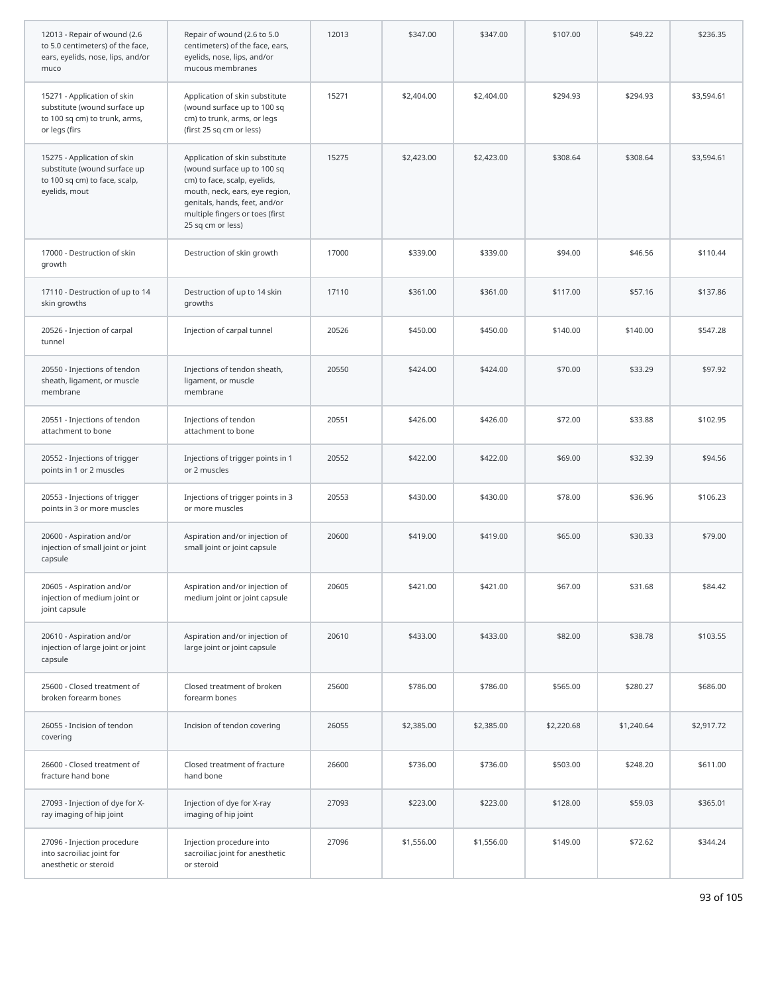| 12013 - Repair of wound (2.6<br>to 5.0 centimeters) of the face,<br>ears, eyelids, nose, lips, and/or<br>muco | Repair of wound (2.6 to 5.0<br>centimeters) of the face, ears,<br>eyelids, nose, lips, and/or<br>mucous membranes                                                                                                        | 12013 | \$347.00   | \$347.00   | \$107.00   | \$49.22    | \$236.35   |
|---------------------------------------------------------------------------------------------------------------|--------------------------------------------------------------------------------------------------------------------------------------------------------------------------------------------------------------------------|-------|------------|------------|------------|------------|------------|
| 15271 - Application of skin<br>substitute (wound surface up<br>to 100 sq cm) to trunk, arms,<br>or legs (firs | Application of skin substitute<br>(wound surface up to 100 sq<br>cm) to trunk, arms, or legs<br>(first 25 sq cm or less)                                                                                                 | 15271 | \$2,404.00 | \$2,404.00 | \$294.93   | \$294.93   | \$3,594.61 |
| 15275 - Application of skin<br>substitute (wound surface up<br>to 100 sq cm) to face, scalp,<br>eyelids, mout | Application of skin substitute<br>(wound surface up to 100 sq<br>cm) to face, scalp, eyelids,<br>mouth, neck, ears, eye region,<br>genitals, hands, feet, and/or<br>multiple fingers or toes (first<br>25 sq cm or less) | 15275 | \$2,423.00 | \$2,423.00 | \$308.64   | \$308.64   | \$3,594.61 |
| 17000 - Destruction of skin<br>growth                                                                         | Destruction of skin growth                                                                                                                                                                                               | 17000 | \$339.00   | \$339.00   | \$94.00    | \$46.56    | \$110.44   |
| 17110 - Destruction of up to 14<br>skin growths                                                               | Destruction of up to 14 skin<br>growths                                                                                                                                                                                  | 17110 | \$361.00   | \$361.00   | \$117.00   | \$57.16    | \$137.86   |
| 20526 - Injection of carpal<br>tunnel                                                                         | Injection of carpal tunnel                                                                                                                                                                                               | 20526 | \$450.00   | \$450.00   | \$140.00   | \$140.00   | \$547.28   |
| 20550 - Injections of tendon<br>sheath, ligament, or muscle<br>membrane                                       | Injections of tendon sheath,<br>ligament, or muscle<br>membrane                                                                                                                                                          | 20550 | \$424.00   | \$424.00   | \$70.00    | \$33.29    | \$97.92    |
| 20551 - Injections of tendon<br>attachment to bone                                                            | Injections of tendon<br>attachment to bone                                                                                                                                                                               | 20551 | \$426.00   | \$426.00   | \$72.00    | \$33.88    | \$102.95   |
| 20552 - Injections of trigger<br>points in 1 or 2 muscles                                                     | Injections of trigger points in 1<br>or 2 muscles                                                                                                                                                                        | 20552 | \$422.00   | \$422.00   | \$69.00    | \$32.39    | \$94.56    |
| 20553 - Injections of trigger<br>points in 3 or more muscles                                                  | Injections of trigger points in 3<br>or more muscles                                                                                                                                                                     | 20553 | \$430.00   | \$430.00   | \$78.00    | \$36.96    | \$106.23   |
| 20600 - Aspiration and/or<br>injection of small joint or joint<br>capsule                                     | Aspiration and/or injection of<br>small joint or joint capsule                                                                                                                                                           | 20600 | \$419.00   | \$419.00   | \$65.00    | \$30.33    | \$79.00    |
| 20605 - Aspiration and/or<br>injection of medium joint or<br>joint capsule                                    | Aspiration and/or injection of<br>medium joint or joint capsule                                                                                                                                                          | 20605 | \$421.00   | \$421.00   | \$67.00    | \$31.68    | \$84.42    |
| 20610 - Aspiration and/or<br>injection of large joint or joint<br>capsule                                     | Aspiration and/or injection of<br>large joint or joint capsule                                                                                                                                                           | 20610 | \$433.00   | \$433.00   | \$82.00    | \$38.78    | \$103.55   |
| 25600 - Closed treatment of<br>broken forearm bones                                                           | Closed treatment of broken<br>forearm bones                                                                                                                                                                              | 25600 | \$786.00   | \$786.00   | \$565.00   | \$280.27   | \$686.00   |
| 26055 - Incision of tendon<br>covering                                                                        | Incision of tendon covering                                                                                                                                                                                              | 26055 | \$2,385.00 | \$2,385.00 | \$2,220.68 | \$1,240.64 | \$2,917.72 |
| 26600 - Closed treatment of<br>fracture hand bone                                                             | Closed treatment of fracture<br>hand bone                                                                                                                                                                                | 26600 | \$736.00   | \$736.00   | \$503.00   | \$248.20   | \$611.00   |
| 27093 - Injection of dye for X-<br>ray imaging of hip joint                                                   | Injection of dye for X-ray<br>imaging of hip joint                                                                                                                                                                       | 27093 | \$223.00   | \$223.00   | \$128.00   | \$59.03    | \$365.01   |
| 27096 - Injection procedure<br>into sacroiliac joint for<br>anesthetic or steroid                             | Injection procedure into<br>sacroiliac joint for anesthetic<br>or steroid                                                                                                                                                | 27096 | \$1,556.00 | \$1,556.00 | \$149.00   | \$72.62    | \$344.24   |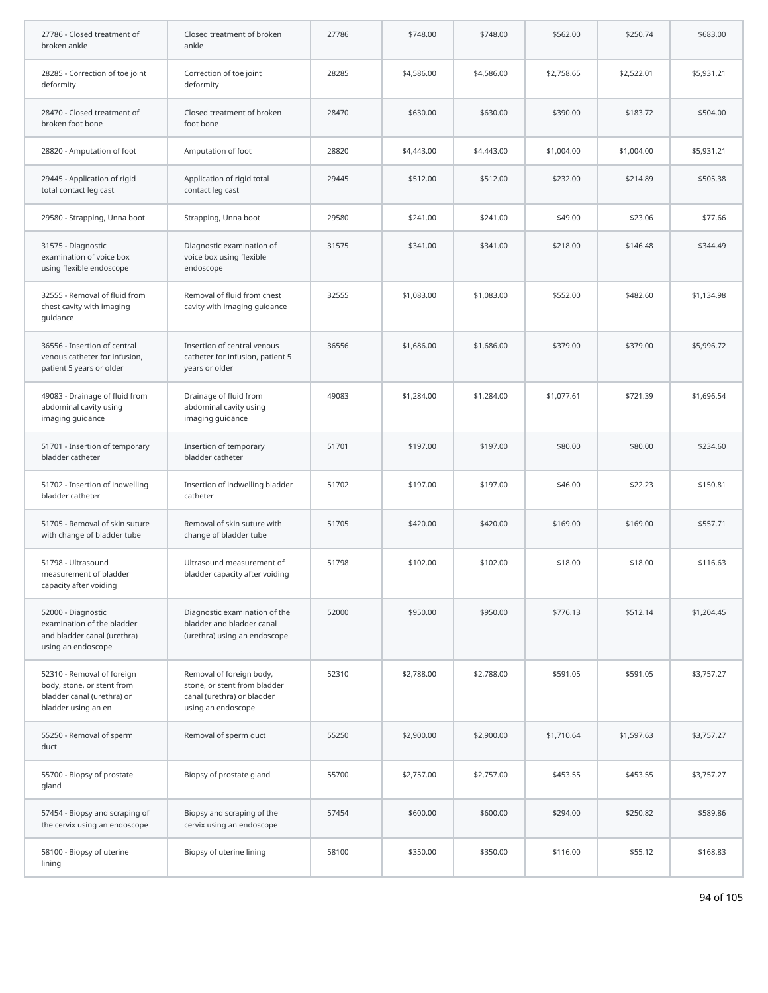| 27786 - Closed treatment of<br>broken ankle                                                                   | Closed treatment of broken<br>ankle                                                                          | 27786 | \$748.00   | \$748.00   | \$562.00   | \$250.74   | \$683.00   |
|---------------------------------------------------------------------------------------------------------------|--------------------------------------------------------------------------------------------------------------|-------|------------|------------|------------|------------|------------|
| 28285 - Correction of toe joint<br>deformity                                                                  | Correction of toe joint<br>deformity                                                                         | 28285 | \$4,586.00 | \$4,586.00 | \$2,758.65 | \$2,522.01 | \$5,931.21 |
| 28470 - Closed treatment of<br>broken foot bone                                                               | Closed treatment of broken<br>foot bone                                                                      | 28470 | \$630.00   | \$630.00   | \$390.00   | \$183.72   | \$504.00   |
| 28820 - Amputation of foot                                                                                    | Amputation of foot                                                                                           | 28820 | \$4,443.00 | \$4,443.00 | \$1,004.00 | \$1,004.00 | \$5,931.21 |
| 29445 - Application of rigid<br>total contact leg cast                                                        | Application of rigid total<br>contact leg cast                                                               | 29445 | \$512.00   | \$512.00   | \$232.00   | \$214.89   | \$505.38   |
| 29580 - Strapping, Unna boot                                                                                  | Strapping, Unna boot                                                                                         | 29580 | \$241.00   | \$241.00   | \$49.00    | \$23.06    | \$77.66    |
| 31575 - Diagnostic<br>examination of voice box<br>using flexible endoscope                                    | Diagnostic examination of<br>voice box using flexible<br>endoscope                                           | 31575 | \$341.00   | \$341.00   | \$218.00   | \$146.48   | \$344.49   |
| 32555 - Removal of fluid from<br>chest cavity with imaging<br>guidance                                        | Removal of fluid from chest<br>cavity with imaging guidance                                                  | 32555 | \$1,083.00 | \$1,083.00 | \$552.00   | \$482.60   | \$1,134.98 |
| 36556 - Insertion of central<br>venous catheter for infusion,<br>patient 5 years or older                     | Insertion of central venous<br>catheter for infusion, patient 5<br>years or older                            | 36556 | \$1,686.00 | \$1,686.00 | \$379.00   | \$379.00   | \$5,996.72 |
| 49083 - Drainage of fluid from<br>abdominal cavity using<br>imaging guidance                                  | Drainage of fluid from<br>abdominal cavity using<br>imaging guidance                                         | 49083 | \$1,284.00 | \$1,284.00 | \$1,077.61 | \$721.39   | \$1,696.54 |
| 51701 - Insertion of temporary<br>bladder catheter                                                            | Insertion of temporary<br>bladder catheter                                                                   | 51701 | \$197.00   | \$197.00   | \$80.00    | \$80.00    | \$234.60   |
| 51702 - Insertion of indwelling<br>bladder catheter                                                           | Insertion of indwelling bladder<br>catheter                                                                  | 51702 | \$197.00   | \$197.00   | \$46.00    | \$22.23    | \$150.81   |
| 51705 - Removal of skin suture<br>with change of bladder tube                                                 | Removal of skin suture with<br>change of bladder tube                                                        | 51705 | \$420.00   | \$420.00   | \$169.00   | \$169.00   | \$557.71   |
| 51798 - Ultrasound<br>measurement of bladder<br>capacity after voiding                                        | Ultrasound measurement of<br>bladder capacity after voiding                                                  | 51798 | \$102.00   | \$102.00   | \$18.00    | \$18.00    | \$116.63   |
| 52000 - Diagnostic<br>examination of the bladder<br>and bladder canal (urethra)<br>using an endoscope         | Diagnostic examination of the<br>bladder and bladder canal<br>(urethra) using an endoscope                   | 52000 | \$950.00   | \$950.00   | \$776.13   | \$512.14   | \$1,204.45 |
| 52310 - Removal of foreign<br>body, stone, or stent from<br>bladder canal (urethra) or<br>bladder using an en | Removal of foreign body,<br>stone, or stent from bladder<br>canal (urethra) or bladder<br>using an endoscope | 52310 | \$2,788.00 | \$2,788.00 | \$591.05   | \$591.05   | \$3,757.27 |
| 55250 - Removal of sperm<br>duct                                                                              | Removal of sperm duct                                                                                        | 55250 | \$2,900.00 | \$2,900.00 | \$1,710.64 | \$1,597.63 | \$3,757.27 |
| 55700 - Biopsy of prostate<br>gland                                                                           | Biopsy of prostate gland                                                                                     | 55700 | \$2,757.00 | \$2,757.00 | \$453.55   | \$453.55   | \$3,757.27 |
| 57454 - Biopsy and scraping of<br>the cervix using an endoscope                                               | Biopsy and scraping of the<br>cervix using an endoscope                                                      | 57454 | \$600.00   | \$600.00   | \$294.00   | \$250.82   | \$589.86   |
| 58100 - Biopsy of uterine<br>lining                                                                           | Biopsy of uterine lining                                                                                     | 58100 | \$350.00   | \$350.00   | \$116.00   | \$55.12    | \$168.83   |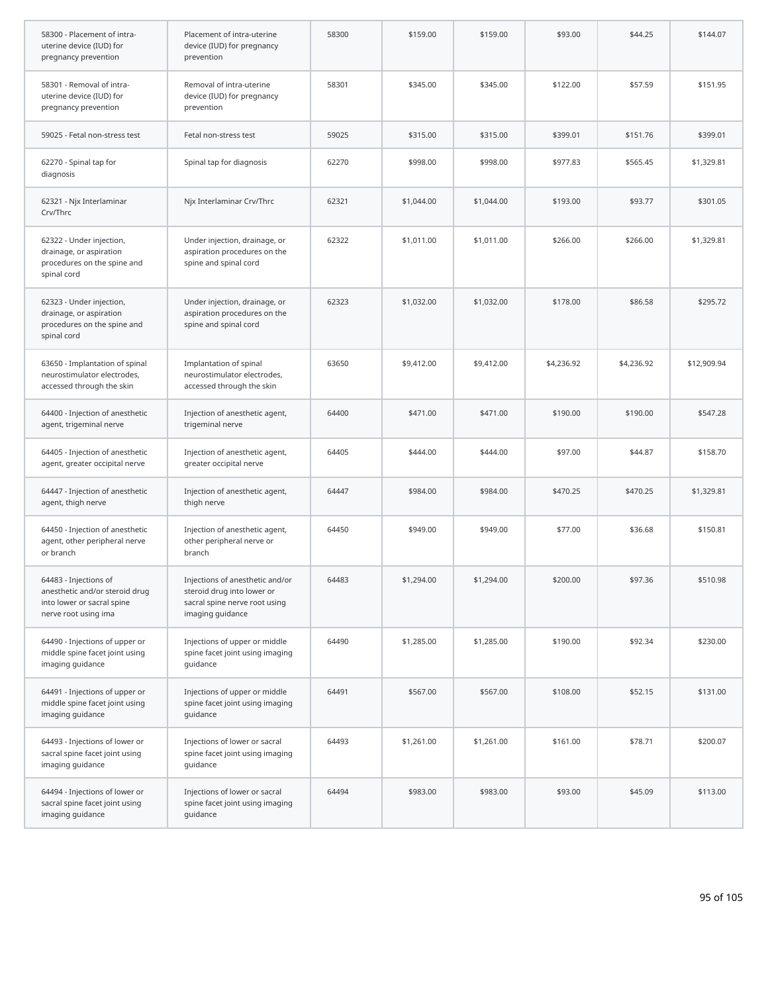| 58300 - Placement of intra-<br>uterine device (IUD) for<br>pregnancy prevention                               | Placement of intra-uterine<br>device (IUD) for pregnancy<br>prevention                                             | 58300 | \$159.00   | \$159.00   | \$93.00    | \$44.25    | \$144.07    |
|---------------------------------------------------------------------------------------------------------------|--------------------------------------------------------------------------------------------------------------------|-------|------------|------------|------------|------------|-------------|
| 58301 - Removal of intra-<br>uterine device (IUD) for<br>pregnancy prevention                                 | Removal of intra-uterine<br>device (IUD) for pregnancy<br>prevention                                               | 58301 | \$345.00   | \$345.00   | \$122.00   | \$57.59    | \$151.95    |
| 59025 - Fetal non-stress test                                                                                 | Fetal non-stress test                                                                                              | 59025 | \$315.00   | \$315.00   | \$399.01   | \$151.76   | \$399.01    |
| 62270 - Spinal tap for<br>diagnosis                                                                           | Spinal tap for diagnosis                                                                                           | 62270 | \$998.00   | \$998.00   | \$977.83   | \$565.45   | \$1,329.81  |
| 62321 - Njx Interlaminar<br>Crv/Thrc                                                                          | Njx Interlaminar Crv/Thrc                                                                                          | 62321 | \$1,044.00 | \$1,044.00 | \$193.00   | \$93.77    | \$301.05    |
| 62322 - Under injection,<br>drainage, or aspiration<br>procedures on the spine and<br>spinal cord             | Under injection, drainage, or<br>aspiration procedures on the<br>spine and spinal cord                             | 62322 | \$1,011.00 | \$1,011.00 | \$266.00   | \$266.00   | \$1,329.81  |
| 62323 - Under injection,<br>drainage, or aspiration<br>procedures on the spine and<br>spinal cord             | Under injection, drainage, or<br>aspiration procedures on the<br>spine and spinal cord                             | 62323 | \$1,032.00 | \$1,032.00 | \$178.00   | \$86.58    | \$295.72    |
| 63650 - Implantation of spinal<br>neurostimulator electrodes,<br>accessed through the skin                    | Implantation of spinal<br>neurostimulator electrodes,<br>accessed through the skin                                 | 63650 | \$9,412.00 | \$9,412.00 | \$4,236.92 | \$4,236.92 | \$12,909.94 |
| 64400 - Injection of anesthetic<br>agent, trigeminal nerve                                                    | Injection of anesthetic agent,<br>trigeminal nerve                                                                 | 64400 | \$471.00   | \$471.00   | \$190.00   | \$190.00   | \$547.28    |
| 64405 - Injection of anesthetic<br>agent, greater occipital nerve                                             | Injection of anesthetic agent,<br>greater occipital nerve                                                          | 64405 | \$444.00   | \$444.00   | \$97.00    | \$44.87    | \$158.70    |
| 64447 - Injection of anesthetic<br>agent, thigh nerve                                                         | Injection of anesthetic agent,<br>thigh nerve                                                                      | 64447 | \$984.00   | \$984.00   | \$470.25   | \$470.25   | \$1,329.81  |
| 64450 - Injection of anesthetic<br>agent, other peripheral nerve<br>or branch                                 | Injection of anesthetic agent,<br>other peripheral nerve or<br>branch                                              | 64450 | \$949.00   | \$949.00   | \$77.00    | \$36.68    | \$150.81    |
| 64483 - Injections of<br>anesthetic and/or steroid drug<br>into lower or sacral spine<br>nerve root using ima | Injections of anesthetic and/or<br>steroid drug into lower or<br>sacral spine nerve root using<br>imaging guidance | 64483 | \$1,294.00 | \$1,294.00 | \$200.00   | \$97.36    | \$510.98    |
| 64490 - Injections of upper or<br>middle spine facet joint using<br>imaging guidance                          | Injections of upper or middle<br>spine facet joint using imaging<br>guidance                                       | 64490 | \$1,285.00 | \$1,285.00 | \$190.00   | \$92.34    | \$230.00    |
| 64491 - Injections of upper or<br>middle spine facet joint using<br>imaging guidance                          | Injections of upper or middle<br>spine facet joint using imaging<br>quidance                                       | 64491 | \$567.00   | \$567.00   | \$108.00   | \$52.15    | \$131.00    |
| 64493 - Injections of lower or<br>sacral spine facet joint using<br>imaging guidance                          | Injections of lower or sacral<br>spine facet joint using imaging<br>guidance                                       | 64493 | \$1,261.00 | \$1,261.00 | \$161.00   | \$78.71    | \$200.07    |
| 64494 - Injections of lower or<br>sacral spine facet joint using<br>imaging guidance                          | Injections of lower or sacral<br>spine facet joint using imaging<br>guidance                                       | 64494 | \$983.00   | \$983.00   | \$93.00    | \$45.09    | \$113.00    |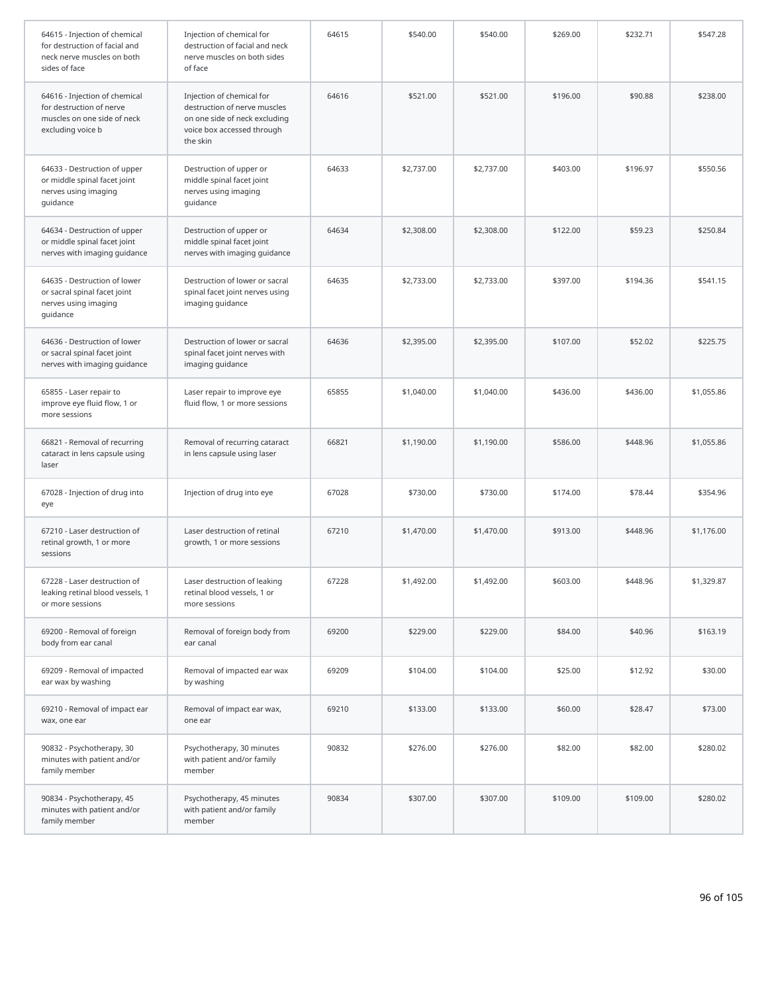| 64615 - Injection of chemical<br>for destruction of facial and<br>neck nerve muscles on both<br>sides of face | Injection of chemical for<br>destruction of facial and neck<br>nerve muscles on both sides<br>of face                                | 64615 | \$540.00   | \$540.00   | \$269.00 | \$232.71 | \$547.28   |
|---------------------------------------------------------------------------------------------------------------|--------------------------------------------------------------------------------------------------------------------------------------|-------|------------|------------|----------|----------|------------|
| 64616 - Injection of chemical<br>for destruction of nerve<br>muscles on one side of neck<br>excluding voice b | Injection of chemical for<br>destruction of nerve muscles<br>on one side of neck excluding<br>voice box accessed through<br>the skin | 64616 | \$521.00   | \$521.00   | \$196.00 | \$90.88  | \$238.00   |
| 64633 - Destruction of upper<br>or middle spinal facet joint<br>nerves using imaging<br>guidance              | Destruction of upper or<br>middle spinal facet joint<br>nerves using imaging<br>guidance                                             | 64633 | \$2,737.00 | \$2,737.00 | \$403.00 | \$196.97 | \$550.56   |
| 64634 - Destruction of upper<br>or middle spinal facet joint<br>nerves with imaging guidance                  | Destruction of upper or<br>middle spinal facet joint<br>nerves with imaging guidance                                                 | 64634 | \$2,308.00 | \$2,308.00 | \$122.00 | \$59.23  | \$250.84   |
| 64635 - Destruction of lower<br>or sacral spinal facet joint<br>nerves using imaging<br>guidance              | Destruction of lower or sacral<br>spinal facet joint nerves using<br>imaging guidance                                                | 64635 | \$2,733.00 | \$2,733.00 | \$397.00 | \$194.36 | \$541.15   |
| 64636 - Destruction of lower<br>or sacral spinal facet joint<br>nerves with imaging guidance                  | Destruction of lower or sacral<br>spinal facet joint nerves with<br>imaging guidance                                                 | 64636 | \$2,395.00 | \$2,395.00 | \$107.00 | \$52.02  | \$225.75   |
| 65855 - Laser repair to<br>improve eye fluid flow, 1 or<br>more sessions                                      | Laser repair to improve eye<br>fluid flow, 1 or more sessions                                                                        | 65855 | \$1,040.00 | \$1,040.00 | \$436.00 | \$436.00 | \$1,055.86 |
| 66821 - Removal of recurring<br>cataract in lens capsule using<br>laser                                       | Removal of recurring cataract<br>in lens capsule using laser                                                                         | 66821 | \$1,190.00 | \$1,190.00 | \$586.00 | \$448.96 | \$1,055.86 |
| 67028 - Injection of drug into<br>eye                                                                         | Injection of drug into eye                                                                                                           | 67028 | \$730.00   | \$730.00   | \$174.00 | \$78.44  | \$354.96   |
| 67210 - Laser destruction of<br>retinal growth, 1 or more<br>sessions                                         | Laser destruction of retinal<br>growth, 1 or more sessions                                                                           | 67210 | \$1,470.00 | \$1,470.00 | \$913.00 | \$448.96 | \$1,176.00 |
| 67228 - Laser destruction of<br>leaking retinal blood vessels, 1<br>or more sessions                          | Laser destruction of leaking<br>retinal blood vessels, 1 or<br>more sessions                                                         | 67228 | \$1,492.00 | \$1,492.00 | \$603.00 | \$448.96 | \$1,329.87 |
| 69200 - Removal of foreign<br>body from ear canal                                                             | Removal of foreign body from<br>ear canal                                                                                            | 69200 | \$229.00   | \$229.00   | \$84.00  | \$40.96  | \$163.19   |
| 69209 - Removal of impacted<br>ear wax by washing                                                             | Removal of impacted ear wax<br>by washing                                                                                            | 69209 | \$104.00   | \$104.00   | \$25.00  | \$12.92  | \$30.00    |
| 69210 - Removal of impact ear<br>wax, one ear                                                                 | Removal of impact ear wax,<br>one ear                                                                                                | 69210 | \$133.00   | \$133.00   | \$60.00  | \$28.47  | \$73.00    |
| 90832 - Psychotherapy, 30<br>minutes with patient and/or<br>family member                                     | Psychotherapy, 30 minutes<br>with patient and/or family<br>member                                                                    | 90832 | \$276.00   | \$276.00   | \$82.00  | \$82.00  | \$280.02   |
| 90834 - Psychotherapy, 45<br>minutes with patient and/or<br>family member                                     | Psychotherapy, 45 minutes<br>with patient and/or family<br>member                                                                    | 90834 | \$307.00   | \$307.00   | \$109.00 | \$109.00 | \$280.02   |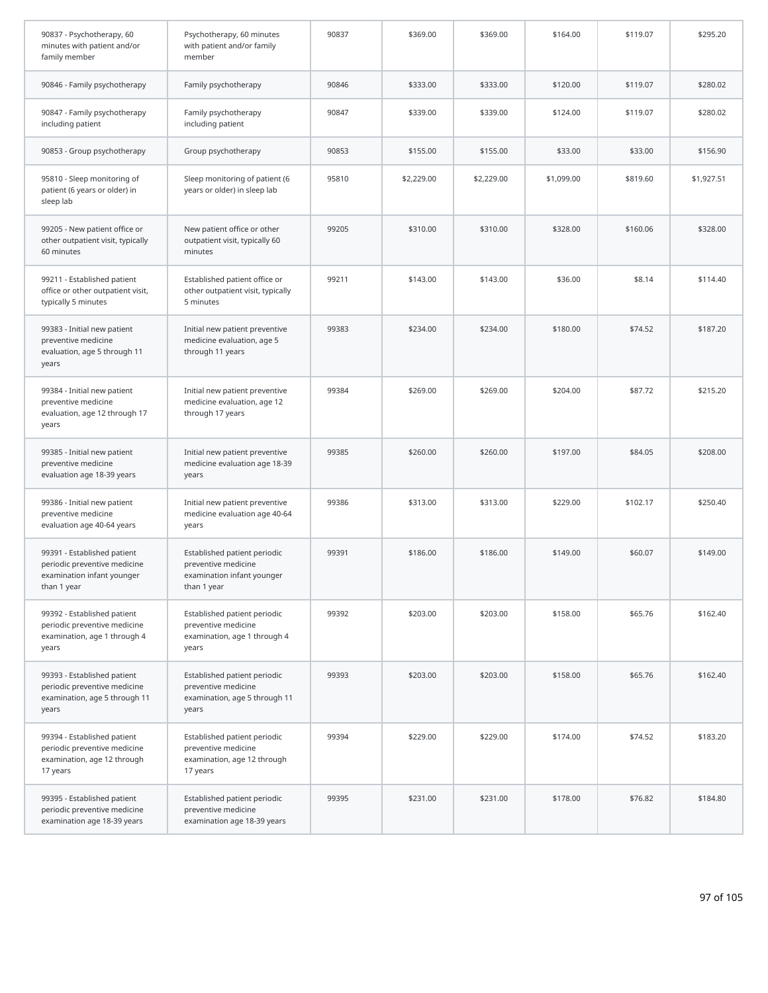| 90837 - Psychotherapy, 60<br>minutes with patient and/or<br>family member                                | Psychotherapy, 60 minutes<br>with patient and/or family<br>member                                | 90837 | \$369.00   | \$369.00   | \$164.00   | \$119.07 | \$295.20   |
|----------------------------------------------------------------------------------------------------------|--------------------------------------------------------------------------------------------------|-------|------------|------------|------------|----------|------------|
| 90846 - Family psychotherapy                                                                             | Family psychotherapy                                                                             | 90846 | \$333.00   | \$333.00   | \$120.00   | \$119.07 | \$280.02   |
| 90847 - Family psychotherapy<br>including patient                                                        | Family psychotherapy<br>including patient                                                        | 90847 | \$339.00   | \$339.00   | \$124.00   | \$119.07 | \$280.02   |
| 90853 - Group psychotherapy                                                                              | Group psychotherapy                                                                              | 90853 | \$155.00   | \$155.00   | \$33.00    | \$33.00  | \$156.90   |
| 95810 - Sleep monitoring of<br>patient (6 years or older) in<br>sleep lab                                | Sleep monitoring of patient (6<br>years or older) in sleep lab                                   | 95810 | \$2,229.00 | \$2,229.00 | \$1,099.00 | \$819.60 | \$1,927.51 |
| 99205 - New patient office or<br>other outpatient visit, typically<br>60 minutes                         | New patient office or other<br>outpatient visit, typically 60<br>minutes                         | 99205 | \$310.00   | \$310.00   | \$328.00   | \$160.06 | \$328.00   |
| 99211 - Established patient<br>office or other outpatient visit,<br>typically 5 minutes                  | Established patient office or<br>other outpatient visit, typically<br>5 minutes                  | 99211 | \$143.00   | \$143.00   | \$36.00    | \$8.14   | \$114.40   |
| 99383 - Initial new patient<br>preventive medicine<br>evaluation, age 5 through 11<br>years              | Initial new patient preventive<br>medicine evaluation, age 5<br>through 11 years                 | 99383 | \$234.00   | \$234.00   | \$180.00   | \$74.52  | \$187.20   |
| 99384 - Initial new patient<br>preventive medicine<br>evaluation, age 12 through 17<br>years             | Initial new patient preventive<br>medicine evaluation, age 12<br>through 17 years                | 99384 | \$269.00   | \$269.00   | \$204.00   | \$87.72  | \$215.20   |
| 99385 - Initial new patient<br>preventive medicine<br>evaluation age 18-39 years                         | Initial new patient preventive<br>medicine evaluation age 18-39<br>years                         | 99385 | \$260.00   | \$260.00   | \$197.00   | \$84.05  | \$208.00   |
| 99386 - Initial new patient<br>preventive medicine<br>evaluation age 40-64 years                         | Initial new patient preventive<br>medicine evaluation age 40-64<br>years                         | 99386 | \$313.00   | \$313.00   | \$229.00   | \$102.17 | \$250.40   |
| 99391 - Established patient<br>periodic preventive medicine<br>examination infant younger<br>than 1 year | Established patient periodic<br>preventive medicine<br>examination infant younger<br>than 1 year | 99391 | \$186.00   | \$186.00   | \$149.00   | \$60.07  | \$149.00   |
| 99392 - Established patient<br>periodic preventive medicine<br>examination, age 1 through 4<br>years     | Established patient periodic<br>preventive medicine<br>examination, age 1 through 4<br>years     | 99392 | \$203.00   | \$203.00   | \$158.00   | \$65.76  | \$162.40   |
| 99393 - Established patient<br>periodic preventive medicine<br>examination, age 5 through 11<br>years    | Established patient periodic<br>preventive medicine<br>examination, age 5 through 11<br>years    | 99393 | \$203.00   | \$203.00   | \$158.00   | \$65.76  | \$162.40   |
| 99394 - Established patient<br>periodic preventive medicine<br>examination, age 12 through<br>17 years   | Established patient periodic<br>preventive medicine<br>examination, age 12 through<br>17 years   | 99394 | \$229.00   | \$229.00   | \$174.00   | \$74.52  | \$183.20   |
| 99395 - Established patient<br>periodic preventive medicine<br>examination age 18-39 years               | Established patient periodic<br>preventive medicine<br>examination age 18-39 years               | 99395 | \$231.00   | \$231.00   | \$178.00   | \$76.82  | \$184.80   |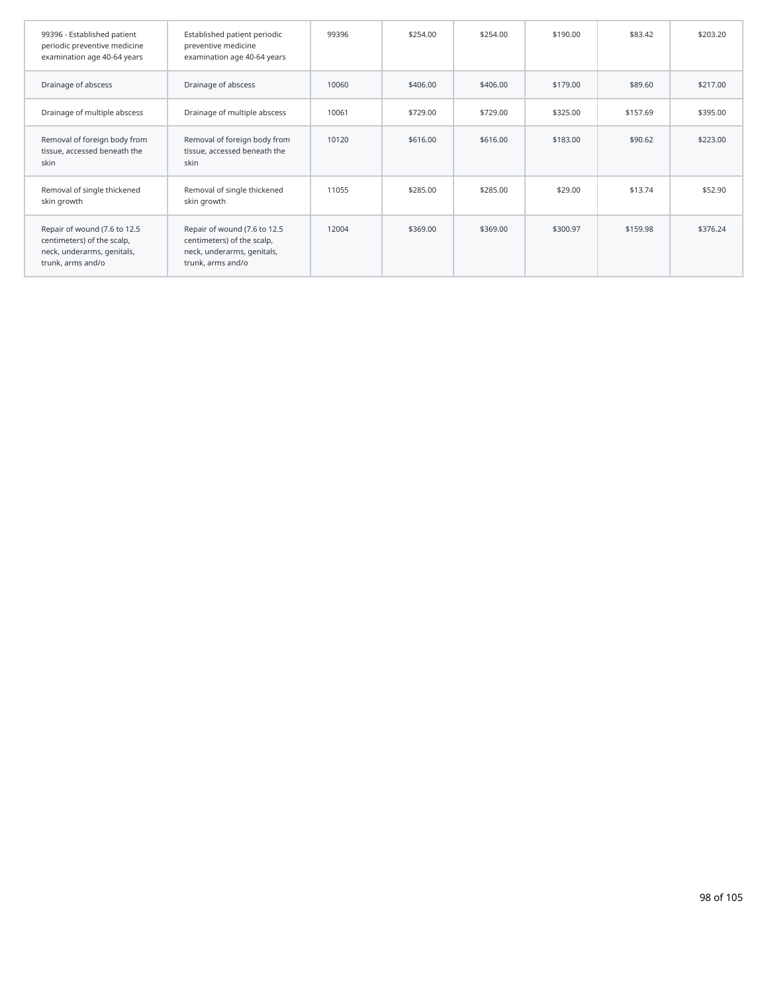| 99396 - Established patient<br>periodic preventive medicine<br>examination age 40-64 years                    | Established patient periodic<br>preventive medicine<br>examination age 40-64 years                            | 99396 | \$254.00 | \$254.00 | \$190.00 | \$83.42  | \$203.20 |
|---------------------------------------------------------------------------------------------------------------|---------------------------------------------------------------------------------------------------------------|-------|----------|----------|----------|----------|----------|
| Drainage of abscess                                                                                           | Drainage of abscess                                                                                           | 10060 | \$406.00 | \$406.00 | \$179.00 | \$89.60  | \$217.00 |
| Drainage of multiple abscess                                                                                  | Drainage of multiple abscess                                                                                  | 10061 | \$729.00 | \$729.00 | \$325.00 | \$157.69 | \$395.00 |
| Removal of foreign body from<br>tissue, accessed beneath the<br>skin                                          | Removal of foreign body from<br>tissue, accessed beneath the<br>skin                                          | 10120 | \$616.00 | \$616.00 | \$183.00 | \$90.62  | \$223.00 |
| Removal of single thickened<br>skin growth                                                                    | Removal of single thickened<br>skin growth                                                                    | 11055 | \$285.00 | \$285.00 | \$29.00  | \$13.74  | \$52.90  |
| Repair of wound (7.6 to 12.5<br>centimeters) of the scalp,<br>neck, underarms, genitals,<br>trunk, arms and/o | Repair of wound (7.6 to 12.5<br>centimeters) of the scalp,<br>neck, underarms, genitals,<br>trunk, arms and/o | 12004 | \$369.00 | \$369.00 | \$300.97 | \$159.98 | \$376.24 |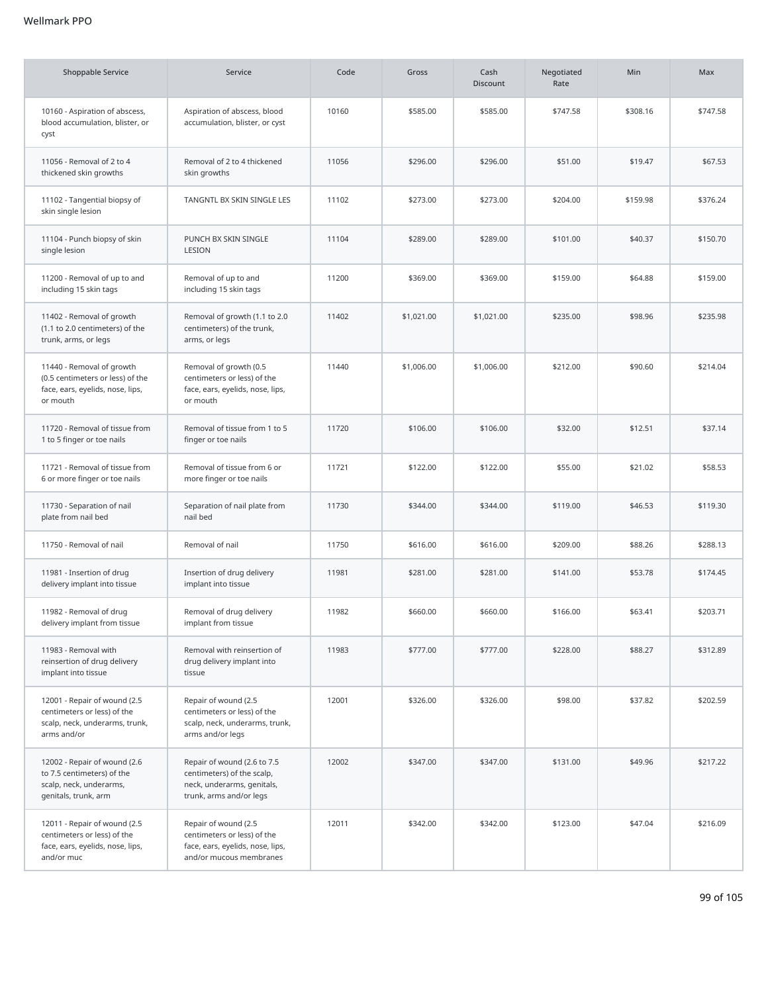| <b>Shoppable Service</b>                                                                                      | Service                                                                                                            | Code  | Gross      | Cash<br><b>Discount</b> | Negotiated<br>Rate | Min      | Max      |
|---------------------------------------------------------------------------------------------------------------|--------------------------------------------------------------------------------------------------------------------|-------|------------|-------------------------|--------------------|----------|----------|
| 10160 - Aspiration of abscess,<br>blood accumulation, blister, or<br>cyst                                     | Aspiration of abscess, blood<br>accumulation, blister, or cyst                                                     | 10160 | \$585.00   | \$585.00                | \$747.58           | \$308.16 | \$747.58 |
| 11056 - Removal of 2 to 4<br>thickened skin growths                                                           | Removal of 2 to 4 thickened<br>skin growths                                                                        | 11056 | \$296.00   | \$296.00                | \$51.00            | \$19.47  | \$67.53  |
| 11102 - Tangential biopsy of<br>skin single lesion                                                            | TANGNTL BX SKIN SINGLE LES                                                                                         | 11102 | \$273.00   | \$273.00                | \$204.00           | \$159.98 | \$376.24 |
| 11104 - Punch biopsy of skin<br>single lesion                                                                 | PUNCH BX SKIN SINGLE<br>LESION                                                                                     | 11104 | \$289.00   | \$289.00                | \$101.00           | \$40.37  | \$150.70 |
| 11200 - Removal of up to and<br>including 15 skin tags                                                        | Removal of up to and<br>including 15 skin tags                                                                     | 11200 | \$369.00   | \$369.00                | \$159.00           | \$64.88  | \$159.00 |
| 11402 - Removal of growth<br>(1.1 to 2.0 centimeters) of the<br>trunk, arms, or legs                          | Removal of growth (1.1 to 2.0<br>centimeters) of the trunk,<br>arms, or legs                                       | 11402 | \$1,021.00 | \$1,021.00              | \$235.00           | \$98.96  | \$235.98 |
| 11440 - Removal of growth<br>(0.5 centimeters or less) of the<br>face, ears, eyelids, nose, lips,<br>or mouth | Removal of growth (0.5<br>centimeters or less) of the<br>face, ears, eyelids, nose, lips,<br>or mouth              | 11440 | \$1,006.00 | \$1,006.00              | \$212.00           | \$90.60  | \$214.04 |
| 11720 - Removal of tissue from<br>1 to 5 finger or toe nails                                                  | Removal of tissue from 1 to 5<br>finger or toe nails                                                               | 11720 | \$106.00   | \$106.00                | \$32.00            | \$12.51  | \$37.14  |
| 11721 - Removal of tissue from<br>6 or more finger or toe nails                                               | Removal of tissue from 6 or<br>more finger or toe nails                                                            | 11721 | \$122.00   | \$122.00                | \$55.00            | \$21.02  | \$58.53  |
| 11730 - Separation of nail<br>plate from nail bed                                                             | Separation of nail plate from<br>nail bed                                                                          | 11730 | \$344.00   | \$344.00                | \$119.00           | \$46.53  | \$119.30 |
| 11750 - Removal of nail                                                                                       | Removal of nail                                                                                                    | 11750 | \$616.00   | \$616.00                | \$209.00           | \$88.26  | \$288.13 |
| 11981 - Insertion of drug<br>delivery implant into tissue                                                     | Insertion of drug delivery<br>implant into tissue                                                                  | 11981 | \$281.00   | \$281.00                | \$141.00           | \$53.78  | \$174.45 |
| 11982 - Removal of drug<br>delivery implant from tissue                                                       | Removal of drug delivery<br>implant from tissue                                                                    | 11982 | \$660.00   | \$660.00                | \$166.00           | \$63.41  | \$203.71 |
| 11983 - Removal with<br>reinsertion of drug delivery<br>implant into tissue                                   | Removal with reinsertion of<br>drug delivery implant into<br>tissue                                                | 11983 | \$777.00   | \$777.00                | \$228.00           | \$88.27  | \$312.89 |
| 12001 - Repair of wound (2.5<br>centimeters or less) of the<br>scalp, neck, underarms, trunk,<br>arms and/or  | Repair of wound (2.5<br>centimeters or less) of the<br>scalp, neck, underarms, trunk,<br>arms and/or legs          | 12001 | \$326.00   | \$326.00                | \$98.00            | \$37.82  | \$202.59 |
| 12002 - Repair of wound (2.6<br>to 7.5 centimeters) of the<br>scalp, neck, underarms,<br>genitals, trunk, arm | Repair of wound (2.6 to 7.5<br>centimeters) of the scalp,<br>neck, underarms, genitals,<br>trunk, arms and/or legs | 12002 | \$347.00   | \$347.00                | \$131.00           | \$49.96  | \$217.22 |
| 12011 - Repair of wound (2.5<br>centimeters or less) of the<br>face, ears, eyelids, nose, lips,<br>and/or muc | Repair of wound (2.5<br>centimeters or less) of the<br>face, ears, eyelids, nose, lips,<br>and/or mucous membranes | 12011 | \$342.00   | \$342.00                | \$123.00           | \$47.04  | \$216.09 |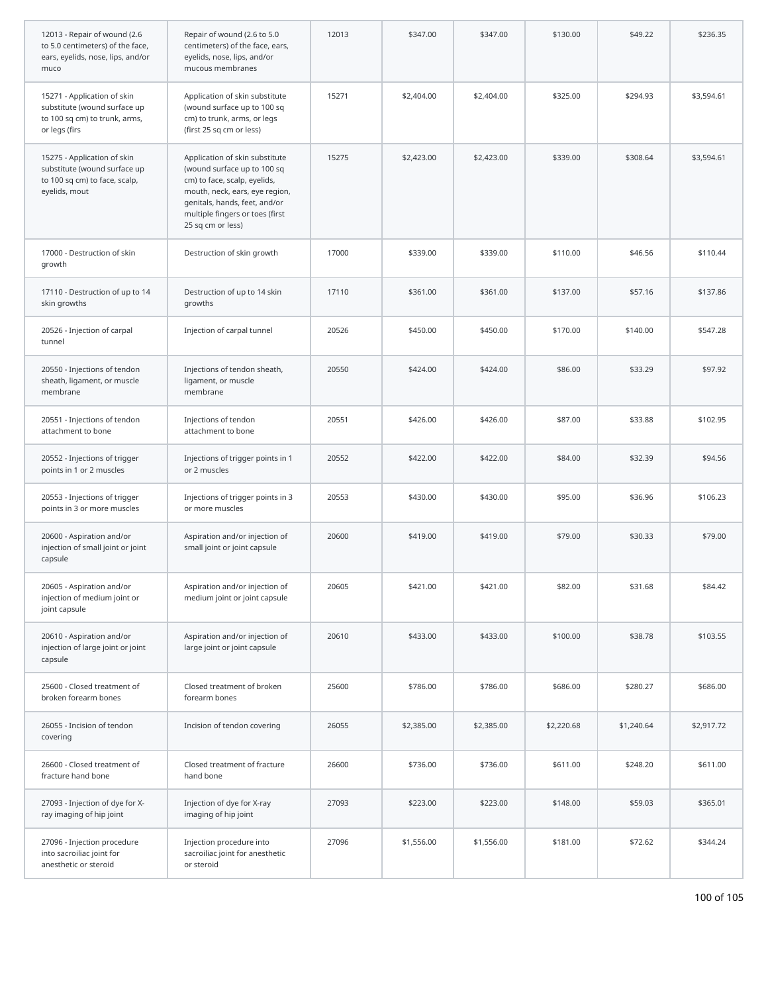| 12013 - Repair of wound (2.6<br>to 5.0 centimeters) of the face,<br>ears, eyelids, nose, lips, and/or<br>muco | Repair of wound (2.6 to 5.0<br>centimeters) of the face, ears,<br>eyelids, nose, lips, and/or<br>mucous membranes                                                                                                        | 12013 | \$347.00   | \$347.00   | \$130.00   | \$49.22    | \$236.35   |
|---------------------------------------------------------------------------------------------------------------|--------------------------------------------------------------------------------------------------------------------------------------------------------------------------------------------------------------------------|-------|------------|------------|------------|------------|------------|
| 15271 - Application of skin<br>substitute (wound surface up<br>to 100 sq cm) to trunk, arms,<br>or legs (firs | Application of skin substitute<br>(wound surface up to 100 sq<br>cm) to trunk, arms, or legs<br>(first 25 sq cm or less)                                                                                                 | 15271 | \$2,404.00 | \$2,404.00 | \$325.00   | \$294.93   | \$3,594.61 |
| 15275 - Application of skin<br>substitute (wound surface up<br>to 100 sq cm) to face, scalp,<br>eyelids, mout | Application of skin substitute<br>(wound surface up to 100 sq<br>cm) to face, scalp, eyelids,<br>mouth, neck, ears, eye region,<br>genitals, hands, feet, and/or<br>multiple fingers or toes (first<br>25 sq cm or less) | 15275 | \$2,423.00 | \$2,423.00 | \$339.00   | \$308.64   | \$3,594.61 |
| 17000 - Destruction of skin<br>growth                                                                         | Destruction of skin growth                                                                                                                                                                                               | 17000 | \$339.00   | \$339.00   | \$110.00   | \$46.56    | \$110.44   |
| 17110 - Destruction of up to 14<br>skin growths                                                               | Destruction of up to 14 skin<br>growths                                                                                                                                                                                  | 17110 | \$361.00   | \$361.00   | \$137.00   | \$57.16    | \$137.86   |
| 20526 - Injection of carpal<br>tunnel                                                                         | Injection of carpal tunnel                                                                                                                                                                                               | 20526 | \$450.00   | \$450.00   | \$170.00   | \$140.00   | \$547.28   |
| 20550 - Injections of tendon<br>sheath, ligament, or muscle<br>membrane                                       | Injections of tendon sheath,<br>ligament, or muscle<br>membrane                                                                                                                                                          | 20550 | \$424.00   | \$424.00   | \$86.00    | \$33.29    | \$97.92    |
| 20551 - Injections of tendon<br>attachment to bone                                                            | Injections of tendon<br>attachment to bone                                                                                                                                                                               | 20551 | \$426.00   | \$426.00   | \$87.00    | \$33.88    | \$102.95   |
| 20552 - Injections of trigger<br>points in 1 or 2 muscles                                                     | Injections of trigger points in 1<br>or 2 muscles                                                                                                                                                                        | 20552 | \$422.00   | \$422.00   | \$84.00    | \$32.39    | \$94.56    |
| 20553 - Injections of trigger<br>points in 3 or more muscles                                                  | Injections of trigger points in 3<br>or more muscles                                                                                                                                                                     | 20553 | \$430.00   | \$430.00   | \$95.00    | \$36.96    | \$106.23   |
| 20600 - Aspiration and/or<br>injection of small joint or joint<br>capsule                                     | Aspiration and/or injection of<br>small joint or joint capsule                                                                                                                                                           | 20600 | \$419.00   | \$419.00   | \$79.00    | \$30.33    | \$79.00    |
| 20605 - Aspiration and/or<br>injection of medium joint or<br>joint capsule                                    | Aspiration and/or injection of<br>medium joint or joint capsule                                                                                                                                                          | 20605 | \$421.00   | \$421.00   | \$82.00    | \$31.68    | \$84.42    |
| 20610 - Aspiration and/or<br>injection of large joint or joint<br>capsule                                     | Aspiration and/or injection of<br>large joint or joint capsule                                                                                                                                                           | 20610 | \$433.00   | \$433.00   | \$100.00   | \$38.78    | \$103.55   |
| 25600 - Closed treatment of<br>broken forearm bones                                                           | Closed treatment of broken<br>forearm bones                                                                                                                                                                              | 25600 | \$786.00   | \$786.00   | \$686.00   | \$280.27   | \$686.00   |
| 26055 - Incision of tendon<br>covering                                                                        | Incision of tendon covering                                                                                                                                                                                              | 26055 | \$2,385.00 | \$2,385.00 | \$2,220.68 | \$1,240.64 | \$2,917.72 |
| 26600 - Closed treatment of<br>fracture hand bone                                                             | Closed treatment of fracture<br>hand bone                                                                                                                                                                                | 26600 | \$736.00   | \$736.00   | \$611.00   | \$248.20   | \$611.00   |
| 27093 - Injection of dye for X-<br>ray imaging of hip joint                                                   | Injection of dye for X-ray<br>imaging of hip joint                                                                                                                                                                       | 27093 | \$223.00   | \$223.00   | \$148.00   | \$59.03    | \$365.01   |
| 27096 - Injection procedure<br>into sacroiliac joint for<br>anesthetic or steroid                             | Injection procedure into<br>sacroiliac joint for anesthetic<br>or steroid                                                                                                                                                | 27096 | \$1,556.00 | \$1,556.00 | \$181.00   | \$72.62    | \$344.24   |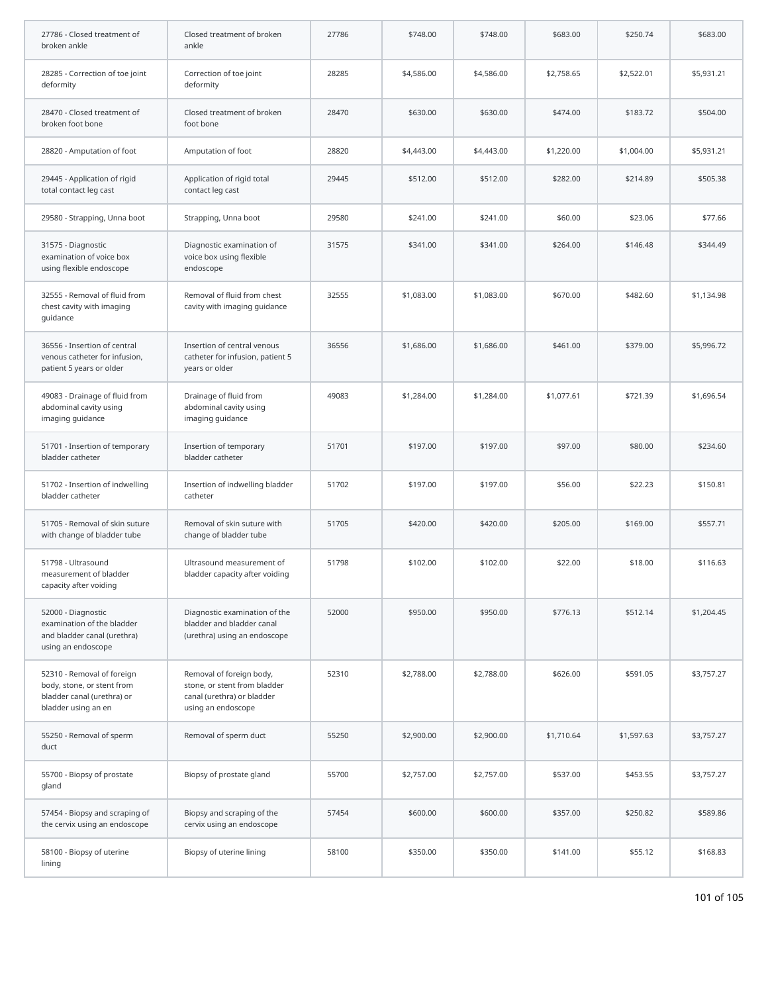| 27786 - Closed treatment of<br>broken ankle                                                                   | Closed treatment of broken<br>ankle                                                                          | 27786 | \$748.00   | \$748.00   | \$683.00   | \$250.74   | \$683.00   |
|---------------------------------------------------------------------------------------------------------------|--------------------------------------------------------------------------------------------------------------|-------|------------|------------|------------|------------|------------|
| 28285 - Correction of toe joint<br>deformity                                                                  | Correction of toe joint<br>deformity                                                                         | 28285 | \$4,586.00 | \$4,586.00 | \$2,758.65 | \$2,522.01 | \$5,931.21 |
| 28470 - Closed treatment of<br>broken foot bone                                                               | Closed treatment of broken<br>foot bone                                                                      | 28470 | \$630.00   | \$630.00   | \$474.00   | \$183.72   | \$504.00   |
| 28820 - Amputation of foot                                                                                    | Amputation of foot                                                                                           | 28820 | \$4,443.00 | \$4,443.00 | \$1,220.00 | \$1,004.00 | \$5,931.21 |
| 29445 - Application of rigid<br>total contact leg cast                                                        | Application of rigid total<br>contact leg cast                                                               | 29445 | \$512.00   | \$512.00   | \$282.00   | \$214.89   | \$505.38   |
| 29580 - Strapping, Unna boot                                                                                  | Strapping, Unna boot                                                                                         | 29580 | \$241.00   | \$241.00   | \$60.00    | \$23.06    | \$77.66    |
| 31575 - Diagnostic<br>examination of voice box<br>using flexible endoscope                                    | Diagnostic examination of<br>voice box using flexible<br>endoscope                                           | 31575 | \$341.00   | \$341.00   | \$264.00   | \$146.48   | \$344.49   |
| 32555 - Removal of fluid from<br>chest cavity with imaging<br>guidance                                        | Removal of fluid from chest<br>cavity with imaging guidance                                                  | 32555 | \$1,083.00 | \$1,083.00 | \$670.00   | \$482.60   | \$1,134.98 |
| 36556 - Insertion of central<br>venous catheter for infusion,<br>patient 5 years or older                     | Insertion of central venous<br>catheter for infusion, patient 5<br>years or older                            | 36556 | \$1,686.00 | \$1,686.00 | \$461.00   | \$379.00   | \$5,996.72 |
| 49083 - Drainage of fluid from<br>abdominal cavity using<br>imaging guidance                                  | Drainage of fluid from<br>abdominal cavity using<br>imaging guidance                                         | 49083 | \$1,284.00 | \$1,284.00 | \$1,077.61 | \$721.39   | \$1,696.54 |
| 51701 - Insertion of temporary<br>bladder catheter                                                            | Insertion of temporary<br>bladder catheter                                                                   | 51701 | \$197.00   | \$197.00   | \$97.00    | \$80.00    | \$234.60   |
| 51702 - Insertion of indwelling<br>bladder catheter                                                           | Insertion of indwelling bladder<br>catheter                                                                  | 51702 | \$197.00   | \$197.00   | \$56.00    | \$22.23    | \$150.81   |
| 51705 - Removal of skin suture<br>with change of bladder tube                                                 | Removal of skin suture with<br>change of bladder tube                                                        | 51705 | \$420.00   | \$420.00   | \$205.00   | \$169.00   | \$557.71   |
| 51798 - Ultrasound<br>measurement of bladder<br>capacity after voiding                                        | Ultrasound measurement of<br>bladder capacity after voiding                                                  | 51798 | \$102.00   | \$102.00   | \$22.00    | \$18.00    | \$116.63   |
| 52000 - Diagnostic<br>examination of the bladder<br>and bladder canal (urethra)<br>using an endoscope         | Diagnostic examination of the<br>bladder and bladder canal<br>(urethra) using an endoscope                   | 52000 | \$950.00   | \$950.00   | \$776.13   | \$512.14   | \$1,204.45 |
| 52310 - Removal of foreign<br>body, stone, or stent from<br>bladder canal (urethra) or<br>bladder using an en | Removal of foreign body,<br>stone, or stent from bladder<br>canal (urethra) or bladder<br>using an endoscope | 52310 | \$2,788.00 | \$2,788.00 | \$626.00   | \$591.05   | \$3,757.27 |
| 55250 - Removal of sperm<br>duct                                                                              | Removal of sperm duct                                                                                        | 55250 | \$2,900.00 | \$2,900.00 | \$1,710.64 | \$1,597.63 | \$3,757.27 |
| 55700 - Biopsy of prostate<br>gland                                                                           | Biopsy of prostate gland                                                                                     | 55700 | \$2,757.00 | \$2,757.00 | \$537.00   | \$453.55   | \$3,757.27 |
| 57454 - Biopsy and scraping of<br>the cervix using an endoscope                                               | Biopsy and scraping of the<br>cervix using an endoscope                                                      | 57454 | \$600.00   | \$600.00   | \$357.00   | \$250.82   | \$589.86   |
| 58100 - Biopsy of uterine<br>lining                                                                           | Biopsy of uterine lining                                                                                     | 58100 | \$350.00   | \$350.00   | \$141.00   | \$55.12    | \$168.83   |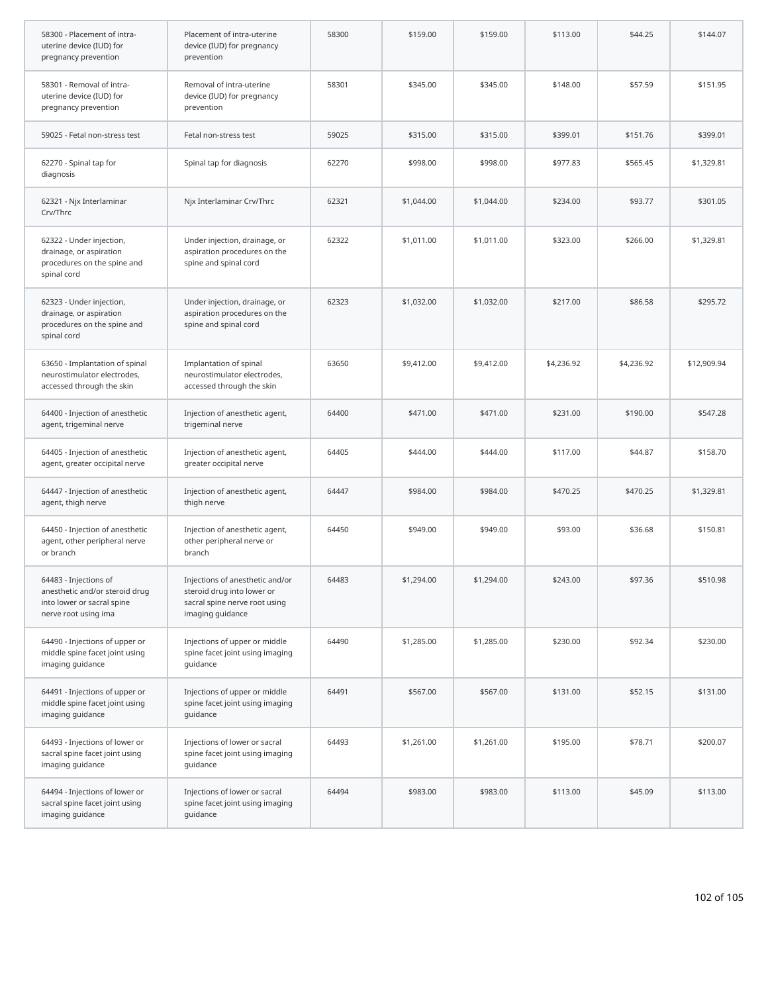| 58300 - Placement of intra-<br>uterine device (IUD) for<br>pregnancy prevention                               | Placement of intra-uterine<br>device (IUD) for pregnancy<br>prevention                                             | 58300 | \$159.00   | \$159.00   | \$113.00   | \$44.25    | \$144.07    |
|---------------------------------------------------------------------------------------------------------------|--------------------------------------------------------------------------------------------------------------------|-------|------------|------------|------------|------------|-------------|
| 58301 - Removal of intra-<br>uterine device (IUD) for<br>pregnancy prevention                                 | Removal of intra-uterine<br>device (IUD) for pregnancy<br>prevention                                               | 58301 | \$345.00   | \$345.00   | \$148.00   | \$57.59    | \$151.95    |
| 59025 - Fetal non-stress test                                                                                 | Fetal non-stress test                                                                                              | 59025 | \$315.00   | \$315.00   | \$399.01   | \$151.76   | \$399.01    |
| 62270 - Spinal tap for<br>diagnosis                                                                           | Spinal tap for diagnosis                                                                                           | 62270 | \$998.00   | \$998.00   | \$977.83   | \$565.45   | \$1,329.81  |
| 62321 - Njx Interlaminar<br>Crv/Thrc                                                                          | Njx Interlaminar Crv/Thrc                                                                                          | 62321 | \$1,044.00 | \$1,044.00 | \$234.00   | \$93.77    | \$301.05    |
| 62322 - Under injection,<br>drainage, or aspiration<br>procedures on the spine and<br>spinal cord             | Under injection, drainage, or<br>aspiration procedures on the<br>spine and spinal cord                             | 62322 | \$1,011.00 | \$1,011.00 | \$323.00   | \$266.00   | \$1,329.81  |
| 62323 - Under injection,<br>drainage, or aspiration<br>procedures on the spine and<br>spinal cord             | Under injection, drainage, or<br>aspiration procedures on the<br>spine and spinal cord                             | 62323 | \$1,032.00 | \$1,032.00 | \$217.00   | \$86.58    | \$295.72    |
| 63650 - Implantation of spinal<br>neurostimulator electrodes,<br>accessed through the skin                    | Implantation of spinal<br>neurostimulator electrodes,<br>accessed through the skin                                 | 63650 | \$9,412.00 | \$9,412.00 | \$4,236.92 | \$4,236.92 | \$12,909.94 |
| 64400 - Injection of anesthetic<br>agent, trigeminal nerve                                                    | Injection of anesthetic agent,<br>trigeminal nerve                                                                 | 64400 | \$471.00   | \$471.00   | \$231.00   | \$190.00   | \$547.28    |
| 64405 - Injection of anesthetic<br>agent, greater occipital nerve                                             | Injection of anesthetic agent,<br>greater occipital nerve                                                          | 64405 | \$444.00   | \$444.00   | \$117.00   | \$44.87    | \$158.70    |
| 64447 - Injection of anesthetic<br>agent, thigh nerve                                                         | Injection of anesthetic agent,<br>thigh nerve                                                                      | 64447 | \$984.00   | \$984.00   | \$470.25   | \$470.25   | \$1,329.81  |
| 64450 - Injection of anesthetic<br>agent, other peripheral nerve<br>or branch                                 | Injection of anesthetic agent,<br>other peripheral nerve or<br>branch                                              | 64450 | \$949.00   | \$949.00   | \$93.00    | \$36.68    | \$150.81    |
| 64483 - Injections of<br>anesthetic and/or steroid drug<br>into lower or sacral spine<br>nerve root using ima | Injections of anesthetic and/or<br>steroid drug into lower or<br>sacral spine nerve root using<br>imaging guidance | 64483 | \$1,294.00 | \$1,294.00 | \$243.00   | \$97.36    | \$510.98    |
| 64490 - Injections of upper or<br>middle spine facet joint using<br>imaging guidance                          | Injections of upper or middle<br>spine facet joint using imaging<br>guidance                                       | 64490 | \$1,285.00 | \$1,285.00 | \$230.00   | \$92.34    | \$230.00    |
| 64491 - Injections of upper or<br>middle spine facet joint using<br>imaging guidance                          | Injections of upper or middle<br>spine facet joint using imaging<br>quidance                                       | 64491 | \$567.00   | \$567.00   | \$131.00   | \$52.15    | \$131.00    |
| 64493 - Injections of lower or<br>sacral spine facet joint using<br>imaging guidance                          | Injections of lower or sacral<br>spine facet joint using imaging<br>guidance                                       | 64493 | \$1,261.00 | \$1,261.00 | \$195.00   | \$78.71    | \$200.07    |
| 64494 - Injections of lower or<br>sacral spine facet joint using<br>imaging guidance                          | Injections of lower or sacral<br>spine facet joint using imaging<br>guidance                                       | 64494 | \$983.00   | \$983.00   | \$113.00   | \$45.09    | \$113.00    |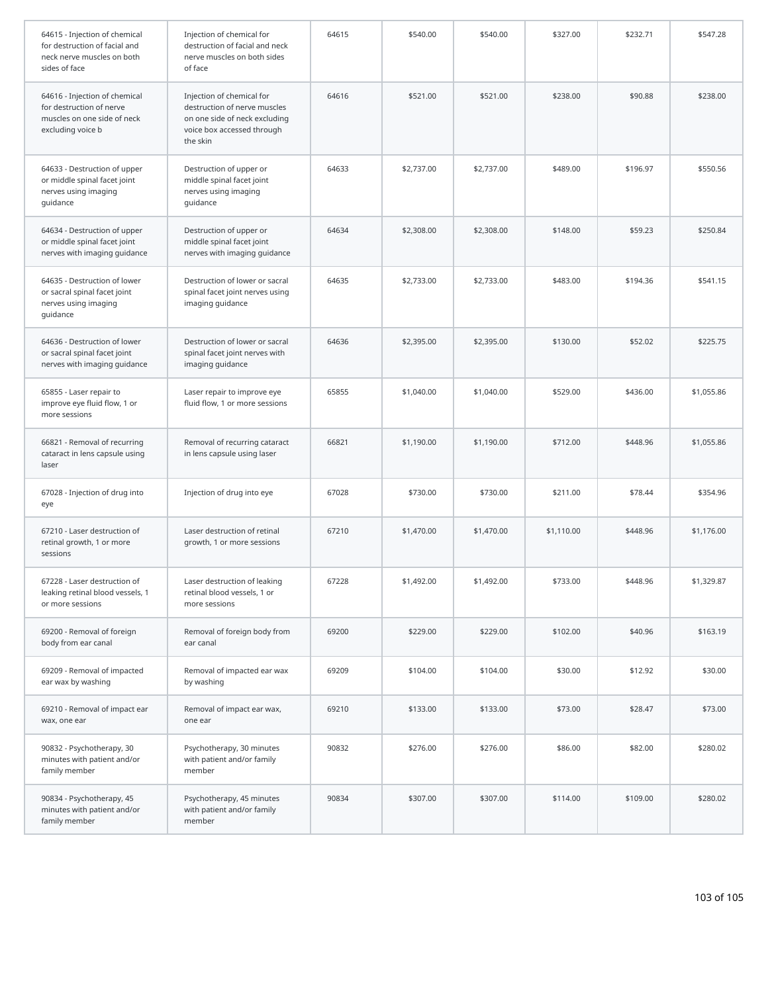| 64615 - Injection of chemical<br>for destruction of facial and<br>neck nerve muscles on both<br>sides of face | Injection of chemical for<br>destruction of facial and neck<br>nerve muscles on both sides<br>of face                                | 64615 | \$540.00   | \$540.00   | \$327.00   | \$232.71 | \$547.28   |
|---------------------------------------------------------------------------------------------------------------|--------------------------------------------------------------------------------------------------------------------------------------|-------|------------|------------|------------|----------|------------|
| 64616 - Injection of chemical<br>for destruction of nerve<br>muscles on one side of neck<br>excluding voice b | Injection of chemical for<br>destruction of nerve muscles<br>on one side of neck excluding<br>voice box accessed through<br>the skin | 64616 | \$521.00   | \$521.00   | \$238.00   | \$90.88  | \$238.00   |
| 64633 - Destruction of upper<br>or middle spinal facet joint<br>nerves using imaging<br>guidance              | Destruction of upper or<br>middle spinal facet joint<br>nerves using imaging<br>guidance                                             | 64633 | \$2,737.00 | \$2,737.00 | \$489.00   | \$196.97 | \$550.56   |
| 64634 - Destruction of upper<br>or middle spinal facet joint<br>nerves with imaging guidance                  | Destruction of upper or<br>middle spinal facet joint<br>nerves with imaging guidance                                                 | 64634 | \$2,308.00 | \$2,308.00 | \$148.00   | \$59.23  | \$250.84   |
| 64635 - Destruction of lower<br>or sacral spinal facet joint<br>nerves using imaging<br>guidance              | Destruction of lower or sacral<br>spinal facet joint nerves using<br>imaging guidance                                                | 64635 | \$2,733.00 | \$2,733.00 | \$483.00   | \$194.36 | \$541.15   |
| 64636 - Destruction of lower<br>or sacral spinal facet joint<br>nerves with imaging guidance                  | Destruction of lower or sacral<br>spinal facet joint nerves with<br>imaging guidance                                                 | 64636 | \$2,395.00 | \$2,395.00 | \$130.00   | \$52.02  | \$225.75   |
| 65855 - Laser repair to<br>improve eye fluid flow, 1 or<br>more sessions                                      | Laser repair to improve eye<br>fluid flow, 1 or more sessions                                                                        | 65855 | \$1,040.00 | \$1,040.00 | \$529.00   | \$436.00 | \$1,055.86 |
| 66821 - Removal of recurring<br>cataract in lens capsule using<br>laser                                       | Removal of recurring cataract<br>in lens capsule using laser                                                                         | 66821 | \$1,190.00 | \$1,190.00 | \$712.00   | \$448.96 | \$1,055.86 |
| 67028 - Injection of drug into<br>eye                                                                         | Injection of drug into eye                                                                                                           | 67028 | \$730.00   | \$730.00   | \$211.00   | \$78.44  | \$354.96   |
| 67210 - Laser destruction of<br>retinal growth, 1 or more<br>sessions                                         | Laser destruction of retinal<br>growth, 1 or more sessions                                                                           | 67210 | \$1,470.00 | \$1,470.00 | \$1,110.00 | \$448.96 | \$1,176.00 |
| 67228 - Laser destruction of<br>leaking retinal blood vessels, 1<br>or more sessions                          | Laser destruction of leaking<br>retinal blood vessels, 1 or<br>more sessions                                                         | 67228 | \$1,492.00 | \$1,492.00 | \$733.00   | \$448.96 | \$1,329.87 |
| 69200 - Removal of foreign<br>body from ear canal                                                             | Removal of foreign body from<br>ear canal                                                                                            | 69200 | \$229.00   | \$229.00   | \$102.00   | \$40.96  | \$163.19   |
| 69209 - Removal of impacted<br>ear wax by washing                                                             | Removal of impacted ear wax<br>by washing                                                                                            | 69209 | \$104.00   | \$104.00   | \$30.00    | \$12.92  | \$30.00    |
| 69210 - Removal of impact ear<br>wax, one ear                                                                 | Removal of impact ear wax,<br>one ear                                                                                                | 69210 | \$133.00   | \$133.00   | \$73.00    | \$28.47  | \$73.00    |
| 90832 - Psychotherapy, 30<br>minutes with patient and/or<br>family member                                     | Psychotherapy, 30 minutes<br>with patient and/or family<br>member                                                                    | 90832 | \$276.00   | \$276.00   | \$86.00    | \$82.00  | \$280.02   |
| 90834 - Psychotherapy, 45<br>minutes with patient and/or<br>family member                                     | Psychotherapy, 45 minutes<br>with patient and/or family<br>member                                                                    | 90834 | \$307.00   | \$307.00   | \$114.00   | \$109.00 | \$280.02   |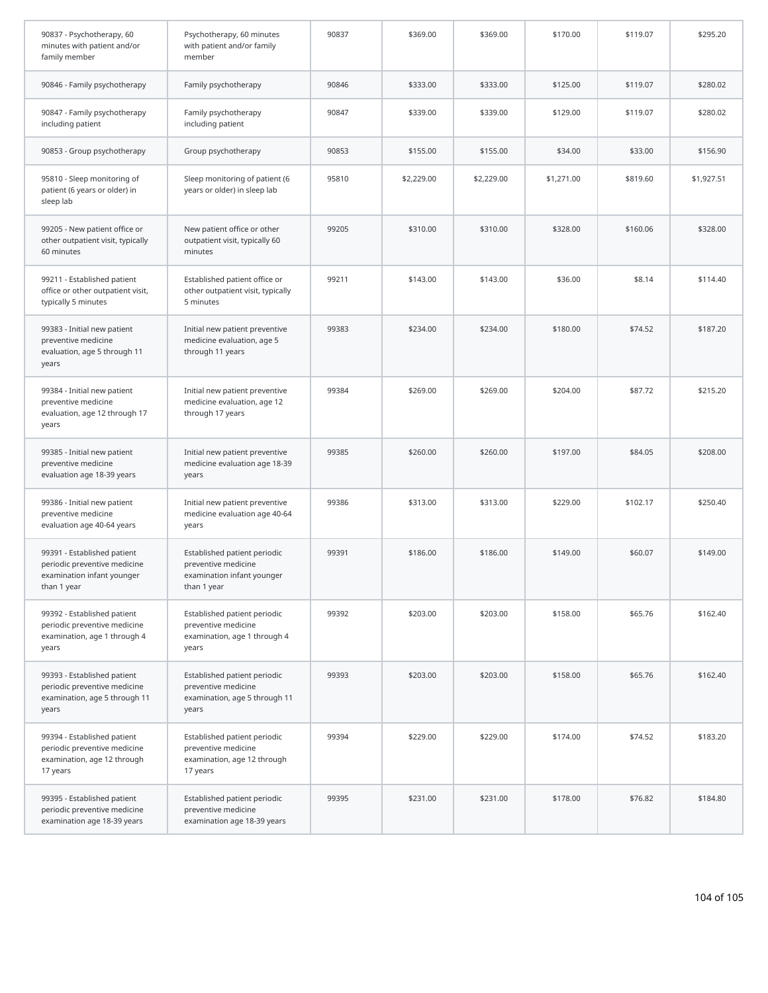| 90837 - Psychotherapy, 60<br>minutes with patient and/or<br>family member                                | Psychotherapy, 60 minutes<br>with patient and/or family<br>member                                | 90837 | \$369.00   | \$369.00   | \$170.00   | \$119.07 | \$295.20   |
|----------------------------------------------------------------------------------------------------------|--------------------------------------------------------------------------------------------------|-------|------------|------------|------------|----------|------------|
| 90846 - Family psychotherapy                                                                             | Family psychotherapy                                                                             | 90846 | \$333.00   | \$333.00   | \$125.00   | \$119.07 | \$280.02   |
| 90847 - Family psychotherapy<br>including patient                                                        | Family psychotherapy<br>including patient                                                        | 90847 | \$339.00   | \$339.00   | \$129.00   | \$119.07 | \$280.02   |
| 90853 - Group psychotherapy                                                                              | Group psychotherapy                                                                              | 90853 | \$155.00   | \$155.00   | \$34.00    | \$33.00  | \$156.90   |
| 95810 - Sleep monitoring of<br>patient (6 years or older) in<br>sleep lab                                | Sleep monitoring of patient (6<br>years or older) in sleep lab                                   | 95810 | \$2,229.00 | \$2,229.00 | \$1,271.00 | \$819.60 | \$1,927.51 |
| 99205 - New patient office or<br>other outpatient visit, typically<br>60 minutes                         | New patient office or other<br>outpatient visit, typically 60<br>minutes                         | 99205 | \$310.00   | \$310.00   | \$328.00   | \$160.06 | \$328.00   |
| 99211 - Established patient<br>office or other outpatient visit,<br>typically 5 minutes                  | Established patient office or<br>other outpatient visit, typically<br>5 minutes                  | 99211 | \$143.00   | \$143.00   | \$36.00    | \$8.14   | \$114.40   |
| 99383 - Initial new patient<br>preventive medicine<br>evaluation, age 5 through 11<br>years              | Initial new patient preventive<br>medicine evaluation, age 5<br>through 11 years                 | 99383 | \$234.00   | \$234.00   | \$180.00   | \$74.52  | \$187.20   |
| 99384 - Initial new patient<br>preventive medicine<br>evaluation, age 12 through 17<br>years             | Initial new patient preventive<br>medicine evaluation, age 12<br>through 17 years                | 99384 | \$269.00   | \$269.00   | \$204.00   | \$87.72  | \$215.20   |
| 99385 - Initial new patient<br>preventive medicine<br>evaluation age 18-39 years                         | Initial new patient preventive<br>medicine evaluation age 18-39<br>years                         | 99385 | \$260.00   | \$260.00   | \$197.00   | \$84.05  | \$208.00   |
| 99386 - Initial new patient<br>preventive medicine<br>evaluation age 40-64 years                         | Initial new patient preventive<br>medicine evaluation age 40-64<br>years                         | 99386 | \$313.00   | \$313.00   | \$229.00   | \$102.17 | \$250.40   |
| 99391 - Established patient<br>periodic preventive medicine<br>examination infant younger<br>than 1 year | Established patient periodic<br>preventive medicine<br>examination infant younger<br>than 1 year | 99391 | \$186.00   | \$186.00   | \$149.00   | \$60.07  | \$149.00   |
| 99392 - Established patient<br>periodic preventive medicine<br>examination, age 1 through 4<br>years     | Established patient periodic<br>preventive medicine<br>examination, age 1 through 4<br>years     | 99392 | \$203.00   | \$203.00   | \$158.00   | \$65.76  | \$162.40   |
| 99393 - Established patient<br>periodic preventive medicine<br>examination, age 5 through 11<br>years    | Established patient periodic<br>preventive medicine<br>examination, age 5 through 11<br>years    | 99393 | \$203.00   | \$203.00   | \$158.00   | \$65.76  | \$162.40   |
| 99394 - Established patient<br>periodic preventive medicine<br>examination, age 12 through<br>17 years   | Established patient periodic<br>preventive medicine<br>examination, age 12 through<br>17 years   | 99394 | \$229.00   | \$229.00   | \$174.00   | \$74.52  | \$183.20   |
| 99395 - Established patient<br>periodic preventive medicine<br>examination age 18-39 years               | Established patient periodic<br>preventive medicine<br>examination age 18-39 years               | 99395 | \$231.00   | \$231.00   | \$178.00   | \$76.82  | \$184.80   |